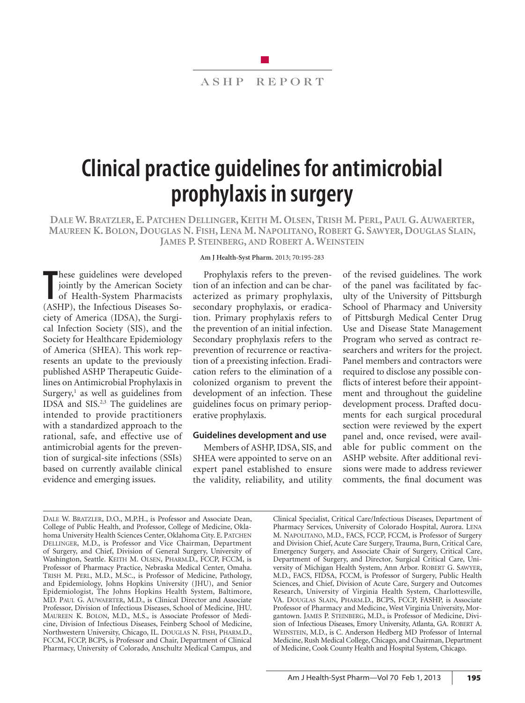# ASHP REPORT

# **Clinical practice guidelines for antimicrobial prophylaxis in surgery**

**Dale W. Bratzler, E. Patchen Dellinger, Keith M. Olsen, Trish M. Perl, Paul G. Auwaerter, Maureen K. Bolon, Douglas N. Fish, Lena M. Napolitano, Robert G. Sawyer, Douglas Slain, James P. Steinberg, and Robert A. Weinstein**

These guidelines were developed<br>
jointly by the American Society<br>
of Health-System Pharmacists<br>
(ASHP), the Infectious Diseases Sohese guidelines were developed jointly by the American Society of Health-System Pharmacists ciety of America (IDSA), the Surgical Infection Society (SIS), and the Society for Healthcare Epidemiology of America (SHEA). This work represents an update to the previously published ASHP Therapeutic Guidelines on Antimicrobial Prophylaxis in Surgery, $<sup>1</sup>$  as well as guidelines from</sup> IDSA and SIS.<sup>2,3</sup> The guidelines are intended to provide practitioners with a standardized approach to the rational, safe, and effective use of antimicrobial agents for the prevention of surgical-site infections (SSIs) based on currently available clinical evidence and emerging issues.

#### **Am J Health-Syst Pharm.** 2013; 70:195-283

Prophylaxis refers to the prevention of an infection and can be characterized as primary prophylaxis, secondary prophylaxis, or eradication. Primary prophylaxis refers to the prevention of an initial infection. Secondary prophylaxis refers to the prevention of recurrence or reactivation of a preexisting infection. Eradication refers to the elimination of a colonized organism to prevent the development of an infection. These guidelines focus on primary perioperative prophylaxis.

#### **Guidelines development and use**

Members of ASHP, IDSA, SIS, and SHEA were appointed to serve on an expert panel established to ensure the validity, reliability, and utility of the revised guidelines. The work of the panel was facilitated by faculty of the University of Pittsburgh School of Pharmacy and University of Pittsburgh Medical Center Drug Use and Disease State Management Program who served as contract researchers and writers for the project. Panel members and contractors were required to disclose any possible conflicts of interest before their appointment and throughout the guideline development process. Drafted documents for each surgical procedural section were reviewed by the expert panel and, once revised, were available for public comment on the ASHP website. After additional revisions were made to address reviewer comments, the final document was

Clinical Specialist, Critical Care/Infectious Diseases, Department of Pharmacy Services, University of Colorado Hospital, Aurora. Lena M. Napolitano, M.D., FACS, FCCP, FCCM, is Professor of Surgery and Division Chief, Acute Care Surgery, Trauma, Burn, Critical Care, Emergency Surgery, and Associate Chair of Surgery, Critical Care, Department of Surgery, and Director, Surgical Critical Care, University of Michigan Health System, Ann Arbor. Robert G. Sawyer, M.D., FACS, FIDSA, FCCM, is Professor of Surgery, Public Health Sciences, and Chief, Division of Acute Care, Surgery and Outcomes Research, University of Virginia Health System, Charlottesville, VA. Douglas Slain, Pharm.D., BCPS, FCCP, FASHP, is Associate Professor of Pharmacy and Medicine, West Virginia University, Morgantown. James P. Steinberg, M.D., is Professor of Medicine, Division of Infectious Diseases, Emory University, Atlanta, GA. ROBERT A. Weinstein, M.D., is C. Anderson Hedberg MD Professor of Internal Medicine, Rush Medical College, Chicago, and Chairman, Department of Medicine, Cook County Health and Hospital System, Chicago.

Dale W. Bratzler, D.O., M.P.H., is Professor and Associate Dean, College of Public Health, and Professor, College of Medicine, Oklahoma University Health Sciences Center, Oklahoma City. E. PATCHEN Dellinger, M.D., is Professor and Vice Chairman, Department of Surgery, and Chief, Division of General Surgery, University of Washington, Seattle. KEITH M. OLSEN, PHARM.D., FCCP, FCCM, is Professor of Pharmacy Practice, Nebraska Medical Center, Omaha. Trish M. Perl, M.D., M.Sc., is Professor of Medicine, Pathology, and Epidemiology, Johns Hopkins University (JHU), and Senior Epidemiologist, The Johns Hopkins Health System, Baltimore, MD. Paul G. Auwaerter, M.D., is Clinical Director and Associate Professor, Division of Infectious Diseases, School of Medicine, JHU. Maureen K. Bolon, M.D., M.S., is Associate Professor of Medicine, Division of Infectious Diseases, Feinberg School of Medicine, Northwestern University, Chicago, IL. Douglas N. Fish, Pharm.D., FCCM, FCCP, BCPS, is Professor and Chair, Department of Clinical Pharmacy, University of Colorado, Anschultz Medical Campus, and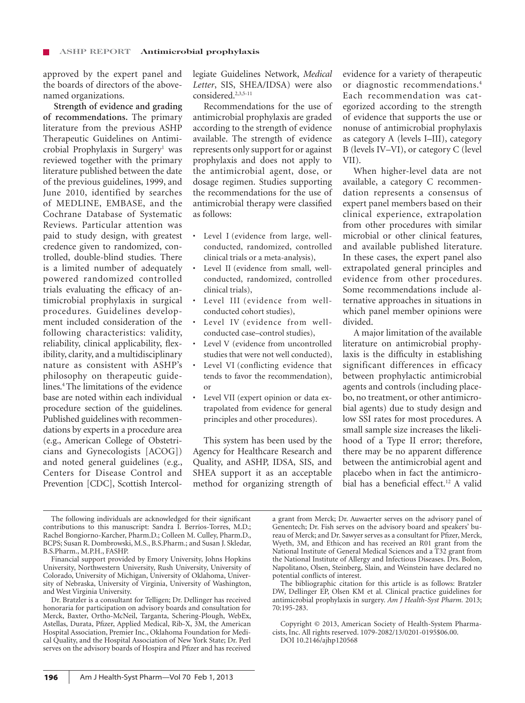approved by the expert panel and the boards of directors of the abovenamed organizations.

**Strength of evidence and grading of recommendations.** The primary literature from the previous ASHP Therapeutic Guidelines on Antimicrobial Prophylaxis in Surgery<sup>1</sup> was reviewed together with the primary literature published between the date of the previous guidelines, 1999, and June 2010, identified by searches of MEDLINE, EMBASE, and the Cochrane Database of Systematic Reviews. Particular attention was paid to study design, with greatest credence given to randomized, controlled, double-blind studies. There is a limited number of adequately powered randomized controlled trials evaluating the efficacy of antimicrobial prophylaxis in surgical procedures. Guidelines development included consideration of the following characteristics: validity, reliability, clinical applicability, flexibility, clarity, and a multidisciplinary nature as consistent with ASHP's philosophy on therapeutic guidelines.4 The limitations of the evidence base are noted within each individual procedure section of the guidelines. Published guidelines with recommendations by experts in a procedure area (e.g., American College of Obstetricians and Gynecologists [ACOG]) and noted general guidelines (e.g., Centers for Disease Control and Prevention [CDC], Scottish Intercollegiate Guidelines Network, *Medical Letter*, SIS, SHEA/IDSA) were also considered.2,3,5-11

Recommendations for the use of antimicrobial prophylaxis are graded according to the strength of evidence available. The strength of evidence represents only support for or against prophylaxis and does not apply to the antimicrobial agent, dose, or dosage regimen. Studies supporting the recommendations for the use of antimicrobial therapy were classified as follows:

- • Level I (evidence from large, wellconducted, randomized, controlled clinical trials or a meta-analysis),
- Level II (evidence from small, wellconducted, randomized, controlled clinical trials),
- Level III (evidence from wellconducted cohort studies),
- Level IV (evidence from wellconducted case–control studies),
- Level V (evidence from uncontrolled studies that were not well conducted),
- Level VI (conflicting evidence that tends to favor the recommendation), or
- Level VII (expert opinion or data extrapolated from evidence for general principles and other procedures).

This system has been used by the Agency for Healthcare Research and Quality, and ASHP, IDSA, SIS, and SHEA support it as an acceptable method for organizing strength of evidence for a variety of therapeutic or diagnostic recommendations.4 Each recommendation was categorized according to the strength of evidence that supports the use or nonuse of antimicrobial prophylaxis as category A (levels I–III), category B (levels IV–VI), or category C (level VII).

When higher-level data are not available, a category C recommendation represents a consensus of expert panel members based on their clinical experience, extrapolation from other procedures with similar microbial or other clinical features, and available published literature. In these cases, the expert panel also extrapolated general principles and evidence from other procedures. Some recommendations include alternative approaches in situations in which panel member opinions were divided.

A major limitation of the available literature on antimicrobial prophylaxis is the difficulty in establishing significant differences in efficacy between prophylactic antimicrobial agents and controls (including placebo, no treatment, or other antimicrobial agents) due to study design and low SSI rates for most procedures. A small sample size increases the likelihood of a Type II error; therefore, there may be no apparent difference between the antimicrobial agent and placebo when in fact the antimicrobial has a beneficial effect.<sup>12</sup> A valid

The following individuals are acknowledged for their significant contributions to this manuscript: Sandra I. Berríos-Torres, M.D.; Rachel Bongiorno-Karcher, Pharm.D.; Colleen M. Culley, Pharm.D., BCPS; Susan R. Dombrowski, M.S., B.S.Pharm.; and Susan J. Skledar, B.S.Pharm., M.P.H., FASHP.

Financial support provided by Emory University, Johns Hopkins University, Northwestern University, Rush University, University of Colorado, University of Michigan, University of Oklahoma, University of Nebraska, University of Virginia, University of Washington, and West Virginia University.

Dr. Bratzler is a consultant for Telligen; Dr. Dellinger has received honoraria for participation on advisory boards and consultation for Merck, Baxter, Ortho-McNeil, Targanta, Schering-Plough, WebEx, Astellas, Durata, Pfizer, Applied Medical, Rib-X, 3M, the American Hospital Association, Premier Inc., Oklahoma Foundation for Medical Quality, and the Hospital Association of New York State; Dr. Perl serves on the advisory boards of Hospira and Pfizer and has received

a grant from Merck; Dr. Auwaerter serves on the advisory panel of Genentech; Dr. Fish serves on the advisory board and speakers' bureau of Merck; and Dr. Sawyer serves as a consultant for Pfizer, Merck, Wyeth, 3M, and Ethicon and has received an R01 grant from the National Institute of General Medical Sciences and a T32 grant from the National Institute of Allergy and Infectious Diseases. Drs. Bolon, Napolitano, Olsen, Steinberg, Slain, and Weinstein have declared no potential conflicts of interest.

The bibliographic citation for this article is as follows: Bratzler DW, Dellinger EP, Olsen KM et al. Clinical practice guidelines for antimicrobial prophylaxis in surgery. *Am J Health-Syst Pharm.* 2013; 70:195-283.

Copyright © 2013, American Society of Health-System Pharmacists, Inc. All rights reserved. 1079-2082/13/0201-0195\$06.00. DOI 10.2146/ajhp120568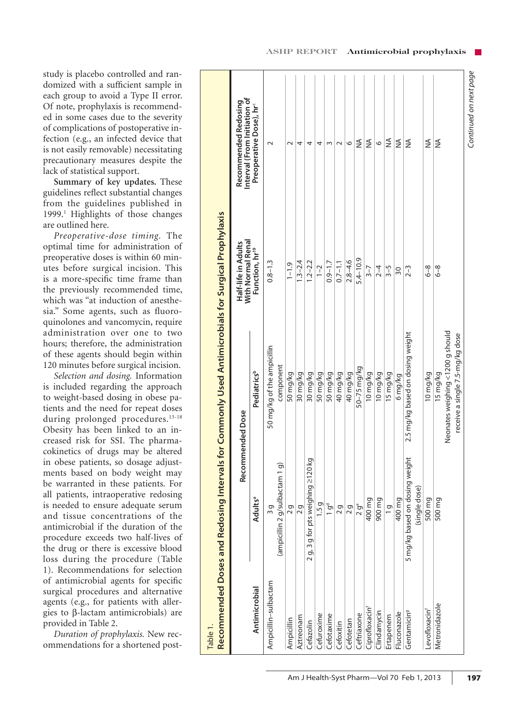study is placebo controlled and randomized with a sufficient sample in each group to avoid a Type II error. Of note, prophylaxis is recommended in some cases due to the severity of complications of postoperative infection (e.g., an infected device that is not easily removable) necessitating precautionary measures despite the lack of statistical support.

**Summary of key updates.** These guidelines reflect substantial changes from the guidelines published in 1999.<sup>1</sup> Highlights of those changes are outlined here.

*Preoperative-dose timing.* The optimal time for administration of preoperative doses is within 60 minutes before surgical incision. This is a more-specific time frame than the previously recommended time, which was "at induction of anesthesia." Some agents, such as fluoroquinolones and vancomycin, require administration over one to two hours; therefore, the administration of these agents should begin within 120 minutes before surgical incision.

*Selection and dosing.* Information is included regarding the approach to weight-based dosing in obese patients and the need for repeat doses during prolonged procedures.<sup>13-18</sup> Obesity has been linked to an increased risk for SSI. The pharmacokinetics of drugs may be altered in obese patients, so dosage adjustments based on body weight may be warranted in these patients. For all patients, intraoperative redosing is needed to ensure adequate serum and tissue concentrations of the antimicrobial if the duration of the procedure exceeds two half-lives of the drug or there is excessive blood loss during the procedure (Table 1). Recommendations for selection of antimicrobial agents for specific surgical procedures and alternative agents (e.g., for patients with allergies to  $\beta$ -lactam antimicrobials) are provided in Table 2.

*Duration of prophylaxis.* New recommendations for a shortened post-

|                          |                                                 | Recommended Doses and Redosing Intervals for Commonly Used Antimicrobials for Surgical Prophylaxis |                                          |                                                      |
|--------------------------|-------------------------------------------------|----------------------------------------------------------------------------------------------------|------------------------------------------|------------------------------------------------------|
|                          |                                                 | Recommended Dose                                                                                   | With Normal Renal<br>Half-life in Adults | Interval (From Initiation of<br>Recommended Redosing |
| Antimicrobial            | <b>Adults<sup>a</sup></b>                       | <b>Pediatrics</b> <sup>b</sup>                                                                     | Function, hr <sup>19</sup>               | Preoperative Dose), hr                               |
| Ampicillin-sulbactam     | 3 g                                             | 50 mg/kg of the ampicillin                                                                         | $0.8 - 1.3$                              | $\mathbf 2$                                          |
|                          | $\frac{1}{2}$<br>(ampicillin 2 g/sulbactam      | component                                                                                          |                                          |                                                      |
| Ampicillin               | 2 g                                             | 50 mg/kg                                                                                           | $1 - 1.9$                                | $\sim$                                               |
| Aztreonam                | $\overline{2}$ g                                | 30 mg/kg                                                                                           | $1.3 - 2.4$                              | 4                                                    |
| Cefazolin                | 20 kg<br>2 g, 3 g for pts weighing $\geq$ 1     | 30 mg/kg                                                                                           | $1.2 - 2.2$                              | 4                                                    |
| Cefuroxime               | 1.5g                                            | 50 mg/kg                                                                                           | $1 - 2$                                  | 4                                                    |
| Cefotaxime               | ັດ                                              | 50 mg/kg                                                                                           | $0.9 - 1.7$                              | 3                                                    |
| Cefoxitin                | $\overline{2}$ g                                | 40 mg/kg                                                                                           | $0.7 - 1.1$                              | $\sim$                                               |
| Cefotetan                | $\overline{Q}$                                  | 40 mg/kg                                                                                           | $2.8 - 4.6$                              | ৩                                                    |
| Ceftriaxone              | $2g^e$                                          | 50-75 mg/kg                                                                                        | $5.4 - 10.9$                             | ≸                                                    |
| iprofloxacin'            | 400 mg                                          | 10 mg/kg                                                                                           | $3 - 7$                                  | ⋚                                                    |
| lindamycin               | 900 mg                                          | 10 mg/kg                                                                                           | $2 - 4$                                  | $\circ$                                              |
| Ertapenem                | $\overline{0}$                                  | 15 mg/kg                                                                                           | $3 - 5$                                  | ≨                                                    |
| luconazole               | 400 mg                                          | 6 mg/kg                                                                                            | 30                                       | ≸                                                    |
| Gentamicin <sup>9</sup>  | 5 mg/kg based on dosing weight<br>(single dose) | 2.5 mg/kg based on dosing weight                                                                   | $2 - 3$                                  | ≸                                                    |
| evofloxacin <sup>f</sup> | 500 mg                                          | 10 mg/kg                                                                                           | $6 - 8$                                  | ≸                                                    |
| Metronidazole            | 500 mg                                          | 15 mg/kg                                                                                           | $6 - 8$                                  | ≸                                                    |
|                          |                                                 | Neonates weighing <1200 g should                                                                   |                                          |                                                      |
|                          |                                                 | receive a single 7.5-mg/kg dose                                                                    |                                          |                                                      |
|                          |                                                 |                                                                                                    |                                          | Continued on next nage                               |

#### **ASHP Report Antimicrobial prophylaxis**

*Continued on next page* hnd yv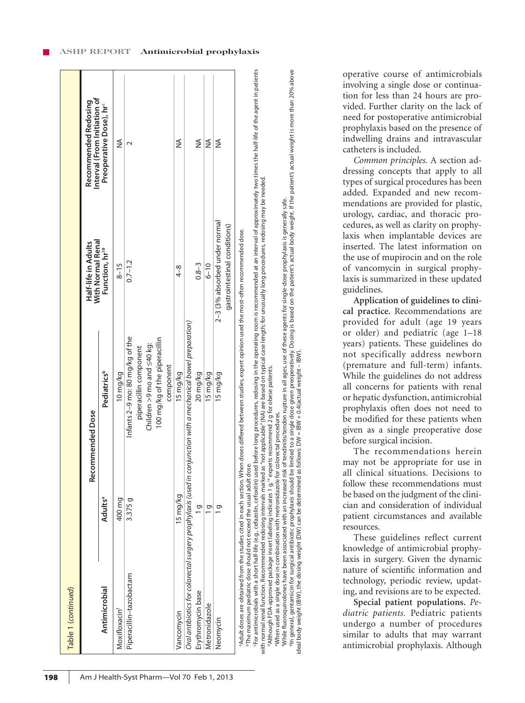| Table 1 (continued)     |                           |                                                                                                               |                                          |                                                      |
|-------------------------|---------------------------|---------------------------------------------------------------------------------------------------------------|------------------------------------------|------------------------------------------------------|
|                         |                           | Recommended Dose                                                                                              | With Normal Renal<br>Half-life in Adults | Interval (From Initiation of<br>Recommended Redosing |
| Antimicrobial           | <b>Adults<sup>a</sup></b> | <b>Pediatrics<sup>b</sup></b>                                                                                 | Function, hr <sup>19</sup>               | Preoperative Dose), hr                               |
| Moxifloxacin            | 400 mg                    | 10 mg/kg                                                                                                      | $8 - 15$                                 | ≸                                                    |
| Piperacillin-tazobactam | 3.375g                    | Infants 2-9 mo: 80 mg/kg of the                                                                               | $0.7 - 1.2$                              |                                                      |
|                         |                           | piperacillin component                                                                                        |                                          |                                                      |
|                         |                           | Children >9 mo and <40 kg:                                                                                    |                                          |                                                      |
|                         |                           | 100 mg/kg of the piperacillin                                                                                 |                                          |                                                      |
|                         |                           | component                                                                                                     |                                          |                                                      |
| Vancomycin              | 15 mg/kg                  | 15 mg/kg                                                                                                      | $4 - 8$                                  | ≸                                                    |
|                         |                           | Oral antibiotics for colorectal surgery prophylaxis (used in conjunction with a mechanical bowel preparation) |                                          |                                                      |
| Erythromycin base       | $\frac{1}{2}$             | 20 mg/kg                                                                                                      | $0.8 - 3$                                | $\frac{1}{2}$                                        |
| Metronidazole           | $\overline{0}$            | 15 mg/kg                                                                                                      | $6 - 10$                                 | ≸                                                    |
| Neomycin                | $\overline{a}$            | 15 mg/kg                                                                                                      | 2-3 (3% absorbed under normal            | ≸                                                    |
|                         |                           |                                                                                                               | gastrointestinal conditions)             |                                                      |

For antimicrobials with a short half-life (e.g., cefaxolin, cefoxitin) used before long procedures, redosing in the operating room is recommended at an interval of approximately two times the half-life of the agent in pati with normal renal function. Recommended redosing intervals marked as "not applicable" (NA) are based on typical case length; for unusually long procedures, redosing may be needed.<br>"Although FDA-approved package insert labe

"Although FDA-approved package insert labeling indicates 1 g," experts recommend 2 g for obese patients.<br>"When used as a single dose in combination with metronidazole for colorectal procedures.

use of these agents for single-dose prophylaxis is generally safe. fWhile fluoroquinolones have been associated with an increased risk of tendinitis/tendon rupture in all ages, use of these agents for single-dose prophylaxis is generally safe. While fluoroquinolones have been associated with an increased risk of tendinitis/tendon rupture in all ages,

PIn gentamicin for surgical antibiotic prophylaxis should be limited to a single dose given preoperatively. Dosing is based on the patient's actual body weight. If the patient's actual weight is more than 20% above weight. If the patient's actual weight is more than 20% above on the patient's actual body is based  $^{9}$ In general, gentamicin for surgical antibiotic prophylaxis should be limited to a single dose given preoperatively. Dosing<br>ideal body weight (IBW), the dosing weight (DW) can be determined as follows: DW = IBW + 0.4( ideal body weight (IBW), the dosing weight (DW) can be determined as follows: DW = IBW + 0.4(actual weight – IBW).

operative course of antimicrobials involving a single dose or continuation for less than 24 hours are provided. Further clarity on the lack of need for postoperative antimicrobial prophylaxis based on the presence of indwelling drains and intravascular catheters is included.

*Common principles.* A section addressing concepts that apply to all types of surgical procedures has been added. Expanded and new recommendations are provided for plastic, urology, cardiac, and thoracic procedures, as well as clarity on prophylaxis when implantable devices are inserted. The latest information on the use of mupirocin and on the role of vancomycin in surgical prophylaxis is summarized in these updated guidelines.

**Application of guidelines to clinical practice.** Recommendations are provided for adult (age 19 years or older) and pediatric (age 1–18 years) patients. These guidelines do not specifically address newborn (premature and full-term) infants. While the guidelines do not address all concerns for patients with renal or hepatic dysfunction, antimicrobial prophylaxis often does not need to be modified for these patients when given as a single preoperative dose before surgical incision.

The recommendations herein may not be appropriate for use in all clinical situations. Decisions to follow these recommendations must be based on the judgment of the clinician and consideration of individual patient circumstances and available resources.

These guidelines reflect current knowledge of antimicrobial prophylaxis in surgery. Given the dynamic nature of scientific information and technology, periodic review, updating, and revisions are to be expected.

**Special patient populations.** *Pediatric patients.* Pediatric patients undergo a number of procedures similar to adults that may warrant antimicrobial prophylaxis. Although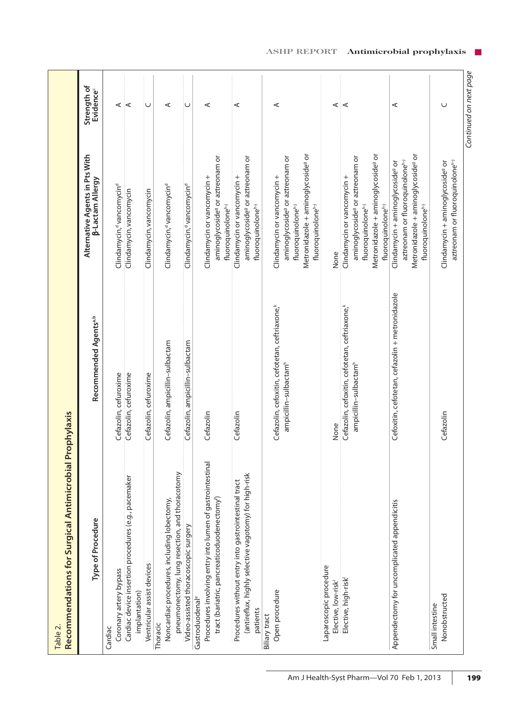| Type of Procedure                                                                                                         | Recommended Agents <sup>a,b</sup>                                                               | Alternative Agents in Pts With<br><b>B-Lactam Allergy</b>                                                                                                                                        | Strength of<br>Evidence <sup>c</sup> |
|---------------------------------------------------------------------------------------------------------------------------|-------------------------------------------------------------------------------------------------|--------------------------------------------------------------------------------------------------------------------------------------------------------------------------------------------------|--------------------------------------|
| Cardiac                                                                                                                   |                                                                                                 |                                                                                                                                                                                                  |                                      |
| Coronary artery bypass                                                                                                    | Cefazolin, cefuroxime                                                                           | Clindamycin, <sup>d</sup> vancomycin <sup>d</sup>                                                                                                                                                | $\prec$                              |
| Cardiac device insertion procedures (e.g., pacemaker<br>implantation)                                                     | Cefazolin, cefuroxime                                                                           | Clindamycin, vancomycin                                                                                                                                                                          | $\prec$                              |
| Ventricular assist devices                                                                                                | Cefazolin, cefuroxime                                                                           | Clindamycin, vancomycin                                                                                                                                                                          | U                                    |
| Thoracic                                                                                                                  |                                                                                                 |                                                                                                                                                                                                  |                                      |
| Noncardiac procedures, including lobectomy,                                                                               | Cefazolin, ampicillin-sulbactam                                                                 | Clindamycin, <sup>d</sup> vancomycin <sup>d</sup>                                                                                                                                                | ⋖                                    |
| pneumonectomy, lung resection, and thoracotomy<br>Video-assisted thoracoscopic surgery                                    | Cefazolin, ampicillin-sulbactam                                                                 | Clindamycin, dvancomycin <sup>d</sup>                                                                                                                                                            | U                                    |
| Gastroduodenal <sup>e</sup>                                                                                               |                                                                                                 |                                                                                                                                                                                                  |                                      |
| Procedures involving entry into lumen of gastrointestinal<br>tract (bariatric, pancreaticoduodenectomy <sup>f</sup> )     | Cefazolin                                                                                       | aminoglycoside <sup>9</sup> or aztreonam or<br>Clindamycin or vancomycin +<br>fluoroquinolone <sup>h-j</sup>                                                                                     | ⋖                                    |
| (antireflux, highly selective vagotomy) for high-risk<br>Procedures without entry into gastrointestinal tract<br>patients | Cefazolin                                                                                       | aminoglycoside <sup>9</sup> or aztreonam or<br>Clindamycin or vancomycin +<br>fluoroquinolone <sup>h-j</sup>                                                                                     | ⋖                                    |
| Open procedure<br>Biliary tract                                                                                           | Cefazolin, cefoxitin, cefotetan, ceftriaxone, <sup>k</sup>                                      | Clindamycin or vancomycin +                                                                                                                                                                      | ⋖                                    |
|                                                                                                                           | ampicillin-sulbactam <sup>h</sup>                                                               | Metronidazole + aminoglycoside <sup>9</sup> or<br>aminoglycoside <sup>9</sup> or aztreonam or<br>fluoroquinolone <sup>h-j</sup><br>fluoroquinolone <sup>h-j</sup>                                |                                      |
| Laparoscopic procedure                                                                                                    |                                                                                                 |                                                                                                                                                                                                  |                                      |
| Elective, low-risk                                                                                                        | None                                                                                            | None                                                                                                                                                                                             | ⋖                                    |
| Elective, high-risk                                                                                                       | Cefazolin, cefoxitin, cefotetan, ceftriaxone, <sup>k</sup><br>ampicillin-sulbactam <sup>h</sup> | Metronidazole + aminoglycoside <sup>9</sup> or<br>aminoglycoside <sup>9</sup> or aztreonam or<br>Clindamycin or vancomycin +<br>fluoroquinolone <sup>h-j</sup><br>fluoroquinolone <sup>h-j</sup> | ⋖                                    |
| Appendectomy for uncomplicated appendicitis                                                                               | Cefoxitin, cefotetan, cefazolin + metronidazole                                                 | Metronidazole + aminoglycoside <sup>9</sup> or<br>aztreonam or fluoroquinolone <sup>h-j</sup><br>Clindamycin + aminoglycoside <sup>9</sup> or<br>fluoroquinolone <sup>h-j</sup>                  | ⋖                                    |
| Nonobstructed<br>Small intestine                                                                                          | Cefazolin                                                                                       | aztreonam or fluoroquinolone <sup>r-j</sup><br>Clindamycin + aminoglycoside <sup>9</sup> or                                                                                                      | U                                    |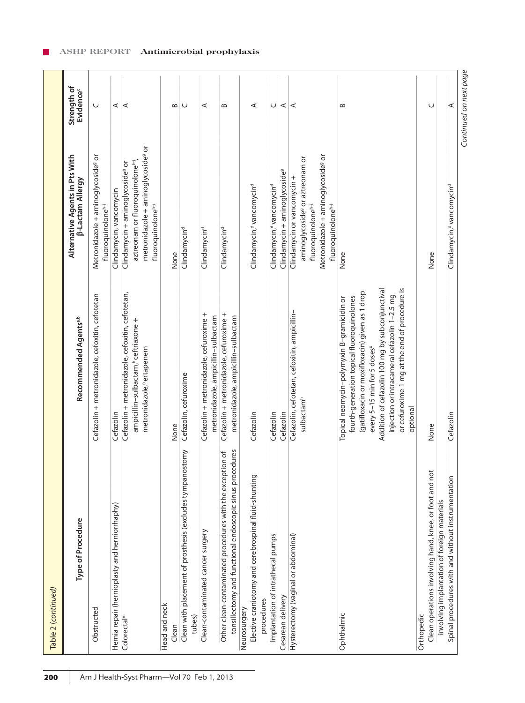| Type of Procedure                                                                                                     | Recommended Agents <sup>a,b</sup>                                                                                                                                                                                                                                                                                                         | Alternative Agents in Pts With<br><b>B-Lactam Allergy</b>                                                                                                                                        | Strength of<br>Evidence <sup>c</sup> |
|-----------------------------------------------------------------------------------------------------------------------|-------------------------------------------------------------------------------------------------------------------------------------------------------------------------------------------------------------------------------------------------------------------------------------------------------------------------------------------|--------------------------------------------------------------------------------------------------------------------------------------------------------------------------------------------------|--------------------------------------|
| Obstructed                                                                                                            | Cefazolin + metronidazole, cefoxitin, cefotetan                                                                                                                                                                                                                                                                                           | Metronidazole + aminoglycoside <sup>9</sup> or<br>fluoroquinolone <sup>h-j</sup>                                                                                                                 | U                                    |
| Hernia repair (hernioplasty and herniorrhaphy)                                                                        | Cefazolin                                                                                                                                                                                                                                                                                                                                 | Clindamycin, vancomycin                                                                                                                                                                          | $\prec$                              |
| Colorectal <sup>m</sup>                                                                                               | Cefazolin + metronidazole, cefoxitin, cefotetan,<br>ampicillin-sulbactam," ceftriaxone +<br>metronidazole," ertapenem                                                                                                                                                                                                                     | metronidazole + aminoglycoside <sup>9</sup> or<br>aztreonam or fluoroquinolone <sup>h-j</sup> ,<br>Clindamycin + aminoglycoside <sup>9</sup> or<br>fluoroquinolone <sup>h-j</sup>                | $\prec$                              |
| Head and neck<br>Clean                                                                                                | None                                                                                                                                                                                                                                                                                                                                      | None                                                                                                                                                                                             |                                      |
| Clean with placement of prosthesis (excludes tympanostomy<br>tubes)                                                   | Cefazolin, cefuroxime                                                                                                                                                                                                                                                                                                                     | Clindamycin <sup>d</sup>                                                                                                                                                                         | ں ہ                                  |
| Clean-contaminated cancer surgery                                                                                     | Cefazolin + metronidazole, cefuroxime +<br>metronidazole, ampicillin-sulbactam                                                                                                                                                                                                                                                            | Clindamycin <sup>d</sup>                                                                                                                                                                         | ⋖                                    |
| tonsillectomy and functional endoscopic sinus procedures<br>Other clean-contaminated procedures with the exception of | Cefazolin + metronidazole, cefuroxime +<br>metronidazole, ampicillin-sulbactam                                                                                                                                                                                                                                                            | Clindamycin <sup>d</sup>                                                                                                                                                                         | B                                    |
| Elective craniotomy and cerebrospinal fluid-shunting<br>procedures<br>Neurosurgery                                    | Cefazolin                                                                                                                                                                                                                                                                                                                                 | Clindamycin, <sup>d</sup> vancomycin <sup>d</sup>                                                                                                                                                | ⋖                                    |
| Implantation of intrathecal pumps                                                                                     | Cefazolin                                                                                                                                                                                                                                                                                                                                 | Clindamycin, dvancomycin <sup>d</sup>                                                                                                                                                            | U                                    |
| Cesarean delivery                                                                                                     | Cefazolin                                                                                                                                                                                                                                                                                                                                 | Clindamycin + aminoglycoside <sup>9</sup>                                                                                                                                                        | $\prec$                              |
| Hysterectomy (vaginal or abdominal)                                                                                   | Cefazolin, cefotetan, cefoxitin, ampicillin-<br>sulbactam <sup>h</sup>                                                                                                                                                                                                                                                                    | Metronidazole + aminoglycoside <sup>9</sup> or<br>aminoglycoside <sup>9</sup> or aztreonam or<br>Clindamycin or vancomycin +<br>fluoroquinolone <sup>h-j</sup><br>fluoroquinolone <sup>h-j</sup> | $\prec$                              |
| Ophthalmic                                                                                                            | or cefuroxime 1 mg at the end of procedure is<br>Addition of cefazolin 100 mg by subconjunctival<br>(gatifloxacin or moxifloxacin) given as 1 drop<br>injection or intracameral cefazolin 1-2.5 mg<br>fourth-generation topical fluoroquinolones<br>Topical neomycin-polymyxin B-gramicidin or<br>every 5-15 min for 5 doses°<br>optional | None                                                                                                                                                                                             | $\mathbf{\Omega}$                    |
| Orthopedic                                                                                                            |                                                                                                                                                                                                                                                                                                                                           |                                                                                                                                                                                                  |                                      |
| Clean operations involving hand, knee, or foot and not<br>involving implantation of foreign materials                 | None                                                                                                                                                                                                                                                                                                                                      | None                                                                                                                                                                                             | $\cup$                               |
| Spinal procedures with and without instrumentation                                                                    | Cefazolin                                                                                                                                                                                                                                                                                                                                 | Clindamycin, <sup>d</sup> vancomycin <sup>d</sup>                                                                                                                                                | ⋖                                    |

## **ASHP Report Antimicrobial prophylaxis**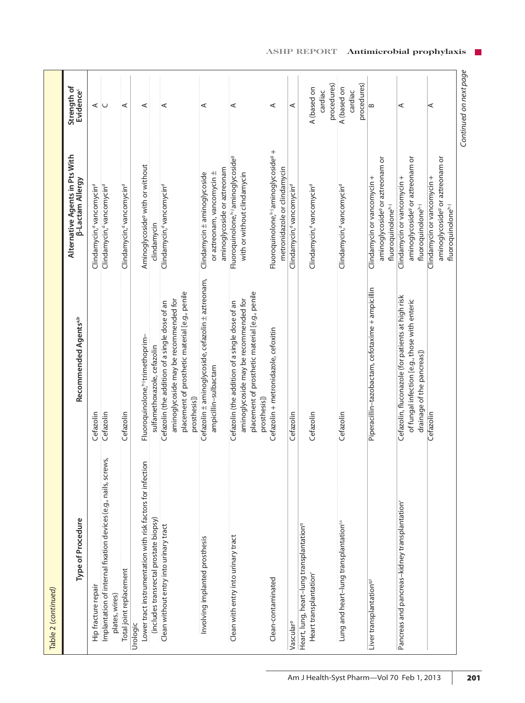| Table 2 (continued)                                                               |                                                                                                                                                           |                                                                                                              |                                       |
|-----------------------------------------------------------------------------------|-----------------------------------------------------------------------------------------------------------------------------------------------------------|--------------------------------------------------------------------------------------------------------------|---------------------------------------|
| Type of Procedure                                                                 | Recommended Agents <sup>a,b</sup>                                                                                                                         | Alternative Agents in Pts With<br><b>B-Lactam Allergy</b>                                                    | Strength of<br><b>Evidence</b>        |
| Hip fracture repair                                                               | Cefazolin                                                                                                                                                 | Clindamycin, <sup>d</sup> vancomycin <sup>d</sup>                                                            | $\sim$                                |
| Implantation of internal fixation devices (e.g., nails, screws,<br>plates, wires) | Cefazolin                                                                                                                                                 | Clindamycin, <sup>d</sup> vancomycin <sup>d</sup>                                                            |                                       |
| Total joint replacement                                                           | Cefazolin                                                                                                                                                 | Clindamycin, <sup>d</sup> vancomycin <sup>d</sup>                                                            | ⋖                                     |
| Lower tract instrumentation with risk factors for infection<br>Urologic           | Fluoroquinolone, <sup>h-j</sup> trimethoprim-                                                                                                             | Aminoglycoside <sup>9</sup> with or without                                                                  | ⋖                                     |
| (includes transrectal prostate biopsy)                                            | sulfamethoxazole, cefazolin                                                                                                                               | clindamycin                                                                                                  |                                       |
| Clean without entry into urinary tract                                            | placement of prosthetic material [e.g., penile<br>aminoglycoside may be recommended for<br>Cefazolin (the addition of a single dose of an<br>prosthesis]) | Clindamycin, <sup>d</sup> vancomycin <sup>d</sup>                                                            | ⋖                                     |
| Involving implanted prosthesis                                                    | Cefazolin ± aminoglycoside, cefazolin ± aztreonam,<br>ampicillin-sulbactam                                                                                | aminoglycoside or aztreonam<br>or aztreonam, vancomycin ±<br>Clindamycin ± aminoglycoside                    | ⋖                                     |
| Clean with entry into urinary tract                                               | placement of prosthetic material [e.g., penile<br>aminoglycoside may be recommended for<br>Cefazolin (the addition of a single dose of an<br>prosthesis]) | Fluoroquinolone, <sup>h-j</sup> aminoglycoside <sup>9</sup><br>with or without clindamycin                   | ⋖                                     |
| Clean-contaminated                                                                | Cefazolin + metronidazole, cefoxitin                                                                                                                      | Fluoroquinolone, <sup>h-j</sup> aminoglycoside <sup>9</sup> +<br>metronidazole or clindamycin                | ⋖                                     |
| Vascular <sup>p</sup>                                                             | Cefazolin                                                                                                                                                 | Clindamycin, dvancomycin <sup>d</sup>                                                                        | ⋖                                     |
| Heart, lung, heart-lung transplantation <sup>9</sup><br>Heart transplantation'    | Cefazolin                                                                                                                                                 | Clindamycin, <sup>d</sup> vancomycin <sup>d</sup>                                                            | procedures)<br>A (based on<br>cardiac |
| Lung and heart-lung transplantation <sup>15</sup>                                 | Cefazolin                                                                                                                                                 | Clindamycin, <sup>4</sup> vancomycin <sup>4</sup>                                                            | procedures)<br>A (based on<br>cardiac |
| Liver transplantation <sup>4</sup>                                                | Piperacillin-tazobactam, cefotaxime + ampicillin                                                                                                          | aminoglycoside <sup>9</sup> or aztreonam or<br>Clindamycin or vancomycin +<br>fluoroquinolone <sup>h-j</sup> | $\approx$                             |
| Pancreas and pancreas-kidney transplantation'                                     | Cefazolin, fluconazole (for patients at high risk<br>of fungal infection [e.g., those with enteric<br>drainage of the pancreas])                          | aminoglycoside <sup>9</sup> or aztreonam or<br>Clindamycin or vancomycin +<br>fluoroquinolone <sup>h-j</sup> | ⋖                                     |
|                                                                                   | Cefazolin                                                                                                                                                 | aminoglycoside <sup>9</sup> or aztreonam or<br>Clindamycin or vancomycin +<br>fluoroquinolone <sup>h-j</sup> | ⋖                                     |
|                                                                                   |                                                                                                                                                           |                                                                                                              | Continued on next page                |

# **ASHP REPORT Antimicrobial prophylaxis**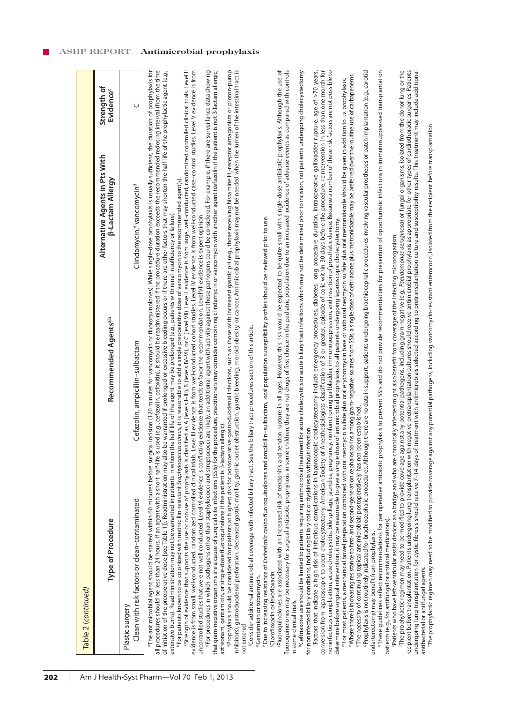|                     | Strength of<br>Evidence <sup>c</sup><br>Alternative Agents in Pts With<br><b>B-Lactam Allergy</b><br>Recommended Agents <sup>a,b</sup> | $\cup$<br>Clindamycin, <sup>d</sup> vancomycin <sup>d</sup><br>Cefazolin, ampicillin-sulbactam | fluoroquinolones may be necessary for surgical antibiotic prophylaxis in some children, they are not drugs of first choice in the pediatric population due to an increased incidence of adverse events as compared with contro<br>all procedures should be less than 24 hours. If an agent with a short half-life is used (e.g., cefazolin, cefoxitin), it should be readministered if the procedure duration exceeds the recommended redosing interval (from th<br>evidence is from small, well-conducted, randomized controlled clinical trials. Level III evidence is from well-conducted cohort studies. Level IV evidence is from well-conducted case-control studies. Level V evidence is fr<br>"Prophylaxis should be considered for patients at highest risk for postoperative gastroduodenal infections, such as those with increased gastric pH (e.g., those receiving histamine H,-receptor antagonists or proton-pump of<br>Fluoroquinolones are associated with an increased risk of tendonitis and tendon rupture in all ages. However, this risk would be expected to be quite small with single-dose antibiotic prophylaxis. Although the use of<br>conversion from laparoscopic to open cholecystectomy, American Society of Anesthesiologists classification of 3 or greater, episode of colic within 30 days before the procedure, reintervention in less than one month for<br>pregnancy, nonfunctioning gallbladder, immunosuppression, and insertion of prosthetic device. Because a number of these risk factors are not possible to<br>iotic prophylaxis to prevent SSIs and do not provide recommendations for prevention of opportunistic infections in immunosuppressed transplantation<br>The prophylactic regimen may need to be modified to provide coverage against any potential pathogens, including gram-negative (e.g., Pseudomonas aeruginosa) or fungal organisms, isolated from the donor lung or the<br>surgical incision (120 minutes for vancomycin or fluoroquinolones). While single-dose prophylaxis is usually sufficient, the duration of prophylaxis for<br>of initiation of the preoperative dose [see Table 1]). Readministration may also be warranted if prolonged or excessive bleeding occurs or if there are other factors that may shorten the half-life of the prophylactic agent<br>'Strength of evidence that supports the use or nonuse of prophylaxis is classified as A (levels I–III), B (levels IV–VI), or C (level VII). Level I evidence is from large, well-conducted, randomized controlled clinical tri<br>streptococci are likely, an additional agent with activity against those pathogens could be considered. For example, if there are surveillance data showing<br>that gram-negative organisms are a cause of surgical-site infections (SSIs) for the procedure, practitioners may consider combining clindamycin or vancomycin with another agent (cefazolin if the patient is not β-lactam all<br>"Ceftriaxone use should be limited to patients requiring antimicrobial treatment for acute cholecystitis or acute biliary tract infections which may not be determined prior to incision, not patients undergoing cholecystect<br>Factors that indicate a high risk of infectious complications in laparoscopic choleopstectomy include emergency procedures, diabetes, long procedure duration, intraoperative gallbladder rupture, age of >70 years,<br>Prophylaxis is not routinely indicated for brachiocephalic procedures. Although there are no data in support, patients undergoing brachiocephalic procedures involving vascular prostheses or patch implantation (e.g., caroti<br>"Where there is increasing resistance to first- and second-generation cephalosporins among gram-negative isolates from SSIs, a single dose of ceftriaxone plus metronidatole may be preferred over the routine use of carbapen<br>mFor most patients, a mechanical bowel preparation combined with oral neomycin sulfate plus oral with oral neomycin sulfate plus oral metronidazole should be given in addition to i.v. prophylaxis.<br><sup>9</sup> For patients known to be colonized with methicillin-resistant Staphylococcus aureus, it is reasonable to add a single preoperative dose of vancomycin to the recommended agent(s).<br>extensive burns). Readministration may not be warranted in patients in whom the half-life of the agent may be prolonged (e.g., patients with renal insufficiency or failure).<br>uncontrolled studies that were not well conducted. Level VI evidence is conflicting evidence that tends to favor the recommendation. Level VII evidence is expert opinion.<br>Pue to increasing resistance of Escherichia coli to fluoroquinolones and ampicillin-sulbactam, local population susceptibility profiles should be reviewed prior to use.<br>determine before surgical intervention, it may be reasonable to give a single dose of antimicrobial prophylaxis to all patients undergoing laparoscopic cholecystectomy.<br>Patients who have left-ventricular assist devices as a bridge and who are chronically infected might also benefit from coverage of the infecting microorganism.<br>ict. See the biliary tract procedures section of this article. |
|---------------------|----------------------------------------------------------------------------------------------------------------------------------------|------------------------------------------------------------------------------------------------|-----------------------------------------------------------------------------------------------------------------------------------------------------------------------------------------------------------------------------------------------------------------------------------------------------------------------------------------------------------------------------------------------------------------------------------------------------------------------------------------------------------------------------------------------------------------------------------------------------------------------------------------------------------------------------------------------------------------------------------------------------------------------------------------------------------------------------------------------------------------------------------------------------------------------------------------------------------------------------------------------------------------------------------------------------------------------------------------------------------------------------------------------------------------------------------------------------------------------------------------------------------------------------------------------------------------------------------------------------------------------------------------------------------------------------------------------------------------------------------------------------------------------------------------------------------------------------------------------------------------------------------------------------------------------------------------------------------------------------------------------------------------------------------------------------------------------------------------------------------------------------------------------------------------------------------------------------------------------------------------------------------------------------------------------------------------------------------------------------------------------------------------------------------------------------------------------------------------------------------------------------------------------------------------------------------------------------------------------------------------------------------------------------------------------------------------------------------------------------------------------------------------------------------------------------------------------------------------------------------------------------------------------------------------------------------------------------------------------------------------------------------------------------------------------------------------------------------------------------------------------------------------------------------------------------------------------------------------------------------------------------------------------------------------------------------------------------------------------------------------------------------------------------------------------------------------------------------------------------------------------------------------------------------------------------------------------------------------------------------------------------------------------------------------------------------------------------------------------------------------------------------------------------------------------------------------------------------------------------------------------------------------------------------------------------------------------------------------------------------------------------------------------------------------------------------------------------------------------------------------------------------------------------------------------------------------------------------------------------------------------------------------------------------------------------------------------------------------------------------------------------------------------------------------------------------------------------------------------------------------------------------------------------------------------------------------------------------------------------------------------------------------------------------------------------------------------------------------------------------------------------------------------------------------------------------------------------------------------------------------------------------------------------------------------------------------------------------------------------------------------------------------------------------------------------------------------------------------------------------------------------------------------------------------------------------------------------------------------------------------------------------------------------------------------------------------------------------------------------------------------------------------------------------------------------------------------------------------------------------------------------------------------------------|
| Table 2 (continued) | Type of Procedure                                                                                                                      | Clean with risk factors or clean-contaminated<br>Plastic surgery                               | The necessity of continuing topical antimicrobials postoperatively has not been established<br>aztreonam, gentamicin, or single-dose fluoroquinolone if the patient is ß-lactam allergic).<br>for noninfected biliary conditions, including biliary colic or dyskinesia without infection.<br>"The antimicrobial agent should be started within 60 minutes before<br>'Consider additional antimicrobial coverage with infected biliary tra<br><sup>q</sup> These guidelines reflect recommendations for perioperative antib<br><sup>dFor</sup> procedures in which pathogens other than staphylococci and<br>noninfectious complication, acute cholecystitis, bile spillage, jaundice,<br>patients (e.g., for antifungal or antiviral medications).<br>endarterectomy) may benefit from prophylaxis.<br>Ciprofloxacin or levofloxacin.<br><sup>9</sup> Gentamicin or tobramycin.<br>in some clinical trials.<br>not entered.                                                                                                                                                                                                                                                                                                                                                                                                                                                                                                                                                                                                                                                                                                                                                                                                                                                                                                                                                                                                                                                                                                                                                                                                                                                                                                                                                                                                                                                                                                                                                                                                                                                                                                                                                                                                                                                                                                                                                                                                                                                                                                                                                                                                                                                                                                                                                                                                                                                                                                                                                                                                                                                                                                                                                                                                                                                                                                                                                                                                                                                                                                                                                                                                                                                                                                                                                                                                                                                                                                                                                                                                                                                                                                                                                                                                                                                                                                                                                                                                                                                                                                                                                                                                                                                                                                                                                      |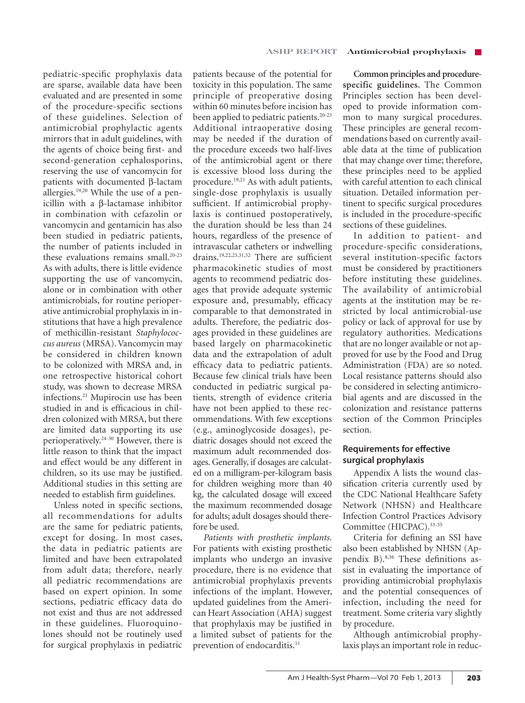pediatric-specific prophylaxis data are sparse, available data have been evaluated and are presented in some of the procedure-specific sections of these guidelines. Selection of antimicrobial prophylactic agents mirrors that in adult guidelines, with the agents of choice being first- and second-generation cephalosporins, reserving the use of vancomycin for patients with documented  $\beta$ -lactam allergies.19,20 While the use of a penicillin with a b-lactamase inhibitor in combination with cefazolin or vancomycin and gentamicin has also been studied in pediatric patients, the number of patients included in these evaluations remains small.<sup>20-23</sup> As with adults, there is little evidence supporting the use of vancomycin, alone or in combination with other antimicrobials, for routine perioperative antimicrobial prophylaxis in institutions that have a high prevalence of methicillin-resistant *Staphylococcus aureus* (MRSA). Vancomycin may be considered in children known to be colonized with MRSA and, in one retrospective historical cohort study, was shown to decrease MRSA infections.21 Mupirocin use has been studied in and is efficacious in children colonized with MRSA, but there are limited data supporting its use perioperatively.24-30 However, there is little reason to think that the impact and effect would be any different in children, so its use may be justified. Additional studies in this setting are needed to establish firm guidelines.

Unless noted in specific sections, all recommendations for adults are the same for pediatric patients, except for dosing. In most cases, the data in pediatric patients are limited and have been extrapolated from adult data; therefore, nearly all pediatric recommendations are based on expert opinion. In some sections, pediatric efficacy data do not exist and thus are not addressed in these guidelines. Fluoroquinolones should not be routinely used for surgical prophylaxis in pediatric

patients because of the potential for toxicity in this population. The same principle of preoperative dosing within 60 minutes before incision has been applied to pediatric patients.<sup>20-23</sup> Additional intraoperative dosing may be needed if the duration of the procedure exceeds two half-lives of the antimicrobial agent or there is excessive blood loss during the procedure.<sup>19,21</sup> As with adult patients, single-dose prophylaxis is usually sufficient. If antimicrobial prophylaxis is continued postoperatively, the duration should be less than 24 hours, regardless of the presence of intravascular catheters or indwelling drains.19,22,23,31,32 There are sufficient pharmacokinetic studies of most agents to recommend pediatric dosages that provide adequate systemic exposure and, presumably, efficacy comparable to that demonstrated in adults. Therefore, the pediatric dosages provided in these guidelines are based largely on pharmacokinetic data and the extrapolation of adult efficacy data to pediatric patients. Because few clinical trials have been conducted in pediatric surgical patients, strength of evidence criteria have not been applied to these recommendations. With few exceptions (e.g., aminoglycoside dosages), pediatric dosages should not exceed the maximum adult recommended dosages. Generally, if dosages are calculated on a milligram-per-kilogram basis for children weighing more than 40 kg, the calculated dosage will exceed the maximum recommended dosage for adults; adult dosages should therefore be used.

*Patients with prosthetic implants.* For patients with existing prosthetic implants who undergo an invasive procedure, there is no evidence that antimicrobial prophylaxis prevents infections of the implant. However, updated guidelines from the American Heart Association (AHA) suggest that prophylaxis may be justified in a limited subset of patients for the prevention of endocarditis.<sup>11</sup>

**Common principles and procedurespecific guidelines.** The Common Principles section has been developed to provide information common to many surgical procedures. These principles are general recommendations based on currently available data at the time of publication that may change over time; therefore, these principles need to be applied with careful attention to each clinical situation. Detailed information pertinent to specific surgical procedures is included in the procedure-specific sections of these guidelines.

In addition to patient- and procedure-specific considerations, several institution-specific factors must be considered by practitioners before instituting these guidelines. The availability of antimicrobial agents at the institution may be restricted by local antimicrobial-use policy or lack of approval for use by regulatory authorities. Medications that are no longer available or not approved for use by the Food and Drug Administration (FDA) are so noted. Local resistance patterns should also be considered in selecting antimicrobial agents and are discussed in the colonization and resistance patterns section of the Common Principles section.

## **Requirements for effective surgical prophylaxis**

Appendix A lists the wound classification criteria currently used by the CDC National Healthcare Safety Network (NHSN) and Healthcare Infection Control Practices Advisory Committee (HICPAC).<sup>33-35</sup>

Criteria for defining an SSI have also been established by NHSN (Appendix B).<sup>8,36</sup> These definitions assist in evaluating the importance of providing antimicrobial prophylaxis and the potential consequences of infection, including the need for treatment. Some criteria vary slightly by procedure.

Although antimicrobial prophylaxis plays an important role in reduc-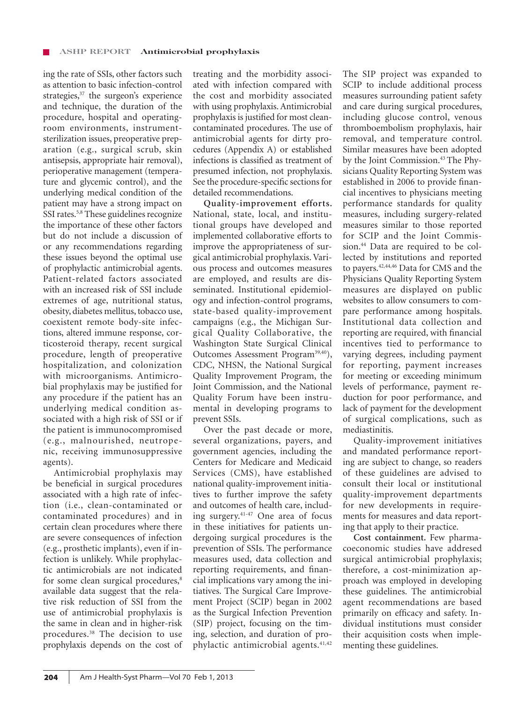ing the rate of SSIs, other factors such as attention to basic infection-control strategies, $37$  the surgeon's experience and technique, the duration of the procedure, hospital and operatingroom environments, instrumentsterilization issues, preoperative preparation (e.g., surgical scrub, skin antisepsis, appropriate hair removal), perioperative management (temperature and glycemic control), and the underlying medical condition of the patient may have a strong impact on SSI rates.<sup>5,8</sup> These guidelines recognize the importance of these other factors but do not include a discussion of or any recommendations regarding these issues beyond the optimal use of prophylactic antimicrobial agents. Patient-related factors associated with an increased risk of SSI include extremes of age, nutritional status, obesity, diabetes mellitus, tobacco use, coexistent remote body-site infections, altered immune response, corticosteroid therapy, recent surgical procedure, length of preoperative hospitalization, and colonization with microorganisms. Antimicrobial prophylaxis may be justified for any procedure if the patient has an underlying medical condition associated with a high risk of SSI or if the patient is immunocompromised (e.g., malnourished, neutropenic, receiving immunosuppressive agents).

Antimicrobial prophylaxis may be beneficial in surgical procedures associated with a high rate of infection (i.e., clean-contaminated or contaminated procedures) and in certain clean procedures where there are severe consequences of infection (e.g., prosthetic implants), even if infection is unlikely. While prophylactic antimicrobials are not indicated for some clean surgical procedures,<sup>8</sup> available data suggest that the relative risk reduction of SSI from the use of antimicrobial prophylaxis is the same in clean and in higher-risk procedures.38 The decision to use prophylaxis depends on the cost of treating and the morbidity associated with infection compared with the cost and morbidity associated with using prophylaxis. Antimicrobial prophylaxis is justified for most cleancontaminated procedures. The use of antimicrobial agents for dirty procedures (Appendix A) or established infections is classified as treatment of presumed infection, not prophylaxis. See the procedure-specific sections for detailed recommendations.

**Quality-improvement efforts.**  National, state, local, and institutional groups have developed and implemented collaborative efforts to improve the appropriateness of surgical antimicrobial prophylaxis. Various process and outcomes measures are employed, and results are disseminated. Institutional epidemiology and infection-control programs, state-based quality-improvement campaigns (e.g., the Michigan Surgical Quality Collaborative, the Washington State Surgical Clinical Outcomes Assessment Program<sup>39,40</sup>), CDC, NHSN, the National Surgical Quality Improvement Program, the Joint Commission, and the National Quality Forum have been instrumental in developing programs to prevent SSIs.

Over the past decade or more, several organizations, payers, and government agencies, including the Centers for Medicare and Medicaid Services (CMS), have established national quality-improvement initiatives to further improve the safety and outcomes of health care, including surgery.41-47 One area of focus in these initiatives for patients undergoing surgical procedures is the prevention of SSIs. The performance measures used, data collection and reporting requirements, and financial implications vary among the initiatives. The Surgical Care Improvement Project (SCIP) began in 2002 as the Surgical Infection Prevention (SIP) project, focusing on the timing, selection, and duration of prophylactic antimicrobial agents.41,42 The SIP project was expanded to SCIP to include additional process measures surrounding patient safety and care during surgical procedures, including glucose control, venous thromboembolism prophylaxis, hair removal, and temperature control. Similar measures have been adopted by the Joint Commission.<sup>43</sup> The Physicians Quality Reporting System was established in 2006 to provide financial incentives to physicians meeting performance standards for quality measures, including surgery-related measures similar to those reported for SCIP and the Joint Commission.<sup>44</sup> Data are required to be collected by institutions and reported to payers.<sup>42,44,46</sup> Data for CMS and the Physicians Quality Reporting System measures are displayed on public websites to allow consumers to compare performance among hospitals. Institutional data collection and reporting are required, with financial incentives tied to performance to varying degrees, including payment for reporting, payment increases for meeting or exceeding minimum levels of performance, payment reduction for poor performance, and lack of payment for the development of surgical complications, such as mediastinitis.

Quality-improvement initiatives and mandated performance reporting are subject to change, so readers of these guidelines are advised to consult their local or institutional quality-improvement departments for new developments in requirements for measures and data reporting that apply to their practice.

**Cost containment.** Few pharmacoeconomic studies have addresed surgical antimicrobial prophylaxis; therefore, a cost-minimization approach was employed in developing these guidelines. The antimicrobial agent recommendations are based primarily on efficacy and safety. Individual institutions must consider their acquisition costs when implementing these guidelines.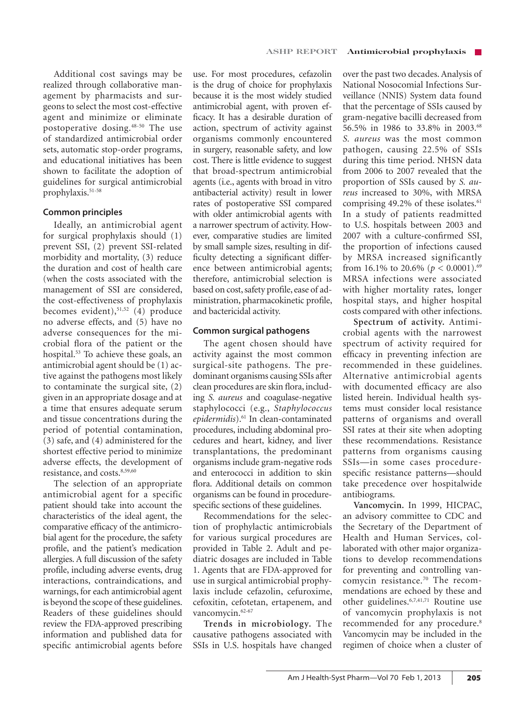Additional cost savings may be realized through collaborative management by pharmacists and surgeons to select the most cost-effective agent and minimize or eliminate postoperative dosing.48-50 The use of standardized antimicrobial order sets, automatic stop-order programs, and educational initiatives has been shown to facilitate the adoption of guidelines for surgical antimicrobial prophylaxis.<sup>51-58</sup>

## **Common principles**

Ideally, an antimicrobial agent for surgical prophylaxis should (1) prevent SSI, (2) prevent SSI-related morbidity and mortality, (3) reduce the duration and cost of health care (when the costs associated with the management of SSI are considered, the cost-effectiveness of prophylaxis becomes evident),  $51,52 \text{ (4)}$  produce no adverse effects, and (5) have no adverse consequences for the microbial flora of the patient or the hospital.<sup>53</sup> To achieve these goals, an antimicrobial agent should be (1) active against the pathogens most likely to contaminate the surgical site, (2) given in an appropriate dosage and at a time that ensures adequate serum and tissue concentrations during the period of potential contamination, (3) safe, and (4) administered for the shortest effective period to minimize adverse effects, the development of resistance, and costs.<sup>8,59,60</sup>

The selection of an appropriate antimicrobial agent for a specific patient should take into account the characteristics of the ideal agent, the comparative efficacy of the antimicrobial agent for the procedure, the safety profile, and the patient's medication allergies. A full discussion of the safety profile, including adverse events, drug interactions, contraindications, and warnings, for each antimicrobial agent is beyond the scope of these guidelines. Readers of these guidelines should review the FDA-approved prescribing information and published data for specific antimicrobial agents before

use. For most procedures, cefazolin is the drug of choice for prophylaxis because it is the most widely studied antimicrobial agent, with proven efficacy. It has a desirable duration of action, spectrum of activity against organisms commonly encountered in surgery, reasonable safety, and low cost. There is little evidence to suggest that broad-spectrum antimicrobial agents (i.e., agents with broad in vitro antibacterial activity) result in lower rates of postoperative SSI compared with older antimicrobial agents with a narrower spectrum of activity. However, comparative studies are limited by small sample sizes, resulting in difficulty detecting a significant difference between antimicrobial agents; therefore, antimicrobial selection is based on cost, safety profile, ease of administration, pharmacokinetic profile, and bactericidal activity.

#### **Common surgical pathogens**

The agent chosen should have activity against the most common surgical-site pathogens. The predominant organisms causing SSIs after clean procedures are skin flora, including *S. aureus* and coagulase-negative staphylococci (e.g., *Staphylococcus epidermidis*).61 In clean-contaminated procedures, including abdominal procedures and heart, kidney, and liver transplantations, the predominant organisms include gram-negative rods and enterococci in addition to skin flora. Additional details on common organisms can be found in procedurespecific sections of these guidelines.

Recommendations for the selection of prophylactic antimicrobials for various surgical procedures are provided in Table 2. Adult and pediatric dosages are included in Table 1. Agents that are FDA-approved for use in surgical antimicrobial prophylaxis include cefazolin, cefuroxime, cefoxitin, cefotetan, ertapenem, and vancomycin.<sup>62-67</sup>

**Trends in microbiology.** The causative pathogens associated with SSIs in U.S. hospitals have changed over the past two decades. Analysis of National Nosocomial Infections Surveillance (NNIS) System data found that the percentage of SSIs caused by gram-negative bacilli decreased from 56.5% in 1986 to 33.8% in 2003.68 *S. aureus* was the most common pathogen, causing 22.5% of SSIs during this time period. NHSN data from 2006 to 2007 revealed that the proportion of SSIs caused by *S. aureus* increased to 30%, with MRSA comprising  $49.2\%$  of these isolates.<sup>61</sup> In a study of patients readmitted to U.S. hospitals between 2003 and 2007 with a culture-confirmed SSI, the proportion of infections caused by MRSA increased significantly from 16.1% to 20.6% (*p* < 0.0001).69 MRSA infections were associated with higher mortality rates, longer hospital stays, and higher hospital costs compared with other infections.

**Spectrum of activity.** Antimicrobial agents with the narrowest spectrum of activity required for efficacy in preventing infection are recommended in these guidelines. Alternative antimicrobial agents with documented efficacy are also listed herein. Individual health systems must consider local resistance patterns of organisms and overall SSI rates at their site when adopting these recommendations. Resistance patterns from organisms causing SSIs—in some cases procedurespecific resistance patterns—should take precedence over hospitalwide antibiograms.

**Vancomycin.** In 1999, HICPAC, an advisory committee to CDC and the Secretary of the Department of Health and Human Services, collaborated with other major organizations to develop recommendations for preventing and controlling vancomycin resistance.70 The recommendations are echoed by these and other guidelines.6,7,41,71 Routine use of vancomycin prophylaxis is not recommended for any procedure.<sup>8</sup> Vancomycin may be included in the regimen of choice when a cluster of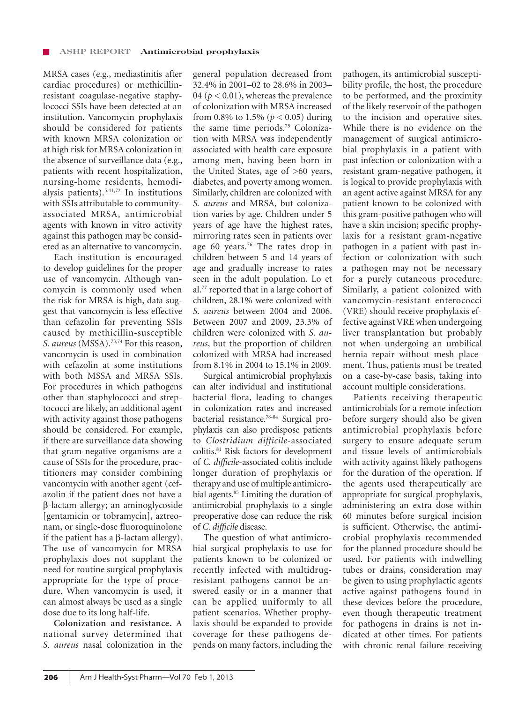MRSA cases (e.g., mediastinitis after cardiac procedures) or methicillinresistant coagulase-negative staphylococci SSIs have been detected at an institution. Vancomycin prophylaxis should be considered for patients with known MRSA colonization or at high risk for MRSA colonization in the absence of surveillance data (e.g., patients with recent hospitalization, nursing-home residents, hemodialysis patients).5,41,72 In institutions with SSIs attributable to communityassociated MRSA, antimicrobial agents with known in vitro activity against this pathogen may be considered as an alternative to vancomycin.

Each institution is encouraged to develop guidelines for the proper use of vancomycin. Although vancomycin is commonly used when the risk for MRSA is high, data suggest that vancomycin is less effective than cefazolin for preventing SSIs caused by methicillin-susceptible *S. aureus* (MSSA).73,74 For this reason, vancomycin is used in combination with cefazolin at some institutions with both MSSA and MRSA SSIs. For procedures in which pathogens other than staphylococci and streptococci are likely, an additional agent with activity against those pathogens should be considered. For example, if there are surveillance data showing that gram-negative organisms are a cause of SSIs for the procedure, practitioners may consider combining vancomycin with another agent (cefazolin if the patient does not have a b-lactam allergy; an aminoglycoside [gentamicin or tobramycin], aztreonam, or single-dose fluoroquinolone if the patient has a  $\beta$ -lactam allergy). The use of vancomycin for MRSA prophylaxis does not supplant the need for routine surgical prophylaxis appropriate for the type of procedure. When vancomycin is used, it can almost always be used as a single dose due to its long half-life.

**Colonization and resistance.** A national survey determined that *S. aureus* nasal colonization in the general population decreased from 32.4% in 2001–02 to 28.6% in 2003– 04 ( $p < 0.01$ ), whereas the prevalence of colonization with MRSA increased from 0.8% to 1.5% ( $p < 0.05$ ) during the same time periods.75 Colonization with MRSA was independently associated with health care exposure among men, having been born in the United States, age of >60 years, diabetes, and poverty among women. Similarly, children are colonized with *S. aureus* and MRSA, but colonization varies by age. Children under 5 years of age have the highest rates, mirroring rates seen in patients over age 60 years.76 The rates drop in children between 5 and 14 years of age and gradually increase to rates seen in the adult population. Lo et al.77 reported that in a large cohort of children, 28.1% were colonized with *S. aureus* between 2004 and 2006. Between 2007 and 2009, 23.3% of children were colonized with *S. aureus*, but the proportion of children colonized with MRSA had increased from 8.1% in 2004 to 15.1% in 2009.

Surgical antimicrobial prophylaxis can alter individual and institutional bacterial flora, leading to changes in colonization rates and increased bacterial resistance.78-84 Surgical prophylaxis can also predispose patients to *Clostridium difficile*-associated colitis.81 Risk factors for development of *C. difficile*-associated colitis include longer duration of prophylaxis or therapy and use of multiple antimicrobial agents.<sup>85</sup> Limiting the duration of antimicrobial prophylaxis to a single preoperative dose can reduce the risk of *C. difficile* disease.

The question of what antimicrobial surgical prophylaxis to use for patients known to be colonized or recently infected with multidrugresistant pathogens cannot be answered easily or in a manner that can be applied uniformly to all patient scenarios. Whether prophylaxis should be expanded to provide coverage for these pathogens depends on many factors, including the pathogen, its antimicrobial susceptibility profile, the host, the procedure to be performed, and the proximity of the likely reservoir of the pathogen to the incision and operative sites. While there is no evidence on the management of surgical antimicrobial prophylaxis in a patient with past infection or colonization with a resistant gram-negative pathogen, it is logical to provide prophylaxis with an agent active against MRSA for any patient known to be colonized with this gram-positive pathogen who will have a skin incision; specific prophylaxis for a resistant gram-negative pathogen in a patient with past infection or colonization with such a pathogen may not be necessary for a purely cutaneous procedure. Similarly, a patient colonized with vancomycin-resistant enterococci (VRE) should receive prophylaxis effective against VRE when undergoing liver transplantation but probably not when undergoing an umbilical hernia repair without mesh placement. Thus, patients must be treated on a case-by-case basis, taking into account multiple considerations.

Patients receiving therapeutic antimicrobials for a remote infection before surgery should also be given antimicrobial prophylaxis before surgery to ensure adequate serum and tissue levels of antimicrobials with activity against likely pathogens for the duration of the operation. If the agents used therapeutically are appropriate for surgical prophylaxis, administering an extra dose within 60 minutes before surgical incision is sufficient. Otherwise, the antimicrobial prophylaxis recommended for the planned procedure should be used. For patients with indwelling tubes or drains, consideration may be given to using prophylactic agents active against pathogens found in these devices before the procedure, even though therapeutic treatment for pathogens in drains is not indicated at other times. For patients with chronic renal failure receiving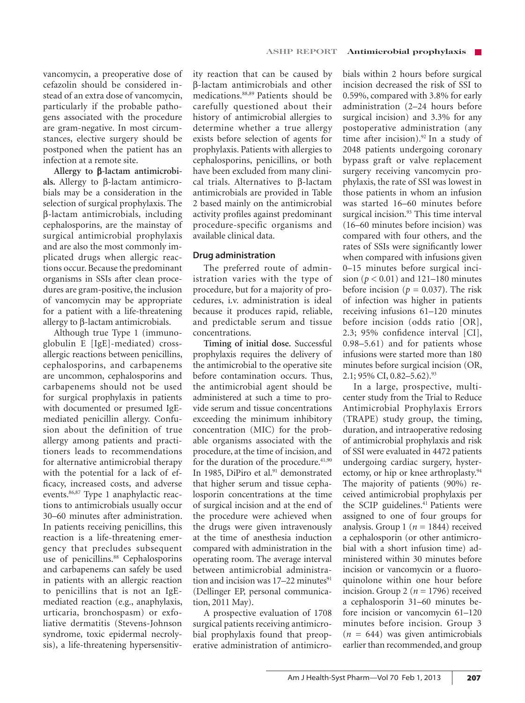vancomycin, a preoperative dose of cefazolin should be considered instead of an extra dose of vancomycin, particularly if the probable pathogens associated with the procedure are gram-negative. In most circumstances, elective surgery should be postponed when the patient has an infection at a remote site.

**Allergy to** b**-lactam antimicrobi**als. Allergy to  $\beta$ -lactam antimicrobials may be a consideration in the selection of surgical prophylaxis. The b-lactam antimicrobials, including cephalosporins, are the mainstay of surgical antimicrobial prophylaxis and are also the most commonly implicated drugs when allergic reactions occur. Because the predominant organisms in SSIs after clean procedures are gram-positive, the inclusion of vancomycin may be appropriate for a patient with a life-threatening allergy to  $\beta$ -lactam antimicrobials.

Although true Type 1 (immunoglobulin E [IgE]-mediated) crossallergic reactions between penicillins, cephalosporins, and carbapenems are uncommon, cephalosporins and carbapenems should not be used for surgical prophylaxis in patients with documented or presumed IgEmediated penicillin allergy. Confusion about the definition of true allergy among patients and practitioners leads to recommendations for alternative antimicrobial therapy with the potential for a lack of efficacy, increased costs, and adverse events.86,87 Type 1 anaphylactic reactions to antimicrobials usually occur 30–60 minutes after administration. In patients receiving penicillins, this reaction is a life-threatening emergency that precludes subsequent use of penicillins.<sup>88</sup> Cephalosporins and carbapenems can safely be used in patients with an allergic reaction to penicillins that is not an IgEmediated reaction (e.g., anaphylaxis, urticaria, bronchospasm) or exfoliative dermatitis (Stevens-Johnson syndrome, toxic epidermal necrolysis), a life-threatening hypersensitivity reaction that can be caused by b-lactam antimicrobials and other medications.88,89 Patients should be carefully questioned about their history of antimicrobial allergies to determine whether a true allergy exists before selection of agents for prophylaxis. Patients with allergies to cephalosporins, penicillins, or both have been excluded from many clinical trials. Alternatives to  $\beta$ -lactam antimicrobials are provided in Table 2 based mainly on the antimicrobial activity profiles against predominant procedure-specific organisms and available clinical data.

#### **Drug administration**

The preferred route of administration varies with the type of procedure, but for a majority of procedures, i.v. administration is ideal because it produces rapid, reliable, and predictable serum and tissue concentrations.

**Timing of initial dose.** Successful prophylaxis requires the delivery of the antimicrobial to the operative site before contamination occurs. Thus, the antimicrobial agent should be administered at such a time to provide serum and tissue concentrations exceeding the minimum inhibitory concentration (MIC) for the probable organisms associated with the procedure, at the time of incision, and for the duration of the procedure.<sup>41,90</sup> In 1985, DiPiro et al.<sup>91</sup> demonstrated that higher serum and tissue cephalosporin concentrations at the time of surgical incision and at the end of the procedure were achieved when the drugs were given intravenously at the time of anesthesia induction compared with administration in the operating room. The average interval between antimicrobial administration and incision was  $17-22$  minutes $91$ (Dellinger EP, personal communication, 2011 May).

A prospective evaluation of 1708 surgical patients receiving antimicrobial prophylaxis found that preoperative administration of antimicrobials within 2 hours before surgical incision decreased the risk of SSI to 0.59%, compared with 3.8% for early administration (2–24 hours before surgical incision) and 3.3% for any postoperative administration (any time after incision).<sup>92</sup> In a study of 2048 patients undergoing coronary bypass graft or valve replacement surgery receiving vancomycin prophylaxis, the rate of SSI was lowest in those patients in whom an infusion was started 16–60 minutes before surgical incision.<sup>93</sup> This time interval (16–60 minutes before incision) was compared with four others, and the rates of SSIs were significantly lower when compared with infusions given 0–15 minutes before surgical incision (*p* < 0.01) and 121–180 minutes before incision ( $p = 0.037$ ). The risk of infection was higher in patients receiving infusions 61–120 minutes before incision (odds ratio [OR], 2.3; 95% confidence interval [CI], 0.98–5.61) and for patients whose infusions were started more than 180 minutes before surgical incision (OR, 2.1; 95% CI, 0.82–5.62).<sup>93</sup>

In a large, prospective, multicenter study from the Trial to Reduce Antimicrobial Prophylaxis Errors (TRAPE) study group, the timing, duration, and intraoperative redosing of antimicrobial prophylaxis and risk of SSI were evaluated in 4472 patients undergoing cardiac surgery, hysterectomy, or hip or knee arthroplasty.<sup>94</sup> The majority of patients (90%) received antimicrobial prophylaxis per the SCIP guidelines.<sup>41</sup> Patients were assigned to one of four groups for analysis. Group 1 (*n* = 1844) received a cephalosporin (or other antimicrobial with a short infusion time) administered within 30 minutes before incision or vancomycin or a fluoroquinolone within one hour before incision. Group 2 ( $n = 1796$ ) received a cephalosporin 31–60 minutes before incision or vancomycin 61–120 minutes before incision. Group 3  $(n = 644)$  was given antimicrobials earlier than recommended, and group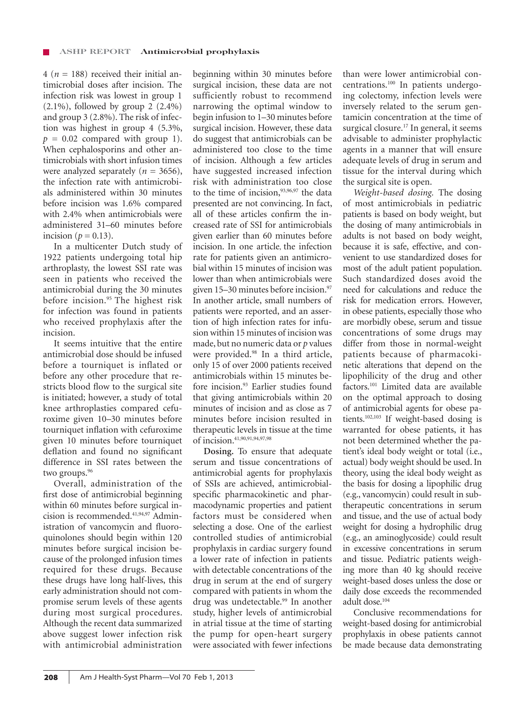4 (*n* = 188) received their initial antimicrobial doses after incision. The infection risk was lowest in group 1 (2.1%), followed by group 2 (2.4%) and group 3 (2.8%). The risk of infection was highest in group 4 (5.3%,  $p = 0.02$  compared with group 1). When cephalosporins and other antimicrobials with short infusion times were analyzed separately  $(n = 3656)$ , the infection rate with antimicrobials administered within 30 minutes before incision was 1.6% compared with 2.4% when antimicrobials were administered 31–60 minutes before incision ( $p = 0.13$ ).

In a multicenter Dutch study of 1922 patients undergoing total hip arthroplasty, the lowest SSI rate was seen in patients who received the antimicrobial during the 30 minutes before incision.<sup>95</sup> The highest risk for infection was found in patients who received prophylaxis after the incision.

It seems intuitive that the entire antimicrobial dose should be infused before a tourniquet is inflated or before any other procedure that restricts blood flow to the surgical site is initiated; however, a study of total knee arthroplasties compared cefuroxime given 10–30 minutes before tourniquet inflation with cefuroxime given 10 minutes before tourniquet deflation and found no significant difference in SSI rates between the two groups.<sup>96</sup>

Overall, administration of the first dose of antimicrobial beginning within 60 minutes before surgical incision is recommended.41,94,97 Administration of vancomycin and fluoroquinolones should begin within 120 minutes before surgical incision because of the prolonged infusion times required for these drugs. Because these drugs have long half-lives, this early administration should not compromise serum levels of these agents during most surgical procedures. Although the recent data summarized above suggest lower infection risk with antimicrobial administration

beginning within 30 minutes before surgical incision, these data are not sufficiently robust to recommend narrowing the optimal window to begin infusion to 1–30 minutes before surgical incision. However, these data do suggest that antimicrobials can be administered too close to the time of incision. Although a few articles have suggested increased infection risk with administration too close to the time of incision,<sup>93,96,97</sup> the data presented are not convincing. In fact, all of these articles confirm the increased rate of SSI for antimicrobials given earlier than 60 minutes before incision. In one article, the infection rate for patients given an antimicrobial within 15 minutes of incision was lower than when antimicrobials were given 15–30 minutes before incision.<sup>97</sup> In another article, small numbers of patients were reported, and an assertion of high infection rates for infusion within 15 minutes of incision was made, but no numeric data or *p* values were provided.<sup>98</sup> In a third article, only 15 of over 2000 patients received antimicrobials within 15 minutes before incision.<sup>93</sup> Earlier studies found that giving antimicrobials within 20 minutes of incision and as close as 7 minutes before incision resulted in therapeutic levels in tissue at the time of incision.41,90,91,94,97,98

**Dosing.** To ensure that adequate serum and tissue concentrations of antimicrobial agents for prophylaxis of SSIs are achieved, antimicrobialspecific pharmacokinetic and pharmacodynamic properties and patient factors must be considered when selecting a dose. One of the earliest controlled studies of antimicrobial prophylaxis in cardiac surgery found a lower rate of infection in patients with detectable concentrations of the drug in serum at the end of surgery compared with patients in whom the drug was undetectable.<sup>99</sup> In another study, higher levels of antimicrobial in atrial tissue at the time of starting the pump for open-heart surgery were associated with fewer infections

than were lower antimicrobial concentrations.100 In patients undergoing colectomy, infection levels were inversely related to the serum gentamicin concentration at the time of surgical closure.<sup>17</sup> In general, it seems advisable to administer prophylactic agents in a manner that will ensure adequate levels of drug in serum and tissue for the interval during which the surgical site is open.

*Weight-based dosing.* The dosing of most antimicrobials in pediatric patients is based on body weight, but the dosing of many antimicrobials in adults is not based on body weight, because it is safe, effective, and convenient to use standardized doses for most of the adult patient population. Such standardized doses avoid the need for calculations and reduce the risk for medication errors. However, in obese patients, especially those who are morbidly obese, serum and tissue concentrations of some drugs may differ from those in normal-weight patients because of pharmacokinetic alterations that depend on the lipophilicity of the drug and other factors.101 Limited data are available on the optimal approach to dosing of antimicrobial agents for obese patients.102,103 If weight-based dosing is warranted for obese patients, it has not been determined whether the patient's ideal body weight or total (i.e., actual) body weight should be used. In theory, using the ideal body weight as the basis for dosing a lipophilic drug (e.g., vancomycin) could result in subtherapeutic concentrations in serum and tissue, and the use of actual body weight for dosing a hydrophilic drug (e.g., an aminoglycoside) could result in excessive concentrations in serum and tissue. Pediatric patients weighing more than 40 kg should receive weight-based doses unless the dose or daily dose exceeds the recommended adult dose.104

Conclusive recommendations for weight-based dosing for antimicrobial prophylaxis in obese patients cannot be made because data demonstrating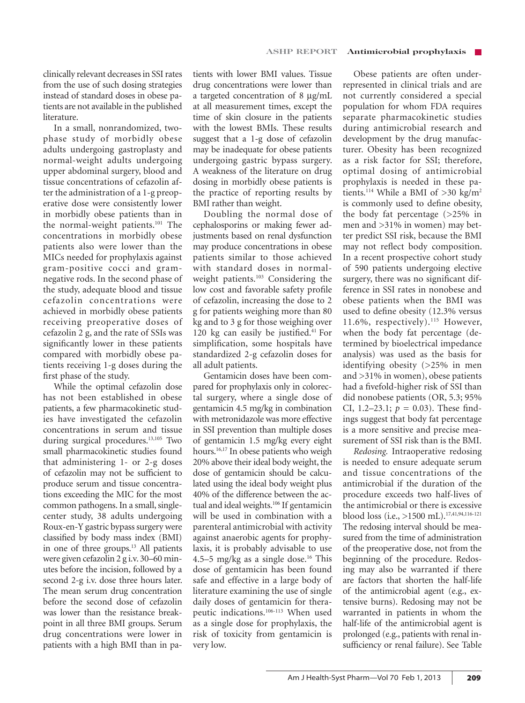clinically relevant decreases in SSI rates from the use of such dosing strategies instead of standard doses in obese patients are not available in the published literature.

In a small, nonrandomized, twophase study of morbidly obese adults undergoing gastroplasty and normal-weight adults undergoing upper abdominal surgery, blood and tissue concentrations of cefazolin after the administration of a 1-g preoperative dose were consistently lower in morbidly obese patients than in the normal-weight patients.101 The concentrations in morbidly obese patients also were lower than the MICs needed for prophylaxis against gram-positive cocci and gramnegative rods. In the second phase of the study, adequate blood and tissue cefazolin concentrations were achieved in morbidly obese patients receiving preoperative doses of cefazolin 2 g, and the rate of SSIs was significantly lower in these patients compared with morbidly obese patients receiving 1-g doses during the first phase of the study.

While the optimal cefazolin dose has not been established in obese patients, a few pharmacokinetic studies have investigated the cefazolin concentrations in serum and tissue during surgical procedures.<sup>13,105</sup> Two small pharmacokinetic studies found that administering 1- or 2-g doses of cefazolin may not be sufficient to produce serum and tissue concentrations exceeding the MIC for the most common pathogens. In a small, singlecenter study, 38 adults undergoing Roux-en-Y gastric bypass surgery were classified by body mass index (BMI) in one of three groups.<sup>13</sup> All patients were given cefazolin 2 g i.v. 30–60 minutes before the incision, followed by a second 2-g i.v. dose three hours later. The mean serum drug concentration before the second dose of cefazolin was lower than the resistance breakpoint in all three BMI groups. Serum drug concentrations were lower in patients with a high BMI than in patients with lower BMI values. Tissue drug concentrations were lower than a targeted concentration of  $8 \mu g/mL$ at all measurement times, except the time of skin closure in the patients with the lowest BMIs. These results suggest that a 1-g dose of cefazolin may be inadequate for obese patients undergoing gastric bypass surgery. A weakness of the literature on drug dosing in morbidly obese patients is the practice of reporting results by BMI rather than weight.

Doubling the normal dose of cephalosporins or making fewer adjustments based on renal dysfunction may produce concentrations in obese patients similar to those achieved with standard doses in normalweight patients.103 Considering the low cost and favorable safety profile of cefazolin, increasing the dose to 2 g for patients weighing more than 80 kg and to 3 g for those weighing over 120 kg can easily be justified.<sup>41</sup> For simplification, some hospitals have standardized 2-g cefazolin doses for all adult patients.

Gentamicin doses have been compared for prophylaxis only in colorectal surgery, where a single dose of gentamicin 4.5 mg/kg in combination with metronidazole was more effective in SSI prevention than multiple doses of gentamicin 1.5 mg/kg every eight hours.16,17 In obese patients who weigh 20% above their ideal body weight, the dose of gentamicin should be calculated using the ideal body weight plus 40% of the difference between the actual and ideal weights.<sup>106</sup> If gentamicin will be used in combination with a parenteral antimicrobial with activity against anaerobic agents for prophylaxis, it is probably advisable to use 4.5–5 mg/kg as a single dose.<sup>16</sup> This dose of gentamicin has been found safe and effective in a large body of literature examining the use of single daily doses of gentamicin for therapeutic indications.106-113 When used as a single dose for prophylaxis, the risk of toxicity from gentamicin is very low.

Obese patients are often underrepresented in clinical trials and are not currently considered a special population for whom FDA requires separate pharmacokinetic studies during antimicrobial research and development by the drug manufacturer. Obesity has been recognized as a risk factor for SSI; therefore, optimal dosing of antimicrobial prophylaxis is needed in these patients.<sup>114</sup> While a BMI of >30 kg/m<sup>2</sup> is commonly used to define obesity, the body fat percentage (>25% in men and >31% in women) may better predict SSI risk, because the BMI may not reflect body composition. In a recent prospective cohort study of 590 patients undergoing elective surgery, there was no significant difference in SSI rates in nonobese and obese patients when the BMI was used to define obesity (12.3% versus 11.6%, respectively).115 However, when the body fat percentage (determined by bioelectrical impedance analysis) was used as the basis for identifying obesity (>25% in men and >31% in women), obese patients had a fivefold-higher risk of SSI than did nonobese patients (OR, 5.3; 95% CI, 1.2–23.1;  $p = 0.03$ ). These findings suggest that body fat percentage is a more sensitive and precise measurement of SSI risk than is the BMI.

*Redosing.* Intraoperative redosing is needed to ensure adequate serum and tissue concentrations of the antimicrobial if the duration of the procedure exceeds two half-lives of the antimicrobial or there is excessive blood loss (i.e., >1500 mL).17,41,94,116-121 The redosing interval should be measured from the time of administration of the preoperative dose, not from the beginning of the procedure. Redosing may also be warranted if there are factors that shorten the half-life of the antimicrobial agent (e.g., extensive burns). Redosing may not be warranted in patients in whom the half-life of the antimicrobial agent is prolonged (e.g., patients with renal insufficiency or renal failure). See Table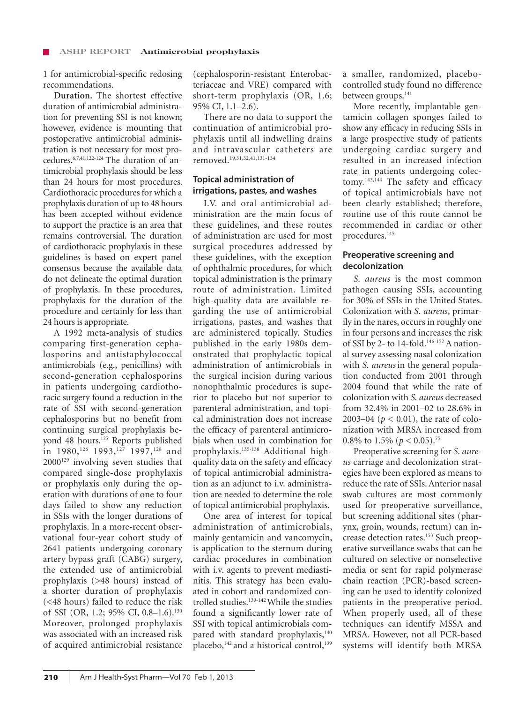1 for antimicrobial-specific redosing recommendations.

**Duration.** The shortest effective duration of antimicrobial administration for preventing SSI is not known; however, evidence is mounting that postoperative antimicrobial administration is not necessary for most procedures.6,7,41,122-124 The duration of antimicrobial prophylaxis should be less than 24 hours for most procedures. Cardiothoracic procedures for which a prophylaxis duration of up to 48 hours has been accepted without evidence to support the practice is an area that remains controversial. The duration of cardiothoracic prophylaxis in these guidelines is based on expert panel consensus because the available data do not delineate the optimal duration of prophylaxis. In these procedures, prophylaxis for the duration of the procedure and certainly for less than 24 hours is appropriate.

A 1992 meta-analysis of studies comparing first-generation cephalosporins and antistaphylococcal antimicrobials (e.g., penicillins) with second-generation cephalosporins in patients undergoing cardiothoracic surgery found a reduction in the rate of SSI with second-generation cephalosporins but no benefit from continuing surgical prophylaxis beyond 48 hours.<sup>125</sup> Reports published in 1980,<sup>126</sup> 1993,<sup>127</sup> 1997,<sup>128</sup> and 2000129 involving seven studies that compared single-dose prophylaxis or prophylaxis only during the operation with durations of one to four days failed to show any reduction in SSIs with the longer durations of prophylaxis. In a more-recent observational four-year cohort study of 2641 patients undergoing coronary artery bypass graft (CABG) surgery, the extended use of antimicrobial prophylaxis (>48 hours) instead of a shorter duration of prophylaxis (<48 hours) failed to reduce the risk of SSI (OR, 1.2; 95% CI, 0.8–1.6).130 Moreover, prolonged prophylaxis was associated with an increased risk of acquired antimicrobial resistance (cephalosporin-resistant Enterobacteriaceae and VRE) compared with short-term prophylaxis (OR, 1.6; 95% CI, 1.1–2.6).

There are no data to support the continuation of antimicrobial prophylaxis until all indwelling drains and intravascular catheters are removed.19,31,32,41,131-134

# **Topical administration of irrigations, pastes, and washes**

I.V. and oral antimicrobial administration are the main focus of these guidelines, and these routes of administration are used for most surgical procedures addressed by these guidelines, with the exception of ophthalmic procedures, for which topical administration is the primary route of administration. Limited high-quality data are available regarding the use of antimicrobial irrigations, pastes, and washes that are administered topically. Studies published in the early 1980s demonstrated that prophylactic topical administration of antimicrobials in the surgical incision during various nonophthalmic procedures is superior to placebo but not superior to parenteral administration, and topical administration does not increase the efficacy of parenteral antimicrobials when used in combination for prophylaxis.135-138 Additional highquality data on the safety and efficacy of topical antimicrobial administration as an adjunct to i.v. administration are needed to determine the role of topical antimicrobial prophylaxis.

One area of interest for topical administration of antimicrobials, mainly gentamicin and vancomycin, is application to the sternum during cardiac procedures in combination with i.v. agents to prevent mediastinitis. This strategy has been evaluated in cohort and randomized controlled studies.139-142 While the studies found a significantly lower rate of SSI with topical antimicrobials compared with standard prophylaxis,<sup>140</sup> placebo,<sup>142</sup> and a historical control,<sup>139</sup>

a smaller, randomized, placebocontrolled study found no difference between groups.<sup>141</sup>

More recently, implantable gentamicin collagen sponges failed to show any efficacy in reducing SSIs in a large prospective study of patients undergoing cardiac surgery and resulted in an increased infection rate in patients undergoing colectomy.143,144 The safety and efficacy of topical antimicrobials have not been clearly established; therefore, routine use of this route cannot be recommended in cardiac or other procedures.<sup>145</sup>

# **Preoperative screening and decolonization**

*S. aureus* is the most common pathogen causing SSIs, accounting for 30% of SSIs in the United States. Colonization with *S. aureus*, primarily in the nares, occurs in roughly one in four persons and increases the risk of SSI by 2- to 14-fold.<sup>146-152</sup> A national survey assessing nasal colonization with *S. aureus* in the general population conducted from 2001 through 2004 found that while the rate of colonization with *S. aureus* decreased from 32.4% in 2001–02 to 28.6% in 2003–04 (*p* < 0.01), the rate of colonization with MRSA increased from 0.8% to 1.5% ( $p < 0.05$ ).<sup>75</sup>

Preoperative screening for *S. aureus* carriage and decolonization strategies have been explored as means to reduce the rate of SSIs. Anterior nasal swab cultures are most commonly used for preoperative surveillance, but screening additional sites (pharynx, groin, wounds, rectum) can increase detection rates.153 Such preoperative surveillance swabs that can be cultured on selective or nonselective media or sent for rapid polymerase chain reaction (PCR)-based screening can be used to identify colonized patients in the preoperative period. When properly used, all of these techniques can identify MSSA and MRSA. However, not all PCR-based systems will identify both MRSA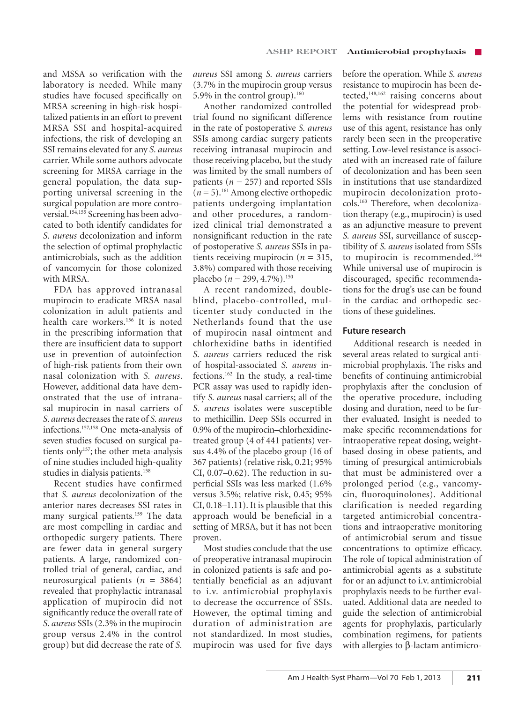and MSSA so verification with the laboratory is needed. While many studies have focused specifically on MRSA screening in high-risk hospitalized patients in an effort to prevent MRSA SSI and hospital-acquired infections, the risk of developing an SSI remains elevated for any *S. aureus* carrier. While some authors advocate screening for MRSA carriage in the general population, the data supporting universal screening in the surgical population are more controversial.<sup>154,155</sup> Screening has been advocated to both identify candidates for *S. aureus* decolonization and inform the selection of optimal prophylactic antimicrobials, such as the addition of vancomycin for those colonized with MRSA.

FDA has approved intranasal mupirocin to eradicate MRSA nasal colonization in adult patients and health care workers.156 It is noted in the prescribing information that there are insufficient data to support use in prevention of autoinfection of high-risk patients from their own nasal colonization with *S. aureus*. However, additional data have demonstrated that the use of intranasal mupirocin in nasal carriers of *S. aureus* decreases the rate of *S. aureus* infections.157,158 One meta-analysis of seven studies focused on surgical patients only<sup>157</sup>; the other meta-analysis of nine studies included high-quality studies in dialysis patients.158

Recent studies have confirmed that *S. aureus* decolonization of the anterior nares decreases SSI rates in many surgical patients.<sup>159</sup> The data are most compelling in cardiac and orthopedic surgery patients. There are fewer data in general surgery patients. A large, randomized controlled trial of general, cardiac, and neurosurgical patients (*n* = 3864) revealed that prophylactic intranasal application of mupirocin did not significantly reduce the overall rate of *S. aureus* SSIs (2.3% in the mupirocin group versus 2.4% in the control group) but did decrease the rate of *S.* 

*aureus* SSI among *S. aureus* carriers (3.7% in the mupirocin group versus 5.9% in the control group).<sup>160</sup>

Another randomized controlled trial found no significant difference in the rate of postoperative *S. aureus* SSIs among cardiac surgery patients receiving intranasal mupirocin and those receiving placebo, but the study was limited by the small numbers of patients ( $n = 257$ ) and reported SSIs  $(n=5)$ .<sup>161</sup> Among elective orthopedic patients undergoing implantation and other procedures, a randomized clinical trial demonstrated a nonsignificant reduction in the rate of postoperative *S. aureus* SSIs in patients receiving mupirocin (*n* = 315, 3.8%) compared with those receiving placebo ( $n = 299, 4.7\%$ ).<sup>150</sup>

A recent randomized, doubleblind, placebo-controlled, multicenter study conducted in the Netherlands found that the use of mupirocin nasal ointment and chlorhexidine baths in identified *S. aureus* carriers reduced the risk of hospital-associated *S. aureus* infections.162 In the study, a real-time PCR assay was used to rapidly identify *S. aureus* nasal carriers; all of the *S. aureus* isolates were susceptible to methicillin. Deep SSIs occurred in 0.9% of the mupirocin–chlorhexidinetreated group (4 of 441 patients) versus 4.4% of the placebo group (16 of 367 patients) (relative risk, 0.21; 95% CI, 0.07–0.62). The reduction in superficial SSIs was less marked (1.6% versus 3.5%; relative risk, 0.45; 95% CI, 0.18–1.11). It is plausible that this approach would be beneficial in a setting of MRSA, but it has not been proven.

Most studies conclude that the use of preoperative intranasal mupirocin in colonized patients is safe and potentially beneficial as an adjuvant to i.v. antimicrobial prophylaxis to decrease the occurrence of SSIs. However, the optimal timing and duration of administration are not standardized. In most studies, mupirocin was used for five days

before the operation. While *S. aureus* resistance to mupirocin has been detected,148,162 raising concerns about the potential for widespread problems with resistance from routine use of this agent, resistance has only rarely been seen in the preoperative setting. Low-level resistance is associated with an increased rate of failure of decolonization and has been seen in institutions that use standardized mupirocin decolonization protocols.163 Therefore, when decolonization therapy (e.g., mupirocin) is used as an adjunctive measure to prevent *S. aureus* SSI, surveillance of susceptibility of *S. aureus* isolated from SSIs to mupirocin is recommended.164 While universal use of mupirocin is discouraged, specific recommendations for the drug's use can be found in the cardiac and orthopedic sections of these guidelines.

# **Future research**

Additional research is needed in several areas related to surgical antimicrobial prophylaxis. The risks and benefits of continuing antimicrobial prophylaxis after the conclusion of the operative procedure, including dosing and duration, need to be further evaluated. Insight is needed to make specific recommendations for intraoperative repeat dosing, weightbased dosing in obese patients, and timing of presurgical antimicrobials that must be administered over a prolonged period (e.g., vancomycin, fluoroquinolones). Additional clarification is needed regarding targeted antimicrobial concentrations and intraoperative monitoring of antimicrobial serum and tissue concentrations to optimize efficacy. The role of topical administration of antimicrobial agents as a substitute for or an adjunct to i.v. antimicrobial prophylaxis needs to be further evaluated. Additional data are needed to guide the selection of antimicrobial agents for prophylaxis, particularly combination regimens, for patients with allergies to  $\beta$ -lactam antimicro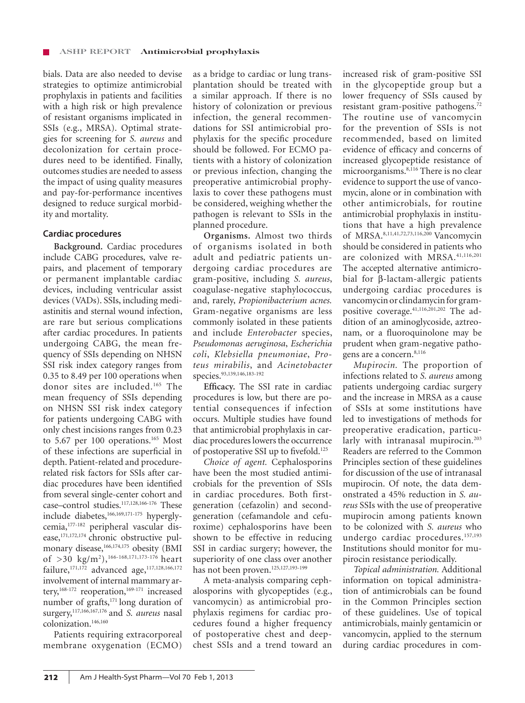bials. Data are also needed to devise strategies to optimize antimicrobial prophylaxis in patients and facilities with a high risk or high prevalence of resistant organisms implicated in SSIs (e.g., MRSA). Optimal strategies for screening for *S. aureus* and decolonization for certain procedures need to be identified. Finally, outcomes studies are needed to assess the impact of using quality measures and pay-for-performance incentives designed to reduce surgical morbidity and mortality.

#### **Cardiac procedures**

**Background.** Cardiac procedures include CABG procedures, valve repairs, and placement of temporary or permanent implantable cardiac devices, including ventricular assist devices (VADs). SSIs, including mediastinitis and sternal wound infection, are rare but serious complications after cardiac procedures. In patients undergoing CABG, the mean frequency of SSIs depending on NHSN SSI risk index category ranges from 0.35 to 8.49 per 100 operations when donor sites are included.165 The mean frequency of SSIs depending on NHSN SSI risk index category for patients undergoing CABG with only chest incisions ranges from 0.23 to 5.67 per 100 operations.<sup>165</sup> Most of these infections are superficial in depth. Patient-related and procedurerelated risk factors for SSIs after cardiac procedures have been identified from several single-center cohort and case–control studies.117,128,166-176 These include diabetes,<sup>166,169,171-175</sup> hyperglycemia,177-182 peripheral vascular disease,171,172,174 chronic obstructive pulmonary disease,<sup>166,174,175</sup> obesity (BMI of >30 kg/m<sup>2</sup>),<sup>166-168,171,173-176</sup> heart failure,<sup>171,172</sup> advanced age,<sup>117,128,166,172</sup> involvement of internal mammary artery,<sup>168-172</sup> reoperation,<sup>169-171</sup> increased number of grafts,<sup>171</sup> long duration of surgery,117,166,167,176 and *S. aureus* nasal colonization.146,160

Patients requiring extracorporeal membrane oxygenation (ECMO)

as a bridge to cardiac or lung transplantation should be treated with a similar approach. If there is no history of colonization or previous infection, the general recommendations for SSI antimicrobial prophylaxis for the specific procedure should be followed. For ECMO patients with a history of colonization or previous infection, changing the preoperative antimicrobial prophylaxis to cover these pathogens must be considered, weighing whether the pathogen is relevant to SSIs in the planned procedure.

**Organisms.** Almost two thirds of organisms isolated in both adult and pediatric patients undergoing cardiac procedures are gram-positive, including *S. aureus*, coagulase-negative staphylococcus*,*  and, rarely, *Propionibacterium acnes.* Gram-negative organisms are less commonly isolated in these patients and include *Enterobacter* species, *Pseudomonas aeruginosa*, *Escherichia coli*, *Klebsiella pneumoniae*, *Proteus mirabilis*, and *Acinetobacter* species.93,139,146,183-192

**Efficacy.** The SSI rate in cardiac procedures is low, but there are potential consequences if infection occurs. Multiple studies have found that antimicrobial prophylaxis in cardiac procedures lowers the occurrence of postoperative SSI up to fivefold.125

*Choice of agent.* Cephalosporins have been the most studied antimicrobials for the prevention of SSIs in cardiac procedures. Both firstgeneration (cefazolin) and secondgeneration (cefamandole and cefuroxime) cephalosporins have been shown to be effective in reducing SSI in cardiac surgery; however, the superiority of one class over another has not been proven.125,127,193-199

A meta-analysis comparing cephalosporins with glycopeptides (e.g., vancomycin) as antimicrobial prophylaxis regimens for cardiac procedures found a higher frequency of postoperative chest and deepchest SSIs and a trend toward an increased risk of gram-positive SSI in the glycopeptide group but a lower frequency of SSIs caused by resistant gram-positive pathogens.72 The routine use of vancomycin for the prevention of SSIs is not recommended, based on limited evidence of efficacy and concerns of increased glycopeptide resistance of microorganisms.8,116 There is no clear evidence to support the use of vancomycin, alone or in combination with other antimicrobials, for routine antimicrobial prophylaxis in institutions that have a high prevalence of MRSA.8,11,41,72,73,116,200 Vancomycin should be considered in patients who are colonized with MRSA.41,116,201 The accepted alternative antimicrobial for  $\beta$ -lactam-allergic patients undergoing cardiac procedures is vancomycin or clindamycin for grampositive coverage.41,116,201,202 The addition of an aminoglycoside, aztreonam, or a fluoroquinolone may be prudent when gram-negative pathogens are a concern.<sup>8,116</sup>

*Mupirocin.* The proportion of infections related to *S. aureus* among patients undergoing cardiac surgery and the increase in MRSA as a cause of SSIs at some institutions have led to investigations of methods for preoperative eradication, particularly with intranasal mupirocin.<sup>203</sup> Readers are referred to the Common Principles section of these guidelines for discussion of the use of intranasal mupirocin. Of note, the data demonstrated a 45% reduction in *S. aureus* SSIs with the use of preoperative mupirocin among patients known to be colonized with *S. aureus* who undergo cardiac procedures.<sup>157,193</sup> Institutions should monitor for mupirocin resistance periodically.

*Topical administration.* Additional information on topical administration of antimicrobials can be found in the Common Principles section of these guidelines. Use of topical antimicrobials, mainly gentamicin or vancomycin, applied to the sternum during cardiac procedures in com-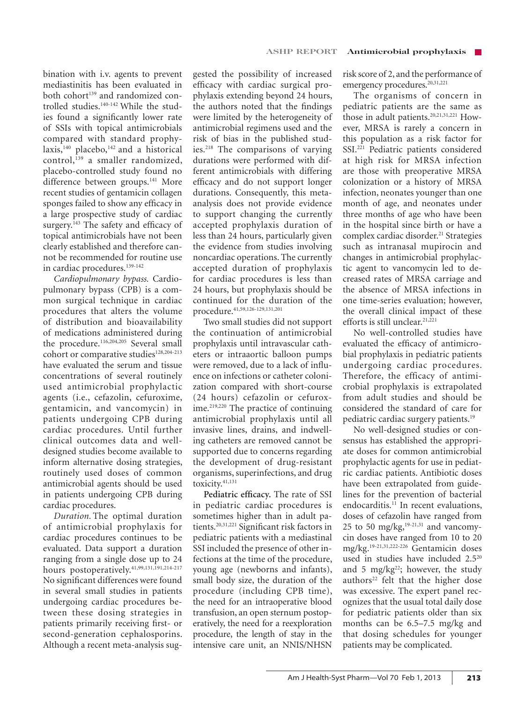bination with i.v. agents to prevent mediastinitis has been evaluated in both cohort<sup>139</sup> and randomized controlled studies.140-142 While the studies found a significantly lower rate of SSIs with topical antimicrobials compared with standard prophylaxis,<sup>140</sup> placebo,<sup>142</sup> and a historical control,<sup>139</sup> a smaller randomized, placebo-controlled study found no difference between groups.<sup>141</sup> More recent studies of gentamicin collagen sponges failed to show any efficacy in a large prospective study of cardiac surgery.<sup>143</sup> The safety and efficacy of topical antimicrobials have not been clearly established and therefore cannot be recommended for routine use in cardiac procedures.<sup>139-142</sup>

*Cardiopulmonary bypass.* Cardiopulmonary bypass (CPB) is a common surgical technique in cardiac procedures that alters the volume of distribution and bioavailability of medications administered during the procedure.<sup>116,204,205</sup> Several small cohort or comparative studies<sup>128,204-213</sup> have evaluated the serum and tissue concentrations of several routinely used antimicrobial prophylactic agents (i.e., cefazolin, cefuroxime, gentamicin, and vancomycin) in patients undergoing CPB during cardiac procedures. Until further clinical outcomes data and welldesigned studies become available to inform alternative dosing strategies, routinely used doses of common antimicrobial agents should be used in patients undergoing CPB during cardiac procedures.

*Duration.* The optimal duration of antimicrobial prophylaxis for cardiac procedures continues to be evaluated. Data support a duration ranging from a single dose up to 24 hours postoperatively.<sup>41,99,131,191,214-217</sup> No significant differences were found in several small studies in patients undergoing cardiac procedures between these dosing strategies in patients primarily receiving first- or second-generation cephalosporins. Although a recent meta-analysis suggested the possibility of increased efficacy with cardiac surgical prophylaxis extending beyond 24 hours, the authors noted that the findings were limited by the heterogeneity of antimicrobial regimens used and the risk of bias in the published studies.218 The comparisons of varying durations were performed with different antimicrobials with differing efficacy and do not support longer durations. Consequently, this metaanalysis does not provide evidence to support changing the currently accepted prophylaxis duration of less than 24 hours, particularly given the evidence from studies involving noncardiac operations. The currently accepted duration of prophylaxis for cardiac procedures is less than 24 hours, but prophylaxis should be continued for the duration of the procedure.41,59,126-129,131,201

Two small studies did not support the continuation of antimicrobial prophylaxis until intravascular catheters or intraaortic balloon pumps were removed, due to a lack of influence on infections or catheter colonization compared with short-course (24 hours) cefazolin or cefuroxime.219,220 The practice of continuing antimicrobial prophylaxis until all invasive lines, drains, and indwelling catheters are removed cannot be supported due to concerns regarding the development of drug-resistant organisms, superinfections, and drug toxicity.41,131

**Pediatric efficacy.** The rate of SSI in pediatric cardiac procedures is sometimes higher than in adult patients.20,31,221 Significant risk factors in pediatric patients with a mediastinal SSI included the presence of other infections at the time of the procedure, young age (newborns and infants), small body size, the duration of the procedure (including CPB time), the need for an intraoperative blood transfusion, an open sternum postoperatively, the need for a reexploration procedure, the length of stay in the intensive care unit, an NNIS/NHSN

risk score of 2, and the performance of emergency procedures.<sup>20,31,221</sup>

The organisms of concern in pediatric patients are the same as those in adult patients.20,21,31,221 However, MRSA is rarely a concern in this population as a risk factor for SSI.221 Pediatric patients considered at high risk for MRSA infection are those with preoperative MRSA colonization or a history of MRSA infection, neonates younger than one month of age, and neonates under three months of age who have been in the hospital since birth or have a complex cardiac disorder.<sup>21</sup> Strategies such as intranasal mupirocin and changes in antimicrobial prophylactic agent to vancomycin led to decreased rates of MRSA carriage and the absence of MRSA infections in one time-series evaluation; however, the overall clinical impact of these efforts is still unclear.<sup>21,221</sup>

No well-controlled studies have evaluated the efficacy of antimicrobial prophylaxis in pediatric patients undergoing cardiac procedures. Therefore, the efficacy of antimicrobial prophylaxis is extrapolated from adult studies and should be considered the standard of care for pediatric cardiac surgery patients.19

No well-designed studies or consensus has established the appropriate doses for common antimicrobial prophylactic agents for use in pediatric cardiac patients. Antibiotic doses have been extrapolated from guidelines for the prevention of bacterial endocarditis.<sup>11</sup> In recent evaluations, doses of cefazolin have ranged from 25 to 50 mg/kg, $19-21,31$  and vancomycin doses have ranged from 10 to 20 mg/kg.19-21,31,222-226 Gentamicin doses used in studies have included 2.5<sup>20</sup> and 5 mg/kg<sup>22</sup>; however, the study authors<sup>22</sup> felt that the higher dose was excessive. The expert panel recognizes that the usual total daily dose for pediatric patients older than six months can be 6.5–7.5 mg/kg and that dosing schedules for younger patients may be complicated.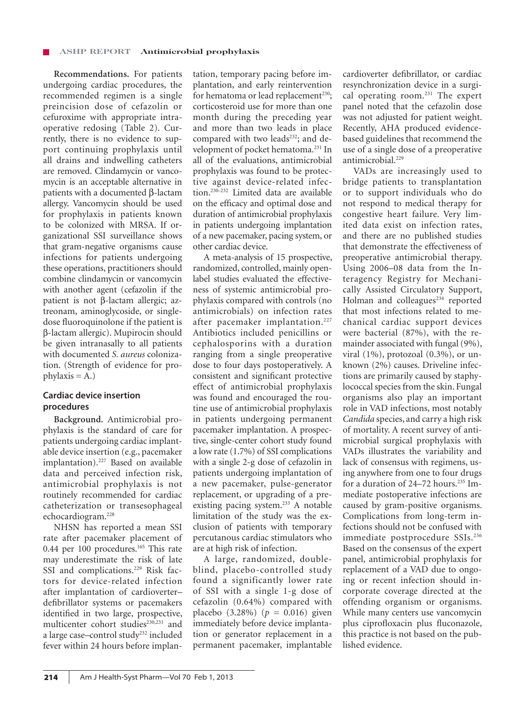**Recommendations.** For patients undergoing cardiac procedures, the recommended regimen is a single preincision dose of cefazolin or cefuroxime with appropriate intraoperative redosing (Table 2). Currently, there is no evidence to support continuing prophylaxis until all drains and indwelling catheters are removed. Clindamycin or vancomycin is an acceptable alternative in patients with a documented  $\beta$ -lactam allergy. Vancomycin should be used for prophylaxis in patients known to be colonized with MRSA. If organizational SSI surveillance shows that gram-negative organisms cause infections for patients undergoing these operations, practitioners should combine clindamycin or vancomycin with another agent (cefazolin if the patient is not  $\beta$ -lactam allergic; aztreonam, aminoglycoside, or singledose fluoroquinolone if the patient is b-lactam allergic). Mupirocin should be given intranasally to all patients with documented *S. aureus* colonization. (Strength of evidence for pro $phylaxis = A.$ )

## **Cardiac device insertion procedures**

**Background.** Antimicrobial prophylaxis is the standard of care for patients undergoing cardiac implantable device insertion (e.g., pacemaker implantation).<sup>227</sup> Based on available data and perceived infection risk, antimicrobial prophylaxis is not routinely recommended for cardiac catheterization or transesophageal echocardiogram.228

NHSN has reported a mean SSI rate after pacemaker placement of 0.44 per 100 procedures.<sup>165</sup> This rate may underestimate the risk of late SSI and complications.<sup>229</sup> Risk factors for device-related infection after implantation of cardioverter– defibrillator systems or pacemakers identified in two large, prospective, multicenter cohort studies<sup>230,231</sup> and a large case–control study232 included fever within 24 hours before implantation, temporary pacing before implantation, and early reintervention for hematoma or lead replacement $230$ ; corticosteroid use for more than one month during the preceding year and more than two leads in place compared with two leads<sup>232</sup>; and development of pocket hematoma.231 In all of the evaluations, antimicrobial prophylaxis was found to be protective against device-related infection.230-232 Limited data are available on the efficacy and optimal dose and duration of antimicrobial prophylaxis in patients undergoing implantation of a new pacemaker, pacing system, or other cardiac device.

A meta-analysis of 15 prospective, randomized, controlled, mainly openlabel studies evaluated the effectiveness of systemic antimicrobial prophylaxis compared with controls (no antimicrobials) on infection rates after pacemaker implantation.<sup>227</sup> Antibiotics included penicillins or cephalosporins with a duration ranging from a single preoperative dose to four days postoperatively. A consistent and significant protective effect of antimicrobial prophylaxis was found and encouraged the routine use of antimicrobial prophylaxis in patients undergoing permanent pacemaker implantation. A prospective, single-center cohort study found a low rate (1.7%) of SSI complications with a single 2-g dose of cefazolin in patients undergoing implantation of a new pacemaker, pulse-generator replacement, or upgrading of a preexisting pacing system.<sup>233</sup> A notable limitation of the study was the exclusion of patients with temporary percutanous cardiac stimulators who are at high risk of infection.

A large, randomized, doubleblind, placebo-controlled study found a significantly lower rate of SSI with a single 1-g dose of cefazolin (0.64%) compared with placebo (3.28%) ( $p = 0.016$ ) given immediately before device implantation or generator replacement in a permanent pacemaker, implantable

cardioverter defibrillator, or cardiac resynchronization device in a surgical operating room.231 The expert panel noted that the cefazolin dose was not adjusted for patient weight. Recently, AHA produced evidencebased guidelines that recommend the use of a single dose of a preoperative antimicrobial.<sup>229</sup>

VADs are increasingly used to bridge patients to transplantation or to support individuals who do not respond to medical therapy for congestive heart failure. Very limited data exist on infection rates, and there are no published studies that demonstrate the effectiveness of preoperative antimicrobial therapy. Using 2006–08 data from the Interagency Registry for Mechanically Assisted Circulatory Support, Holman and colleagues<sup>234</sup> reported that most infections related to mechanical cardiac support devices were bacterial (87%), with the remainder associated with fungal (9%), viral  $(1\%)$ , protozoal  $(0.3\%)$ , or unknown (2%) causes. Driveline infections are primarily caused by staphylococcal species from the skin. Fungal organisms also play an important role in VAD infections, most notably *Candida* species, and carry a high risk of mortality. A recent survey of antimicrobial surgical prophylaxis with VADs illustrates the variability and lack of consensus with regimens, using anywhere from one to four drugs for a duration of 24–72 hours.<sup>235</sup> Immediate postoperative infections are caused by gram-positive organisms. Complications from long-term infections should not be confused with immediate postprocedure SSIs.236 Based on the consensus of the expert panel, antimicrobial prophylaxis for replacement of a VAD due to ongoing or recent infection should incorporate coverage directed at the offending organism or organisms. While many centers use vancomycin plus ciprofloxacin plus fluconazole, this practice is not based on the published evidence.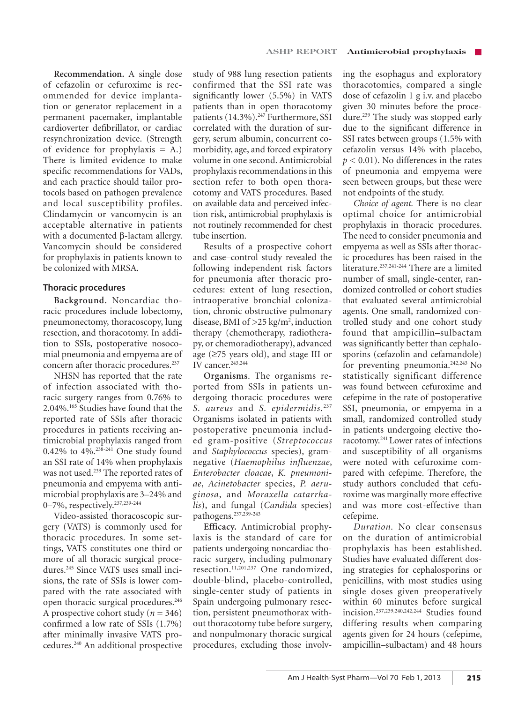**Recommendation.** A single dose of cefazolin or cefuroxime is recommended for device implantation or generator replacement in a permanent pacemaker, implantable cardioverter defibrillator, or cardiac resynchronization device. (Strength of evidence for prophylaxis  $= A$ .) There is limited evidence to make specific recommendations for VADs, and each practice should tailor protocols based on pathogen prevalence and local susceptibility profiles. Clindamycin or vancomycin is an acceptable alternative in patients with a documented  $\beta$ -lactam allergy. Vancomycin should be considered for prophylaxis in patients known to be colonized with MRSA.

## **Thoracic procedures**

**Background.** Noncardiac thoracic procedures include lobectomy, pneumonectomy, thoracoscopy, lung resection, and thoracotomy. In addition to SSIs, postoperative nosocomial pneumonia and empyema are of concern after thoracic procedures.<sup>237</sup>

NHSN has reported that the rate of infection associated with thoracic surgery ranges from 0.76% to 2.04%.165 Studies have found that the reported rate of SSIs after thoracic procedures in patients receiving antimicrobial prophylaxis ranged from 0.42% to 4%.238-241 One study found an SSI rate of 14% when prophylaxis was not used.<sup>239</sup> The reported rates of pneumonia and empyema with antimicrobial prophylaxis are 3–24% and 0–7%, respectively.237,239-244

Video-assisted thoracoscopic surgery (VATS) is commonly used for thoracic procedures. In some settings, VATS constitutes one third or more of all thoracic surgical procedures.245 Since VATS uses small incisions, the rate of SSIs is lower compared with the rate associated with open thoracic surgical procedures.<sup>246</sup> A prospective cohort study  $(n = 346)$ confirmed a low rate of SSIs (1.7%) after minimally invasive VATS procedures.240 An additional prospective

study of 988 lung resection patients confirmed that the SSI rate was significantly lower (5.5%) in VATS patients than in open thoracotomy patients (14.3%).<sup>247</sup> Furthermore, SSI correlated with the duration of surgery, serum albumin, concurrent comorbidity, age, and forced expiratory volume in one second. Antimicrobial prophylaxis recommendations in this section refer to both open thoracotomy and VATS procedures. Based on available data and perceived infection risk, antimicrobial prophylaxis is not routinely recommended for chest tube insertion.

Results of a prospective cohort and case–control study revealed the following independent risk factors for pneumonia after thoracic procedures: extent of lung resection, intraoperative bronchial colonization, chronic obstructive pulmonary disease, BMI of  $>$ 25 kg/m<sup>2</sup>, induction therapy (chemotherapy, radiotherapy, or chemoradiotherapy), advanced age (≥75 years old), and stage III or IV cancer.<sup>243,244</sup>

**Organisms**. The organisms reported from SSIs in patients undergoing thoracic procedures were *S. aureus* and *S. epidermidis*. 237 Organisms isolated in patients with postoperative pneumonia included gram-positive (*Streptococcus* and *Staphylococcus* species), gramnegative (*Haemophilus influenzae*, *Enterobacter cloacae*, *K. pneumoniae*, *Acinetobacter* species, *P. aeruginosa*, and *Moraxella catarrhalis*), and fungal (*Candida* species) pathogens.237,239-243

**Efficacy.** Antimicrobial prophylaxis is the standard of care for patients undergoing noncardiac thoracic surgery, including pulmonary resection.11,201,237 One randomized, double-blind, placebo-controlled, single-center study of patients in Spain undergoing pulmonary resection, persistent pneumothorax without thoracotomy tube before surgery, and nonpulmonary thoracic surgical procedures, excluding those involving the esophagus and exploratory thoracotomies, compared a single dose of cefazolin 1 g i.v. and placebo given 30 minutes before the procedure.<sup>239</sup> The study was stopped early due to the significant difference in SSI rates between groups (1.5% with cefazolin versus 14% with placebo, *p* < 0.01). No differences in the rates of pneumonia and empyema were seen between groups, but these were not endpoints of the study.

*Choice of agent.* There is no clear optimal choice for antimicrobial prophylaxis in thoracic procedures. The need to consider pneumonia and empyema as well as SSIs after thoracic procedures has been raised in the literature.237,241-244 There are a limited number of small, single-center, randomized controlled or cohort studies that evaluated several antimicrobial agents. One small, randomized controlled study and one cohort study found that ampicillin–sulbactam was significantly better than cephalosporins (cefazolin and cefamandole) for preventing pneumonia.<sup>242,243</sup> No statistically significant difference was found between cefuroxime and cefepime in the rate of postoperative SSI, pneumonia, or empyema in a small, randomized controlled study in patients undergoing elective thoracotomy.241 Lower rates of infections and susceptibility of all organisms were noted with cefuroxime compared with cefepime. Therefore, the study authors concluded that cefuroxime was marginally more effective and was more cost-effective than cefepime.

*Duration.* No clear consensus on the duration of antimicrobial prophylaxis has been established. Studies have evaluated different dosing strategies for cephalosporins or penicillins, with most studies using single doses given preoperatively within 60 minutes before surgical incision.237,239,240,242,244 Studies found differing results when comparing agents given for 24 hours (cefepime, ampicillin–sulbactam) and 48 hours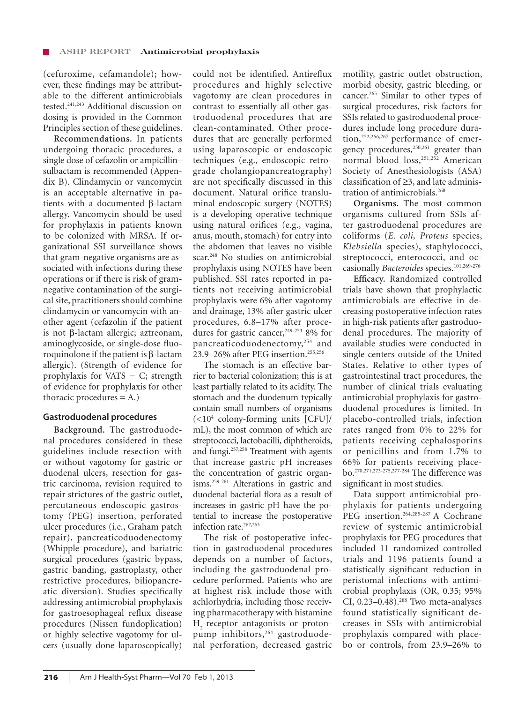(cefuroxime, cefamandole); however, these findings may be attributable to the different antimicrobials tested.241,243 Additional discussion on dosing is provided in the Common Principles section of these guidelines.

**Recommendations.** In patients undergoing thoracic procedures, a single dose of cefazolin or ampicillin– sulbactam is recommended (Appendix B). Clindamycin or vancomycin is an acceptable alternative in patients with a documented b-lactam allergy. Vancomycin should be used for prophylaxis in patients known to be colonized with MRSA. If organizational SSI surveillance shows that gram-negative organisms are associated with infections during these operations or if there is risk of gramnegative contamination of the surgical site, practitioners should combine clindamycin or vancomycin with another agent (cefazolin if the patient is not  $\beta$ -lactam allergic; aztreonam, aminoglycoside, or single-dose fluoroquinolone if the patient is  $\beta$ -lactam allergic). (Strength of evidence for prophylaxis for VATS = C; strength of evidence for prophylaxis for other thoracic procedures  $= A.$ )

#### **Gastroduodenal procedures**

**Background.** The gastroduodenal procedures considered in these guidelines include resection with or without vagotomy for gastric or duodenal ulcers, resection for gastric carcinoma, revision required to repair strictures of the gastric outlet, percutaneous endoscopic gastrostomy (PEG) insertion, perforated ulcer procedures (i.e., Graham patch repair), pancreaticoduodenectomy (Whipple procedure), and bariatric surgical procedures (gastric bypass, gastric banding, gastroplasty, other restrictive procedures, biliopancreatic diversion). Studies specifically addressing antimicrobial prophylaxis for gastroesophageal reflux disease procedures (Nissen fundoplication) or highly selective vagotomy for ulcers (usually done laparoscopically)

could not be identified. Antireflux procedures and highly selective vagotomy are clean procedures in contrast to essentially all other gastroduodenal procedures that are clean-contaminated. Other procedures that are generally performed using laparoscopic or endoscopic techniques (e.g., endoscopic retrograde cholangiopancreatography) are not specifically discussed in this document. Natural orifice transluminal endoscopic surgery (NOTES) is a developing operative technique using natural orifices (e.g., vagina, anus, mouth, stomach) for entry into the abdomen that leaves no visible scar.<sup>248</sup> No studies on antimicrobial prophylaxis using NOTES have been published. SSI rates reported in patients not receiving antimicrobial prophylaxis were 6% after vagotomy and drainage, 13% after gastric ulcer procedures, 6.8–17% after procedures for gastric cancer,  $249-253896$  for pancreaticoduodenectomy,254 and 23.9–26% after PEG insertion.255,256

The stomach is an effective barrier to bacterial colonization; this is at least partially related to its acidity. The stomach and the duodenum typically contain small numbers of organisms (<104 colony-forming units [CFU]/ mL), the most common of which are streptococci, lactobacilli, diphtheroids, and fungi.257,258 Treatment with agents that increase gastric pH increases the concentration of gastric organisms.259-261 Alterations in gastric and duodenal bacterial flora as a result of increases in gastric pH have the potential to increase the postoperative infection rate.<sup>262,263</sup>

The risk of postoperative infection in gastroduodenal procedures depends on a number of factors, including the gastroduodenal procedure performed. Patients who are at highest risk include those with achlorhydria, including those receiving pharmacotherapy with histamine H<sub>2</sub>-receptor antagonists or protonpump inhibitors,<sup>264</sup> gastroduodenal perforation, decreased gastric

motility, gastric outlet obstruction, morbid obesity, gastric bleeding, or cancer.265 Similar to other types of surgical procedures, risk factors for SSIs related to gastroduodenal procedures include long procedure duration,<sup>252,266,267</sup> performance of emergency procedures,<sup>250,261</sup> greater than normal blood loss,251,252 American Society of Anesthesiologists (ASA) classification of ≥3, and late administration of antimicrobials.<sup>268</sup>

**Organisms.** The most common organisms cultured from SSIs after gastroduodenal procedures are coliforms (*E. coli, Proteus* species, *Klebsiella* species), staphylococci, streptococci, enterococci, and occasionally *Bacteroides* species.101,269-276

**Efficacy.** Randomized controlled trials have shown that prophylactic antimicrobials are effective in decreasing postoperative infection rates in high-risk patients after gastroduodenal procedures. The majority of available studies were conducted in single centers outside of the United States. Relative to other types of gastrointestinal tract procedures, the number of clinical trials evaluating antimicrobial prophylaxis for gastroduodenal procedures is limited. In placebo-controlled trials, infection rates ranged from 0% to 22% for patients receiving cephalosporins or penicillins and from 1.7% to 66% for patients receiving placebo.270,271,273-275,277-284 The difference was significant in most studies.

Data support antimicrobial prophylaxis for patients undergoing PEG insertion.<sup>264,285-287</sup> A Cochrane review of systemic antimicrobial prophylaxis for PEG procedures that included 11 randomized controlled trials and 1196 patients found a statistically significant reduction in peristomal infections with antimicrobial prophylaxis (OR, 0.35; 95% CI,  $0.23-0.48$ ).<sup>288</sup> Two meta-analyses found statistically significant decreases in SSIs with antimicrobial prophylaxis compared with placebo or controls, from 23.9–26% to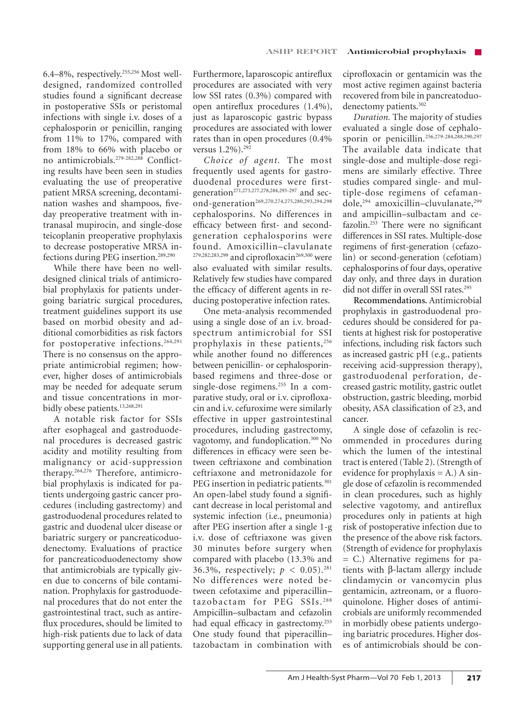6.4–8%, respectively.255,256 Most welldesigned, randomized controlled studies found a significant decrease in postoperative SSIs or peristomal infections with single i.v. doses of a cephalosporin or penicillin, ranging from 11% to 17%, compared with from 18% to 66% with placebo or no antimicrobials.279-282,288 Conflicting results have been seen in studies evaluating the use of preoperative patient MRSA screening, decontamination washes and shampoos, fiveday preoperative treatment with intranasal mupirocin, and single-dose teicoplanin preoperative prophylaxis to decrease postoperative MRSA infections during PEG insertion.<sup>289,290</sup>

While there have been no welldesigned clinical trials of antimicrobial prophylaxis for patients undergoing bariatric surgical procedures, treatment guidelines support its use based on morbid obesity and additional comorbidities as risk factors for postoperative infections.<sup>264,291</sup> There is no consensus on the appropriate antimicrobial regimen; however, higher doses of antimicrobials may be needed for adequate serum and tissue concentrations in morbidly obese patients.<sup>13,268,291</sup>

A notable risk factor for SSIs after esophageal and gastroduodenal procedures is decreased gastric acidity and motility resulting from malignancy or acid-suppression therapy.264,276 Therefore, antimicrobial prophylaxis is indicated for patients undergoing gastric cancer procedures (including gastrectomy) and gastroduodenal procedures related to gastric and duodenal ulcer disease or bariatric surgery or pancreaticoduodenectomy. Evaluations of practice for pancreaticoduodenectomy show that antimicrobials are typically given due to concerns of bile contamination. Prophylaxis for gastroduodenal procedures that do not enter the gastrointestinal tract, such as antireflux procedures, should be limited to high-risk patients due to lack of data supporting general use in all patients. Furthermore, laparoscopic antireflux procedures are associated with very low SSI rates (0.3%) compared with open antireflux procedures (1.4%), just as laparoscopic gastric bypass procedures are associated with lower rates than in open procedures (0.4% versus 1.2%).<sup>292</sup>

*Choice of agent.* The most frequently used agents for gastroduodenal procedures were firstgeneration<sup>271,273,277,278,284,293-297</sup> and second-generation<sup>269,270,274,275,280,293,294,298</sup> cephalosporins. No differences in efficacy between first- and secondgeneration cephalosporins were found. Amoxicillin–clavulanate 279,282,283,299 and ciprofloxacin<sup>269,300</sup> were also evaluated with similar results. Relatively few studies have compared the efficacy of different agents in reducing postoperative infection rates.

One meta-analysis recommended using a single dose of an i.v. broadspectrum antimicrobial for SSI prophylaxis in these patients,<sup>256</sup> while another found no differences between penicillin- or cephalosporinbased regimens and three-dose or single-dose regimens.255 In a comparative study, oral or i.v. ciprofloxacin and i.v. cefuroxime were similarly effective in upper gastrointestinal procedures, including gastrectomy, vagotomy, and fundoplication.<sup>300</sup> No differences in efficacy were seen between ceftriaxone and combination ceftriaxone and metronidazole for PEG insertion in pediatric patients.<sup>301</sup> An open-label study found a significant decrease in local peristomal and systemic infection (i.e., pneumonia) after PEG insertion after a single 1-g i.v. dose of ceftriaxone was given 30 minutes before surgery when compared with placebo (13.3% and 36.3%, respectively;  $p < 0.05$ ).<sup>281</sup> No differences were noted between cefotaxime and piperacillin– tazobactam for PEG SSIs. <sup>288</sup> Ampicillin–sulbactam and cefazolin had equal efficacy in gastrectomy.<sup>253</sup> One study found that piperacillin– tazobactam in combination with

ciprofloxacin or gentamicin was the most active regimen against bacteria recovered from bile in pancreatoduodenectomy patients.<sup>302</sup>

*Duration.* The majority of studies evaluated a single dose of cephalosporin or penicillin.256,279-284,288,290,297 The available data indicate that single-dose and multiple-dose regimens are similarly effective. Three studies compared single- and multiple-dose regimens of cefamandole,<sup>294</sup> amoxicillin–cluvulanate,<sup>299</sup> and ampicillin–sulbactam and cefazolin.253 There were no significant differences in SSI rates. Multiple-dose regimens of first-generation (cefazolin) or second-generation (cefotiam) cephalosporins of four days, operative day only, and three days in duration did not differ in overall SSI rates.<sup>295</sup>

**Recommendations.** Antimicrobial prophylaxis in gastroduodenal procedures should be considered for patients at highest risk for postoperative infections, including risk factors such as increased gastric pH (e.g., patients receiving acid-suppression therapy), gastroduodenal perforation, decreased gastric motility, gastric outlet obstruction, gastric bleeding, morbid obesity, ASA classification of ≥3, and cancer.

A single dose of cefazolin is recommended in procedures during which the lumen of the intestinal tract is entered (Table 2). (Strength of evidence for prophylaxis  $= A$ .) A single dose of cefazolin is recommended in clean procedures, such as highly selective vagotomy, and antireflux procedures only in patients at high risk of postoperative infection due to the presence of the above risk factors. (Strength of evidence for prophylaxis = C.) Alternative regimens for patients with  $\beta$ -lactam allergy include clindamycin or vancomycin plus gentamicin, aztreonam, or a fluoroquinolone. Higher doses of antimicrobials are uniformly recommended in morbidly obese patients undergoing bariatric procedures. Higher doses of antimicrobials should be con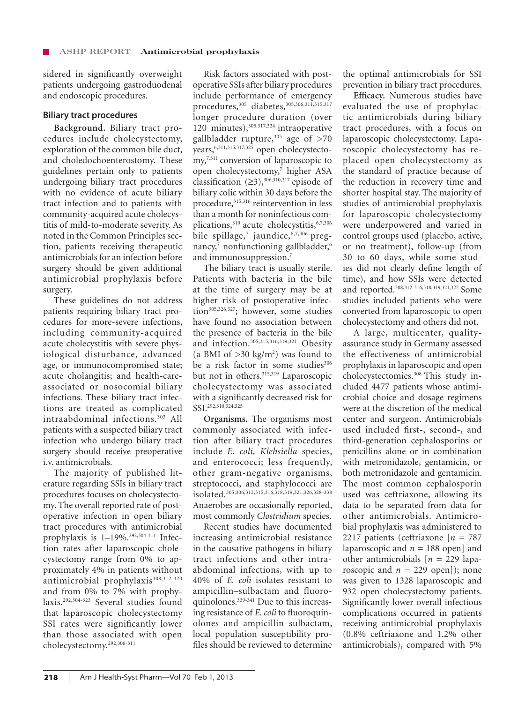sidered in significantly overweight patients undergoing gastroduodenal and endoscopic procedures.

## **Biliary tract procedures**

**Background.** Biliary tract procedures include cholecystectomy, exploration of the common bile duct, and choledochoenterostomy. These guidelines pertain only to patients undergoing biliary tract procedures with no evidence of acute biliary tract infection and to patients with community-acquired acute cholecystitis of mild-to-moderate severity. As noted in the Common Principles section, patients receiving therapeutic antimicrobials for an infection before surgery should be given additional antimicrobial prophylaxis before surgery.

These guidelines do not address patients requiring biliary tract procedures for more-severe infections, including community-acquired acute cholecystitis with severe physiological disturbance, advanced age, or immunocompromised state; acute cholangitis; and health-careassociated or nosocomial biliary infections. These biliary tract infections are treated as complicated intraabdominal infections.303 All patients with a suspected biliary tract infection who undergo biliary tract surgery should receive preoperative i.v. antimicrobials.

The majority of published literature regarding SSIs in biliary tract procedures focuses on cholecystectomy. The overall reported rate of postoperative infection in open biliary tract procedures with antimicrobial prophylaxis is 1–19%.292,304-311 Infection rates after laparoscopic cholecystectomy range from 0% to approximately 4% in patients without antimicrobial prophylaxis<sup>308,312-320</sup> and from 0% to 7% with prophylaxis.292,304-323 Several studies found that laparoscopic cholecystectomy SSI rates were significantly lower than those associated with open cholecystectomy.292,306-311

Risk factors associated with postoperative SSIs after biliary procedures include performance of emergency procedures, 305 diabetes, 305, 306, 311, 315, 317 longer procedure duration (over 120 minutes),305,317,324 intraoperative gallbladder rupture, $305$  age of  $>70$ years,6,311,315,317,325 open cholecystectomy,7,311 conversion of laparoscopic to open cholecystectomy,<sup>7</sup> higher ASA classification  $(≥3)$ ,<sup>306,310,317</sup> episode of biliary colic within 30 days before the procedure,315,316 reintervention in less than a month for noninfectious complications,<sup>310</sup> acute cholecystitis,<sup>6,7,306</sup> bile spillage,7 jaundice,6,7,306 pregnancy,<sup>7</sup> nonfunctioning gallbladder,<sup>6</sup> and immunosuppression.7

The biliary tract is usually sterile. Patients with bacteria in the bile at the time of surgery may be at higher risk of postoperative infection305,326,327; however, some studies have found no association between the presence of bacteria in the bile and infection.305,315,316,319,321 Obesity (a BMI of  $>$ 30 kg/m<sup>2</sup>) was found to be a risk factor in some studies<sup>306</sup> but not in others.<sup>315,319</sup> Laparoscopic cholecystectomy was associated with a significantly decreased risk for SSI.<sup>292,310,324,325</sup>

**Organisms.** The organisms most commonly associated with infection after biliary tract procedures include *E. coli, Klebsiella* species, and enterococci; less frequently, other gram-negative organisms, streptococci, and staphylococci are isolated.305,306,312,315,316,318,319,321,326,328-338 Anaerobes are occasionally reported, most commonly *Clostridium* species.

Recent studies have documented increasing antimicrobial resistance in the causative pathogens in biliary tract infections and other intraabdominal infections, with up to 40% of *E. coli* isolates resistant to ampicillin–sulbactam and fluoroquinolones.339-341 Due to this increasing resistance of *E. coli* to fluoroquinolones and ampicillin–sulbactam, local population susceptibility profiles should be reviewed to determine the optimal antimicrobials for SSI prevention in biliary tract procedures.

**Efficacy.** Numerous studies have evaluated the use of prophylactic antimicrobials during biliary tract procedures, with a focus on laparoscopic cholecystectomy. Laparoscopic cholecystectomy has replaced open cholecystectomy as the standard of practice because of the reduction in recovery time and shorter hospital stay. The majority of studies of antimicrobial prophylaxis for laparoscopic cholecystectomy were underpowered and varied in control groups used (placebo, active, or no treatment), follow-up (from 30 to 60 days, while some studies did not clearly define length of time), and how SSIs were detected and reported.308,312-316,318,319,321,322 Some studies included patients who were converted from laparoscopic to open cholecystectomy and others did not.

A large, multicenter, qualityassurance study in Germany assessed the effectiveness of antimicrobial prophylaxis in laparoscopic and open cholecystectomies.308 This study included 4477 patients whose antimicrobial choice and dosage regimens were at the discretion of the medical center and surgeon. Antimicrobials used included first-, second-, and third-generation cephalosporins or penicillins alone or in combination with metronidazole, gentamicin, or both metronidazole and gentamicin. The most common cephalosporin used was ceftriaxone, allowing its data to be separated from data for other antimicrobials. Antimicrobial prophylaxis was administered to 2217 patients (ceftriaxone [*n* = 787 laparoscopic and *n* = 188 open] and other antimicrobials [*n* = 229 laparoscopic and  $n = 229$  open]); none was given to 1328 laparoscopic and 932 open cholecystectomy patients. Significantly lower overall infectious complications occurred in patients receiving antimicrobial prophylaxis (0.8% ceftriaxone and 1.2% other antimicrobials), compared with 5%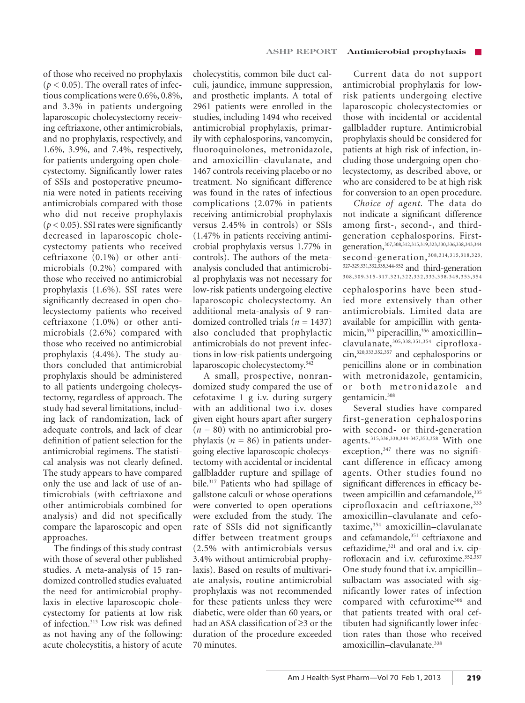**ASHP REPORT Antimicrobial prophylaxis** 

of those who received no prophylaxis  $(p < 0.05)$ . The overall rates of infectious complications were 0.6%, 0.8%, and 3.3% in patients undergoing laparoscopic cholecystectomy receiving ceftriaxone, other antimicrobials, and no prophylaxis, respectively, and 1.6%, 3.9%, and 7.4%, respectively, for patients undergoing open cholecystectomy. Significantly lower rates of SSIs and postoperative pneumonia were noted in patients receiving antimicrobials compared with those who did not receive prophylaxis  $(p < 0.05)$ . SSI rates were significantly decreased in laparoscopic cholecystectomy patients who received ceftriaxone (0.1%) or other antimicrobials (0.2%) compared with those who received no antimicrobial prophylaxis (1.6%). SSI rates were significantly decreased in open cholecystectomy patients who received ceftriaxone (1.0%) or other antimicrobials (2.6%) compared with those who received no antimicrobial prophylaxis (4.4%). The study authors concluded that antimicrobial prophylaxis should be administered to all patients undergoing cholecystectomy, regardless of approach. The study had several limitations, including lack of randomization, lack of adequate controls, and lack of clear definition of patient selection for the antimicrobial regimens. The statistical analysis was not clearly defined. The study appears to have compared only the use and lack of use of antimicrobials (with ceftriaxone and other antimicrobials combined for analysis) and did not specifically compare the laparoscopic and open approaches.

The findings of this study contrast with those of several other published studies. A meta-analysis of 15 randomized controlled studies evaluated the need for antimicrobial prophylaxis in elective laparoscopic cholecystectomy for patients at low risk of infection.313 Low risk was defined as not having any of the following: acute cholecystitis, a history of acute cholecystitis, common bile duct calculi, jaundice, immune suppression, and prosthetic implants. A total of 2961 patients were enrolled in the studies, including 1494 who received antimicrobial prophylaxis, primarily with cephalosporins, vancomycin, fluoroquinolones, metronidazole, and amoxicillin–clavulanate, and 1467 controls receiving placebo or no treatment. No significant difference was found in the rates of infectious complications (2.07% in patients receiving antimicrobial prophylaxis versus 2.45% in controls) or SSIs (1.47% in patients receiving antimicrobial prophylaxis versus 1.77% in controls). The authors of the metaanalysis concluded that antimicrobial prophylaxis was not necessary for low-risk patients undergoing elective laparoscopic cholecystectomy. An additional meta-analysis of 9 randomized controlled trials (*n* = 1437) also concluded that prophylactic antimicrobials do not prevent infections in low-risk patients undergoing laparoscopic cholecystectomy.342

A small, prospective, nonrandomized study compared the use of cefotaxime 1 g i.v. during surgery with an additional two i.v. doses given eight hours apart after surgery  $(n = 80)$  with no antimicrobial prophylaxis ( $n = 86$ ) in patients undergoing elective laparoscopic cholecystectomy with accidental or incidental gallbladder rupture and spillage of bile.317 Patients who had spillage of gallstone calculi or whose operations were converted to open operations were excluded from the study. The rate of SSIs did not significantly differ between treatment groups (2.5% with antimicrobials versus 3.4% without antimicrobial prophylaxis). Based on results of multivariate analysis, routine antimicrobial prophylaxis was not recommended for these patients unless they were diabetic, were older than 60 years, or had an ASA classification of ≥3 or the duration of the procedure exceeded 70 minutes.

Current data do not support antimicrobial prophylaxis for lowrisk patients undergoing elective laparoscopic cholecystectomies or those with incidental or accidental gallbladder rupture. Antimicrobial prophylaxis should be considered for patients at high risk of infection, including those undergoing open cholecystectomy, as described above, or who are considered to be at high risk for conversion to an open procedure.

*Choice of agent.* The data do not indicate a significant difference among first-, second-, and thirdgeneration cephalosporins. Firstgeneration, 307, 308, 312, 315, 319, 323, 330, 336, 338, 343, 344 second-generation, 308,314,315,318,323, 327-329,331,332,335,344-352 and third-generation 3 0 8 , 3 0 9 , 3 1 5 - 3 1 7 , 3 2 1 , 3 2 2 , 3 3 2 , 3 3 3 , 3 3 8 , 3 4 9 , 3 5 3 , 3 5 4

cephalosporins have been studied more extensively than other antimicrobials. Limited data are available for ampicillin with gentamicin,<sup>355</sup> piperacillin,<sup>356</sup> amoxicillinclavulanate,305,338,351,354 ciprofloxacin,320,333,352,357 and cephalosporins or penicillins alone or in combination with metronidazole, gentamicin, or both metronidazole and gentamicin.308

Several studies have compared first-generation cephalosporins with second- or third-generation agents.315,336,338,344-347,353,358 With one exception,<sup>347</sup> there was no significant difference in efficacy among agents. Other studies found no significant differences in efficacy between ampicillin and cefamandole,<sup>335</sup> ciprofloxacin and ceftriaxone, 333 amoxicillin–clavulanate and cefotaxime,354 amoxicillin–clavulanate and cefamandole,<sup>351</sup> ceftriaxone and ceftazidime,<sup>321</sup> and oral and i.v. ciprofloxacin and i.v. cefuroxime.<sup>352,357</sup> One study found that i.v. ampicillin– sulbactam was associated with significantly lower rates of infection compared with cefuroxime<sup>306</sup> and that patients treated with oral ceftibuten had significantly lower infection rates than those who received amoxicillin-clavulanate.<sup>338</sup>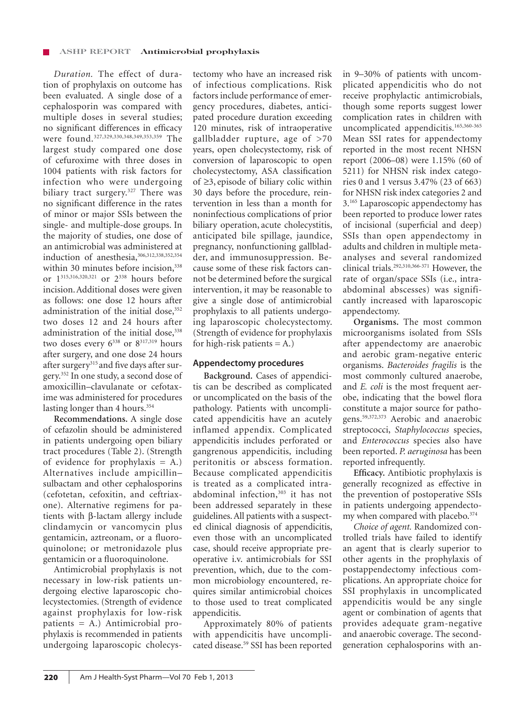*Duration.* The effect of duration of prophylaxis on outcome has been evaluated. A single dose of a cephalosporin was compared with multiple doses in several studies; no significant differences in efficacy were found.<sup>327,329,330,348,349,353,359</sup> The largest study compared one dose of cefuroxime with three doses in 1004 patients with risk factors for infection who were undergoing biliary tract surgery.<sup>327</sup> There was no significant difference in the rates of minor or major SSIs between the single- and multiple-dose groups. In the majority of studies, one dose of an antimicrobial was administered at induction of anesthesia, 306,312,338,352,354 within 30 minutes before incision,<sup>338</sup> or 1315,316,320,321 or 2338 hours before incision.Additional doses were given as follows: one dose 12 hours after administration of the initial dose,<sup>352</sup> two doses 12 and 24 hours after administration of the initial dose,<sup>338</sup> two doses every  $6^{338}$  or  $8^{317,319}$  hours after surgery, and one dose 24 hours after surgery $\boldsymbol{\delta}^{315}$  and five days after surgery.352 In one study, a second dose of amoxicillin–clavulanate or cefotaxime was administered for procedures lasting longer than 4 hours.<sup>354</sup>

**Recommendations.** A single dose of cefazolin should be administered in patients undergoing open biliary tract procedures (Table 2). (Strength of evidence for prophylaxis  $= A$ .) Alternatives include ampicillin– sulbactam and other cephalosporins (cefotetan, cefoxitin, and ceftriaxone). Alternative regimens for patients with  $\beta$ -lactam allergy include clindamycin or vancomycin plus gentamicin, aztreonam, or a fluoroquinolone; or metronidazole plus gentamicin or a fluoroquinolone.

Antimicrobial prophylaxis is not necessary in low-risk patients undergoing elective laparoscopic cholecystectomies. (Strength of evidence against prophylaxis for low-risk patients = A.) Antimicrobial prophylaxis is recommended in patients undergoing laparoscopic cholecystectomy who have an increased risk of infectious complications. Risk factors include performance of emergency procedures, diabetes, anticipated procedure duration exceeding 120 minutes, risk of intraoperative gallbladder rupture, age of >70 years, open cholecystectomy, risk of conversion of laparoscopic to open cholecystectomy, ASA classification of ≥3, episode of biliary colic within 30 days before the procedure, reintervention in less than a month for noninfectious complications of prior biliary operation, acute cholecystitis, anticipated bile spillage, jaundice, pregnancy, nonfunctioning gallbladder, and immunosuppression. Because some of these risk factors cannot be determined before the surgical intervention, it may be reasonable to give a single dose of antimicrobial prophylaxis to all patients undergoing laparoscopic cholecystectomy. (Strength of evidence for prophylaxis for high-risk patients  $= A.$ )

# **Appendectomy procedures**

**Background.** Cases of appendicitis can be described as complicated or uncomplicated on the basis of the pathology. Patients with uncomplicated appendicitis have an acutely inflamed appendix. Complicated appendicitis includes perforated or gangrenous appendicitis, including peritonitis or abscess formation. Because complicated appendicitis is treated as a complicated intraabdominal infection,<sup>303</sup> it has not been addressed separately in these guidelines. All patients with a suspected clinical diagnosis of appendicitis, even those with an uncomplicated case, should receive appropriate preoperative i.v. antimicrobials for SSI prevention, which, due to the common microbiology encountered, requires similar antimicrobial choices to those used to treat complicated appendicitis.

Approximately 80% of patients with appendicitis have uncomplicated disease.59 SSI has been reported

in 9–30% of patients with uncomplicated appendicitis who do not receive prophylactic antimicrobials, though some reports suggest lower complication rates in children with uncomplicated appendicitis.165,360-365 Mean SSI rates for appendectomy reported in the most recent NHSN report (2006–08) were 1.15% (60 of 5211) for NHSN risk index categories 0 and 1 versus 3.47% (23 of 663) for NHSN risk index categories 2 and 3.165 Laparoscopic appendectomy has been reported to produce lower rates of incisional (superficial and deep) SSIs than open appendectomy in adults and children in multiple metaanalyses and several randomized clinical trials.292,310,366-371 However, the rate of organ/space SSIs (i.e., intraabdominal abscesses) was significantly increased with laparoscopic appendectomy.

**Organisms.** The most common microorganisms isolated from SSIs after appendectomy are anaerobic and aerobic gram-negative enteric organisms. *Bacteroides fragilis* is the most commonly cultured anaerobe, and *E. coli* is the most frequent aerobe, indicating that the bowel flora constitute a major source for pathogens.59,372,373 Aerobic and anaerobic streptococci, *Staphylococcus* species, and *Enterococcus* species also have been reported. *P. aeruginosa* has been reported infrequently.

**Efficacy.** Antibiotic prophylaxis is generally recognized as effective in the prevention of postoperative SSIs in patients undergoing appendectomy when compared with placebo.<sup>374</sup>

*Choice of agent.* Randomized controlled trials have failed to identify an agent that is clearly superior to other agents in the prophylaxis of postappendectomy infectious complications. An appropriate choice for SSI prophylaxis in uncomplicated appendicitis would be any single agent or combination of agents that provides adequate gram-negative and anaerobic coverage. The secondgeneration cephalosporins with an-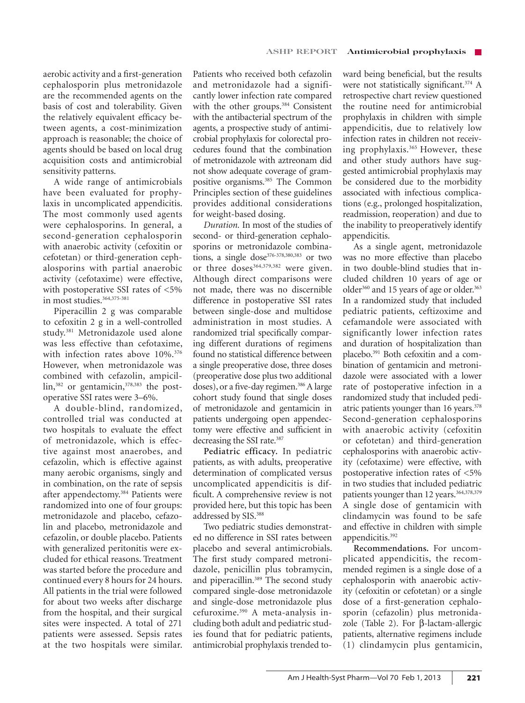aerobic activity and a first-generation cephalosporin plus metronidazole are the recommended agents on the basis of cost and tolerability. Given the relatively equivalent efficacy between agents, a cost-minimization approach is reasonable; the choice of agents should be based on local drug acquisition costs and antimicrobial sensitivity patterns.

A wide range of antimicrobials have been evaluated for prophylaxis in uncomplicated appendicitis. The most commonly used agents were cephalosporins. In general, a second-generation cephalosporin with anaerobic activity (cefoxitin or cefotetan) or third-generation cephalosporins with partial anaerobic activity (cefotaxime) were effective, with postoperative SSI rates of <5% in most studies.<sup>364,375-381</sup>

Piperacillin 2 g was comparable to cefoxitin 2 g in a well-controlled study.381 Metronidazole used alone was less effective than cefotaxime, with infection rates above 10%.<sup>376</sup> However, when metronidazole was combined with cefazolin, ampicillin,<sup>382</sup> or gentamicin,<sup>378,383</sup> the postoperative SSI rates were 3–6%.

A double-blind, randomized, controlled trial was conducted at two hospitals to evaluate the effect of metronidazole, which is effective against most anaerobes, and cefazolin, which is effective against many aerobic organisms, singly and in combination, on the rate of sepsis after appendectomy.384 Patients were randomized into one of four groups: metronidazole and placebo, cefazolin and placebo, metronidazole and cefazolin, or double placebo. Patients with generalized peritonitis were excluded for ethical reasons. Treatment was started before the procedure and continued every 8 hours for 24 hours. All patients in the trial were followed for about two weeks after discharge from the hospital, and their surgical sites were inspected. A total of 271 patients were assessed. Sepsis rates at the two hospitals were similar. Patients who received both cefazolin and metronidazole had a significantly lower infection rate compared with the other groups.<sup>384</sup> Consistent with the antibacterial spectrum of the agents, a prospective study of antimicrobial prophylaxis for colorectal procedures found that the combination of metronidazole with aztreonam did not show adequate coverage of grampositive organisms.385 The Common Principles section of these guidelines provides additional considerations for weight-based dosing.

*Duration.* In most of the studies of second- or third-generation cephalosporins or metronidazole combinations, a single dose376-378,380,383 or two or three doses<sup>364,379,382</sup> were given. Although direct comparisons were not made, there was no discernible difference in postoperative SSI rates between single-dose and multidose administration in most studies. A randomized trial specifically comparing different durations of regimens found no statistical difference between a single preoperative dose, three doses (preoperative dose plus two additional doses), or a five-day regimen.<sup>386</sup> A large cohort study found that single doses of metronidazole and gentamicin in patients undergoing open appendectomy were effective and sufficient in decreasing the SSI rate.<sup>387</sup>

**Pediatric efficacy.** In pediatric patients, as with adults, preoperative determination of complicated versus uncomplicated appendicitis is difficult. A comprehensive review is not provided here, but this topic has been addressed by SIS.388

Two pediatric studies demonstrated no difference in SSI rates between placebo and several antimicrobials. The first study compared metronidazole, penicillin plus tobramycin, and piperacillin.<sup>389</sup> The second study compared single-dose metronidazole and single-dose metronidazole plus cefuroxime.390 A meta-analysis including both adult and pediatric studies found that for pediatric patients, antimicrobial prophylaxis trended toward being beneficial, but the results were not statistically significant.<sup>374</sup> A retrospective chart review questioned the routine need for antimicrobial prophylaxis in children with simple appendicitis, due to relatively low infection rates in children not receiving prophylaxis.365 However, these and other study authors have suggested antimicrobial prophylaxis may be considered due to the morbidity associated with infectious complications (e.g., prolonged hospitalization, readmission, reoperation) and due to the inability to preoperatively identify appendicitis.

As a single agent, metronidazole was no more effective than placebo in two double-blind studies that included children 10 years of age or older<sup>360</sup> and 15 years of age or older.<sup>363</sup> In a randomized study that included pediatric patients, ceftizoxime and cefamandole were associated with significantly lower infection rates and duration of hospitalization than placebo.391 Both cefoxitin and a combination of gentamicin and metronidazole were associated with a lower rate of postoperative infection in a randomized study that included pediatric patients younger than 16 years.<sup>378</sup> Second-generation cephalosporins with anaerobic activity (cefoxitin or cefotetan) and third-generation cephalosporins with anaerobic activity (cefotaxime) were effective, with postoperative infection rates of <5% in two studies that included pediatric patients younger than 12 years.<sup>364,378,379</sup> A single dose of gentamicin with clindamycin was found to be safe and effective in children with simple appendicitis.392

**Recommendations.** For uncomplicated appendicitis, the recommended regimen is a single dose of a cephalosporin with anaerobic activity (cefoxitin or cefotetan) or a single dose of a first-generation cephalosporin (cefazolin) plus metronidazole (Table 2). For  $\beta$ -lactam-allergic patients, alternative regimens include (1) clindamycin plus gentamicin,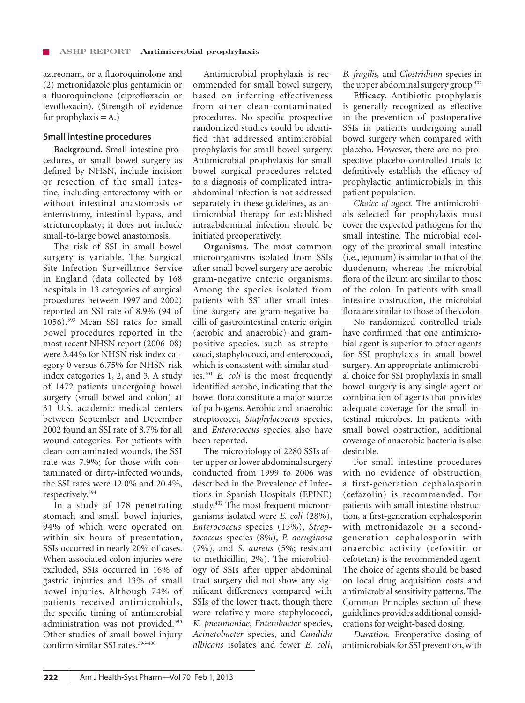aztreonam, or a fluoroquinolone and (2) metronidazole plus gentamicin or a fluoroquinolone (ciprofloxacin or levofloxacin). (Strength of evidence for prophylaxis  $= A.$ )

#### **Small intestine procedures**

**Background.** Small intestine procedures, or small bowel surgery as defined by NHSN, include incision or resection of the small intestine, including enterectomy with or without intestinal anastomosis or enterostomy, intestinal bypass, and strictureoplasty; it does not include small-to-large bowel anastomosis.

The risk of SSI in small bowel surgery is variable. The Surgical Site Infection Surveillance Service in England (data collected by 168 hospitals in 13 categories of surgical procedures between 1997 and 2002) reported an SSI rate of 8.9% (94 of 1056).393 Mean SSI rates for small bowel procedures reported in the most recent NHSN report (2006–08) were 3.44% for NHSN risk index category 0 versus 6.75% for NHSN risk index categories 1, 2, and 3. A study of 1472 patients undergoing bowel surgery (small bowel and colon) at 31 U.S. academic medical centers between September and December 2002 found an SSI rate of 8.7% for all wound categories. For patients with clean-contaminated wounds, the SSI rate was 7.9%; for those with contaminated or dirty-infected wounds, the SSI rates were 12.0% and 20.4%, respectively.394

In a study of 178 penetrating stomach and small bowel injuries, 94% of which were operated on within six hours of presentation, SSIs occurred in nearly 20% of cases. When associated colon injuries were excluded, SSIs occurred in 16% of gastric injuries and 13% of small bowel injuries. Although 74% of patients received antimicrobials, the specific timing of antimicrobial administration was not provided.395 Other studies of small bowel injury confirm similar SSI rates.<sup>396-400</sup>

Antimicrobial prophylaxis is recommended for small bowel surgery, based on inferring effectiveness from other clean-contaminated procedures. No specific prospective randomized studies could be identified that addressed antimicrobial prophylaxis for small bowel surgery. Antimicrobial prophylaxis for small bowel surgical procedures related to a diagnosis of complicated intraabdominal infection is not addressed separately in these guidelines, as antimicrobial therapy for established intraabdominal infection should be initiated preoperatively.

**Organisms.** The most common microorganisms isolated from SSIs after small bowel surgery are aerobic gram-negative enteric organisms. Among the species isolated from patients with SSI after small intestine surgery are gram-negative bacilli of gastrointestinal enteric origin (aerobic and anaerobic) and grampositive species, such as streptococci, staphylococci, and enterococci, which is consistent with similar studies.401 *E. coli* is the most frequently identified aerobe, indicating that the bowel flora constitute a major source of pathogens.Aerobic and anaerobic streptococci, *Staphylococcus* species, and *Enterococcus* species also have been reported.

The microbiology of 2280 SSIs after upper or lower abdominal surgery conducted from 1999 to 2006 was described in the Prevalence of Infections in Spanish Hospitals (EPINE) study.402 The most frequent microorganisms isolated were *E. coli* (28%), *Enterococcus* species (15%), *Streptococcus* species (8%), *P. aeruginosa* (7%), and *S. aureus* (5%; resistant to methicillin, 2%). The microbiology of SSIs after upper abdominal tract surgery did not show any significant differences compared with SSIs of the lower tract, though there were relatively more staphylococci, *K. pneumoniae*, *Enterobacter* species, *Acinetobacter* species, and *Candida albicans* isolates and fewer *E. coli*, *B. fragilis,* and *Clostridium* species in the upper abdominal surgery group.402

**Efficacy.** Antibiotic prophylaxis is generally recognized as effective in the prevention of postoperative SSIs in patients undergoing small bowel surgery when compared with placebo. However, there are no prospective placebo-controlled trials to definitively establish the efficacy of prophylactic antimicrobials in this patient population.

*Choice of agent.* The antimicrobials selected for prophylaxis must cover the expected pathogens for the small intestine. The microbial ecology of the proximal small intestine (i.e., jejunum) is similar to that of the duodenum, whereas the microbial flora of the ileum are similar to those of the colon. In patients with small intestine obstruction, the microbial flora are similar to those of the colon.

No randomized controlled trials have confirmed that one antimicrobial agent is superior to other agents for SSI prophylaxis in small bowel surgery. An appropriate antimicrobial choice for SSI prophylaxis in small bowel surgery is any single agent or combination of agents that provides adequate coverage for the small intestinal microbes. In patients with small bowel obstruction, additional coverage of anaerobic bacteria is also desirable.

For small intestine procedures with no evidence of obstruction, a first-generation cephalosporin (cefazolin) is recommended. For patients with small intestine obstruction, a first-generation cephalosporin with metronidazole or a secondgeneration cephalosporin with anaerobic activity (cefoxitin or cefotetan) is the recommended agent. The choice of agents should be based on local drug acquisition costs and antimicrobial sensitivity patterns. The Common Principles section of these guidelines provides additional considerations for weight-based dosing.

*Duration.* Preoperative dosing of antimicrobials for SSI prevention, with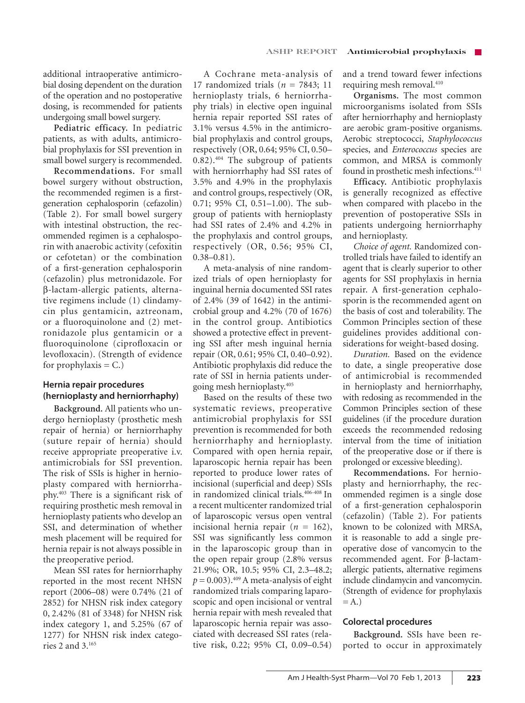additional intraoperative antimicrobial dosing dependent on the duration of the operation and no postoperative dosing, is recommended for patients undergoing small bowel surgery.

**Pediatric efficacy.** In pediatric patients, as with adults, antimicrobial prophylaxis for SSI prevention in small bowel surgery is recommended.

**Recommendations.** For small bowel surgery without obstruction, the recommended regimen is a firstgeneration cephalosporin (cefazolin) (Table 2). For small bowel surgery with intestinal obstruction, the recommended regimen is a cephalosporin with anaerobic activity (cefoxitin or cefotetan) or the combination of a first-generation cephalosporin (cefazolin) plus metronidazole. For b-lactam-allergic patients, alternative regimens include (1) clindamycin plus gentamicin, aztreonam, or a fluoroquinolone and (2) metronidazole plus gentamicin or a fluoroquinolone (ciprofloxacin or levofloxacin). (Strength of evidence for prophylaxis  $= C.$ )

## **Hernia repair procedures (hernioplasty and herniorrhaphy)**

**Background.** All patients who undergo hernioplasty (prosthetic mesh repair of hernia) or herniorrhaphy (suture repair of hernia) should receive appropriate preoperative i.v. antimicrobials for SSI prevention. The risk of SSIs is higher in hernioplasty compared with herniorrhaphy.403 There is a significant risk of requiring prosthetic mesh removal in hernioplasty patients who develop an SSI, and determination of whether mesh placement will be required for hernia repair is not always possible in the preoperative period.

Mean SSI rates for herniorrhaphy reported in the most recent NHSN report (2006–08) were 0.74% (21 of 2852) for NHSN risk index category 0, 2.42% (81 of 3348) for NHSN risk index category 1, and 5.25% (67 of 1277) for NHSN risk index categories 2 and 3.165

A Cochrane meta-analysis of 17 randomized trials (*n* = 7843; 11 hernioplasty trials, 6 herniorrhaphy trials) in elective open inguinal hernia repair reported SSI rates of 3.1% versus 4.5% in the antimicrobial prophylaxis and control groups, respectively (OR, 0.64; 95% CI, 0.50– 0.82).404 The subgroup of patients with herniorrhaphy had SSI rates of 3.5% and 4.9% in the prophylaxis and control groups, respectively (OR, 0.71; 95% CI, 0.51–1.00). The subgroup of patients with hernioplasty had SSI rates of 2.4% and 4.2% in the prophylaxis and control groups, respectively (OR, 0.56; 95% CI, 0.38–0.81).

A meta-analysis of nine randomized trials of open hernioplasty for inguinal hernia documented SSI rates of 2.4% (39 of 1642) in the antimicrobial group and 4.2% (70 of 1676) in the control group. Antibiotics showed a protective effect in preventing SSI after mesh inguinal hernia repair (OR, 0.61; 95% CI, 0.40–0.92). Antibiotic prophylaxis did reduce the rate of SSI in hernia patients undergoing mesh hernioplasty.405

Based on the results of these two systematic reviews, preoperative antimicrobial prophylaxis for SSI prevention is recommended for both herniorrhaphy and hernioplasty. Compared with open hernia repair, laparoscopic hernia repair has been reported to produce lower rates of incisional (superficial and deep) SSIs in randomized clinical trials.406-408 In a recent multicenter randomized trial of laparoscopic versus open ventral incisional hernia repair (*n* = 162), SSI was significantly less common in the laparoscopic group than in the open repair group (2.8% versus 21.9%; OR, 10.5; 95% CI, 2.3–48.2;  $p = 0.003$ ).<sup>409</sup> A meta-analysis of eight randomized trials comparing laparoscopic and open incisional or ventral hernia repair with mesh revealed that laparoscopic hernia repair was associated with decreased SSI rates (relative risk, 0.22; 95% CI, 0.09–0.54)

and a trend toward fewer infections requiring mesh removal.<sup>410</sup>

 $\mathcal{L}_{\mathcal{A}}$ 

**Organisms.** The most common microorganisms isolated from SSIs after herniorrhaphy and hernioplasty are aerobic gram-positive organisms. Aerobic streptococci, *Staphylococcus*  species, and *Enterococcus* species are common, and MRSA is commonly found in prosthetic mesh infections.411

**Efficacy.** Antibiotic prophylaxis is generally recognized as effective when compared with placebo in the prevention of postoperative SSIs in patients undergoing herniorrhaphy and hernioplasty.

*Choice of agent.* Randomized controlled trials have failed to identify an agent that is clearly superior to other agents for SSI prophylaxis in hernia repair. A first-generation cephalosporin is the recommended agent on the basis of cost and tolerability. The Common Principles section of these guidelines provides additional considerations for weight-based dosing.

*Duration.* Based on the evidence to date, a single preoperative dose of antimicrobial is recommended in hernioplasty and herniorrhaphy, with redosing as recommended in the Common Principles section of these guidelines (if the procedure duration exceeds the recommended redosing interval from the time of initiation of the preoperative dose or if there is prolonged or excessive bleeding).

**Recommendations.** For hernioplasty and herniorrhaphy, the recommended regimen is a single dose of a first-generation cephalosporin (cefazolin) (Table 2). For patients known to be colonized with MRSA, it is reasonable to add a single preoperative dose of vancomycin to the recommended agent. For  $\beta$ -lactamallergic patients, alternative regimens include clindamycin and vancomycin. (Strength of evidence for prophylaxis  $=$  A. $)$ 

## **Colorectal procedures**

**Background.** SSIs have been reported to occur in approximately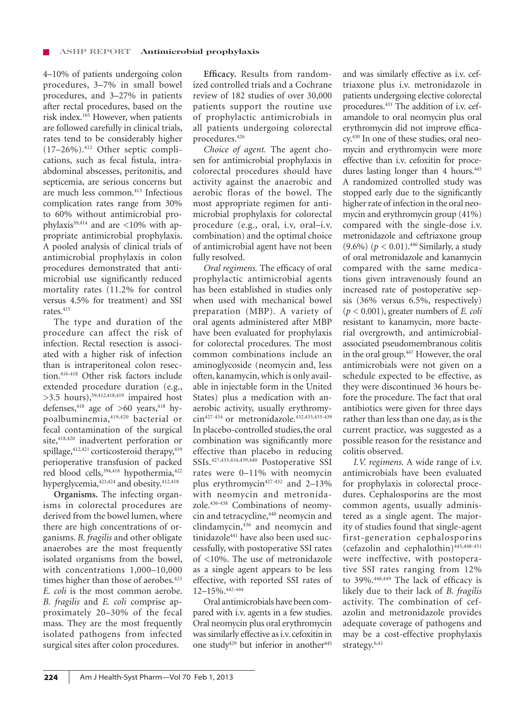4–10% of patients undergoing colon procedures, 3–7% in small bowel procedures, and 3–27% in patients after rectal procedures, based on the risk index.165 However, when patients are followed carefully in clinical trials, rates tend to be considerably higher  $(17–26%)$ .<sup>412</sup> Other septic complications, such as fecal fistula, intraabdominal abscesses, peritonitis, and septicemia, are serious concerns but are much less common.413 Infectious complication rates range from 30% to 60% without antimicrobial prophylaxis $59,414$  and are <10% with appropriate antimicrobial prophylaxis. A pooled analysis of clinical trials of antimicrobial prophylaxis in colon procedures demonstrated that antimicrobial use significantly reduced mortality rates (11.2% for control versus 4.5% for treatment) and SSI rates.<sup>415</sup>

The type and duration of the procedure can affect the risk of infection. Rectal resection is associated with a higher risk of infection than is intraperitoneal colon resection.416-418 Other risk factors include extended procedure duration (e.g.,  $>3.5$  hours),<sup>59,412,418,419</sup> impaired host defenses,  $418$  age of  $>60$  years,  $418$  hypoalbuminemia,419,420 bacterial or fecal contamination of the surgical site,<sup>418,420</sup> inadvertent perforation or spillage, 412,421 corticosteroid therapy, 419 perioperative transfusion of packed red blood cells, 394,418 hypothermia, 422 hyperglycemia,  $423,424$  and obesity.  $412,418$ 

**Organisms.** The infecting organisms in colorectal procedures are derived from the bowel lumen, where there are high concentrations of organisms. *B. fragilis* and other obligate anaerobes are the most frequently isolated organisms from the bowel, with concentrations 1,000–10,000 times higher than those of aerobes.<sup>425</sup> *E. coli* is the most common aerobe. *B. fragilis* and *E. coli* comprise approximately 20–30% of the fecal mass. They are the most frequently isolated pathogens from infected surgical sites after colon procedures.

**Efficacy.** Results from randomized controlled trials and a Cochrane review of 182 studies of over 30,000 patients support the routine use of prophylactic antimicrobials in all patients undergoing colorectal procedures.426

*Choice of agent.* The agent chosen for antimicrobial prophylaxis in colorectal procedures should have activity against the anaerobic and aerobic floras of the bowel. The most appropriate regimen for antimicrobial prophylaxis for colorectal procedure (e.g., oral, i.v, oral–i.v. combination) and the optimal choice of antimicrobial agent have not been fully resolved.

*Oral regimens.* The efficacy of oral prophylactic antimicrobial agents has been established in studies only when used with mechanical bowel preparation (MBP). A variety of oral agents administered after MBP have been evaluated for prophylaxis for colorectal procedures. The most common combinations include an aminoglycoside (neomycin and, less often, kanamycin, which is only available in injectable form in the United States) plus a medication with anaerobic activity, usually erythromycin427-434 or metronidazole.432,433,435-439 In placebo-controlled studies,the oral combination was significantly more effective than placebo in reducing SSIs.427,433,434,439,440 Postoperative SSI rates were 0–11% with neomycin plus erythromycin427-432 and 2–13% with neomycin and metronidazole.436-438 Combinations of neomycin and tetracycline,<sup>440</sup> neomycin and clindamycin,436 and neomycin and tinidazole<sup>441</sup> have also been used successfully, with postoperative SSI rates of <10%. The use of metronidazole as a single agent appears to be less effective, with reported SSI rates of 12–15%.442-444

Oral antimicrobials have been compared with i.v. agents in a few studies. Oral neomycin plus oral erythromycin was similarly effective as i.v. cefoxitin in one study<sup>429</sup> but inferior in another<sup>445</sup>

and was similarly effective as i.v. ceftriaxone plus i.v. metronidazole in patients undergoing elective colorectal procedures.431 The addition of i.v. cefamandole to oral neomycin plus oral erythromycin did not improve efficacy.430 In one of these studies, oral neomycin and erythromycin were more effective than i.v. cefoxitin for procedures lasting longer than 4 hours.<sup>445</sup> A randomized controlled study was stopped early due to the significantly higher rate of infection in the oral neomycin and erythromycin group (41%) compared with the single-dose i.v. metronidazole and ceftriaxone group (9.6%) ( $p < 0.01$ ).<sup>446</sup> Similarly, a study of oral metronidazole and kanamycin compared with the same medications given intravenously found an increased rate of postoperative sepsis (36% versus 6.5%, respectively) (*p* < 0.001), greater numbers of *E. coli* resistant to kanamycin, more bacterial overgrowth, and antimicrobialassociated pseudomembranous colitis in the oral group.<sup>447</sup> However, the oral antimicrobials were not given on a schedule expected to be effective, as they were discontinued 36 hours before the procedure. The fact that oral antibiotics were given for three days rather than less than one day, as is the current practice, was suggested as a possible reason for the resistance and colitis observed.

*I.V. regimens.* A wide range of i.v. antimicrobials have been evaluated for prophylaxis in colorectal procedures. Cephalosporins are the most common agents, usually administered as a single agent. The majority of studies found that single-agent first-generation cephalosporins (cefazolin and cephalothin)<sup>445,448-451</sup> were ineffective, with postoperative SSI rates ranging from 12% to 39%.448,449 The lack of efficacy is likely due to their lack of *B. fragilis* activity. The combination of cefazolin and metronidazole provides adequate coverage of pathogens and may be a cost-effective prophylaxis strategy.<sup>6,41</sup>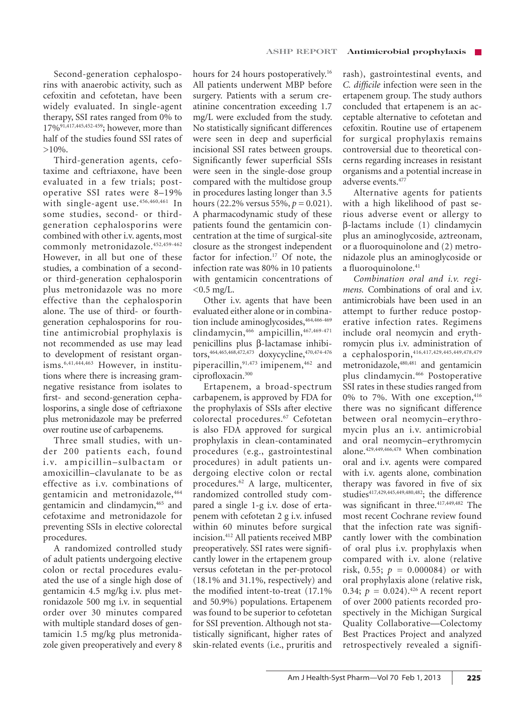Second-generation cephalosporins with anaerobic activity, such as cefoxitin and cefotetan, have been widely evaluated. In single-agent therapy, SSI rates ranged from 0% to 17%91,417,445,452-459; however, more than half of the studies found SSI rates of  $>10\%$ .

Third-generation agents, cefotaxime and ceftriaxone, have been evaluated in a few trials; postoperative SSI rates were 8–19% with single-agent use.456,460,461 In some studies, second- or thirdgeneration cephalosporins were combined with other i.v. agents, most commonly metronidazole.452,459-462 However, in all but one of these studies, a combination of a secondor third-generation cephalosporin plus metronidazole was no more effective than the cephalosporin alone. The use of third- or fourthgeneration cephalosporins for routine antimicrobial prophylaxis is not recommended as use may lead to development of resistant organisms.6,41,444,463 However, in institutions where there is increasing gramnegative resistance from isolates to first- and second-generation cephalosporins, a single dose of ceftriaxone plus metronidazole may be preferred over routine use of carbapenems.

Three small studies, with under 200 patients each, found i.v. ampicillin–sulbactam or amoxicillin–clavulanate to be as effective as i.v. combinations of gentamicin and metronidazole, 464 gentamicin and clindamycin,465 and cefotaxime and metronidazole for preventing SSIs in elective colorectal procedures.

A randomized controlled study of adult patients undergoing elective colon or rectal procedures evaluated the use of a single high dose of gentamicin 4.5 mg/kg i.v. plus metronidazole 500 mg i.v. in sequential order over 30 minutes compared with multiple standard doses of gentamicin 1.5 mg/kg plus metronidazole given preoperatively and every 8

hours for 24 hours postoperatively.<sup>16</sup> All patients underwent MBP before surgery. Patients with a serum creatinine concentration exceeding 1.7 mg/L were excluded from the study. No statistically significant differences were seen in deep and superficial incisional SSI rates between groups. Significantly fewer superficial SSIs were seen in the single-dose group compared with the multidose group in procedures lasting longer than 3.5 hours (22.2% versus 55%,  $p = 0.021$ ). A pharmacodynamic study of these patients found the gentamicin concentration at the time of surgical-site closure as the strongest independent factor for infection.17 Of note, the infection rate was 80% in 10 patients with gentamicin concentrations of  $< 0.5$  mg/L.

Other i.v. agents that have been evaluated either alone or in combination include aminoglycosides, 464,466-469 clindamycin,466 ampicillin,467,469-471 penicillins plus  $\beta$ -lactamase inhibitors,464,465,468,472,473 doxycycline,470,474-476 piperacillin,<sup>91,473</sup> imipenem,<sup>462</sup> and ciprofloxacin.300

Ertapenem, a broad-spectrum carbapenem, is approved by FDA for the prophylaxis of SSIs after elective colorectal procedures.67 Cefotetan is also FDA approved for surgical prophylaxis in clean-contaminated procedures (e.g., gastrointestinal procedures) in adult patients undergoing elective colon or rectal procedures.62 A large, multicenter, randomized controlled study compared a single 1-g i.v. dose of ertapenem with cefotetan 2 g i.v. infused within 60 minutes before surgical incision.412 All patients received MBP preoperatively. SSI rates were significantly lower in the ertapenem group versus cefotetan in the per-protocol (18.1% and 31.1%, respectively) and the modified intent-to-treat (17.1% and 50.9%) populations. Ertapenem was found to be superior to cefotetan for SSI prevention. Although not statistically significant, higher rates of skin-related events (i.e., pruritis and

rash), gastrointestinal events, and *C. difficile* infection were seen in the ertapenem group. The study authors concluded that ertapenem is an acceptable alternative to cefotetan and cefoxitin. Routine use of ertapenem for surgical prophylaxis remains controversial due to theoretical concerns regarding increases in resistant organisms and a potential increase in adverse events.477

**ASHP REPORT Antimicrobial prophylaxis** 

Alternative agents for patients with a high likelihood of past serious adverse event or allergy to  $\beta$ -lactams include (1) clindamycin plus an aminoglycoside, aztreonam, or a fluoroquinolone and (2) metronidazole plus an aminoglycoside or a fluoroquinolone.<sup>41</sup>

*Combination oral and i.v. regimens.* Combinations of oral and i.v. antimicrobials have been used in an attempt to further reduce postoperative infection rates. Regimens include oral neomycin and erythromycin plus i.v. administration of a cephalosporin,416,417,429,445,449,478,479 metronidazole,480,481 and gentamicin plus clindamycin.466 Postoperative SSI rates in these studies ranged from 0% to 7%. With one exception, $416$ there was no significant difference between oral neomycin–erythromycin plus an i.v. antimicrobial and oral neomycin–erythromycin alone.429,449,466,478 When combination oral and i.v. agents were compared with i.v. agents alone, combination therapy was favored in five of six studies<sup>417,429,445,449,480,482</sup>; the difference was significant in three.<sup>417,449,482</sup> The most recent Cochrane review found that the infection rate was significantly lower with the combination of oral plus i.v. prophylaxis when compared with i.v. alone (relative risk, 0.55;  $p = 0.000084$  or with oral prophylaxis alone (relative risk, 0.34;  $p = 0.024$ ).<sup>426</sup> A recent report of over 2000 patients recorded prospectively in the Michigan Surgical Quality Collaborative—Colectomy Best Practices Project and analyzed retrospectively revealed a signifi-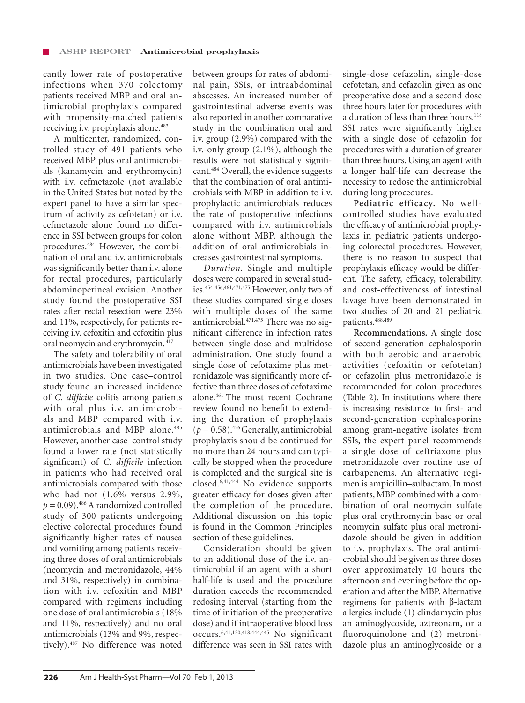cantly lower rate of postoperative infections when 370 colectomy patients received MBP and oral antimicrobial prophylaxis compared with propensity-matched patients receiving i.v. prophylaxis alone.<sup>483</sup>

A multicenter, randomized, controlled study of 491 patients who received MBP plus oral antimicrobials (kanamycin and erythromycin) with i.v. cefmetazole (not available in the United States but noted by the expert panel to have a similar spectrum of activity as cefotetan) or i.v. cefmetazole alone found no difference in SSI between groups for colon procedures.484 However, the combination of oral and i.v. antimicrobials was significantly better than i.v. alone for rectal procedures, particularly abdominoperineal excision. Another study found the postoperative SSI rates after rectal resection were 23% and 11%, respectively, for patients receiving i.v. cefoxitin and cefoxitin plus oral neomycin and erythromycin. 417

The safety and tolerability of oral antimicrobials have been investigated in two studies. One case–control study found an increased incidence of *C. difficile* colitis among patients with oral plus i.v. antimicrobials and MBP compared with i.v. antimicrobials and MBP alone.<sup>485</sup> However, another case–control study found a lower rate (not statistically significant) of *C. difficile* infection in patients who had received oral antimicrobials compared with those who had not (1.6% versus 2.9%,  $p = 0.09$ ).<sup>486</sup> A randomized controlled study of 300 patients undergoing elective colorectal procedures found significantly higher rates of nausea and vomiting among patients receiving three doses of oral antimicrobials (neomycin and metronidazole, 44% and 31%, respectively) in combination with i.v. cefoxitin and MBP compared with regimens including one dose of oral antimicrobials (18% and 11%, respectively) and no oral antimicrobials (13% and 9%, respectively).487 No difference was noted between groups for rates of abdominal pain, SSIs, or intraabdominal abscesses. An increased number of gastrointestinal adverse events was also reported in another comparative study in the combination oral and i.v. group (2.9%) compared with the i.v.-only group (2.1%), although the results were not statistically significant.484 Overall, the evidence suggests that the combination of oral antimicrobials with MBP in addition to i.v. prophylactic antimicrobials reduces the rate of postoperative infections compared with i.v. antimicrobials alone without MBP, although the addition of oral antimicrobials increases gastrointestinal symptoms.

*Duration.* Single and multiple doses were compared in several studies.454-456,461,471,475 However, only two of these studies compared single doses with multiple doses of the same antimicrobial.471,475 There was no significant difference in infection rates between single-dose and multidose administration. One study found a single dose of cefotaxime plus metronidazole was significantly more effective than three doses of cefotaxime alone.461 The most recent Cochrane review found no benefit to extending the duration of prophylaxis  $(p = 0.58)$ .<sup>426</sup> Generally, antimicrobial prophylaxis should be continued for no more than 24 hours and can typically be stopped when the procedure is completed and the surgical site is closed.6,41,444 No evidence supports greater efficacy for doses given after the completion of the procedure. Additional discussion on this topic is found in the Common Principles section of these guidelines.

Consideration should be given to an additional dose of the i.v. antimicrobial if an agent with a short half-life is used and the procedure duration exceeds the recommended redosing interval (starting from the time of initiation of the preoperative dose) and if intraoperative blood loss occurs.6,41,120,418,444,445 No significant difference was seen in SSI rates with

single-dose cefazolin, single-dose cefotetan, and cefazolin given as one preoperative dose and a second dose three hours later for procedures with a duration of less than three hours.<sup>118</sup> SSI rates were significantly higher with a single dose of cefazolin for procedures with a duration of greater than three hours. Using an agent with a longer half-life can decrease the necessity to redose the antimicrobial during long procedures.

**Pediatric efficacy.** No wellcontrolled studies have evaluated the efficacy of antimicrobial prophylaxis in pediatric patients undergoing colorectal procedures. However, there is no reason to suspect that prophylaxis efficacy would be different. The safety, efficacy, tolerability, and cost-effectiveness of intestinal lavage have been demonstrated in two studies of 20 and 21 pediatric patients.  $488,489$ 

**Recommendations.** A single dose of second-generation cephalosporin with both aerobic and anaerobic activities (cefoxitin or cefotetan) or cefazolin plus metronidazole is recommended for colon procedures (Table 2). In institutions where there is increasing resistance to first- and second-generation cephalosporins among gram-negative isolates from SSIs, the expert panel recommends a single dose of ceftriaxone plus metronidazole over routine use of carbapenems. An alternative regimen is ampicillin–sulbactam. In most patients, MBP combined with a combination of oral neomycin sulfate plus oral erythromycin base or oral neomycin sulfate plus oral metronidazole should be given in addition to i.v. prophylaxis. The oral antimicrobial should be given as three doses over approximately 10 hours the afternoon and evening before the operation and after the MBP. Alternative regimens for patients with  $\beta$ -lactam allergies include (1) clindamycin plus an aminoglycoside, aztreonam, or a fluoroquinolone and (2) metronidazole plus an aminoglycoside or a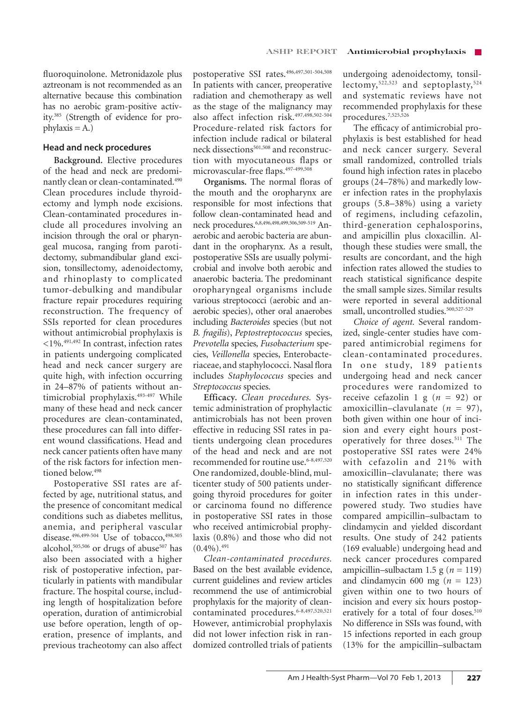fluoroquinolone. Metronidazole plus aztreonam is not recommended as an alternative because this combination has no aerobic gram-positive activity.385 (Strength of evidence for pro $phylaxis = A.$ )

#### **Head and neck procedures**

**Background.** Elective procedures of the head and neck are predominantly clean or clean-contaminated.490 Clean procedures include thyroidectomy and lymph node excisions. Clean-contaminated procedures include all procedures involving an incision through the oral or pharyngeal mucosa, ranging from parotidectomy, submandibular gland excision, tonsillectomy, adenoidectomy, and rhinoplasty to complicated tumor-debulking and mandibular fracture repair procedures requiring reconstruction. The frequency of SSIs reported for clean procedures without antimicrobial prophylaxis is <1%.491,492 In contrast, infection rates in patients undergoing complicated head and neck cancer surgery are quite high, with infection occurring in 24–87% of patients without antimicrobial prophylaxis.<sup>493-497</sup> While many of these head and neck cancer procedures are clean-contaminated, these procedures can fall into different wound classifications. Head and neck cancer patients often have many of the risk factors for infection mentioned below.<sup>498</sup>

Postoperative SSI rates are affected by age, nutritional status, and the presence of concomitant medical conditions such as diabetes mellitus, anemia, and peripheral vascular disease.<sup>496,499-504</sup> Use of tobacco,<sup>498,505</sup> alcohol,<sup>505,506</sup> or drugs of abuse<sup>507</sup> has also been associated with a higher risk of postoperative infection, particularly in patients with mandibular fracture. The hospital course, including length of hospitalization before operation, duration of antimicrobial use before operation, length of operation, presence of implants, and previous tracheotomy can also affect postoperative SSI rates.496,497,501-504,508 In patients with cancer, preoperative radiation and chemotherapy as well as the stage of the malignancy may also affect infection risk.497,498,502-504 Procedure-related risk factors for infection include radical or bilateral neck dissections<sup>501,508</sup> and reconstruction with myocutaneous flaps or microvascular-free flaps.497-499,508

**Organisms.** The normal floras of the mouth and the oropharynx are responsible for most infections that follow clean-contaminated head and neck procedures.6,8,496,498,499,506,509-519 Anaerobic and aerobic bacteria are abundant in the oropharynx. As a result, postoperative SSIs are usually polymicrobial and involve both aerobic and anaerobic bacteria. The predominant oropharyngeal organisms include various streptococci (aerobic and anaerobic species), other oral anaerobes including *Bacteroides* species (but not *B. fragilis*), *Peptostreptococcus* species, *Prevotella* species*, Fusobacterium* species, *Veillonella* species, Enterobacteriaceae, and staphylococci. Nasal flora includes *Staphylococcus* species and *Streptococcus* species.

**Efficacy.** *Clean procedures.* Systemic administration of prophylactic antimicrobials has not been proven effective in reducing SSI rates in patients undergoing clean procedures of the head and neck and are not recommended for routine use.<sup>6-8,497,520</sup> One randomized, double-blind, multicenter study of 500 patients undergoing thyroid procedures for goiter or carcinoma found no difference in postoperative SSI rates in those who received antimicrobial prophylaxis (0.8%) and those who did not  $(0.4\%)$ <sup>491</sup>

*Clean-contaminated procedures.* Based on the best available evidence, current guidelines and review articles recommend the use of antimicrobial prophylaxis for the majority of cleancontaminated procedures.<sup>6-8,497,520,521</sup> However, antimicrobial prophylaxis did not lower infection risk in randomized controlled trials of patients

undergoing adenoidectomy, tonsillectomy,522,523 and septoplasty,524 and systematic reviews have not recommended prophylaxis for these procedures.7,525,526

The efficacy of antimicrobial prophylaxis is best established for head and neck cancer surgery. Several small randomized, controlled trials found high infection rates in placebo groups (24–78%) and markedly lower infection rates in the prophylaxis groups (5.8–38%) using a variety of regimens, including cefazolin, third-generation cephalosporins, and ampicillin plus cloxacillin. Although these studies were small, the results are concordant, and the high infection rates allowed the studies to reach statistical significance despite the small sample sizes. Similar results were reported in several additional small, uncontrolled studies.<sup>500,527-529</sup>

*Choice of agent.* Several randomized, single-center studies have compared antimicrobial regimens for clean-contaminated procedures. In one study, 189 patients undergoing head and neck cancer procedures were randomized to receive cefazolin 1 g  $(n = 92)$  or amoxicillin–clavulanate (*n* = 97), both given within one hour of incision and every eight hours postoperatively for three doses.511 The postoperative SSI rates were 24% with cefazolin and 21% with amoxicillin–clavulanate; there was no statistically significant difference in infection rates in this underpowered study. Two studies have compared ampicillin–sulbactam to clindamycin and yielded discordant results. One study of 242 patients (169 evaluable) undergoing head and neck cancer procedures compared ampicillin–sulbactam 1.5 g (*n* = 119) and clindamycin 600 mg ( $n = 123$ ) given within one to two hours of incision and every six hours postoperatively for a total of four doses.<sup>510</sup> No difference in SSIs was found, with 15 infections reported in each group (13% for the ampicillin–sulbactam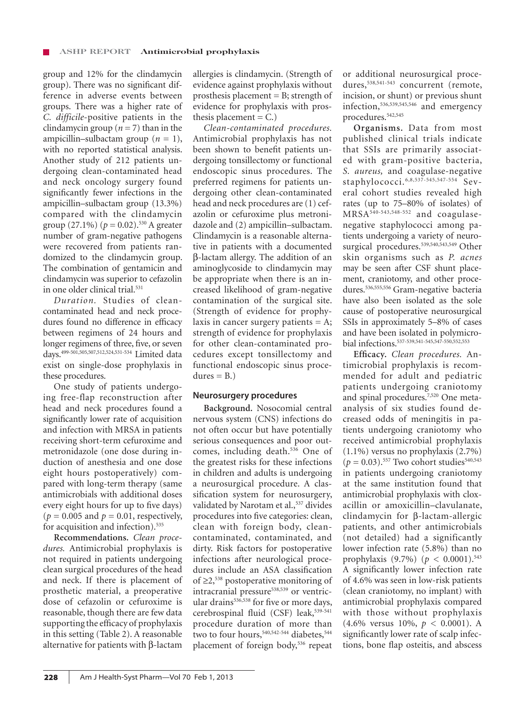group and 12% for the clindamycin group). There was no significant difference in adverse events between groups. There was a higher rate of *C. difficile*-positive patients in the clindamycin group ( $n = 7$ ) than in the ampicillin–sulbactam group (*n* = 1), with no reported statistical analysis. Another study of 212 patients undergoing clean-contaminated head and neck oncology surgery found significantly fewer infections in the ampicillin–sulbactam group (13.3%) compared with the clindamycin group  $(27.1\%)$   $(p = 0.02)$ .<sup>530</sup> A greater number of gram-negative pathogens were recovered from patients randomized to the clindamycin group. The combination of gentamicin and clindamycin was superior to cefazolin in one older clinical trial.<sup>531</sup>

*Duration.* Studies of cleancontaminated head and neck procedures found no difference in efficacy between regimens of 24 hours and longer regimens of three, five, or seven days.499-501,505,507,512,524,531-534 Limited data exist on single-dose prophylaxis in these procedures.

One study of patients undergoing free-flap reconstruction after head and neck procedures found a significantly lower rate of acquisition and infection with MRSA in patients receiving short-term cefuroxime and metronidazole (one dose during induction of anesthesia and one dose eight hours postoperatively) compared with long-term therapy (same antimicrobials with additional doses every eight hours for up to five days)  $(p = 0.005$  and  $p = 0.01$ , respectively, for acquisition and infection).<sup>535</sup>

**Recommendations.** *Clean procedures.* Antimicrobial prophylaxis is not required in patients undergoing clean surgical procedures of the head and neck. If there is placement of prosthetic material, a preoperative dose of cefazolin or cefuroxime is reasonable, though there are few data supporting the efficacy of prophylaxis in this setting (Table 2). A reasonable alternative for patients with  $\beta$ -lactam

allergies is clindamycin. (Strength of evidence against prophylaxis without prosthesis placement  $=$  B; strength of evidence for prophylaxis with prosthesis placement  $= C.$ )

*Clean-contaminated procedures.* Antimicrobial prophylaxis has not been shown to benefit patients undergoing tonsillectomy or functional endoscopic sinus procedures. The preferred regimens for patients undergoing other clean-contaminated head and neck procedures are (1) cefazolin or cefuroxime plus metronidazole and (2) ampicillin–sulbactam. Clindamycin is a reasonable alternative in patients with a documented b-lactam allergy. The addition of an aminoglycoside to clindamycin may be appropriate when there is an increased likelihood of gram-negative contamination of the surgical site. (Strength of evidence for prophylaxis in cancer surgery patients  $= A$ ; strength of evidence for prophylaxis for other clean-contaminated procedures except tonsillectomy and functional endoscopic sinus proce $dures = B.$ 

# **Neurosurgery procedures**

**Background.** Nosocomial central nervous system (CNS) infections do not often occur but have potentially serious consequences and poor outcomes, including death.536 One of the greatest risks for these infections in children and adults is undergoing a neurosurgical procedure. A classification system for neurosurgery, validated by Narotam et al.,<sup>537</sup> divides procedures into five categories: clean, clean with foreign body, cleancontaminated, contaminated, and dirty. Risk factors for postoperative infections after neurological procedures include an ASA classification of ≥2,538 postoperative monitoring of intracranial pressure<sup>538,539</sup> or ventricular drains<sup>536,538</sup> for five or more days, cerebrospinal fluid (CSF) leak, 539-541 procedure duration of more than two to four hours,<sup>540,542-544</sup> diabetes,<sup>544</sup> placement of foreign body,<sup>536</sup> repeat

or additional neurosurgical procedures,538,541-543 concurrent (remote, incision, or shunt) or previous shunt infection,536,539,545,546 and emergency procedures.<sup>542,545</sup>

**Organisms.** Data from most published clinical trials indicate that SSIs are primarily associated with gram-positive bacteria, *S. aureus,* and coagulase-negative staphylococci. 6,8,537-545,547-554 Several cohort studies revealed high rates (up to 75–80% of isolates) of MRSA540-543,548-552 and coagulasenegative staphylococci among patients undergoing a variety of neurosurgical procedures.539,540,543,549 Other skin organisms such as *P. acnes* may be seen after CSF shunt placement, craniotomy, and other procedures.536,555,556 Gram-negative bacteria have also been isolated as the sole cause of postoperative neurosurgical SSIs in approximately 5–8% of cases and have been isolated in polymicrobial infections.537-539,541-545,547-550,552,553

**Efficacy.** *Clean procedures.* Antimicrobial prophylaxis is recommended for adult and pediatric patients undergoing craniotomy and spinal procedures.7,520 One metaanalysis of six studies found decreased odds of meningitis in patients undergoing craniotomy who received antimicrobial prophylaxis (1.1%) versus no prophylaxis (2.7%)  $(p = 0.03)$ .<sup>557</sup> Two cohort studies<sup>540,543</sup> in patients undergoing craniotomy at the same institution found that antimicrobial prophylaxis with cloxacillin or amoxicillin–clavulanate, clindamycin for  $\beta$ -lactam-allergic patients, and other antimicrobials (not detailed) had a significantly lower infection rate (5.8%) than no prophylaxis  $(9.7\%)$   $(p < 0.0001).$ <sup>543</sup> A significantly lower infection rate of 4.6% was seen in low-risk patients (clean craniotomy, no implant) with antimicrobial prophylaxis compared with those without prophylaxis (4.6% versus 10%, *p* < 0.0001). A significantly lower rate of scalp infections, bone flap osteitis, and abscess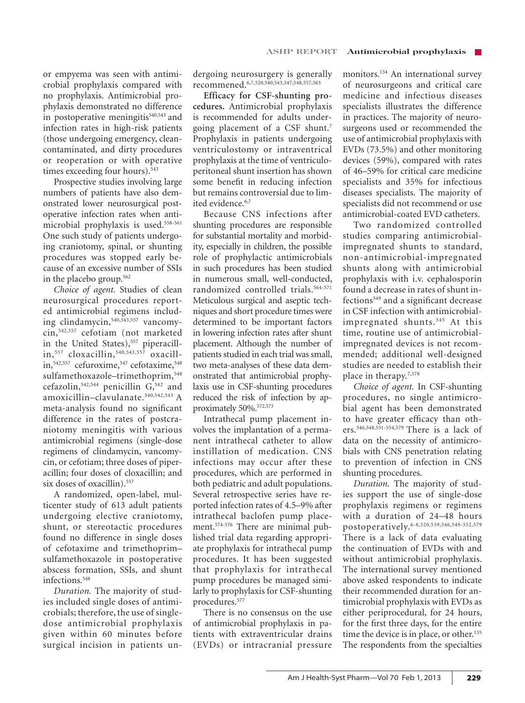or empyema was seen with antimicrobial prophylaxis compared with no prophylaxis. Antimicrobial prophylaxis demonstrated no difference in postoperative meningitis<sup>540,543</sup> and infection rates in high-risk patients (those undergoing emergency, cleancontaminated, and dirty procedures or reoperation or with operative times exceeding four hours).<sup>543</sup>

Prospective studies involving large numbers of patients have also demonstrated lower neurosurgical postoperative infection rates when antimicrobial prophylaxis is used.558-561 One such study of patients undergoing craniotomy, spinal, or shunting procedures was stopped early because of an excessive number of SSIs in the placebo group.<sup>562</sup>

*Choice of agent.* Studies of clean neurosurgical procedures reported antimicrobial regimens including clindamycin,540,543,557 vancomycin,542,557 cefotiam (not marketed in the United States),<sup>557</sup> piperacillin,557 cloxacillin,540,543,557 oxacillin,<sup>542,557</sup> cefuroxime,<sup>547</sup> cefotaxime,<sup>548</sup> sulfamethoxazole-trimethoprim, 548 cefazolin,<sup>542,544</sup> penicillin  $G<sub>2</sub>$ <sup>542</sup> and amoxicillin–clavulanate.540,542,543 A meta-analysis found no significant difference in the rates of postcraniotomy meningitis with various antimicrobial regimens (single-dose regimens of clindamycin, vancomycin, or cefotiam; three doses of piperacillin; four doses of cloxacillin; and six doses of oxacillin).<sup>557</sup>

A randomized, open-label, multicenter study of 613 adult patients undergoing elective craniotomy, shunt, or stereotactic procedures found no difference in single doses of cefotaxime and trimethoprim– sulfamethoxazole in postoperative abscess formation, SSIs, and shunt infections.<sup>548</sup>

*Duration.* The majority of studies included single doses of antimicrobials; therefore, the use of singledose antimicrobial prophylaxis given within 60 minutes before surgical incision in patients undergoing neurosurgery is generally recommened.6,7,520,540,543,547,548,557,563

**Efficacy for CSF-shunting procedures.** Antimicrobial prophylaxis is recommended for adults undergoing placement of a CSF shunt.7 Prophylaxis in patients undergoing ventriculostomy or intraventrical prophylaxis at the time of ventriculoperitoneal shunt insertion has shown some benefit in reducing infection but remains controversial due to limited evidence.<sup>6,7</sup>

Because CNS infections after shunting procedures are responsible for substantial mortality and morbidity, especially in children, the possible role of prophylactic antimicrobials in such procedures has been studied in numerous small, well-conducted, randomized controlled trials.564-571 Meticulous surgical and aseptic techniques and short procedure times were determined to be important factors in lowering infection rates after shunt placement. Although the number of patients studied in each trial was small, two meta-analyses of these data demonstrated that antimicrobial prophylaxis use in CSF-shunting procedures reduced the risk of infection by approximately 50%.572,573

Intrathecal pump placement involves the implantation of a permanent intrathecal catheter to allow instillation of medication. CNS infections may occur after these procedures, which are performed in both pediatric and adult populations. Several retrospective series have reported infection rates of 4.5–9% after intrathecal baclofen pump placement.574-576 There are minimal published trial data regarding appropriate prophylaxis for intrathecal pump procedures. It has been suggested that prophylaxis for intrathecal pump procedures be managed similarly to prophylaxis for CSF-shunting procedures.577

There is no consensus on the use of antimicrobial prophylaxis in patients with extraventricular drains (EVDs) or intracranial pressure monitors.134 An international survey of neurosurgeons and critical care medicine and infectious diseases specialists illustrates the difference in practices. The majority of neurosurgeons used or recommended the use of antimicrobial prophylaxis with EVDs (73.5%) and other monitoring devices (59%), compared with rates of 46–59% for critical care medicine specialists and 35% for infectious diseases specialists. The majority of specialists did not recommend or use antimicrobial-coated EVD catheters.

Two randomized controlled studies comparing antimicrobialimpregnated shunts to standard, non-antimicrobial-impregnated shunts along with antimicrobial prophylaxis with i.v. cephalosporin found a decrease in rates of shunt infections549 and a significant decrease in CSF infection with antimicrobialimpregnated shunts. 545 At this time, routine use of antimicrobialimpregnated devices is not recommended; additional well-designed studies are needed to establish their place in therapy.<sup>7,578</sup>

*Choice of agent.* In CSF-shunting procedures, no single antimicrobial agent has been demonstrated to have greater efficacy than others.546,548,551-554,579 There is a lack of data on the necessity of antimicrobials with CNS penetration relating to prevention of infection in CNS shunting procedures.

*Duration.* The majority of studies support the use of single-dose prophylaxis regimens or regimens with a duration of 24–48 hours postoperatively.6-8,520,539,546,549-552,579 There is a lack of data evaluating the continuation of EVDs with and without antimicrobial prophylaxis. The international survey mentioned above asked respondents to indicate their recommended duration for antimicrobial prophylaxis with EVDs as either periprocedural, for 24 hours, for the first three days, for the entire time the device is in place, or other.<sup>135</sup> The respondents from the specialties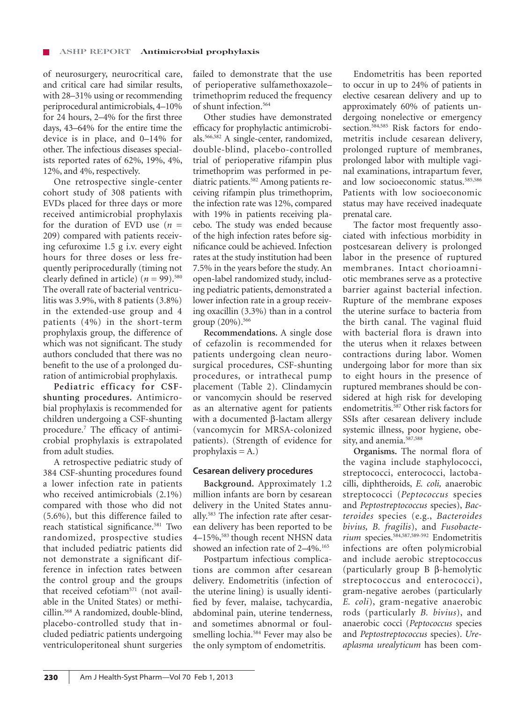of neurosurgery, neurocritical care, and critical care had similar results, with 28–31% using or recommending periprocedural antimicrobials, 4–10% for 24 hours, 2–4% for the first three days, 43–64% for the entire time the device is in place, and 0–14% for other. The infectious diseases specialists reported rates of 62%, 19%, 4%, 12%, and 4%, respectively.

One retrospective single-center cohort study of 308 patients with EVDs placed for three days or more received antimicrobial prophylaxis for the duration of EVD use  $(n =$ 209) compared with patients receiving cefuroxime 1.5 g i.v. every eight hours for three doses or less frequently periprocedurally (timing not clearly defined in article)  $(n = 99)$ .<sup>580</sup> The overall rate of bacterial ventriculitis was 3.9%, with 8 patients (3.8%) in the extended-use group and 4 patients (4%) in the short-term prophylaxis group, the difference of which was not significant. The study authors concluded that there was no benefit to the use of a prolonged duration of antimicrobial prophylaxis.

**Pediatric efficacy for CSFshunting procedures.** Antimicrobial prophylaxis is recommended for children undergoing a CSF-shunting procedure.7 The efficacy of antimicrobial prophylaxis is extrapolated from adult studies.

A retrospective pediatric study of 384 CSF-shunting procedures found a lower infection rate in patients who received antimicrobials (2.1%) compared with those who did not (5.6%), but this difference failed to reach statistical significance.<sup>581</sup> Two randomized, prospective studies that included pediatric patients did not demonstrate a significant difference in infection rates between the control group and the groups that received cefotiam<sup>571</sup> (not available in the United States) or methicillin.568 A randomized, double-blind, placebo-controlled study that included pediatric patients undergoing ventriculoperitoneal shunt surgeries failed to demonstrate that the use of perioperative sulfamethoxazole– trimethoprim reduced the frequency of shunt infection.564

Other studies have demonstrated efficacy for prophylactic antimicrobials.566,582 A single-center, randomized, double-blind, placebo-controlled trial of perioperative rifampin plus trimethoprim was performed in pediatric patients.<sup>582</sup> Among patients receiving rifampin plus trimethoprim, the infection rate was 12%, compared with 19% in patients receiving placebo. The study was ended because of the high infection rates before significance could be achieved. Infection rates at the study institution had been 7.5% in the years before the study. An open-label randomized study, including pediatric patients, demonstrated a lower infection rate in a group receiving oxacillin (3.3%) than in a control group (20%).566

**Recommendations.** A single dose of cefazolin is recommended for patients undergoing clean neurosurgical procedures, CSF-shunting procedures, or intrathecal pump placement (Table 2). Clindamycin or vancomycin should be reserved as an alternative agent for patients with a documented  $\beta$ -lactam allergy (vancomycin for MRSA-colonized patients). (Strength of evidence for  $prophylaxis = A.$ )

## **Cesarean delivery procedures**

**Background.** Approximately 1.2 million infants are born by cesarean delivery in the United States annually.583 The infection rate after cesarean delivery has been reported to be 4–15%,583 though recent NHSN data showed an infection rate of  $2-4\%$ .<sup>165</sup>

Postpartum infectious complications are common after cesarean delivery. Endometritis (infection of the uterine lining) is usually identified by fever, malaise, tachycardia, abdominal pain, uterine tenderness, and sometimes abnormal or foulsmelling lochia.584 Fever may also be the only symptom of endometritis.

Endometritis has been reported to occur in up to 24% of patients in elective cesarean delivery and up to approximately 60% of patients undergoing nonelective or emergency section.584,585 Risk factors for endometritis include cesarean delivery, prolonged rupture of membranes, prolonged labor with multiple vaginal examinations, intrapartum fever, and low socioeconomic status.<sup>585,586</sup> Patients with low socioeconomic status may have received inadequate prenatal care.

The factor most frequently associated with infectious morbidity in postcesarean delivery is prolonged labor in the presence of ruptured membranes. Intact chorioamniotic membranes serve as a protective barrier against bacterial infection. Rupture of the membrane exposes the uterine surface to bacteria from the birth canal. The vaginal fluid with bacterial flora is drawn into the uterus when it relaxes between contractions during labor. Women undergoing labor for more than six to eight hours in the presence of ruptured membranes should be considered at high risk for developing endometritis.587 Other risk factors for SSIs after cesarean delivery include systemic illness, poor hygiene, obesity, and anemia.<sup>587,588</sup>

**Organisms.** The normal flora of the vagina include staphylococci, streptococci, enterococci, lactobacilli, diphtheroids, *E. coli,* anaerobic streptococci (*Peptococcus* species and *Peptostreptococcus* species), *Bacteroides* species (e.g., *Bacteroides bivius, B. fragilis*), and *Fusobacterium* species.584,587,589-592 Endometritis infections are often polymicrobial and include aerobic streptococcus (particularly group  $\beta$   $\beta$ -hemolytic streptococcus and enterococci), gram-negative aerobes (particularly *E. coli*), gram-negative anaerobic rods (particularly *B. bivius*), and anaerobic cocci (*Peptococcus* species and *Peptostreptococcus* species). *Ureaplasma urealyticum* has been com-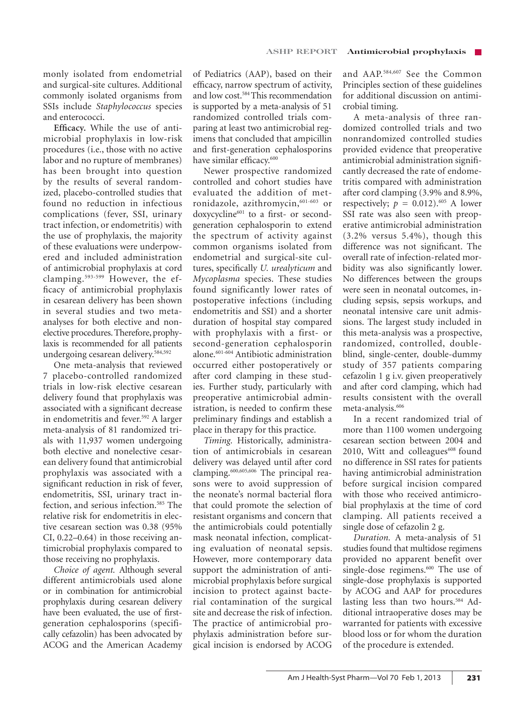monly isolated from endometrial and surgical-site cultures. Additional commonly isolated organisms from SSIs include *Staphylococcus* species and enterococci.

**Efficacy.** While the use of antimicrobial prophylaxis in low-risk procedures (i.e., those with no active labor and no rupture of membranes) has been brought into question by the results of several randomized, placebo-controlled studies that found no reduction in infectious complications (fever, SSI, urinary tract infection, or endometritis) with the use of prophylaxis, the majority of these evaluations were underpowered and included administration of antimicrobial prophylaxis at cord clamping.593-599 However, the efficacy of antimicrobial prophylaxis in cesarean delivery has been shown in several studies and two metaanalyses for both elective and nonelective procedures. Therefore, prophylaxis is recommended for all patients undergoing cesarean delivery.584,592

One meta-analysis that reviewed 7 placebo-controlled randomized trials in low-risk elective cesarean delivery found that prophylaxis was associated with a significant decrease in endometritis and fever.<sup>592</sup> A larger meta-analysis of 81 randomized trials with 11,937 women undergoing both elective and nonelective cesarean delivery found that antimicrobial prophylaxis was associated with a significant reduction in risk of fever, endometritis, SSI, urinary tract infection, and serious infection.585 The relative risk for endometritis in elective cesarean section was 0.38 (95% CI, 0.22–0.64) in those receiving antimicrobial prophylaxis compared to those receiving no prophylaxis.

*Choice of agent.* Although several different antimicrobials used alone or in combination for antimicrobial prophylaxis during cesarean delivery have been evaluated, the use of firstgeneration cephalosporins (specifically cefazolin) has been advocated by ACOG and the American Academy of Pediatrics (AAP), based on their efficacy, narrow spectrum of activity, and low cost.584 This recommendation is supported by a meta-analysis of 51 randomized controlled trials comparing at least two antimicrobial regimens that concluded that ampicillin and first-generation cephalosporins have similar efficacy.<sup>600</sup>

Newer prospective randomized controlled and cohort studies have evaluated the addition of metronidazole, azithromycin,<sup>601-603</sup> or doxycycline601 to a first- or secondgeneration cephalosporin to extend the spectrum of activity against common organisms isolated from endometrial and surgical-site cultures, specifically *U. urealyticum* and *Mycoplasma* species. These studies found significantly lower rates of postoperative infections (including endometritis and SSI) and a shorter duration of hospital stay compared with prophylaxis with a first- or second-generation cephalosporin alone.601-604 Antibiotic administration occurred either postoperatively or after cord clamping in these studies. Further study, particularly with preoperative antimicrobial administration, is needed to confirm these preliminary findings and establish a place in therapy for this practice.

*Timing.* Historically, administration of antimicrobials in cesarean delivery was delayed until after cord clamping.600,605,606 The principal reasons were to avoid suppression of the neonate's normal bacterial flora that could promote the selection of resistant organisms and concern that the antimicrobials could potentially mask neonatal infection, complicating evaluation of neonatal sepsis. However, more contemporary data support the administration of antimicrobial prophylaxis before surgical incision to protect against bacterial contamination of the surgical site and decrease the risk of infection. The practice of antimicrobial prophylaxis administration before surgical incision is endorsed by ACOG

and AAP.584,607 See the Common Principles section of these guidelines for additional discussion on antimicrobial timing.

A meta-analysis of three randomized controlled trials and two nonrandomized controlled studies provided evidence that preoperative antimicrobial administration significantly decreased the rate of endometritis compared with administration after cord clamping (3.9% and 8.9%, respectively;  $p = 0.012$ ).<sup>605</sup> A lower SSI rate was also seen with preoperative antimicrobial administration (3.2% versus 5.4%), though this difference was not significant. The overall rate of infection-related morbidity was also significantly lower. No differences between the groups were seen in neonatal outcomes, including sepsis, sepsis workups, and neonatal intensive care unit admissions. The largest study included in this meta-analysis was a prospective, randomized, controlled, doubleblind, single-center, double-dummy study of 357 patients comparing cefazolin 1 g i.v. given preoperatively and after cord clamping, which had results consistent with the overall meta-analysis.<sup>606</sup>

In a recent randomized trial of more than 1100 women undergoing cesarean section between 2004 and 2010, Witt and colleagues<sup>608</sup> found no difference in SSI rates for patients having antimicrobial administration before surgical incision compared with those who received antimicrobial prophylaxis at the time of cord clamping. All patients received a single dose of cefazolin 2 g.

*Duration.* A meta-analysis of 51 studies found that multidose regimens provided no apparent benefit over single-dose regimens.<sup>600</sup> The use of single-dose prophylaxis is supported by ACOG and AAP for procedures lasting less than two hours.<sup>584</sup> Additional intraoperative doses may be warranted for patients with excessive blood loss or for whom the duration of the procedure is extended.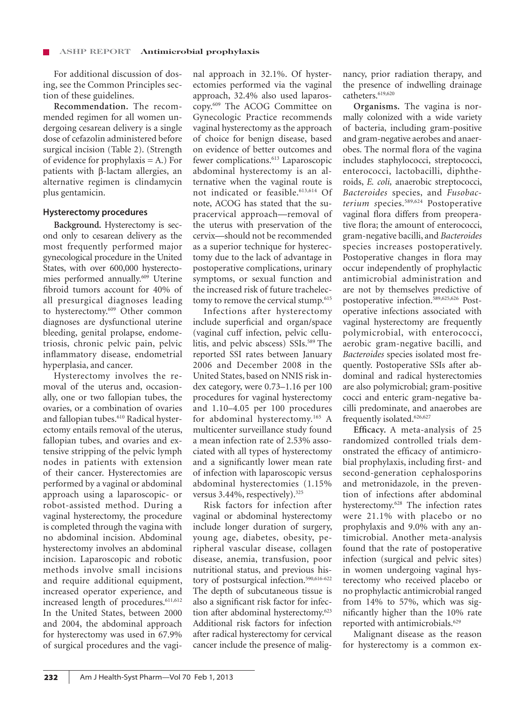For additional discussion of dosing, see the Common Principles section of these guidelines.

**Recommendation.** The recommended regimen for all women undergoing cesarean delivery is a single dose of cefazolin administered before surgical incision (Table 2). (Strength of evidence for prophylaxis  $= A$ .) For patients with  $\beta$ -lactam allergies, an alternative regimen is clindamycin plus gentamicin.

## **Hysterectomy procedures**

**Background.** Hysterectomy is second only to cesarean delivery as the most frequently performed major gynecological procedure in the United States, with over 600,000 hysterectomies performed annually.<sup>609</sup> Uterine fibroid tumors account for 40% of all presurgical diagnoses leading to hysterectomy.609 Other common diagnoses are dysfunctional uterine bleeding, genital prolapse, endometriosis, chronic pelvic pain, pelvic inflammatory disease, endometrial hyperplasia, and cancer.

Hysterectomy involves the removal of the uterus and, occasionally, one or two fallopian tubes, the ovaries, or a combination of ovaries and fallopian tubes.<sup>610</sup> Radical hysterectomy entails removal of the uterus, fallopian tubes, and ovaries and extensive stripping of the pelvic lymph nodes in patients with extension of their cancer. Hysterectomies are performed by a vaginal or abdominal approach using a laparoscopic- or robot-assisted method. During a vaginal hysterectomy, the procedure is completed through the vagina with no abdominal incision. Abdominal hysterectomy involves an abdominal incision. Laparoscopic and robotic methods involve small incisions and require additional equipment, increased operator experience, and increased length of procedures.<sup>611,612</sup> In the United States, between 2000 and 2004, the abdominal approach for hysterectomy was used in 67.9% of surgical procedures and the vaginal approach in 32.1%. Of hysterectomies performed via the vaginal approach, 32.4% also used laparoscopy.609 The ACOG Committee on Gynecologic Practice recommends vaginal hysterectomy as the approach of choice for benign disease, based on evidence of better outcomes and fewer complications.613 Laparoscopic abdominal hysterectomy is an alternative when the vaginal route is not indicated or feasible.613,614 Of note, ACOG has stated that the supracervical approach—removal of the uterus with preservation of the cervix—should not be recommended as a superior technique for hysterectomy due to the lack of advantage in postoperative complications, urinary symptoms, or sexual function and the increased risk of future trachelectomy to remove the cervical stump.<sup>615</sup>

Infections after hysterectomy include superficial and organ/space (vaginal cuff infection, pelvic cellulitis, and pelvic abscess) SSIs.589 The reported SSI rates between January 2006 and December 2008 in the United States, based on NNIS risk index category, were 0.73–1.16 per 100 procedures for vaginal hysterectomy and 1.10–4.05 per 100 procedures for abdominal hysterectomy.165 A multicenter surveillance study found a mean infection rate of 2.53% associated with all types of hysterectomy and a significantly lower mean rate of infection with laparoscopic versus abdominal hysterectomies (1.15% versus 3.44%, respectively**)**. 325

Risk factors for infection after vaginal or abdominal hysterectomy include longer duration of surgery, young age, diabetes, obesity, peripheral vascular disease, collagen disease, anemia, transfusion, poor nutritional status, and previous history of postsurgical infection.590,616-622 The depth of subcutaneous tissue is also a significant risk factor for infection after abdominal hysterectomy.<sup>623</sup> Additional risk factors for infection after radical hysterectomy for cervical cancer include the presence of malignancy, prior radiation therapy, and the presence of indwelling drainage catheters.<sup>619,620</sup>

**Organisms.** The vagina is normally colonized with a wide variety of bacteria, including gram-positive and gram-negative aerobes and anaerobes. The normal flora of the vagina includes staphylococci, streptococci, enterococci, lactobacilli, diphtheroids, *E. coli,* anaerobic streptococci, *Bacteroides* species, and *Fusobacterium s*pecies.589,624 Postoperative vaginal flora differs from preoperative flora; the amount of enterococci, gram-negative bacilli, and *Bacteroides* species increases postoperatively. Postoperative changes in flora may occur independently of prophylactic antimicrobial administration and are not by themselves predictive of postoperative infection.589,625,626 Postoperative infections associated with vaginal hysterectomy are frequently polymicrobial, with enterococci, aerobic gram-negative bacilli, and *Bacteroides* species isolated most frequently. Postoperative SSIs after abdominal and radical hysterectomies are also polymicrobial; gram-positive cocci and enteric gram-negative bacilli predominate, and anaerobes are frequently isolated.626,627

**Efficacy.** A meta-analysis of 25 randomized controlled trials demonstrated the efficacy of antimicrobial prophylaxis, including first- and second-generation cephalosporins and metronidazole, in the prevention of infections after abdominal hysterectomy.628 The infection rates were 21.1% with placebo or no prophylaxis and 9.0% with any antimicrobial. Another meta-analysis found that the rate of postoperative infection (surgical and pelvic sites) in women undergoing vaginal hysterectomy who received placebo or no prophylactic antimicrobial ranged from 14% to 57%, which was significantly higher than the 10% rate reported with antimicrobials.<sup>629</sup>

Malignant disease as the reason for hysterectomy is a common ex-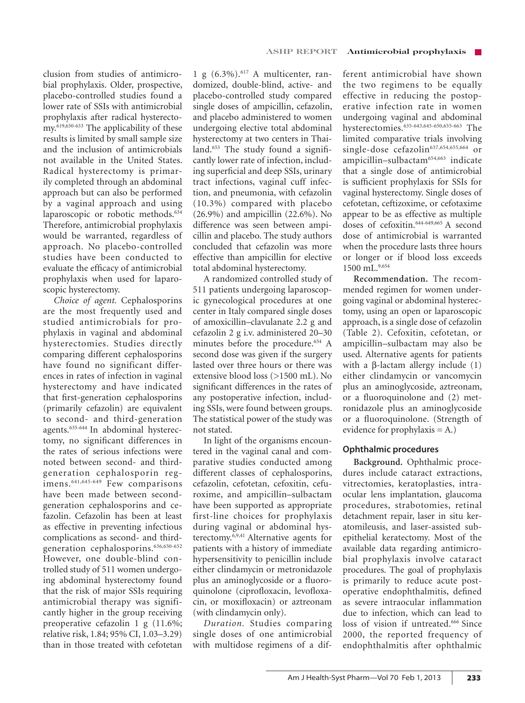clusion from studies of antimicrobial prophylaxis. Older, prospective, placebo-controlled studies found a lower rate of SSIs with antimicrobial prophylaxis after radical hysterectomy.619,630-633 The applicability of these results is limited by small sample size and the inclusion of antimicrobials not available in the United States. Radical hysterectomy is primarily completed through an abdominal approach but can also be performed by a vaginal approach and using laparoscopic or robotic methods.<sup>634</sup> Therefore, antimicrobial prophylaxis would be warranted, regardless of approach. No placebo-controlled studies have been conducted to evaluate the efficacy of antimicrobial prophylaxis when used for laparoscopic hysterectomy.

*Choice of agent.* Cephalosporins are the most frequently used and studied antimicrobials for prophylaxis in vaginal and abdominal hysterectomies. Studies directly comparing different cephalosporins have found no significant differences in rates of infection in vaginal hysterectomy and have indicated that first-generation cephalosporins (primarily cefazolin) are equivalent to second- and third-generation agents.635-644 In abdominal hysterectomy, no significant differences in the rates of serious infections were noted between second- and thirdgeneration cephalosporin regimens.641,645-649 Few comparisons have been made between secondgeneration cephalosporins and cefazolin. Cefazolin has been at least as effective in preventing infectious complications as second- and thirdgeneration cephalosporins.<sup>636,650-652</sup> However, one double-blind controlled study of 511 women undergoing abdominal hysterectomy found that the risk of major SSIs requiring antimicrobial therapy was significantly higher in the group receiving preoperative cefazolin 1 g (11.6%; relative risk, 1.84; 95% CI, 1.03–3.29) than in those treated with cefotetan

1 g  $(6.3\%)$ .<sup>617</sup> A multicenter, randomized, double-blind, active- and placebo-controlled study compared single doses of ampicillin, cefazolin, and placebo administered to women undergoing elective total abdominal hysterectomy at two centers in Thailand.<sup>653</sup> The study found a significantly lower rate of infection, including superficial and deep SSIs, urinary tract infections, vaginal cuff infection, and pneumonia, with cefazolin (10.3%) compared with placebo (26.9%) and ampicillin (22.6%). No difference was seen between ampicillin and placebo. The study authors concluded that cefazolin was more effective than ampicillin for elective total abdominal hysterectomy.

A randomized controlled study of 511 patients undergoing laparoscopic gynecological procedures at one center in Italy compared single doses of amoxicillin–clavulanate 2.2 g and cefazolin 2 g i.v. administered 20–30 minutes before the procedure.<sup>654</sup> A second dose was given if the surgery lasted over three hours or there was extensive blood loss (>1500 mL). No significant differences in the rates of any postoperative infection, including SSIs, were found between groups. The statistical power of the study was not stated.

In light of the organisms encountered in the vaginal canal and comparative studies conducted among different classes of cephalosporins, cefazolin, cefotetan, cefoxitin, cefuroxime, and ampicillin–sulbactam have been supported as appropriate first-line choices for prophylaxis during vaginal or abdominal hysterectomy.6,9,41 Alternative agents for patients with a history of immediate hypersensitivity to penicillin include either clindamycin or metronidazole plus an aminoglycoside or a fluoroquinolone (ciprofloxacin, levofloxacin, or moxifloxacin) or aztreonam (with clindamycin only).

*Duration.* Studies comparing single doses of one antimicrobial with multidose regimens of a different antimicrobial have shown the two regimens to be equally effective in reducing the postoperative infection rate in women undergoing vaginal and abdominal hysterectomies.635-643,645-650,655-663 The limited comparative trials involving single-dose cefazolin<sup>637,654,655,664</sup> or ampicillin–sulbactam654,663 indicate that a single dose of antimicrobial is sufficient prophylaxis for SSIs for vaginal hysterectomy. Single doses of cefotetan, ceftizoxime, or cefotaxime appear to be as effective as multiple doses of cefoxitin.644-649,665 A second dose of antimicrobial is warranted when the procedure lasts three hours or longer or if blood loss exceeds 1500 mL.9,654

**Recommendation.** The recommended regimen for women undergoing vaginal or abdominal hysterectomy, using an open or laparoscopic approach, is a single dose of cefazolin (Table 2). Cefoxitin, cefotetan, or ampicillin–sulbactam may also be used. Alternative agents for patients with a  $\beta$ -lactam allergy include (1) either clindamycin or vancomycin plus an aminoglycoside, aztreonam, or a fluoroquinolone and (2) metronidazole plus an aminoglycoside or a fluoroquinolone. (Strength of evidence for prophylaxis  $= A$ .)

## **Ophthalmic procedures**

**Background.** Ophthalmic procedures include cataract extractions, vitrectomies, keratoplasties, intraocular lens implantation, glaucoma procedures, strabotomies, retinal detachment repair, laser in situ keratomileusis, and laser-assisted subepithelial keratectomy. Most of the available data regarding antimicrobial prophylaxis involve cataract procedures. The goal of prophylaxis is primarily to reduce acute postoperative endophthalmitis, defined as severe intraocular inflammation due to infection, which can lead to loss of vision if untreated.<sup>666</sup> Since 2000, the reported frequency of endophthalmitis after ophthalmic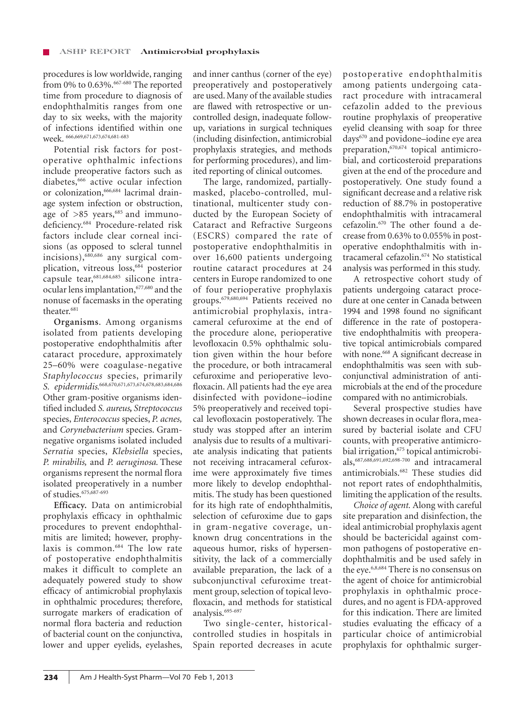procedures is low worldwide, ranging from 0% to 0.63%.<sup>667-680</sup> The reported time from procedure to diagnosis of endophthalmitis ranges from one day to six weeks, with the majority of infections identified within one week. 666,669,671,673,674,681-683

Potential risk factors for postoperative ophthalmic infections include preoperative factors such as diabetes,<sup>666</sup> active ocular infection or colonization,<sup>666,684</sup> lacrimal drainage system infection or obstruction, age of  $>85$  years,  $685$  and immunodeficiency.684 Procedure-related risk factors include clear corneal incisions (as opposed to scleral tunnel incisions),680,686 any surgical complication, vitreous loss,<sup>684</sup> posterior capsule tear,681,684,685 silicone intraocular lens implantation,677,680 and the nonuse of facemasks in the operating theater.<sup>681</sup>

**Organisms**. Among organisms isolated from patients developing postoperative endophthalmitis after cataract procedure, approximately 25–60% were coagulase-negative *Staphylococcus* species, primarily *S. epidermidis.*668,670,671,673,674,678,683,684,686 Other gram-positive organisms identified included *S. aureus, Streptococcus*  species, *Enterococcus* species, *P. acnes,* and *Corynebacterium* species. Gramnegative organisms isolated included *Serratia* species, *Klebsiella* species, *P. mirabilis,* and *P. aeruginosa.* These organisms represent the normal flora isolated preoperatively in a number of studies.675,687-693

**Efficacy.** Data on antimicrobial prophylaxis efficacy in ophthalmic procedures to prevent endophthalmitis are limited; however, prophylaxis is common.684 The low rate of postoperative endophthalmitis makes it difficult to complete an adequately powered study to show efficacy of antimicrobial prophylaxis in ophthalmic procedures; therefore, surrogate markers of eradication of normal flora bacteria and reduction of bacterial count on the conjunctiva, lower and upper eyelids, eyelashes,

and inner canthus (corner of the eye) preoperatively and postoperatively are used. Many of the available studies are flawed with retrospective or uncontrolled design, inadequate followup, variations in surgical techniques (including disinfection, antimicrobial prophylaxis strategies, and methods for performing procedures), and limited reporting of clinical outcomes.

The large, randomized, partiallymasked, placebo-controlled, multinational, multicenter study conducted by the European Society of Cataract and Refractive Surgeons (ESCRS) compared the rate of postoperative endophthalmitis in over 16,600 patients undergoing routine cataract procedures at 24 centers in Europe randomized to one of four perioperative prophylaxis groups.679,680,694 Patients received no antimicrobial prophylaxis, intracameral cefuroxime at the end of the procedure alone, perioperative levofloxacin 0.5% ophthalmic solution given within the hour before the procedure, or both intracameral cefuroxime and perioperative levofloxacin. All patients had the eye area disinfected with povidone–iodine 5% preoperatively and received topical levofloxacin postoperatively. The study was stopped after an interim analysis due to results of a multivariate analysis indicating that patients not receiving intracameral cefuroxime were approximately five times more likely to develop endophthalmitis. The study has been questioned for its high rate of endophthalmitis, selection of cefuroxime due to gaps in gram-negative coverage, unknown drug concentrations in the aqueous humor, risks of hypersensitivity, the lack of a commercially available preparation, the lack of a subconjunctival cefuroxime treatment group, selection of topical levofloxacin, and methods for statistical analysis.<sup>695-697</sup>

Two single-center, historicalcontrolled studies in hospitals in Spain reported decreases in acute postoperative endophthalmitis among patients undergoing cataract procedure with intracameral cefazolin added to the previous routine prophylaxis of preoperative eyelid cleansing with soap for three days670 and povidone–iodine eye area preparation,670,674 topical antimicrobial, and corticosteroid preparations given at the end of the procedure and postoperatively. One study found a significant decrease and a relative risk reduction of 88.7% in postoperative endophthalmitis with intracameral cefazolin.670 The other found a decrease from 0.63% to 0.055% in postoperative endophthalmitis with intracameral cefazolin.674 No statistical analysis was performed in this study.

A retrospective cohort study of patients undergoing cataract procedure at one center in Canada between 1994 and 1998 found no significant difference in the rate of postoperative endophthalmitis with preoperative topical antimicrobials compared with none.<sup>668</sup> A significant decrease in endophthalmitis was seen with subconjunctival administration of antimicrobials at the end of the procedure compared with no antimicrobials.

Several prospective studies have shown decreases in ocular flora, measured by bacterial isolate and CFU counts, with preoperative antimicrobial irrigation,<sup>675</sup> topical antimicrobials,687,688,691,692,698-700 and intracameral antimicrobials.682 These studies did not report rates of endophthalmitis, limiting the application of the results.

*Choice of agent.* Along with careful site preparation and disinfection, the ideal antimicrobial prophylaxis agent should be bactericidal against common pathogens of postoperative endophthalmitis and be used safely in the eye.6,8,684 There is no consensus on the agent of choice for antimicrobial prophylaxis in ophthalmic procedures, and no agent is FDA-approved for this indication. There are limited studies evaluating the efficacy of a particular choice of antimicrobial prophylaxis for ophthalmic surger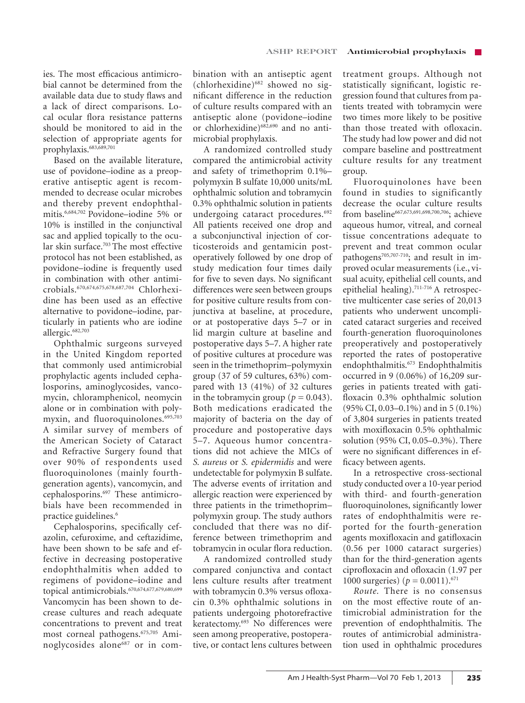ies. The most efficacious antimicrobial cannot be determined from the available data due to study flaws and a lack of direct comparisons. Local ocular flora resistance patterns should be monitored to aid in the selection of appropriate agents for prophylaxis.683,689,701

Based on the available literature, use of povidone–iodine as a preoperative antiseptic agent is recommended to decrease ocular microbes and thereby prevent endophthalmitis.6,684,702 Povidone–iodine 5% or 10% is instilled in the conjunctival sac and applied topically to the ocular skin surface.703 The most effective protocol has not been established, as povidone–iodine is frequently used in combination with other antimicrobials.670,674,675,678,687,704 Chlorhexidine has been used as an effective alternative to povidone–iodine, particularly in patients who are iodine allergic.682,703

Ophthalmic surgeons surveyed in the United Kingdom reported that commonly used antimicrobial prophylactic agents included cephalosporins, aminoglycosides, vancomycin, chloramphenicol, neomycin alone or in combination with polymyxin, and fluoroquinolones.<sup>695,703</sup> A similar survey of members of the American Society of Cataract and Refractive Surgery found that over 90% of respondents used fluoroquinolones (mainly fourthgeneration agents), vancomycin, and cephalosporins.697 These antimicrobials have been recommended in practice guidelines.<sup>6</sup>

Cephalosporins, specifically cefazolin, cefuroxime, and ceftazidime, have been shown to be safe and effective in decreasing postoperative endophthalmitis when added to regimens of povidone–iodine and topical antimicrobials.670,674,677,679,680,699 Vancomycin has been shown to decrease cultures and reach adequate concentrations to prevent and treat most corneal pathogens.675,705 Aminoglycosides alone687 or in combination with an antiseptic agent (chlorhexidine)682 showed no significant difference in the reduction of culture results compared with an antiseptic alone (povidone–iodine or chlorhexidine)682,690 and no antimicrobial prophylaxis.

A randomized controlled study compared the antimicrobial activity and safety of trimethoprim 0.1%– polymyxin B sulfate 10,000 units/mL ophthalmic solution and tobramycin 0.3% ophthalmic solution in patients undergoing cataract procedures.<sup>692</sup> All patients received one drop and a subconjunctival injection of corticosteroids and gentamicin postoperatively followed by one drop of study medication four times daily for five to seven days. No significant differences were seen between groups for positive culture results from conjunctiva at baseline, at procedure, or at postoperative days 5–7 or in lid margin culture at baseline and postoperative days 5–7. A higher rate of positive cultures at procedure was seen in the trimethoprim–polymyxin group (37 of 59 cultures, 63%) compared with 13 (41%) of 32 cultures in the tobramycin group ( $p = 0.043$ ). Both medications eradicated the majority of bacteria on the day of procedure and postoperative days 5–7. Aqueous humor concentrations did not achieve the MICs of *S. aureus* or *S. epidermidis* and were undetectable for polymyxin B sulfate. The adverse events of irritation and allergic reaction were experienced by three patients in the trimethoprim– polymyxin group. The study authors concluded that there was no difference between trimethoprim and tobramycin in ocular flora reduction.

A randomized controlled study compared conjunctiva and contact lens culture results after treatment with tobramycin 0.3% versus ofloxacin 0.3% ophthalmic solutions in patients undergoing photorefractive keratectomy.693 No differences were seen among preoperative, postoperative, or contact lens cultures between

treatment groups. Although not statistically significant, logistic regression found that cultures from patients treated with tobramycin were two times more likely to be positive than those treated with ofloxacin. The study had low power and did not compare baseline and posttreatment culture results for any treatment group.

Fluoroquinolones have been found in studies to significantly decrease the ocular culture results from baseline<sup>667,673,691,698,700,706</sup>; achieve aqueous humor, vitreal, and corneal tissue concentrations adequate to prevent and treat common ocular pathogens<sup>705,707-710</sup>; and result in improved ocular measurements (i.e., visual acuity, epithelial cell counts, and epithelial healing).711-716 A retrospective multicenter case series of 20,013 patients who underwent uncomplicated cataract surgeries and received fourth-generation fluoroquinolones preoperatively and postoperatively reported the rates of postoperative endophthalmitis.<sup>673</sup> Endophthalmitis occurred in 9 (0.06%) of 16,209 surgeries in patients treated with gatifloxacin 0.3% ophthalmic solution (95% CI, 0.03–0.1%) and in 5 (0.1%) of 3,804 surgeries in patients treated with moxifloxacin 0.5% ophthalmic solution (95% CI, 0.05–0.3%). There were no significant differences in efficacy between agents.

In a retrospective cross-sectional study conducted over a 10-year period with third- and fourth-generation fluoroquinolones, significantly lower rates of endophthalmitis were reported for the fourth-generation agents moxifloxacin and gatifloxacin (0.56 per 1000 cataract surgeries) than for the third-generation agents ciprofloxacin and ofloxacin (1.97 per 1000 surgeries) ( $p = 0.0011$ ).<sup>671</sup>

*Route.* There is no consensus on the most effective route of antimicrobial administration for the prevention of endophthalmitis. The routes of antimicrobial administration used in ophthalmic procedures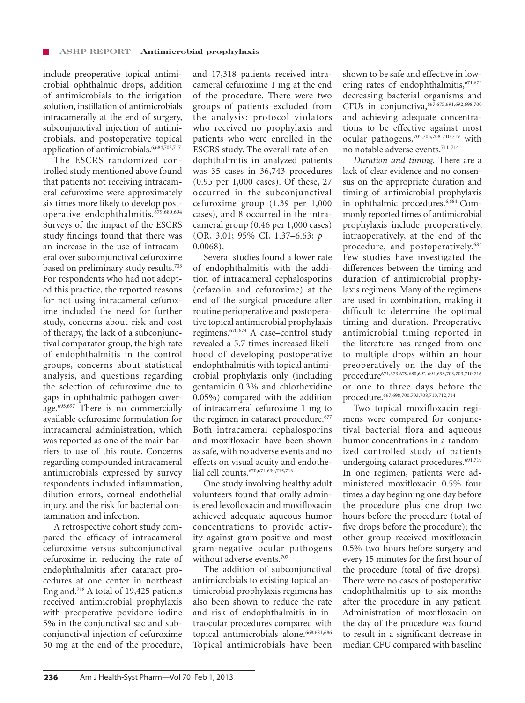include preoperative topical antimicrobial ophthalmic drops, addition of antimicrobials to the irrigation solution, instillation of antimicrobials intracamerally at the end of surgery, subconjunctival injection of antimicrobials, and postoperative topical application of antimicrobials.6,684,702,717

The ESCRS randomized controlled study mentioned above found that patients not receiving intracameral cefuroxime were approximately six times more likely to develop postoperative endophthalmitis.679,680,694 Surveys of the impact of the ESCRS study findings found that there was an increase in the use of intracameral over subconjunctival cefuroxime based on preliminary study results.703 For respondents who had not adopted this practice, the reported reasons for not using intracameral cefuroxime included the need for further study, concerns about risk and cost of therapy, the lack of a subconjunctival comparator group, the high rate of endophthalmitis in the control groups, concerns about statistical analysis, and questions regarding the selection of cefuroxime due to gaps in ophthalmic pathogen coverage.695,697 There is no commercially available cefuroxime formulation for intracameral administration, which was reported as one of the main barriers to use of this route. Concerns regarding compounded intracameral antimicrobials expressed by survey respondents included inflammation, dilution errors, corneal endothelial injury, and the risk for bacterial contamination and infection.

A retrospective cohort study compared the efficacy of intracameral cefuroxime versus subconjunctival cefuroxime in reducing the rate of endophthalmitis after cataract procedures at one center in northeast England.718 A total of 19,425 patients received antimicrobial prophylaxis with preoperative povidone–iodine 5% in the conjunctival sac and subconjunctival injection of cefuroxime 50 mg at the end of the procedure, and 17,318 patients received intracameral cefuroxime 1 mg at the end of the procedure. There were two groups of patients excluded from the analysis: protocol violators who received no prophylaxis and patients who were enrolled in the ESCRS study. The overall rate of endophthalmitis in analyzed patients was 35 cases in 36,743 procedures (0.95 per 1,000 cases). Of these, 27 occurred in the subconjunctival cefuroxime group (1.39 per 1,000 cases), and 8 occurred in the intracameral group (0.46 per 1,000 cases) (OR, 3.01; 95% CI, 1.37–6.63; *p* = 0.0068).

Several studies found a lower rate of endophthalmitis with the addition of intracameral cephalosporins (cefazolin and cefuroxime) at the end of the surgical procedure after routine perioperative and postoperative topical antimicrobial prophylaxis regimens.670,674 A case–control study revealed a 5.7 times increased likelihood of developing postoperative endophthalmitis with topical antimicrobial prophylaxis only (including gentamicin 0.3% and chlorhexidine 0.05%) compared with the addition of intracameral cefuroxime 1 mg to the regimen in cataract procedure.<sup>677</sup> Both intracameral cephalosporins and moxifloxacin have been shown as safe, with no adverse events and no effects on visual acuity and endothelial cell counts.670,674,699,715,716

One study involving healthy adult volunteers found that orally administered levofloxacin and moxifloxacin achieved adequate aqueous humor concentrations to provide activity against gram-positive and most gram-negative ocular pathogens without adverse events.<sup>707</sup>

The addition of subconjunctival antimicrobials to existing topical antimicrobial prophylaxis regimens has also been shown to reduce the rate and risk of endophthalmitis in intraocular procedures compared with topical antimicrobials alone.<sup>668,681,686</sup> Topical antimicrobials have been shown to be safe and effective in lowering rates of endophthalmitis,<sup>671,673</sup> decreasing bacterial organisms and CFUs in conjunctiva,667,675,691,692,698,700 and achieving adequate concentrations to be effective against most ocular pathogens,705,706,708-710,719 with no notable adverse events.711-714

*Duration and timing.* There are a lack of clear evidence and no consensus on the appropriate duration and timing of antimicrobial prophylaxis in ophthalmic procedures.6,684 Commonly reported times of antimicrobial prophylaxis include preoperatively, intraoperatively, at the end of the procedure, and postoperatively.684 Few studies have investigated the differences between the timing and duration of antimicrobial prophylaxis regimens. Many of the regimens are used in combination, making it difficult to determine the optimal timing and duration. Preoperative antimicrobial timing reported in the literature has ranged from one to multiple drops within an hour preoperatively on the day of the procedure671,673,679,680,692-694,698,703,709,710,716 or one to three days before the procedure.667,698,700,703,708,710,712,714

Two topical moxifloxacin regimens were compared for conjunctival bacterial flora and aqueous humor concentrations in a randomized controlled study of patients undergoing cataract procedures.691,719 In one regimen, patients were administered moxifloxacin 0.5% four times a day beginning one day before the procedure plus one drop two hours before the procedure (total of five drops before the procedure); the other group received moxifloxacin 0.5% two hours before surgery and every 15 minutes for the first hour of the procedure (total of five drops). There were no cases of postoperative endophthalmitis up to six months after the procedure in any patient. Administration of moxifloxacin on the day of the procedure was found to result in a significant decrease in median CFU compared with baseline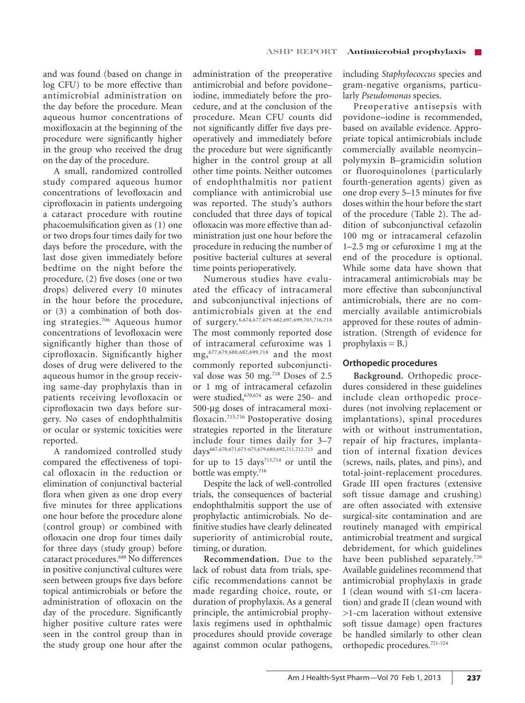and was found (based on change in log CFU) to be more effective than antimicrobial administration on the day before the procedure. Mean aqueous humor concentrations of moxifloxacin at the beginning of the procedure were significantly higher in the group who received the drug on the day of the procedure.

A small, randomized controlled study compared aqueous humor concentrations of levofloxacin and ciprofloxacin in patients undergoing a cataract procedure with routine phacoemulsification given as (1) one or two drops four times daily for two days before the procedure, with the last dose given immediately before bedtime on the night before the procedure, (2) five doses (one or two drops) delivered every 10 minutes in the hour before the procedure, or (3) a combination of both dosing strategies.706 Aqueous humor concentrations of levofloxacin were significantly higher than those of ciprofloxacin. Significantly higher doses of drug were delivered to the aqueous humor in the group receiving same-day prophylaxis than in patients receiving levofloxacin or ciprofloxacin two days before surgery. No cases of endophthalmitis or ocular or systemic toxicities were reported.

A randomized controlled study compared the effectiveness of topical ofloxacin in the reduction or elimination of conjunctival bacterial flora when given as one drop every five minutes for three applications one hour before the procedure alone (control group) or combined with ofloxacin one drop four times daily for three days (study group) before cataract procedures.688 No differences in positive conjunctival cultures were seen between groups five days before topical antimicrobials or before the administration of ofloxacin on the day of the procedure. Significantly higher positive culture rates were seen in the control group than in the study group one hour after the

administration of the preoperative antimicrobial and before povidone– iodine, immediately before the procedure, and at the conclusion of the procedure. Mean CFU counts did not significantly differ five days preoperatively and immediately before the procedure but were significantly higher in the control group at all other time points. Neither outcomes of endophthalmitis nor patient compliance with antimicrobial use was reported. The study's authors concluded that three days of topical ofloxacin was more effective than administration just one hour before the procedure in reducing the number of positive bacterial cultures at several time points perioperatively.

Numerous studies have evaluated the efficacy of intracameral and subconjunctival injections of antimicrobials given at the end of surgery.6,674,677,679-682,697,699,703,716,718 The most commonly reported dose of intracameral cefuroxime was 1 mg,677,679,680,682,699,718 and the most commonly reported subconjunctival dose was 50 mg.<sup>718</sup> Doses of 2.5 or 1 mg of intracameral cefazolin were studied,<sup>670,674</sup> as were 250- and 500-µg doses of intracameral moxifloxacin.715,716 Postoperative dosing strategies reported in the literature include four times daily for 3–7 days667,670,671,673-675,679,680,692,711,712,715 and for up to  $15 \text{ days}^{713,714}$  or until the bottle was empty.<sup>716</sup>

Despite the lack of well-controlled trials, the consequences of bacterial endophthalmitis support the use of prophylactic antimicrobials. No definitive studies have clearly delineated superiority of antimicrobial route, timing, or duration.

**Recommendation.** Due to the lack of robust data from trials, specific recommendations cannot be made regarding choice, route, or duration of prophylaxis. As a general principle, the antimicrobial prophylaxis regimens used in ophthalmic procedures should provide coverage against common ocular pathogens,

including *Staphylococcus* species and gram-negative organisms, particularly *Pseudomonas* species.

Preoperative antisepsis with povidone–iodine is recommended, based on available evidence. Appropriate topical antimicrobials include commercially available neomycin– polymyxin B–gramicidin solution or fluoroquinolones (particularly fourth-generation agents) given as one drop every 5–15 minutes for five doses within the hour before the start of the procedure (Table 2). The addition of subconjunctival cefazolin 100 mg or intracameral cefazolin 1–2.5 mg or cefuroxime 1 mg at the end of the procedure is optional. While some data have shown that intracameral antimicrobials may be more effective than subconjunctival antimicrobials, there are no commercially available antimicrobials approved for these routes of administration. (Strength of evidence for  $prophylaxis = B.$ )

## **Orthopedic procedures**

**Background.** Orthopedic procedures considered in these guidelines include clean orthopedic procedures (not involving replacement or implantations), spinal procedures with or without instrumentation, repair of hip fractures, implantation of internal fixation devices (screws, nails, plates, and pins), and total-joint-replacement procedures. Grade III open fractures (extensive soft tissue damage and crushing) are often associated with extensive surgical-site contamination and are routinely managed with empirical antimicrobial treatment and surgical debridement, for which guidelines have been published separately.<sup>720</sup> Available guidelines recommend that antimicrobial prophylaxis in grade I (clean wound with ≤1-cm laceration) and grade II (clean wound with >1-cm laceration without extensive soft tissue damage) open fractures be handled similarly to other clean orthopedic procedures.721-724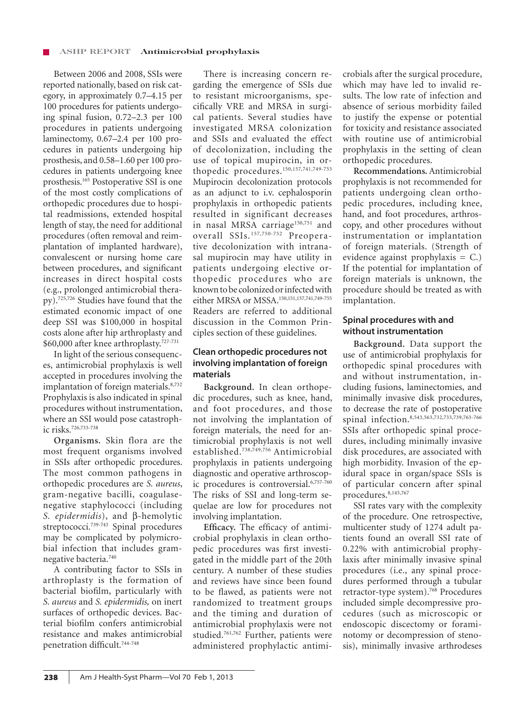Between 2006 and 2008, SSIs were reported nationally, based on risk category, in approximately 0.7–4.15 per 100 procedures for patients undergoing spinal fusion, 0.72–2.3 per 100 procedures in patients undergoing laminectomy, 0.67–2.4 per 100 procedures in patients undergoing hip prosthesis, and 0.58–1.60 per 100 procedures in patients undergoing knee prosthesis.165 Postoperative SSI is one of the most costly complications of orthopedic procedures due to hospital readmissions, extended hospital length of stay, the need for additional procedures (often removal and reimplantation of implanted hardware), convalescent or nursing home care between procedures, and significant increases in direct hospital costs (e.g., prolonged antimicrobial therapy).725,726 Studies have found that the estimated economic impact of one deep SSI was \$100,000 in hospital costs alone after hip arthroplasty and \$60,000 after knee arthroplasty.727-731

In light of the serious consequences, antimicrobial prophylaxis is well accepted in procedures involving the implantation of foreign materials.<sup>8,732</sup> Prophylaxis is also indicated in spinal procedures without instrumentation, where an SSI would pose catastrophic risks.726,733-738

**Organisms.** Skin flora are the most frequent organisms involved in SSIs after orthopedic procedures. The most common pathogens in orthopedic procedures are *S. aureus*, gram-negative bacilli, coagulasenegative staphylococci (including *S. epidermidis*), and β-hemolytic streptococci.<sup>739-743</sup> Spinal procedures may be complicated by polymicrobial infection that includes gramnegative bacteria.740

A contributing factor to SSIs in arthroplasty is the formation of bacterial biofilm, particularly with *S. aureus* and *S. epidermidis,* on inert surfaces of orthopedic devices. Bacterial biofilm confers antimicrobial resistance and makes antimicrobial penetration difficult.744-748

There is increasing concern regarding the emergence of SSIs due to resistant microorganisms, specifically VRE and MRSA in surgical patients. Several studies have investigated MRSA colonization and SSIs and evaluated the effect of decolonization, including the use of topical mupirocin, in orthopedic procedures.150,157,741,749-753 Mupirocin decolonization protocols as an adjunct to i.v. cephalosporin prophylaxis in orthopedic patients resulted in significant decreases in nasal MRSA carriage<sup>150,751</sup> and overall SSIs. 157,750-752 Preoperative decolonization with intranasal mupirocin may have utility in patients undergoing elective orthopedic procedures who are known to be colonized or infected with either MRSA or MSSA.150,151,157,741,749-755 Readers are referred to additional discussion in the Common Principles section of these guidelines.

# **Clean orthopedic procedures not involving implantation of foreign materials**

**Background.** In clean orthopedic procedures, such as knee, hand, and foot procedures, and those not involving the implantation of foreign materials, the need for antimicrobial prophylaxis is not well established.738,749,756 Antimicrobial prophylaxis in patients undergoing diagnostic and operative arthroscopic procedures is controversial.6,757-760 The risks of SSI and long-term sequelae are low for procedures not involving implantation.

**Efficacy.** The efficacy of antimicrobial prophylaxis in clean orthopedic procedures was first investigated in the middle part of the 20th century. A number of these studies and reviews have since been found to be flawed, as patients were not randomized to treatment groups and the timing and duration of antimicrobial prophylaxis were not studied.761,762 Further, patients were administered prophylactic antimicrobials after the surgical procedure, which may have led to invalid results. The low rate of infection and absence of serious morbidity failed to justify the expense or potential for toxicity and resistance associated with routine use of antimicrobial prophylaxis in the setting of clean orthopedic procedures.

**Recommendations.** Antimicrobial prophylaxis is not recommended for patients undergoing clean orthopedic procedures, including knee, hand, and foot procedures, arthroscopy, and other procedures without instrumentation or implantation of foreign materials. (Strength of evidence against prophylaxis  $= C.$ ) If the potential for implantation of foreign materials is unknown, the procedure should be treated as with implantation.

# **Spinal procedures with and without instrumentation**

**Background.** Data support the use of antimicrobial prophylaxis for orthopedic spinal procedures with and without instrumentation, including fusions, laminectomies, and minimally invasive disk procedures, to decrease the rate of postoperative spinal infection.8,543,563,732,733,739,763-766 SSIs after orthopedic spinal procedures, including minimally invasive disk procedures, are associated with high morbidity. Invasion of the epidural space in organ/space SSIs is of particular concern after spinal procedures.8,145,767

SSI rates vary with the complexity of the procedure. One retrospective, multicenter study of 1274 adult patients found an overall SSI rate of 0.22% with antimicrobial prophylaxis after minimally invasive spinal procedures (i.e., any spinal procedures performed through a tubular retractor-type system).768 Procedures included simple decompressive procedures (such as microscopic or endoscopic discectomy or foraminotomy or decompression of stenosis), minimally invasive arthrodeses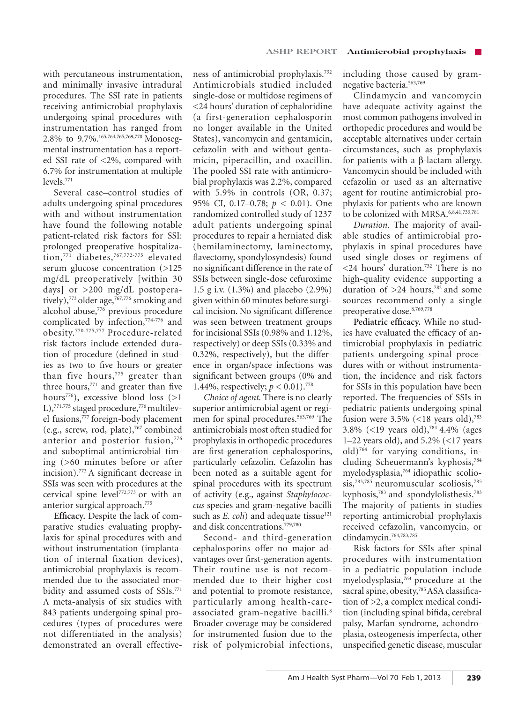with percutaneous instrumentation, and minimally invasive intradural procedures. The SSI rate in patients receiving antimicrobial prophylaxis undergoing spinal procedures with instrumentation has ranged from 2.8% to 9.7%.165,764,765,769,770 Monosegmental instrumentation has a reported SSI rate of <2%, compared with 6.7% for instrumentation at multiple levels.771

Several case–control studies of adults undergoing spinal procedures with and without instrumentation have found the following notable patient-related risk factors for SSI: prolonged preoperative hospitalization,771 diabetes,767,772-775 elevated serum glucose concentration (>125 mg/dL preoperatively [within 30 days] or >200 mg/dL postoperatively),<sup>773</sup> older age,<sup>767,776</sup> smoking and alcohol abuse,776 previous procedure complicated by infection, 774-776 and obesity.770-775,777 Procedure-related risk factors include extended duration of procedure (defined in studies as two to five hours or greater than five hours,<sup>775</sup> greater than three hours,<sup>771</sup> and greater than five hours<sup>776</sup>), excessive blood loss (>1 L),<sup>771,775</sup> staged procedure,<sup>776</sup> multilevel fusions,777 foreign-body placement (e.g., screw, rod, plate),<sup>767</sup> combined anterior and posterior fusion,<sup>776</sup> and suboptimal antimicrobial timing (>60 minutes before or after incision).773 A significant decrease in SSIs was seen with procedures at the cervical spine level772,773 or with an anterior surgical approach.775

**Efficacy.** Despite the lack of comparative studies evaluating prophylaxis for spinal procedures with and without instrumentation (implantation of internal fixation devices), antimicrobial prophylaxis is recommended due to the associated morbidity and assumed costs of SSIs.771 A meta-analysis of six studies with 843 patients undergoing spinal procedures (types of procedures were not differentiated in the analysis) demonstrated an overall effectiveness of antimicrobial prophylaxis.732 Antimicrobials studied included single-dose or multidose regimens of <24 hours' duration of cephaloridine (a first-generation cephalosporin no longer available in the United States), vancomycin and gentamicin, cefazolin with and without gentamicin, piperacillin, and oxacillin. The pooled SSI rate with antimicrobial prophylaxis was 2.2%, compared with 5.9% in controls (OR, 0.37; 95% CI, 0.17–0.78; *p* < 0.01). One randomized controlled study of 1237 adult patients undergoing spinal procedures to repair a herniated disk (hemilaminectomy, laminectomy, flavectomy, spondylosyndesis) found no significant difference in the rate of SSIs between single-dose cefuroxime 1.5 g i.v. (1.3%) and placebo (2.9%) given within 60 minutes before surgical incision. No significant difference was seen between treatment groups for incisional SSIs (0.98% and 1.12%, respectively) or deep SSIs (0.33% and 0.32%, respectively), but the difference in organ/space infections was significant between groups (0% and 1.44%, respectively;  $p < 0.01$ ).<sup>778</sup>

*Choice of agent.* There is no clearly superior antimicrobial agent or regimen for spinal procedures.<sup>563,769</sup> The antimicrobials most often studied for prophylaxis in orthopedic procedures are first-generation cephalosporins, particularly cefazolin. Cefazolin has been noted as a suitable agent for spinal procedures with its spectrum of activity (e.g., against *Staphylococcus* species and gram-negative bacilli such as *E. coli*) and adequate tissue<sup>121</sup> and disk concentrations.779,780

Second- and third-generation cephalosporins offer no major advantages over first-generation agents. Their routine use is not recommended due to their higher cost and potential to promote resistance, particularly among health-careassociated gram-negative bacilli.8 Broader coverage may be considered for instrumented fusion due to the risk of polymicrobial infections,

including those caused by gramnegative bacteria.563,769

Clindamycin and vancomycin have adequate activity against the most common pathogens involved in orthopedic procedures and would be acceptable alternatives under certain circumstances, such as prophylaxis for patients with a  $\beta$ -lactam allergy. Vancomycin should be included with cefazolin or used as an alternative agent for routine antimicrobial prophylaxis for patients who are known to be colonized with MRSA.6,8,41,733,781

*Duration.* The majority of available studies of antimicrobial prophylaxis in spinal procedures have used single doses or regimens of <24 hours' duration.732 There is no high-quality evidence supporting a duration of  $>24$  hours,<sup>782</sup> and some sources recommend only a single preoperative dose.<sup>8,769,778</sup>

**Pediatric efficacy.** While no studies have evaluated the efficacy of antimicrobial prophylaxis in pediatric patients undergoing spinal procedures with or without instrumentation, the incidence and risk factors for SSIs in this population have been reported. The frequencies of SSIs in pediatric patients undergoing spinal fusion were 3.5% (<18 years old),<sup>783</sup> 3.8% (<19 years old),784 4.4% (ages 1–22 years old), and 5.2% (<17 years old)764 for varying conditions, including Scheuermann's kyphosis,784 myelodysplasia,764 idiopathic scoliosis,783,785 neuromuscular scoliosis,785 kyphosis,783 and spondylolisthesis.783 The majority of patients in studies reporting antimicrobial prophylaxis received cefazolin, vancomycin, or clindamycin.764,783,785

Risk factors for SSIs after spinal procedures with instrumentation in a pediatric population include myelodysplasia,<sup>764</sup> procedure at the sacral spine, obesity,<sup>785</sup> ASA classification of >2, a complex medical condition (including spinal bifida, cerebral palsy, Marfan syndrome, achondroplasia, osteogenesis imperfecta, other unspecified genetic disease, muscular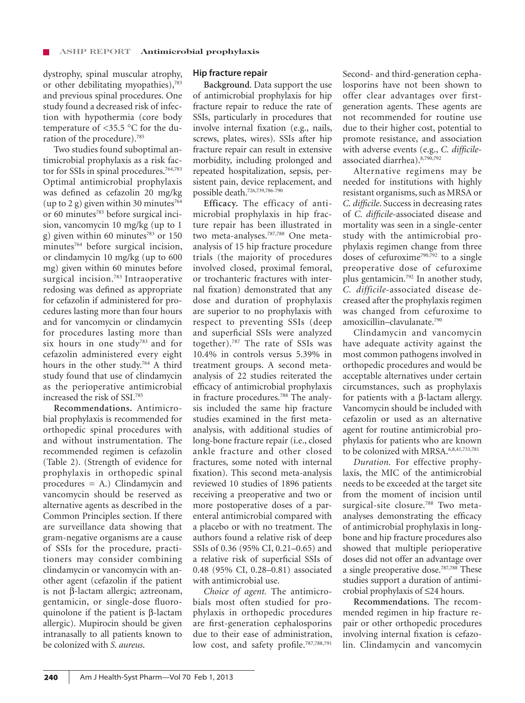dystrophy, spinal muscular atrophy, or other debilitating myopathies),<sup>783</sup> and previous spinal procedures. One study found a decreased risk of infection with hypothermia (core body temperature of <35.5 °C for the duration of the procedure).785

Two studies found suboptimal antimicrobial prophylaxis as a risk factor for SSIs in spinal procedures.<sup>764,783</sup> Optimal antimicrobial prophylaxis was defined as cefazolin 20 mg/kg (up to 2 g) given within 30 minutes<sup>764</sup> or 60 minutes<sup>783</sup> before surgical incision, vancomycin 10 mg/kg (up to 1 g) given within 60 minutes $783$  or 150 minutes<sup>764</sup> before surgical incision, or clindamycin 10 mg/kg (up to 600 mg) given within 60 minutes before surgical incision.783 Intraoperative redosing was defined as appropriate for cefazolin if administered for procedures lasting more than four hours and for vancomycin or clindamycin for procedures lasting more than six hours in one study783 and for cefazolin administered every eight hours in the other study.<sup>764</sup> A third study found that use of clindamycin as the perioperative antimicrobial increased the risk of SSI.785

**Recommendations.** Antimicrobial prophylaxis is recommended for orthopedic spinal procedures with and without instrumentation. The recommended regimen is cefazolin (Table 2). (Strength of evidence for prophylaxis in orthopedic spinal procedures = A.) Clindamycin and vancomycin should be reserved as alternative agents as described in the Common Principles section. If there are surveillance data showing that gram-negative organisms are a cause of SSIs for the procedure, practitioners may consider combining clindamycin or vancomycin with another agent (cefazolin if the patient is not  $\beta$ -lactam allergic; aztreonam, gentamicin, or single-dose fluoroquinolone if the patient is  $\beta$ -lactam allergic). Mupirocin should be given intranasally to all patients known to be colonized with *S. aureus*.

#### **Hip fracture repair**

**Background**. Data support the use of antimicrobial prophylaxis for hip fracture repair to reduce the rate of SSIs, particularly in procedures that involve internal fixation (e.g., nails, screws, plates, wires). SSIs after hip fracture repair can result in extensive morbidity, including prolonged and repeated hospitalization, sepsis, persistent pain, device replacement, and possible death.726,739,786-790

**Efficacy.** The efficacy of antimicrobial prophylaxis in hip fracture repair has been illustrated in two meta-analyses.787,788 One metaanalysis of 15 hip fracture procedure trials (the majority of procedures involved closed, proximal femoral, or trochanteric fractures with internal fixation) demonstrated that any dose and duration of prophylaxis are superior to no prophylaxis with respect to preventing SSIs (deep and superficial SSIs were analyzed together).787 The rate of SSIs was 10.4% in controls versus 5.39% in treatment groups. A second metaanalysis of 22 studies reiterated the efficacy of antimicrobial prophylaxis in fracture procedures.788 The analysis included the same hip fracture studies examined in the first metaanalysis, with additional studies of long-bone fracture repair (i.e., closed ankle fracture and other closed fractures, some noted with internal fixation). This second meta-analysis reviewed 10 studies of 1896 patients receiving a preoperative and two or more postoperative doses of a parenteral antimicrobial compared with a placebo or with no treatment. The authors found a relative risk of deep SSIs of 0.36 (95% CI, 0.21–0.65) and a relative risk of superficial SSIs of 0.48 (95% CI, 0.28–0.81) associated with antimicrobial use.

*Choice of agent.* The antimicrobials most often studied for prophylaxis in orthopedic procedures are first-generation cephalosporins due to their ease of administration, low cost, and safety profile.<sup>787,788,791</sup> Second- and third-generation cephalosporins have not been shown to offer clear advantages over firstgeneration agents. These agents are not recommended for routine use due to their higher cost, potential to promote resistance, and association with adverse events (e.g., *C. difficile*associated diarrhea).8,790,792

Alternative regimens may be needed for institutions with highly resistant organisms, such as MRSA or *C. difficile*. Success in decreasing rates of *C. difficile*-associated disease and mortality was seen in a single-center study with the antimicrobial prophylaxis regimen change from three doses of cefuroxime<sup>790,792</sup> to a single preoperative dose of cefuroxime plus gentamicin.792 In another study, *C. difficile*-associated disease decreased after the prophylaxis regimen was changed from cefuroxime to amoxicillin–clavulanate.790

Clindamycin and vancomycin have adequate activity against the most common pathogens involved in orthopedic procedures and would be acceptable alternatives under certain circumstances, such as prophylaxis for patients with a  $\beta$ -lactam allergy. Vancomycin should be included with cefazolin or used as an alternative agent for routine antimicrobial prophylaxis for patients who are known to be colonized with MRSA.6,8,41,733,781

*Duration.* For effective prophylaxis, the MIC of the antimicrobial needs to be exceeded at the target site from the moment of incision until surgical-site closure.788 Two metaanalyses demonstrating the efficacy of antimicrobial prophylaxis in longbone and hip fracture procedures also showed that multiple perioperative doses did not offer an advantage over a single preoperative dose.787,788 These studies support a duration of antimicrobial prophylaxis of ≤24 hours.

**Recommendations.** The recommended regimen in hip fracture repair or other orthopedic procedures involving internal fixation is cefazolin. Clindamycin and vancomycin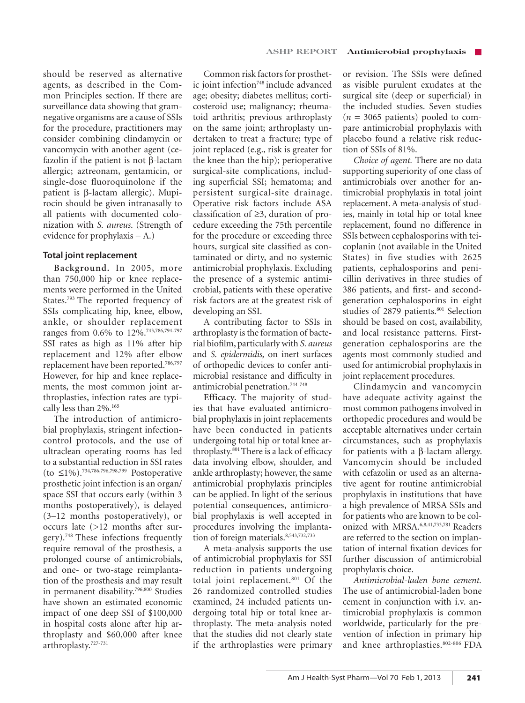should be reserved as alternative agents, as described in the Common Principles section. If there are surveillance data showing that gramnegative organisms are a cause of SSIs for the procedure, practitioners may consider combining clindamycin or vancomycin with another agent (cefazolin if the patient is not  $\beta$ -lactam allergic; aztreonam, gentamicin, or single-dose fluoroquinolone if the patient is  $\beta$ -lactam allergic). Mupirocin should be given intranasally to all patients with documented colonization with *S. aureus*. (Strength of evidence for prophylaxis  $= A.$ )

### **Total joint replacement**

**Background.** In 2005, more than 750,000 hip or knee replacements were performed in the United States.793 The reported frequency of SSIs complicating hip, knee, elbow, ankle, or shoulder replacement ranges from 0.6% to 12%.743,786,794-797 SSI rates as high as 11% after hip replacement and 12% after elbow replacement have been reported.786,797 However, for hip and knee replacements, the most common joint arthroplasties, infection rates are typically less than 2%.165

The introduction of antimicrobial prophylaxis, stringent infectioncontrol protocols, and the use of ultraclean operating rooms has led to a substantial reduction in SSI rates (to ≤1%).734,786,796,798,799 Postoperative prosthetic joint infection is an organ/ space SSI that occurs early (within 3 months postoperatively), is delayed (3–12 months postoperatively), or occurs late (>12 months after surgery).748 These infections frequently require removal of the prosthesis, a prolonged course of antimicrobials, and one- or two-stage reimplantation of the prosthesis and may result in permanent disability.796,800 Studies have shown an estimated economic impact of one deep SSI of \$100,000 in hospital costs alone after hip arthroplasty and \$60,000 after knee arthroplasty.727-731

Common risk factors for prosthetic joint infection<sup>748</sup> include advanced age; obesity; diabetes mellitus; corticosteroid use; malignancy; rheumatoid arthritis; previous arthroplasty on the same joint; arthroplasty undertaken to treat a fracture; type of joint replaced (e.g., risk is greater for the knee than the hip); perioperative surgical-site complications, including superficial SSI; hematoma; and persistent surgical-site drainage. Operative risk factors include ASA classification of ≥3, duration of procedure exceeding the 75th percentile for the procedure or exceeding three hours, surgical site classified as contaminated or dirty, and no systemic antimicrobial prophylaxis. Excluding the presence of a systemic antimicrobial, patients with these operative risk factors are at the greatest risk of developing an SSI.

A contributing factor to SSIs in arthroplasty is the formation of bacterial biofilm, particularly with *S. aureus* and *S. epidermidis,* on inert surfaces of orthopedic devices to confer antimicrobial resistance and difficulty in antimicrobial penetration.744-748

**Efficacy.** The majority of studies that have evaluated antimicrobial prophylaxis in joint replacements have been conducted in patients undergoing total hip or total knee arthroplasty.801 There is a lack of efficacy data involving elbow, shoulder, and ankle arthroplasty; however, the same antimicrobial prophylaxis principles can be applied. In light of the serious potential consequences, antimicrobial prophylaxis is well accepted in procedures involving the implantation of foreign materials. 8,543,732,733

A meta-analysis supports the use of antimicrobial prophylaxis for SSI reduction in patients undergoing total joint replacement.<sup>801</sup> Of the 26 randomized controlled studies examined, 24 included patients undergoing total hip or total knee arthroplasty. The meta-analysis noted that the studies did not clearly state if the arthroplasties were primary

or revision. The SSIs were defined as visible purulent exudates at the surgical site (deep or superficial) in the included studies. Seven studies  $(n = 3065 \text{ patients})$  pooled to compare antimicrobial prophylaxis with placebo found a relative risk reduction of SSIs of 81%.

*Choice of agent.* There are no data supporting superiority of one class of antimicrobials over another for antimicrobial prophylaxis in total joint replacement. A meta-analysis of studies, mainly in total hip or total knee replacement, found no difference in SSIs between cephalosporins with teicoplanin (not available in the United States) in five studies with 2625 patients, cephalosporins and penicillin derivatives in three studies of 386 patients, and first- and secondgeneration cephalosporins in eight studies of 2879 patients.<sup>801</sup> Selection should be based on cost, availability, and local resistance patterns. Firstgeneration cephalosporins are the agents most commonly studied and used for antimicrobial prophylaxis in joint replacement procedures.

Clindamycin and vancomycin have adequate activity against the most common pathogens involved in orthopedic procedures and would be acceptable alternatives under certain circumstances, such as prophylaxis for patients with a  $\beta$ -lactam allergy. Vancomycin should be included with cefazolin or used as an alternative agent for routine antimicrobial prophylaxis in institutions that have a high prevalence of MRSA SSIs and for patients who are known to be colonized with MRSA.6,8,41,733,781 Readers are referred to the section on implantation of internal fixation devices for further discussion of antimicrobial prophylaxis choice.

*Antimicrobial-laden bone cement.* The use of antimicrobial-laden bone cement in conjunction with i.v. antimicrobial prophylaxis is common worldwide, particularly for the prevention of infection in primary hip and knee arthroplasties.<sup>802-806</sup> FDA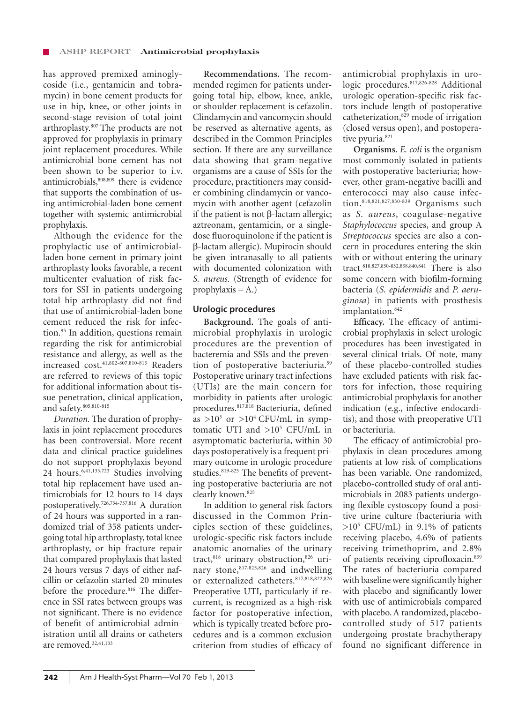has approved premixed aminoglycoside (i.e., gentamicin and tobramycin) in bone cement products for use in hip, knee, or other joints in second-stage revision of total joint arthroplasty.807 The products are not approved for prophylaxis in primary joint replacement procedures. While antimicrobial bone cement has not been shown to be superior to i.v. antimicrobials,808,809 there is evidence that supports the combination of using antimicrobial-laden bone cement together with systemic antimicrobial prophylaxis.

Although the evidence for the prophylactic use of antimicrobialladen bone cement in primary joint arthroplasty looks favorable, a recent multicenter evaluation of risk factors for SSI in patients undergoing total hip arthroplasty did not find that use of antimicrobial-laden bone cement reduced the risk for infection.95 In addition, questions remain regarding the risk for antimicrobial resistance and allergy, as well as the increased cost.41,802-807,810-813 Readers are referred to reviews of this topic for additional information about tissue penetration, clinical application, and safety.805,810-815

*Duration.* The duration of prophylaxis in joint replacement procedures has been controversial. More recent data and clinical practice guidelines do not support prophylaxis beyond 24 hours.6,41,133,723 Studies involving total hip replacement have used antimicrobials for 12 hours to 14 days postoperatively.726,734-737,816 A duration of 24 hours was supported in a randomized trial of 358 patients undergoing total hip arthroplasty, total knee arthroplasty, or hip fracture repair that compared prophylaxis that lasted 24 hours versus 7 days of either nafcillin or cefazolin started 20 minutes before the procedure.<sup>816</sup> The difference in SSI rates between groups was not significant. There is no evidence of benefit of antimicrobial administration until all drains or catheters are removed.<sup>32,41,133</sup>

**Recommendations.** The recommended regimen for patients undergoing total hip, elbow, knee, ankle, or shoulder replacement is cefazolin. Clindamycin and vancomycin should be reserved as alternative agents, as described in the Common Principles section. If there are any surveillance data showing that gram-negative organisms are a cause of SSIs for the procedure, practitioners may consider combining clindamycin or vancomycin with another agent (cefazolin if the patient is not  $\beta$ -lactam allergic; aztreonam, gentamicin, or a singledose fluoroquinolone if the patient is b-lactam allergic). Mupirocin should be given intranasally to all patients with documented colonization with *S. aureus*. (Strength of evidence for  $prophylaxis = A.$ )

# **Urologic procedures**

**Background.** The goals of antimicrobial prophylaxis in urologic procedures are the prevention of bacteremia and SSIs and the prevention of postoperative bacteriuria.59 Postoperative urinary tract infections (UTIs) are the main concern for morbidity in patients after urologic procedures.817,818 Bacteriuria, defined as  $>10^3$  or  $>10^4$  CFU/mL in symptomatic UTI and >105 CFU/mL in asymptomatic bacteriuria, within 30 days postoperatively is a frequent primary outcome in urologic procedure studies.<sup>819-825</sup> The benefits of preventing postoperative bacteriuria are not clearly known.825

In addition to general risk factors discussed in the Common Principles section of these guidelines, urologic-specific risk factors include anatomic anomalies of the urinary tract,<sup>818</sup> urinary obstruction,<sup>826</sup> urinary stone,<sup>817,825,826</sup> and indwelling or externalized catheters.817,818,822,826 Preoperative UTI, particularly if recurrent, is recognized as a high-risk factor for postoperative infection, which is typically treated before procedures and is a common exclusion criterion from studies of efficacy of antimicrobial prophylaxis in urologic procedures.817,826-828 Additional urologic operation-specific risk factors include length of postoperative catheterization,829 mode of irrigation (closed versus open), and postoperative pyuria.<sup>821</sup>

**Organisms.** *E. coli* is the organism most commonly isolated in patients with postoperative bacteriuria; however, other gram-negative bacilli and enterococci may also cause infection.818,821,827,830-839 Organisms such as *S. aureus*, coagulase-negative *Staphylococcus* species, and group A *Streptococcus* species are also a concern in procedures entering the skin with or without entering the urinary tract.818,827,830-832,838,840,841 There is also some concern with biofilm-forming bacteria (*S. epidermidis* and *P. aeruginosa*) in patients with prosthesis implantation.<sup>842</sup>

**Efficacy.** The efficacy of antimicrobial prophylaxis in select urologic procedures has been investigated in several clinical trials. Of note, many of these placebo-controlled studies have excluded patients with risk factors for infection, those requiring antimicrobial prophylaxis for another indication (e.g., infective endocarditis), and those with preoperative UTI or bacteriuria.

The efficacy of antimicrobial prophylaxis in clean procedures among patients at low risk of complications has been variable. One randomized, placebo-controlled study of oral antimicrobials in 2083 patients undergoing flexible cystoscopy found a positive urine culture (bacteriuria with  $>10^5$  CFU/mL) in 9.1% of patients receiving placebo, 4.6% of patients receiving trimethoprim, and 2.8% of patients receiving ciprofloxacin.839 The rates of bacteriuria compared with baseline were significantly higher with placebo and significantly lower with use of antimicrobials compared with placebo. A randomized, placebocontrolled study of 517 patients undergoing prostate brachytherapy found no significant difference in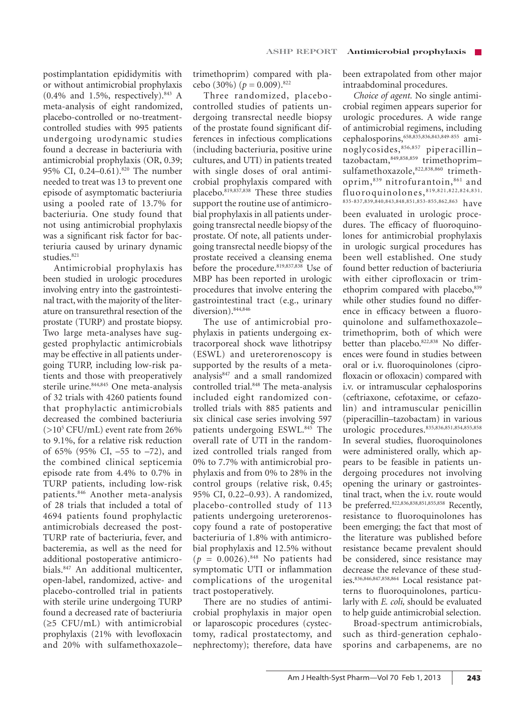postimplantation epididymitis with or without antimicrobial prophylaxis  $(0.4\%$  and 1.5%, respectively).<sup>843</sup> A meta-analysis of eight randomized, placebo-controlled or no-treatmentcontrolled studies with 995 patients undergoing urodynamic studies found a decrease in bacteriuria with antimicrobial prophylaxis (OR, 0.39; 95% CI, 0.24-0.61).<sup>820</sup> The number needed to treat was 13 to prevent one episode of asymptomatic bacteriuria using a pooled rate of 13.7% for bacteriuria. One study found that not using antimicrobial prophylaxis was a significant risk factor for bacteriuria caused by urinary dynamic studies.<sup>821</sup>

Antimicrobial prophylaxis has been studied in urologic procedures involving entry into the gastrointestinal tract, with the majority of the literature on transurethral resection of the prostate (TURP) and prostate biopsy. Two large meta-analyses have suggested prophylactic antimicrobials may be effective in all patients undergoing TURP, including low-risk patients and those with preoperatively sterile urine. 844,845 One meta-analysis of 32 trials with 4260 patients found that prophylactic antimicrobials decreased the combined bacteriuria  $(>10^5$  CFU/mL) event rate from 26% to 9.1%, for a relative risk reduction of 65% (95% CI, –55 to –72), and the combined clinical septicemia episode rate from 4.4% to 0.7% in TURP patients, including low-risk patients.846 Another meta-analysis of 28 trials that included a total of 4694 patients found prophylactic antimicrobials decreased the post-TURP rate of bacteriuria, fever, and bacteremia, as well as the need for additional postoperative antimicrobials.847 An additional multicenter, open-label, randomized, active- and placebo-controlled trial in patients with sterile urine undergoing TURP found a decreased rate of bacteriuria (≥5 CFU/mL) with antimicrobial prophylaxis (21% with levofloxacin and 20% with sulfamethoxazole–

trimethoprim) compared with placebo (30%) ( $p = 0.009$ ).<sup>822</sup>

Three randomized, placebocontrolled studies of patients undergoing transrectal needle biopsy of the prostate found significant differences in infectious complications (including bacteriuria, positive urine cultures, and UTI) in patients treated with single doses of oral antimicrobial prophylaxis compared with placebo.819,837,838 These three studies support the routine use of antimicrobial prophylaxis in all patients undergoing transrectal needle biopsy of the prostate. Of note, all patients undergoing transrectal needle biopsy of the prostate received a cleansing enema before the procedure.<sup>819,837,838</sup> Use of MBP has been reported in urologic procedures that involve entering the gastrointestinal tract (e.g., urinary diversion). 844,846

The use of antimicrobial prophylaxis in patients undergoing extracorporeal shock wave lithotripsy (ESWL) and ureterorenoscopy is supported by the results of a metaanalysis847 and a small randomized controlled trial.<sup>848</sup> The meta-analysis included eight randomized controlled trials with 885 patients and six clinical case series involving 597 patients undergoing ESWL.845 The overall rate of UTI in the randomized controlled trials ranged from 0% to 7.7% with antimicrobial prophylaxis and from 0% to 28% in the control groups (relative risk, 0.45; 95% CI, 0.22–0.93). A randomized, placebo-controlled study of 113 patients undergoing ureterorenoscopy found a rate of postoperative bacteriuria of 1.8% with antimicrobial prophylaxis and 12.5% without  $(p = 0.0026)$ .<sup>848</sup> No patients had symptomatic UTI or inflammation complications of the urogenital tract postoperatively.

There are no studies of antimicrobial prophylaxis in major open or laparoscopic procedures (cystectomy, radical prostatectomy, and nephrectomy); therefore, data have been extrapolated from other major intraabdominal procedures.

*Choice of agent.* No single antimicrobial regimen appears superior for urologic procedures. A wide range of antimicrobial regimens, including cephalosporins,658,835,836,843,849-855 aminoglycosides, 856,857 piperacillin– tazobactam,849,858,859 trimethoprim– sulfamethoxazole,822,838,860 trimethoprim, 839 nitrofurantoin, 861 and fluoroquinolones, 819,821,822,824,831,  $835-837,839,840,843,848,851,853-855,862,863$  have

been evaluated in urologic procedures. The efficacy of fluoroquinolones for antimicrobial prophylaxis in urologic surgical procedures has been well established. One study found better reduction of bacteriuria with either ciprofloxacin or trimethoprim compared with placebo,<sup>839</sup> while other studies found no difference in efficacy between a fluoroquinolone and sulfamethoxazole– trimethoprim, both of which were better than placebo.<sup>822,838</sup> No differences were found in studies between oral or i.v. fluoroquinolones (ciprofloxacin or ofloxacin) compared with i.v. or intramuscular cephalosporins (ceftriaxone, cefotaxime, or cefazolin) and intramuscular penicillin (piperacillin–tazobactam) in various urologic procedures.835,836,851,854,855,858 In several studies, fluoroquinolones were administered orally, which appears to be feasible in patients undergoing procedures not involving opening the urinary or gastrointestinal tract, when the i.v. route would be preferred.822,836,838,851,855,858 Recently, resistance to fluoroquinolones has been emerging; the fact that most of the literature was published before resistance became prevalent should be considered, since resistance may decrease the relevance of these studies.836,846,847,858,864 Local resistance patterns to fluoroquinolones, particularly with *E. coli,* should be evaluated to help guide antimicrobial selection.

Broad-spectrum antimicrobials, such as third-generation cephalosporins and carbapenems, are no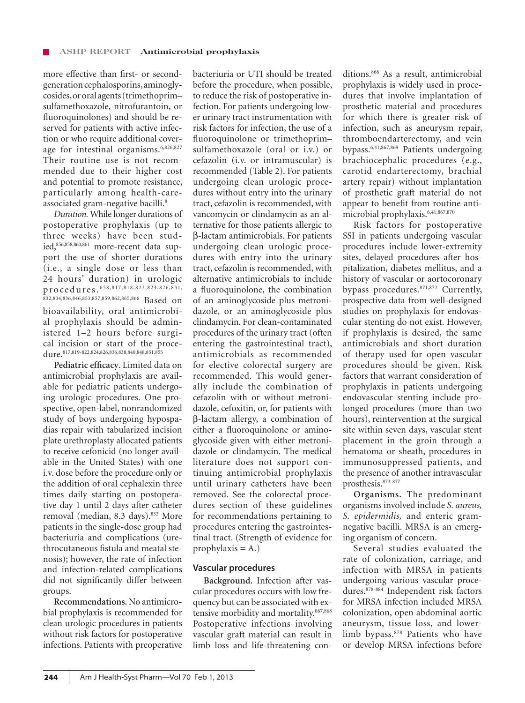more effective than first- or secondgeneration cephalosporins, aminoglycosides, or oral agents (trimethoprim– sulfamethoxazole, nitrofurantoin, or fluoroquinolones) and should be reserved for patients with active infection or who require additional coverage for intestinal organisms.6,826,827 Their routine use is not recommended due to their higher cost and potential to promote resistance, particularly among health-careassociated gram-negative bacilli.8

*Duration.* While longer durations of postoperative prophylaxis (up to three weeks) have been studied,856,858,860,861 more-recent data support the use of shorter durations (i.e., a single dose or less than 24 hours' duration) in urologic procedures. 658,817,818,823,824,826,831, 832,834,836,846,853,857,859,862,865,866 Based on bioavailability, oral antimicrobial prophylaxis should be administered 1–2 hours before surgical incision or start of the procedure.817,819-822,824,826,836,838,840,848,851,855

**Pediatric efficacy**. Limited data on antimicrobial prophylaxis are available for pediatric patients undergoing urologic procedures. One prospective, open-label, nonrandomized study of boys undergoing hypospadias repair with tabularized incision plate urethroplasty allocated patients to receive cefonicid (no longer available in the United States) with one i.v. dose before the procedure only or the addition of oral cephalexin three times daily starting on postoperative day 1 until 2 days after catheter removal (median, 8.3 days).<sup>833</sup> More patients in the single-dose group had bacteriuria and complications (urethrocutaneous fistula and meatal stenosis); however, the rate of infection and infection-related complications did not significantly differ between groups.

**Recommendations.** No antimicrobial prophylaxis is recommended for clean urologic procedures in patients without risk factors for postoperative infections. Patients with preoperative

bacteriuria or UTI should be treated before the procedure, when possible, to reduce the risk of postoperative infection. For patients undergoing lower urinary tract instrumentation with risk factors for infection, the use of a fluoroquinolone or trimethoprim– sulfamethoxazole (oral or i.v.) or cefazolin (i.v. or intramuscular) is recommended (Table 2). For patients undergoing clean urologic procedures without entry into the urinary tract, cefazolin is recommended, with vancomycin or clindamycin as an alternative for those patients allergic to b-lactam antimicrobials. For patients undergoing clean urologic procedures with entry into the urinary tract, cefazolin is recommended, with alternative antimicrobials to include a fluoroquinolone, the combination of an aminoglycoside plus metronidazole, or an aminoglycoside plus clindamycin. For clean-contaminated procedures of the urinary tract (often entering the gastrointestinal tract), antimicrobials as recommended for elective colorectal surgery are recommended. This would generally include the combination of cefazolin with or without metronidazole, cefoxitin, or, for patients with b-lactam allergy, a combination of either a fluoroquinolone or aminoglycoside given with either metronidazole or clindamycin. The medical literature does not support continuing antimicrobial prophylaxis until urinary catheters have been removed. See the colorectal procedures section of these guidelines for recommendations pertaining to procedures entering the gastrointestinal tract. (Strength of evidence for  $prophylaxis = A.$ )

#### **Vascular procedures**

**Background.** Infection after vascular procedures occurs with low frequency but can be associated with extensive morbidity and mortality.867,868 Postoperative infections involving vascular graft material can result in limb loss and life-threatening conditions.868 As a result, antimicrobial prophylaxis is widely used in procedures that involve implantation of prosthetic material and procedures for which there is greater risk of infection, such as aneurysm repair, thromboendarterectomy, and vein bypass.6,41,867,869 Patients undergoing brachiocephalic procedures (e.g., carotid endarterectomy, brachial artery repair) without implantation of prosthetic graft material do not appear to benefit from routine antimicrobial prophylaxis.6,41,867,870

Risk factors for postoperative SSI in patients undergoing vascular procedures include lower-extremity sites, delayed procedures after hospitalization, diabetes mellitus, and a history of vascular or aortocoronary bypass procedures.871,872 Currently, prospective data from well-designed studies on prophylaxis for endovascular stenting do not exist. However, if prophylaxis is desired, the same antimicrobials and short duration of therapy used for open vascular procedures should be given. Risk factors that warrant consideration of prophylaxis in patients undergoing endovascular stenting include prolonged procedures (more than two hours), reintervention at the surgical site within seven days, vascular stent placement in the groin through a hematoma or sheath, procedures in immunosuppressed patients, and the presence of another intravascular prosthesis.873-877

**Organisms.** The predominant organisms involved include *S. aureus, S. epidermidis,* and enteric gramnegative bacilli. MRSA is an emerging organism of concern.

Several studies evaluated the rate of colonization, carriage, and infection with MRSA in patients undergoing various vascular procedures.878-884 Independent risk factors for MRSA infection included MRSA colonization, open abdominal aortic aneurysm, tissue loss, and lowerlimb bypass.<sup>878</sup> Patients who have or develop MRSA infections before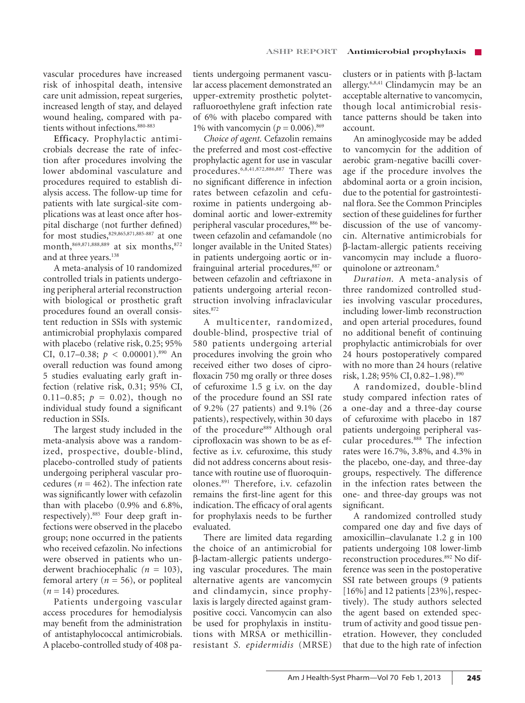vascular procedures have increased risk of inhospital death, intensive care unit admission, repeat surgeries, increased length of stay, and delayed wound healing, compared with patients without infections. 880-883

**Efficacy.** Prophylactic antimicrobials decrease the rate of infection after procedures involving the lower abdominal vasculature and procedures required to establish dialysis access. The follow-up time for patients with late surgical-site complications was at least once after hospital discharge (not further defined) for most studies, 829, 865, 871, 885-887 at one month,<sup>869,871,888,889</sup> at six months,  $872$ and at three years.<sup>138</sup>

A meta-analysis of 10 randomized controlled trials in patients undergoing peripheral arterial reconstruction with biological or prosthetic graft procedures found an overall consistent reduction in SSIs with systemic antimicrobial prophylaxis compared with placebo (relative risk, 0.25; 95% CI, 0.17–0.38;  $p < 0.00001$ ).<sup>890</sup> An overall reduction was found among 5 studies evaluating early graft infection (relative risk, 0.31; 95% CI, 0.11–0.85;  $p = 0.02$ ), though no individual study found a significant reduction in SSIs.

The largest study included in the meta-analysis above was a randomized, prospective, double-blind, placebo-controlled study of patients undergoing peripheral vascular procedures ( $n = 462$ ). The infection rate was significantly lower with cefazolin than with placebo (0.9% and 6.8%, respectively).885 Four deep graft infections were observed in the placebo group; none occurred in the patients who received cefazolin. No infections were observed in patients who underwent brachiocephalic *(n* = 103), femoral artery ( $n = 56$ ), or popliteal  $(n = 14)$  procedures.

Patients undergoing vascular access procedures for hemodialysis may benefit from the administration of antistaphylococcal antimicrobials. A placebo-controlled study of 408 patients undergoing permanent vascular access placement demonstrated an upper-extremity prosthetic polytetrafluoroethylene graft infection rate of 6% with placebo compared with 1% with vancomycin ( $p = 0.006$ ).<sup>869</sup>

*Choice of agent.* Cefazolin remains the preferred and most cost-effective prophylactic agent for use in vascular procedures.6,8,41,872,886,887 There was no significant difference in infection rates between cefazolin and cefuroxime in patients undergoing abdominal aortic and lower-extremity peripheral vascular procedures, 886 between cefazolin and cefamandole (no longer available in the United States) in patients undergoing aortic or infrainguinal arterial procedures,<sup>887</sup> or between cefazolin and ceftriaxone in patients undergoing arterial reconstruction involving infraclavicular sites.<sup>872</sup>

A multicenter, randomized, double-blind, prospective trial of 580 patients undergoing arterial procedures involving the groin who received either two doses of ciprofloxacin 750 mg orally or three doses of cefuroxime 1.5 g i.v. on the day of the procedure found an SSI rate of 9.2% (27 patients) and 9.1% (26 patients), respectively, within 30 days of the procedure<sup>889</sup> Although oral ciprofloxacin was shown to be as effective as i.v. cefuroxime, this study did not address concerns about resistance with routine use of fluoroquinolones.891 Therefore, i.v. cefazolin remains the first-line agent for this indication. The efficacy of oral agents for prophylaxis needs to be further evaluated.

There are limited data regarding the choice of an antimicrobial for b-lactam-allergic patients undergoing vascular procedures. The main alternative agents are vancomycin and clindamycin, since prophylaxis is largely directed against grampositive cocci. Vancomycin can also be used for prophylaxis in institutions with MRSA or methicillinresistant *S. epidermidis* (MRSE)

clusters or in patients with  $\beta$ -lactam allergy.6,8,41 Clindamycin may be an acceptable alternative to vancomycin, though local antimicrobial resistance patterns should be taken into account.

An aminoglycoside may be added to vancomycin for the addition of aerobic gram-negative bacilli coverage if the procedure involves the abdominal aorta or a groin incision, due to the potential for gastrointestinal flora. See the Common Principles section of these guidelines for further discussion of the use of vancomycin. Alternative antimicrobials for b-lactam-allergic patients receiving vancomycin may include a fluoroquinolone or aztreonam.6

*Duration.* A meta-analysis of three randomized controlled studies involving vascular procedures, including lower-limb reconstruction and open arterial procedures, found no additional benefit of continuing prophylactic antimicrobials for over 24 hours postoperatively compared with no more than 24 hours (relative risk, 1.28; 95% CI, 0.82-1.98).<sup>890</sup>

A randomized, double-blind study compared infection rates of a one-day and a three-day course of cefuroxime with placebo in 187 patients undergoing peripheral vascular procedures.888 The infection rates were 16.7%, 3.8%, and 4.3% in the placebo, one-day, and three-day groups, respectively. The difference in the infection rates between the one- and three-day groups was not significant.

A randomized controlled study compared one day and five days of amoxicillin–clavulanate 1.2 g in 100 patients undergoing 108 lower-limb reconstruction procedures.892 No difference was seen in the postoperative SSI rate between groups (9 patients [16%] and 12 patients [23%], respectively). The study authors selected the agent based on extended spectrum of activity and good tissue penetration. However, they concluded that due to the high rate of infection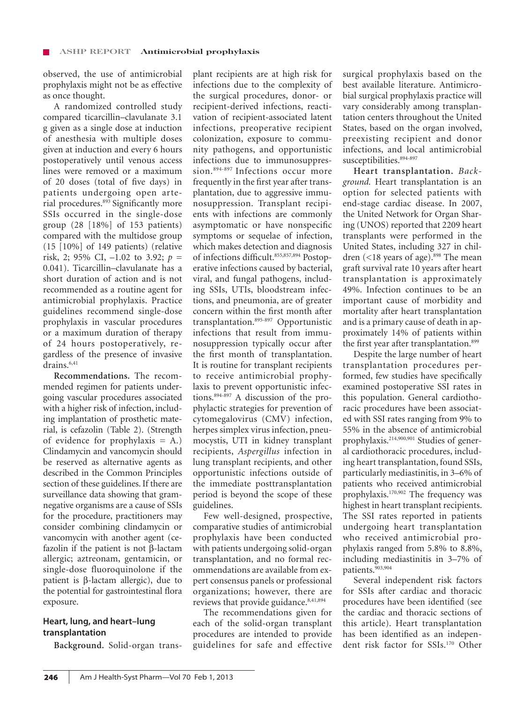observed, the use of antimicrobial prophylaxis might not be as effective as once thought.

A randomized controlled study compared ticarcillin–clavulanate 3.1 g given as a single dose at induction of anesthesia with multiple doses given at induction and every 6 hours postoperatively until venous access lines were removed or a maximum of 20 doses (total of five days) in patients undergoing open arterial procedures.893 Significantly more SSIs occurred in the single-dose group (28 [18%] of 153 patients) compared with the multidose group (15 [10%] of 149 patients) (relative risk, 2; 95% CI, –1.02 to 3.92; *p* = 0.041). Ticarcillin–clavulanate has a short duration of action and is not recommended as a routine agent for antimicrobial prophylaxis. Practice guidelines recommend single-dose prophylaxis in vascular procedures or a maximum duration of therapy of 24 hours postoperatively, regardless of the presence of invasive drains.<sup>6,41</sup>

**Recommendations.** The recommended regimen for patients undergoing vascular procedures associated with a higher risk of infection, including implantation of prosthetic material, is cefazolin (Table 2). (Strength of evidence for prophylaxis  $= A$ .) Clindamycin and vancomycin should be reserved as alternative agents as described in the Common Principles section of these guidelines. If there are surveillance data showing that gramnegative organisms are a cause of SSIs for the procedure, practitioners may consider combining clindamycin or vancomycin with another agent (cefazolin if the patient is not  $\beta$ -lactam allergic; aztreonam, gentamicin, or single-dose fluoroquinolone if the patient is  $\beta$ -lactam allergic), due to the potential for gastrointestinal flora exposure.

## **Heart, lung, and heart–lung transplantation**

**Background.** Solid-organ trans-

plant recipients are at high risk for infections due to the complexity of the surgical procedures, donor- or recipient-derived infections, reactivation of recipient-associated latent infections, preoperative recipient colonization, exposure to community pathogens, and opportunistic infections due to immunosuppression.<sup>894-897</sup> Infections occur more frequently in the first year after transplantation, due to aggressive immunosuppression. Transplant recipients with infections are commonly asymptomatic or have nonspecific symptoms or sequelae of infection, which makes detection and diagnosis of infections difficult.855,857,894 Postoperative infections caused by bacterial, viral, and fungal pathogens, including SSIs, UTIs, bloodstream infections, and pneumonia, are of greater concern within the first month after transplantation.895-897 Opportunistic infections that result from immunosuppression typically occur after the first month of transplantation. It is routine for transplant recipients to receive antimicrobial prophylaxis to prevent opportunistic infections.894-897 A discussion of the prophylactic strategies for prevention of cytomegalovirus (CMV) infection, herpes simplex virus infection, pneumocystis, UTI in kidney transplant recipients, *Aspergillus* infection in lung transplant recipients, and other opportunistic infections outside of the immediate posttransplantation period is beyond the scope of these guidelines.

Few well-designed, prospective, comparative studies of antimicrobial prophylaxis have been conducted with patients undergoing solid-organ transplantation, and no formal recommendations are available from expert consensus panels or professional organizations; however, there are reviews that provide guidance.<sup>8,41,894</sup>

The recommendations given for each of the solid-organ transplant procedures are intended to provide guidelines for safe and effective

surgical prophylaxis based on the best available literature. Antimicrobial surgical prophylaxis practice will vary considerably among transplantation centers throughout the United States, based on the organ involved, preexisting recipient and donor infections, and local antimicrobial susceptibilities. 894-897

**Heart transplantation.** *Background.* Heart transplantation is an option for selected patients with end-stage cardiac disease. In 2007, the United Network for Organ Sharing (UNOS) reported that 2209 heart transplants were performed in the United States, including 327 in children (<18 years of age).<sup>898</sup> The mean graft survival rate 10 years after heart transplantation is approximately 49%. Infection continues to be an important cause of morbidity and mortality after heart transplantation and is a primary cause of death in approximately 14% of patients within the first year after transplantation.<sup>899</sup>

Despite the large number of heart transplantation procedures performed, few studies have specifically examined postoperative SSI rates in this population. General cardiothoracic procedures have been associated with SSI rates ranging from 9% to 55% in the absence of antimicrobial prophylaxis.214,900,901 Studies of general cardiothoracic procedures, including heart transplantation, found SSIs, particularly mediastinitis, in 3–6% of patients who received antimicrobial prophylaxis.170,902 The frequency was highest in heart transplant recipients. The SSI rates reported in patients undergoing heart transplantation who received antimicrobial prophylaxis ranged from 5.8% to 8.8%, including mediastinitis in 3–7% of patients.903,904

Several independent risk factors for SSIs after cardiac and thoracic procedures have been identified (see the cardiac and thoracic sections of this article). Heart transplantation has been identified as an independent risk factor for SSIs.170 Other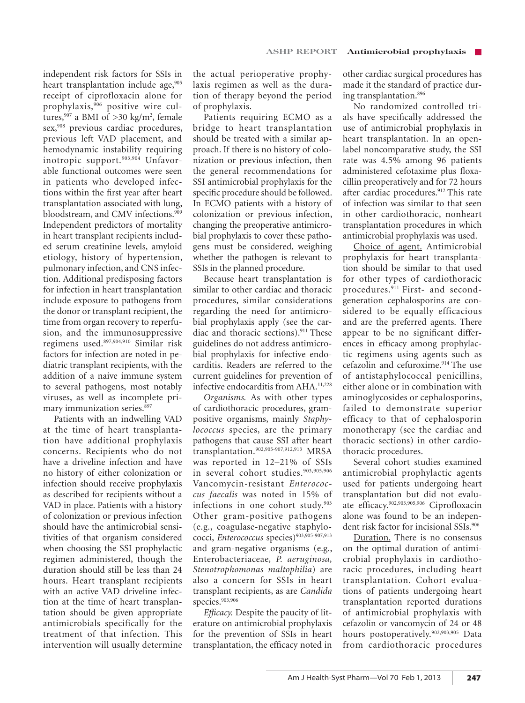independent risk factors for SSIs in heart transplantation include age,<sup>905</sup> receipt of ciprofloxacin alone for prophylaxis,906 positive wire cultures,<sup>907</sup> a BMI of  $>$ 30 kg/m<sup>2</sup>, female sex,<sup>908</sup> previous cardiac procedures, previous left VAD placement, and hemodynamic instability requiring inotropic support.<sup>903,904</sup> Unfavorable functional outcomes were seen in patients who developed infections within the first year after heart transplantation associated with lung, bloodstream, and CMV infections.<sup>909</sup> Independent predictors of mortality in heart transplant recipients included serum creatinine levels, amyloid etiology, history of hypertension, pulmonary infection, and CNS infection. Additional predisposing factors for infection in heart transplantation include exposure to pathogens from the donor or transplant recipient, the time from organ recovery to reperfusion, and the immunosuppressive regimens used.897,904,910 Similar risk factors for infection are noted in pediatric transplant recipients, with the addition of a naive immune system to several pathogens, most notably viruses, as well as incomplete primary immunization series.<sup>897</sup>

Patients with an indwelling VAD at the time of heart transplantation have additional prophylaxis concerns. Recipients who do not have a driveline infection and have no history of either colonization or infection should receive prophylaxis as described for recipients without a VAD in place. Patients with a history of colonization or previous infection should have the antimicrobial sensitivities of that organism considered when choosing the SSI prophylactic regimen administered, though the duration should still be less than 24 hours. Heart transplant recipients with an active VAD driveline infection at the time of heart transplantation should be given appropriate antimicrobials specifically for the treatment of that infection. This intervention will usually determine

the actual perioperative prophylaxis regimen as well as the duration of therapy beyond the period of prophylaxis.

Patients requiring ECMO as a bridge to heart transplantation should be treated with a similar approach. If there is no history of colonization or previous infection, then the general recommendations for SSI antimicrobial prophylaxis for the specific procedure should be followed. In ECMO patients with a history of colonization or previous infection, changing the preoperative antimicrobial prophylaxis to cover these pathogens must be considered, weighing whether the pathogen is relevant to SSIs in the planned procedure.

Because heart transplantation is similar to other cardiac and thoracic procedures, similar considerations regarding the need for antimicrobial prophylaxis apply (see the cardiac and thoracic sections).911 These guidelines do not address antimicrobial prophylaxis for infective endocarditis. Readers are referred to the current guidelines for prevention of infective endocarditis from AHA.<sup>11,228</sup>

*Organisms.* As with other types of cardiothoracic procedures, grampositive organisms, mainly *Staphylococcus* species, are the primary pathogens that cause SSI after heart transplantation.902,905-907,912,913 MRSA was reported in 12–21% of SSIs in several cohort studies.<sup>903,905,906</sup> Vancomycin-resistant *Enterococcus faecalis* was noted in 15% of infections in one cohort study.903 Other gram-positive pathogens (e.g., coagulase-negative staphylococci, *Enterococcus* species)<sup>903,905-907,913</sup> and gram-negative organisms (e.g., Enterobacteriaceae*, P. aeruginosa, Stenotrophomonas maltophilia*) are also a concern for SSIs in heart transplant recipients, as are *Candida* species.903,906

*Efficacy.* Despite the paucity of literature on antimicrobial prophylaxis for the prevention of SSIs in heart transplantation, the efficacy noted in other cardiac surgical procedures has made it the standard of practice during transplantation.<sup>896</sup>

No randomized controlled trials have specifically addressed the use of antimicrobial prophylaxis in heart transplantation. In an openlabel noncomparative study, the SSI rate was 4.5% among 96 patients administered cefotaxime plus floxacillin preoperatively and for 72 hours after cardiac procedures.912 This rate of infection was similar to that seen in other cardiothoracic, nonheart transplantation procedures in which antimicrobial prophylaxis was used.

Choice of agent. Antimicrobial prophylaxis for heart transplantation should be similar to that used for other types of cardiothoracic procedures.911 First- and secondgeneration cephalosporins are considered to be equally efficacious and are the preferred agents. There appear to be no significant differences in efficacy among prophylactic regimens using agents such as cefazolin and cefuroxime.<sup>914</sup> The use of antistaphylococcal penicillins, either alone or in combination with aminoglycosides or cephalosporins, failed to demonstrate superior efficacy to that of cephalosporin monotherapy (see the cardiac and thoracic sections) in other cardiothoracic procedures.

Several cohort studies examined antimicrobial prophylactic agents used for patients undergoing heart transplantation but did not evaluate efficacy.902,903,905,906 Ciprofloxacin alone was found to be an independent risk factor for incisional SSIs.<sup>906</sup>

Duration. There is no consensus on the optimal duration of antimicrobial prophylaxis in cardiothoracic procedures, including heart transplantation. Cohort evaluations of patients undergoing heart transplantation reported durations of antimicrobial prophylaxis with cefazolin or vancomycin of 24 or 48 hours postoperatively.902,903,905 Data from cardiothoracic procedures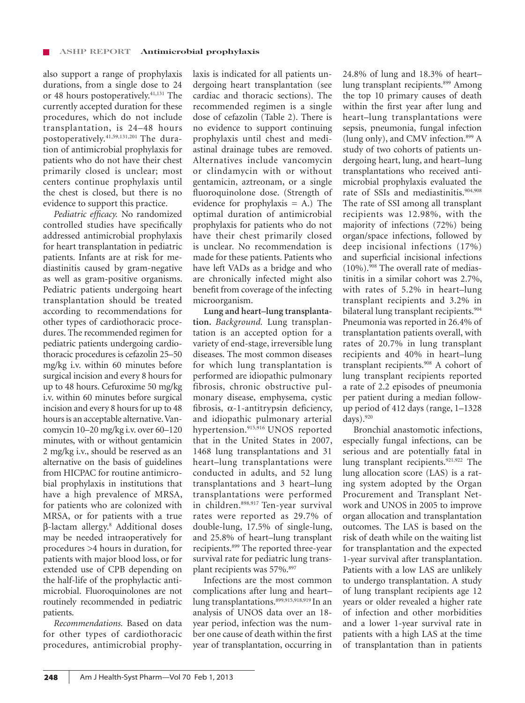also support a range of prophylaxis durations, from a single dose to 24 or 48 hours postoperatively.<sup>41,131</sup> The currently accepted duration for these procedures, which do not include transplantation, is 24–48 hours postoperatively.41,59,131,201 The duration of antimicrobial prophylaxis for patients who do not have their chest primarily closed is unclear; most centers continue prophylaxis until the chest is closed, but there is no evidence to support this practice.

*Pediatric efficacy.* No randomized controlled studies have specifically addressed antimicrobial prophylaxis for heart transplantation in pediatric patients. Infants are at risk for mediastinitis caused by gram-negative as well as gram-positive organisms. Pediatric patients undergoing heart transplantation should be treated according to recommendations for other types of cardiothoracic procedures. The recommended regimen for pediatric patients undergoing cardiothoracic procedures is cefazolin 25–50 mg/kg i.v. within 60 minutes before surgical incision and every 8 hours for up to 48 hours. Cefuroxime 50 mg/kg i.v. within 60 minutes before surgical incision and every 8 hours for up to 48 hours is an acceptable alternative. Vancomycin 10–20 mg/kg i.v. over 60–120 minutes, with or without gentamicin 2 mg/kg i.v., should be reserved as an alternative on the basis of guidelines from HICPAC for routine antimicrobial prophylaxis in institutions that have a high prevalence of MRSA, for patients who are colonized with MRSA, or for patients with a true b-lactam allergy.8 Additional doses may be needed intraoperatively for procedures >4 hours in duration, for patients with major blood loss, or for extended use of CPB depending on the half-life of the prophylactic antimicrobial. Fluoroquinolones are not routinely recommended in pediatric patients.

*Recommendations.* Based on data for other types of cardiothoracic procedures, antimicrobial prophylaxis is indicated for all patients undergoing heart transplantation (see cardiac and thoracic sections). The recommended regimen is a single dose of cefazolin (Table 2). There is no evidence to support continuing prophylaxis until chest and mediastinal drainage tubes are removed. Alternatives include vancomycin or clindamycin with or without gentamicin, aztreonam, or a single fluoroquinolone dose. (Strength of evidence for prophylaxis  $= A$ .) The optimal duration of antimicrobial prophylaxis for patients who do not have their chest primarily closed is unclear. No recommendation is made for these patients. Patients who have left VADs as a bridge and who are chronically infected might also benefit from coverage of the infecting microorganism.

**Lung and heart–lung transplantation.** *Background.* Lung transplantation is an accepted option for a variety of end-stage, irreversible lung diseases. The most common diseases for which lung transplantation is performed are idiopathic pulmonary fibrosis, chronic obstructive pulmonary disease, emphysema, cystic fibrosis,  $\alpha$ -1-antitrypsin deficiency, and idiopathic pulmonary arterial hypertension.915,916 UNOS reported that in the United States in 2007, 1468 lung transplantations and 31 heart–lung transplantations were conducted in adults, and 52 lung transplantations and 3 heart–lung transplantations were performed in children.898,917 Ten-year survival rates were reported as 29.7% of double-lung, 17.5% of single-lung, and 25.8% of heart–lung transplant recipients.899 The reported three-year survival rate for pediatric lung transplant recipients was 57%.<sup>897</sup>

Infections are the most common complications after lung and heart– lung transplantations.899,915,918,919 In an analysis of UNOS data over an 18 year period, infection was the number one cause of death within the first year of transplantation, occurring in

24.8% of lung and 18.3% of heart– lung transplant recipients.<sup>899</sup> Among the top 10 primary causes of death within the first year after lung and heart–lung transplantations were sepsis, pneumonia, fungal infection (lung only), and CMV infection.<sup>899</sup> A study of two cohorts of patients undergoing heart, lung, and heart–lung transplantations who received antimicrobial prophylaxis evaluated the rate of SSIs and mediastinitis.904,908 The rate of SSI among all transplant recipients was 12.98%, with the majority of infections (72%) being organ/space infections, followed by deep incisional infections (17%) and superficial incisional infections  $(10\%)$ .<sup>908</sup> The overall rate of mediastinitis in a similar cohort was 2.7%, with rates of 5.2% in heart–lung transplant recipients and 3.2% in bilateral lung transplant recipients.<sup>904</sup> Pneumonia was reported in 26.4% of transplantation patients overall, with rates of 20.7% in lung transplant recipients and 40% in heart–lung transplant recipients.908 A cohort of lung transplant recipients reported a rate of 2.2 episodes of pneumonia per patient during a median followup period of 412 days (range, 1–1328 days).<sup>920</sup>

Bronchial anastomotic infections, especially fungal infections, can be serious and are potentially fatal in lung transplant recipients.<sup>921,922</sup> The lung allocation score (LAS) is a rating system adopted by the Organ Procurement and Transplant Network and UNOS in 2005 to improve organ allocation and transplantation outcomes. The LAS is based on the risk of death while on the waiting list for transplantation and the expected 1-year survival after transplantation. Patients with a low LAS are unlikely to undergo transplantation. A study of lung transplant recipients age 12 years or older revealed a higher rate of infection and other morbidities and a lower 1-year survival rate in patients with a high LAS at the time of transplantation than in patients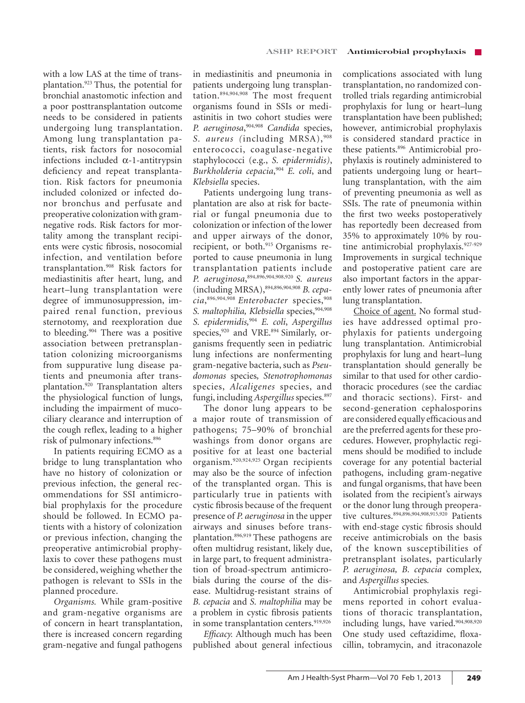with a low LAS at the time of transplantation.923 Thus, the potential for bronchial anastomotic infection and a poor posttransplantation outcome needs to be considered in patients undergoing lung transplantation. Among lung transplantation patients, risk factors for nosocomial infections included  $\alpha$ -1-antitrypsin deficiency and repeat transplantation. Risk factors for pneumonia included colonized or infected donor bronchus and perfusate and preoperative colonization with gramnegative rods. Risk factors for mortality among the transplant recipients were cystic fibrosis, nosocomial infection, and ventilation before transplantation.908 Risk factors for mediastinitis after heart, lung, and heart–lung transplantation were degree of immunosuppression, impaired renal function, previous sternotomy, and reexploration due to bleeding.904 There was a positive association between pretransplantation colonizing microorganisms from suppurative lung disease patients and pneumonia after transplantation.<sup>920</sup> Transplantation alters the physiological function of lungs, including the impairment of mucociliary clearance and interruption of the cough reflex, leading to a higher risk of pulmonary infections.896

In patients requiring ECMO as a bridge to lung transplantation who have no history of colonization or previous infection, the general recommendations for SSI antimicrobial prophylaxis for the procedure should be followed. In ECMO patients with a history of colonization or previous infection, changing the preoperative antimicrobial prophylaxis to cover these pathogens must be considered, weighing whether the pathogen is relevant to SSIs in the planned procedure.

*Organisms.* While gram-positive and gram-negative organisms are of concern in heart transplantation, there is increased concern regarding gram-negative and fungal pathogens in mediastinitis and pneumonia in patients undergoing lung transplantation.894,904,908 The most frequent organisms found in SSIs or mediastinitis in two cohort studies were *P. aeruginosa*, 904,908 *Candida* species, *S. aureus (*including MRSA),908 enterococci, coagulase-negative staphylococci (e.g., *S. epidermidis)*, *Burkholderia cepacia*, <sup>904</sup> *E. coli*, and *Klebsiella* species.

Patients undergoing lung transplantation are also at risk for bacterial or fungal pneumonia due to colonization or infection of the lower and upper airways of the donor, recipient, or both.<sup>915</sup> Organisms reported to cause pneumonia in lung transplantation patients include *P. aeruginosa*, 894,896,904,908,920 *S. aureus* (including MRSA),894,896,904,908 *B. cepacia*, 896,904,908 *Enterobacter* species,908 *S. maltophilia, Klebsiella species, 904,908 S. epidermidis,*<sup>904</sup> *E. coli*, *Aspergillus*  species,<sup>920</sup> and VRE.<sup>894</sup> Similarly, organisms frequently seen in pediatric lung infections are nonfermenting gram-negative bacteria, such as *Pseudomonas* species*, Stenotrophomonas*  species, *Alcaligenes* species, and fungi, including *Aspergillus* species.<sup>897</sup>

The donor lung appears to be a major route of transmission of pathogens; 75–90% of bronchial washings from donor organs are positive for at least one bacterial organism.920,924,925 Organ recipients may also be the source of infection of the transplanted organ. This is particularly true in patients with cystic fibrosis because of the frequent presence of *P. aeruginosa* in the upper airways and sinuses before transplantation.896,919 These pathogens are often multidrug resistant, likely due, in large part, to frequent administration of broad-spectrum antimicrobials during the course of the disease. Multidrug-resistant strains of *B. cepacia* and *S. maltophilia* may be a problem in cystic fibrosis patients in some transplantation centers.<sup>919,926</sup>

*Efficacy.* Although much has been published about general infectious

complications associated with lung transplantation, no randomized controlled trials regarding antimicrobial prophylaxis for lung or heart–lung transplantation have been published; however, antimicrobial prophylaxis is considered standard practice in these patients.<sup>896</sup> Antimicrobial prophylaxis is routinely administered to patients undergoing lung or heart– lung transplantation, with the aim of preventing pneumonia as well as SSIs. The rate of pneumonia within the first two weeks postoperatively has reportedly been decreased from 35% to approximately 10% by routine antimicrobial prophylaxis.927-929 Improvements in surgical technique and postoperative patient care are also important factors in the apparently lower rates of pneumonia after lung transplantation.

Choice of agent. No formal studies have addressed optimal prophylaxis for patients undergoing lung transplantation. Antimicrobial prophylaxis for lung and heart–lung transplantation should generally be similar to that used for other cardiothoracic procedures (see the cardiac and thoracic sections). First- and second-generation cephalosporins are considered equally efficacious and are the preferred agents for these procedures. However, prophylactic regimens should be modified to include coverage for any potential bacterial pathogens, including gram-negative and fungal organisms, that have been isolated from the recipient's airways or the donor lung through preoperative cultures.894,896,904,908,915,920 Patients with end-stage cystic fibrosis should receive antimicrobials on the basis of the known susceptibilities of pretransplant isolates, particularly *P. aeruginosa, B. cepacia* complex*,*  and *Aspergillus* species*.*

Antimicrobial prophylaxis regimens reported in cohort evaluations of thoracic transplantation, including lungs, have varied.<sup>904,908,920</sup> One study used ceftazidime, floxacillin, tobramycin, and itraconazole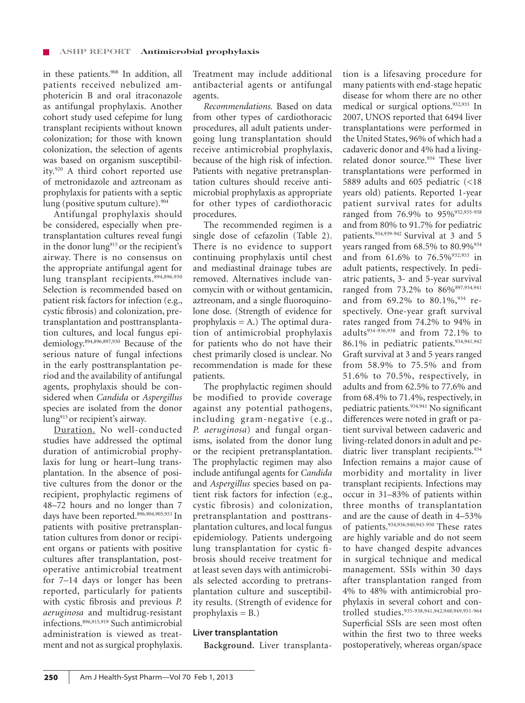in these patients.<sup>908</sup> In addition, all patients received nebulized amphotericin B and oral itraconazole as antifungal prophylaxis. Another cohort study used cefepime for lung transplant recipients without known colonization; for those with known colonization, the selection of agents was based on organism susceptibility.920 A third cohort reported use of metronidazole and aztreonam as prophylaxis for patients with a septic lung (positive sputum culture).904

Antifungal prophylaxis should be considered, especially when pretransplantation cultures reveal fungi in the donor lung915 or the recipient's airway. There is no consensus on the appropriate antifungal agent for lung transplant recipients.894,896,930 Selection is recommended based on patient risk factors for infection (e.g., cystic fibrosis) and colonization, pretransplantation and posttransplantation cultures, and local fungus epidemiology.894,896,897,930 Because of the serious nature of fungal infections in the early posttransplantation period and the availability of antifungal agents, prophylaxis should be considered when *Candida* or *Aspergillus* species are isolated from the donor lung915 or recipient's airway.

Duration. No well-conducted studies have addressed the optimal duration of antimicrobial prophylaxis for lung or heart–lung transplantation. In the absence of positive cultures from the donor or the recipient, prophylactic regimens of 48–72 hours and no longer than 7 days have been reported.896,904,905,931 In patients with positive pretransplantation cultures from donor or recipient organs or patients with positive cultures after transplantation, postoperative antimicrobial treatment for 7–14 days or longer has been reported, particularly for patients with cystic fibrosis and previous *P. aeruginosa* and multidrug-resistant infections.896,915,919 Such antimicrobial administration is viewed as treatment and not as surgical prophylaxis. Treatment may include additional antibacterial agents or antifungal agents.

*Recommendations.* Based on data from other types of cardiothoracic procedures, all adult patients undergoing lung transplantation should receive antimicrobial prophylaxis, because of the high risk of infection. Patients with negative pretransplantation cultures should receive antimicrobial prophylaxis as appropriate for other types of cardiothoracic procedures.

The recommended regimen is a single dose of cefazolin (Table 2). There is no evidence to support continuing prophylaxis until chest and mediastinal drainage tubes are removed. Alternatives include vancomycin with or without gentamicin, aztreonam, and a single fluoroquinolone dose. (Strength of evidence for prophylaxis  $= A$ .) The optimal duration of antimicrobial prophylaxis for patients who do not have their chest primarily closed is unclear. No recommendation is made for these patients.

The prophylactic regimen should be modified to provide coverage against any potential pathogens, including gram-negative (e.g., *P. aeruginosa*) and fungal organisms, isolated from the donor lung or the recipient pretransplantation. The prophylactic regimen may also include antifungal agents for *Candida* and *Aspergillus* species based on patient risk factors for infection (e.g., cystic fibrosis) and colonization, pretransplantation and posttransplantation cultures, and local fungus epidemiology. Patients undergoing lung transplantation for cystic fibrosis should receive treatment for at least seven days with antimicrobials selected according to pretransplantation culture and susceptibility results. (Strength of evidence for  $prophylaxis = B.$ )

### **Liver transplantation**

**Background.** Liver transplanta-

tion is a lifesaving procedure for many patients with end-stage hepatic disease for whom there are no other medical or surgical options.932,933 In 2007, UNOS reported that 6494 liver transplantations were performed in the United States, 96% of which had a cadaveric donor and 4% had a livingrelated donor source.934 These liver transplantations were performed in 5889 adults and 605 pediatric (<18 years old) patients. Reported 1-year patient survival rates for adults ranged from 76.9% to 95%932,935-938 and from 80% to 91.7% for pediatric patients.934,939-942 Survival at 3 and 5 years ranged from 68.5% to 80.9%<sup>934</sup> and from 61.6% to 76.5%932,933 in adult patients, respectively. In pediatric patients, 3- and 5-year survival ranged from 73.2% to 86%<sup>897,934,941</sup> and from 69.2% to 80.1%, <sup>934</sup> respectively. One-year graft survival rates ranged from 74.2% to 94% in adults<sup>934-936,938</sup> and from 72.1% to 86.1% in pediatric patients.934,941,942 Graft survival at 3 and 5 years ranged from 58.9% to 75.5% and from 51.6% to 70.5%, respectively, in adults and from 62.5% to 77.6% and from 68.4% to 71.4%, respectively, in pediatric patients.934,941 No significant differences were noted in graft or patient survival between cadaveric and living-related donors in adult and pediatric liver transplant recipients.<sup>934</sup> Infection remains a major cause of morbidity and mortality in liver transplant recipients. Infections may occur in 31–83% of patients within three months of transplantation and are the cause of death in 4–53% of patients.934,936,940,943-950 These rates are highly variable and do not seem to have changed despite advances in surgical technique and medical management. SSIs within 30 days after transplantation ranged from 4% to 48% with antimicrobial prophylaxis in several cohort and controlled studies.935-938,941,942,948,949,951-964 Superficial SSIs are seen most often within the first two to three weeks postoperatively, whereas organ/space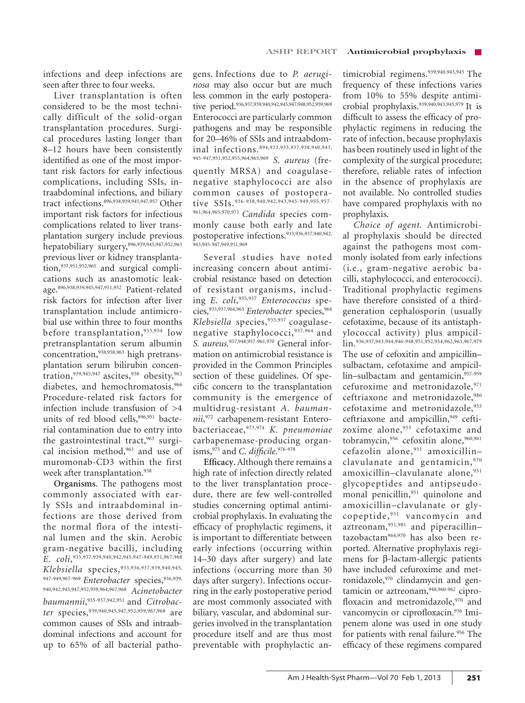infections and deep infections are seen after three to four weeks.

Liver transplantation is often considered to be the most technically difficult of the solid-organ transplantation procedures. Surgical procedures lasting longer than 8–12 hours have been consistently identified as one of the most important risk factors for early infectious complications, including SSIs, intraabdominal infections, and biliary tract infections.896,938,939,945,947,957 Other important risk factors for infectious complications related to liver transplantation surgery include previous hepatobiliary surgery,896,939,945,947,952,963 previous liver or kidney transplantation,937,951,952,965 and surgical complications such as anastomotic leakage.896,938,939,945,947,951,952 Patient-related risk factors for infection after liver transplantation include antimicrobial use within three to four months before transplantation,<sup>935,954</sup> low pretransplantation serum albumin concentration,938,958,963 high pretransplantation serum bilirubin concentration, 939, 945, 947 ascites, 938 obesity, 963 diabetes, and hemochromatosis.<sup>966</sup> Procedure-related risk factors for infection include transfusion of >4 units of red blood cells, 896,951 bacterial contamination due to entry into the gastrointestinal tract,<sup>963</sup> surgical incision method,<sup>963</sup> and use of muromonab-CD3 within the first week after transplantation.<sup>938</sup>

**Organisms**. The pathogens most commonly associated with early SSIs and intraabdominal infections are those derived from the normal flora of the intestinal lumen and the skin. Aerobic gram-negative bacilli, including *E. coli*, 935,937,939,940,942,945,947-949,951,967,968 *Klebsiella* species, 933, 936, 937, 939, 940, 945, 947-949,967-969 *Enterobacter* species, 936,939, 940,942,945,947,952,959,964,967,968 *Acinetobacter baumannii*, 935-937,942,951 and *Citrobacter* species,<sup>939,940,945,947,952,959,967,968</sup> are common causes of SSIs and intraabdominal infections and account for up to 65% of all bacterial pathogens. Infections due to *P. aeruginosa* may also occur but are much less common in the early postoperative period.<sup>936,937,939,940,942,945,947,948,952,959,969</sup> Enterococci are particularly common pathogens and may be responsible for 20–46% of SSIs and intraabdominal infections.894,933,935,937,938,940,943, 945-947,951,952,955,964,965,969 *S. aureus* (frequently MRSA) and coagulasenegative staphylococci are also common causes of postoperative SSIs. 936-938,940,942,943,945-949,955,957-961,964,965,970,971 *Candida* species commonly cause both early and late postoperative infections.933,936,937,940,942, 943,945-947,949,951,969

Several studies have noted increasing concern about antimicrobial resistance based on detection of resistant organisms, including *E. coli*, 935,937 *Enterococcus* species,<sup>933,937,964,965</sup> *Enterobacter* species,<sup>964</sup> *Klebsiella* species,933,937 coagulasenegative staphylococci,937,964 and *S. aureus.*937,948,957-961,970 General information on antimicrobial resistance is provided in the Common Principles section of these guidelines. Of specific concern to the transplantation community is the emergence of multidrug-resistant *A. baumannii*, 972 carbapenem-resistant Enterobacteriaceae,973,974 *K. pneumoniae* carbapenemase-producing organisms,975 and *C. difficile*. 976-978

**Efficacy**. Although there remains a high rate of infection directly related to the liver transplantation procedure, there are few well-controlled studies concerning optimal antimicrobial prophylaxis. In evaluating the efficacy of prophylactic regimens, it is important to differentiate between early infections (occurring within 14–30 days after surgery) and late infections (occurring more than 30 days after surgery). Infections occurring in the early postoperative period are most commonly associated with biliary, vascular, and abdominal surgeries involved in the transplantation procedure itself and are thus most preventable with prophylactic antimicrobial regimens.<sup>939,940,943,945</sup> The frequency of these infections varies from 10% to 55% despite antimicrobial prophylaxis.939,940,943,945,979 It is difficult to assess the efficacy of prophylactic regimens in reducing the rate of infection, because prophylaxis has been routinely used in light of the complexity of the surgical procedure; therefore, reliable rates of infection in the absence of prophylaxis are not available. No controlled studies have compared prophylaxis with no prophylaxis.

*Choice of agent.* Antimicrobial prophylaxis should be directed against the pathogens most commonly isolated from early infections (i.e., gram-negative aerobic bacilli, staphylococci, and enterococci). Traditional prophylactic regimens have therefore consisted of a thirdgeneration cephalosporin (usually cefotaxime, because of its antistaphylococcal activity) plus ampicil- $\lim_{936,937,943,944,946$ -948,951,952,954,962,965,967,979 The use of cefoxitin and ampicillin– sulbactam, cefotaxime and ampicillin-sulbactam and gentamicin, 957-959 cefuroxime and metronidazole,<sup>971</sup> ceftriaxone and metronidazole,<sup>980</sup> cefotaxime and metronidazole, 953 ceftriaxone and ampicillin,<sup>949</sup> ceftizoxime alone,<sup>955</sup> cefotaxime and tobramycin, 956 cefoxitin alone, 960, 961 cefazolin alone,<sup>951</sup> amoxicillinclavulanate and gentamicin, <sup>970</sup> amoxicillin-clavulanate alone,<sup>951</sup> glycopeptides and antipseudomonal penicillin,<sup>951</sup> quinolone and amoxicillin–clavulanate or glycopeptide, 951 vancomycin and aztreonam, 951,981 and piperacillintazobactam964,970 has also been reported. Alternative prophylaxis regimens for  $\beta$ -lactam-allergic patients have included cefuroxime and metronidazole,<sup>970</sup> clindamycin and gentamicin or aztreonam, 948,960-962 ciprofloxacin and metronidazole,<sup>970</sup> and vancomycin or ciprofloxacin.<sup>936</sup> Imipenem alone was used in one study for patients with renal failure.<sup>956</sup> The efficacy of these regimens compared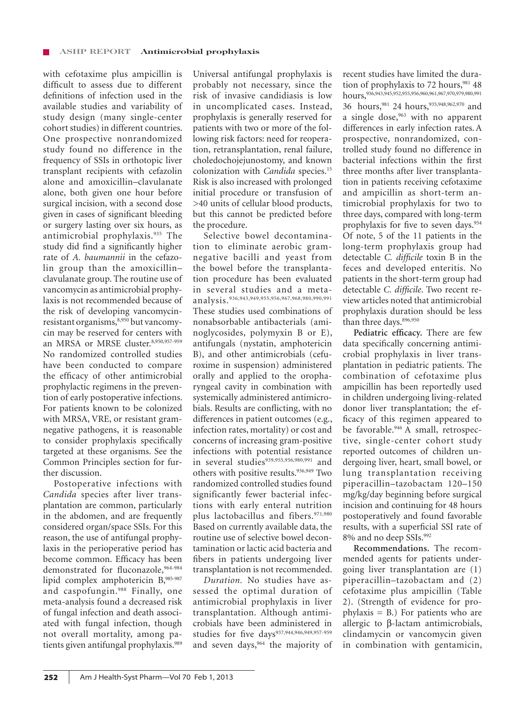with cefotaxime plus ampicillin is difficult to assess due to different definitions of infection used in the available studies and variability of study design (many single-center cohort studies) in different countries. One prospective nonrandomized study found no difference in the frequency of SSIs in orthotopic liver transplant recipients with cefazolin alone and amoxicillin–clavulanate alone, both given one hour before surgical incision, with a second dose given in cases of significant bleeding or surgery lasting over six hours, as antimicrobial prophylaxis.935 The study did find a significantly higher rate of *A. baumannii* in the cefazolin group than the amoxicillin– clavulanate group. The routine use of vancomycin as antimicrobial prophylaxis is not recommended because of the risk of developing vancomycinresistant organisms, 8,950 but vancomycin may be reserved for centers with an MRSA or MRSE cluster.8,950,957-959 No randomized controlled studies have been conducted to compare the efficacy of other antimicrobial prophylactic regimens in the prevention of early postoperative infections. For patients known to be colonized with MRSA, VRE, or resistant gramnegative pathogens, it is reasonable to consider prophylaxis specifically targeted at these organisms. See the Common Principles section for further discussion.

Postoperative infections with *Candida* species after liver transplantation are common, particularly in the abdomen, and are frequently considered organ/space SSIs. For this reason, the use of antifungal prophylaxis in the perioperative period has become common. Efficacy has been demonstrated for fluconazole, 964-984 lipid complex amphotericin B, 985-987 and caspofungin.988 Finally, one meta-analysis found a decreased risk of fungal infection and death associated with fungal infection, though not overall mortality, among patients given antifungal prophylaxis.<sup>989</sup>

Universal antifungal prophylaxis is probably not necessary, since the risk of invasive candidiasis is low in uncomplicated cases. Instead, prophylaxis is generally reserved for patients with two or more of the following risk factors: need for reoperation, retransplantation, renal failure, choledochojejunostomy, and known colonization with *Candida* species.15 Risk is also increased with prolonged initial procedure or transfusion of >40 units of cellular blood products, but this cannot be predicted before the procedure.

Selective bowel decontamination to eliminate aerobic gramnegative bacilli and yeast from the bowel before the transplantation procedure has been evaluated in several studies and a metaanalysis.936,943,949,955,956,967,968,980,990,991 These studies used combinations of nonabsorbable antibacterials (aminoglycosides, polymyxin B or E), antifungals (nystatin, amphotericin B), and other antimicrobials (cefuroxime in suspension) administered orally and applied to the oropharyngeal cavity in combination with systemically administered antimicrobials. Results are conflicting, with no differences in patient outcomes (e.g., infection rates, mortality) or cost and concerns of increasing gram-positive infections with potential resistance in several studies939,955,956,980,991 and others with positive results.936,949 Two randomized controlled studies found significantly fewer bacterial infections with early enteral nutrition plus lactobacillus and fibers.<sup>971,980</sup> Based on currently available data, the routine use of selective bowel decontamination or lactic acid bacteria and fibers in patients undergoing liver transplantation is not recommended.

*Duration.* No studies have assessed the optimal duration of antimicrobial prophylaxis in liver transplantation. Although antimicrobials have been administered in studies for five days<sup>937,944,946,949,957-959</sup> and seven days,<sup>964</sup> the majority of recent studies have limited the duration of prophylaxis to 72 hours,<sup>981</sup> 48 hours,936,943,945,952,955,956,960,961,967,970,979,980,991 36 hours, 981 24 hours, 935, 948, 962, 970 and a single dose,<sup>963</sup> with no apparent differences in early infection rates.A prospective, nonrandomized, controlled study found no difference in bacterial infections within the first three months after liver transplantation in patients receiving cefotaxime and ampicillin as short-term antimicrobial prophylaxis for two to three days, compared with long-term prophylaxis for five to seven days.<sup>954</sup> Of note, 5 of the 11 patients in the long-term prophylaxis group had detectable *C. difficile* toxin B in the feces and developed enteritis. No patients in the short-term group had detectable *C. difficile*. Two recent review articles noted that antimicrobial prophylaxis duration should be less than three days.<sup>896,950</sup>

**Pediatric efficacy.** There are few data specifically concerning antimicrobial prophylaxis in liver transplantation in pediatric patients. The combination of cefotaxime plus ampicillin has been reportedly used in children undergoing living-related donor liver transplantation; the efficacy of this regimen appeared to be favorable.<sup>946</sup> A small, retrospective, single-center cohort study reported outcomes of children undergoing liver, heart, small bowel, or lung transplantation receiving piperacillin–tazobactam 120–150 mg/kg/day beginning before surgical incision and continuing for 48 hours postoperatively and found favorable results, with a superficial SSI rate of 8% and no deep SSIs.992

**Recommendations.** The recommended agents for patients undergoing liver transplantation are (1) piperacillin–tazobactam and (2) cefotaxime plus ampicillin (Table 2). (Strength of evidence for prophylaxis  $=$  B.) For patients who are allergic to  $\beta$ -lactam antimicrobials, clindamycin or vancomycin given in combination with gentamicin,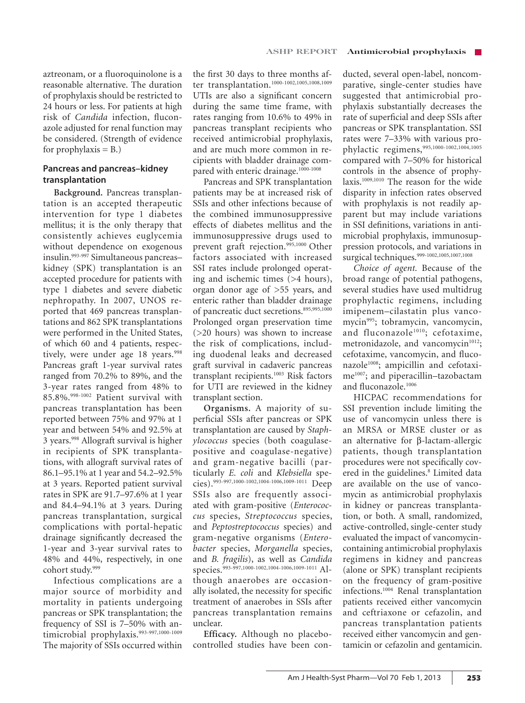aztreonam, or a fluoroquinolone is a reasonable alternative. The duration of prophylaxis should be restricted to 24 hours or less. For patients at high risk of *Candida* infection, fluconazole adjusted for renal function may be considered. (Strength of evidence for prophylaxis  $=$  B.)

# **Pancreas and pancreas–kidney transplantation**

**Background.** Pancreas transplantation is an accepted therapeutic intervention for type 1 diabetes mellitus; it is the only therapy that consistently achieves euglycemia without dependence on exogenous insulin.993-997 Simultaneous pancreas– kidney (SPK) transplantation is an accepted procedure for patients with type 1 diabetes and severe diabetic nephropathy. In 2007, UNOS reported that 469 pancreas transplantations and 862 SPK transplantations were performed in the United States, of which 60 and 4 patients, respectively, were under age 18 years.<sup>998</sup> Pancreas graft 1-year survival rates ranged from 70.2% to 89%, and the 3-year rates ranged from 48% to 85.8%.998-1002 Patient survival with pancreas transplantation has been reported between 75% and 97% at 1 year and between 54% and 92.5% at 3 years.998 Allograft survival is higher in recipients of SPK transplantations, with allograft survival rates of 86.1–95.1% at 1 year and 54.2–92.5% at 3 years. Reported patient survival rates in SPK are 91.7–97.6% at 1 year and 84.4–94.1% at 3 years. During pancreas transplantation, surgical complications with portal-hepatic drainage significantly decreased the 1-year and 3-year survival rates to 48% and 44%, respectively, in one cohort study.<sup>999</sup>

Infectious complications are a major source of morbidity and mortality in patients undergoing pancreas or SPK transplantation; the frequency of SSI is 7–50% with antimicrobial prophylaxis.<sup>993-997,1000-1009</sup> The majority of SSIs occurred within the first 30 days to three months after transplantation.1000-1002,1005,1008,1009 UTIs are also a significant concern during the same time frame, with rates ranging from 10.6% to 49% in pancreas transplant recipients who received antimicrobial prophylaxis, and are much more common in recipients with bladder drainage compared with enteric drainage.<sup>1000-1008</sup>

Pancreas and SPK transplantation patients may be at increased risk of SSIs and other infections because of the combined immunosuppressive effects of diabetes mellitus and the immunosuppressive drugs used to prevent graft rejection.<sup>995,1000</sup> Other factors associated with increased SSI rates include prolonged operating and ischemic times (>4 hours), organ donor age of >55 years, and enteric rather than bladder drainage of pancreatic duct secretions.895,995,1000 Prolonged organ preservation time (>20 hours) was shown to increase the risk of complications, including duodenal leaks and decreased graft survival in cadaveric pancreas transplant recipients.1003 Risk factors for UTI are reviewed in the kidney transplant section.

**Organisms.** A majority of superficial SSIs after pancreas or SPK transplantation are caused by *Staphylococcus* species (both coagulasepositive and coagulase-negative) and gram-negative bacilli (particularly *E. coli* and *Klebsiella* species).993-997,1000-1002,1004-1006,1009-1011 Deep SSIs also are frequently associated with gram-positive (*Enterococcus* species, *Streptococcus* species, and *Peptostreptococcus* species) and gram-negative organisms (*Enterobacter* species, *Morganella* species, and *B. fragilis*), as well as *Candida* species.993-997,1000-1002,1004-1006,1009-1011 Although anaerobes are occasionally isolated, the necessity for specific treatment of anaerobes in SSIs after pancreas transplantation remains unclear.

**Efficacy.** Although no placebocontrolled studies have been conducted, several open-label, noncomparative, single-center studies have suggested that antimicrobial prophylaxis substantially decreases the rate of superficial and deep SSIs after pancreas or SPK transplantation. SSI rates were 7–33% with various prophylactic regimens,995,1000-1002,1004,1005 compared with 7–50% for historical controls in the absence of prophylaxis.1009,1010 The reason for the wide disparity in infection rates observed with prophylaxis is not readily apparent but may include variations in SSI definitions, variations in antimicrobial prophylaxis, immunosuppression protocols, and variations in surgical techniques.<sup>999-1002,1005,1007,1008</sup>

*Choice of agent.* Because of the broad range of potential pathogens, several studies have used multidrug prophylactic regimens, including imipenem–cilastatin plus vancomycin<sup>995</sup>; tobramycin, vancomycin, and fluconazole<sup>1010</sup>; cefotaxime, metronidazole, and vancomycin<sup>1012</sup>; cefotaxime, vancomycin, and fluconazole<sup>1008</sup>; ampicillin and cefotaxime1007; and piperacillin–tazobactam and fluconazole.1006

HICPAC recommendations for SSI prevention include limiting the use of vancomycin unless there is an MRSA or MRSE cluster or as an alternative for  $\beta$ -lactam-allergic patients, though transplantation procedures were not specifically covered in the guidelines.<sup>8</sup> Limited data are available on the use of vancomycin as antimicrobial prophylaxis in kidney or pancreas transplantation, or both. A small, randomized, active-controlled, single-center study evaluated the impact of vancomycincontaining antimicrobial prophylaxis regimens in kidney and pancreas (alone or SPK) transplant recipients on the frequency of gram-positive infections.1004 Renal transplantation patients received either vancomycin and ceftriaxone or cefazolin, and pancreas transplantation patients received either vancomycin and gentamicin or cefazolin and gentamicin.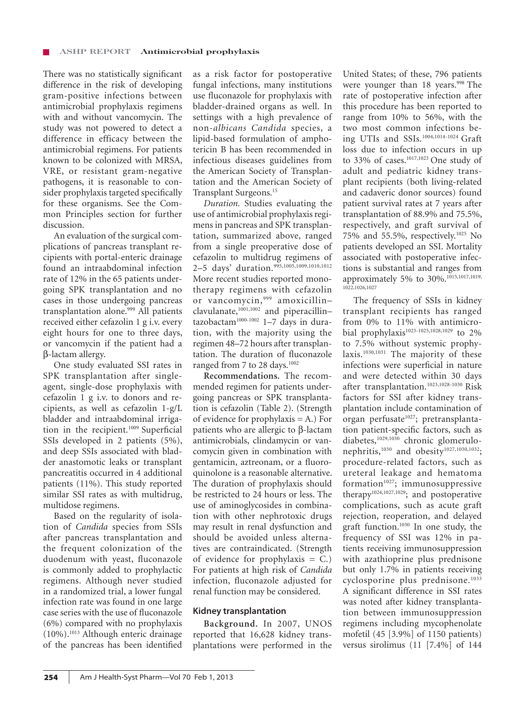There was no statistically significant difference in the risk of developing gram-positive infections between antimicrobial prophylaxis regimens with and without vancomycin. The study was not powered to detect a difference in efficacy between the antimicrobial regimens. For patients known to be colonized with MRSA, VRE, or resistant gram-negative pathogens, it is reasonable to consider prophylaxis targeted specifically for these organisms. See the Common Principles section for further discussion.

An evaluation of the surgical complications of pancreas transplant recipients with portal-enteric drainage found an intraabdominal infection rate of 12% in the 65 patients undergoing SPK transplantation and no cases in those undergoing pancreas transplantation alone.<sup>999</sup> All patients received either cefazolin 1 g i.v. every eight hours for one to three days, or vancomycin if the patient had a b-lactam allergy.

One study evaluated SSI rates in SPK transplantation after singleagent, single-dose prophylaxis with cefazolin 1 g i.v. to donors and recipients, as well as cefazolin 1-g/L bladder and intraabdominal irrigation in the recipient.<sup>1009</sup> Superficial SSIs developed in 2 patients (5%), and deep SSIs associated with bladder anastomotic leaks or transplant pancreatitis occurred in 4 additional patients (11%). This study reported similar SSI rates as with multidrug, multidose regimens.

Based on the regularity of isolation of *Candida* species from SSIs after pancreas transplantation and the frequent colonization of the duodenum with yeast, fluconazole is commonly added to prophylactic regimens. Although never studied in a randomized trial, a lower fungal infection rate was found in one large case series with the use of fluconazole (6%) compared with no prophylaxis (10%).1013 Although enteric drainage of the pancreas has been identified

as a risk factor for postoperative fungal infections, many institutions use fluconazole for prophylaxis with bladder-drained organs as well. In settings with a high prevalence of non-*albicans Candida* species, a lipid-based formulation of amphotericin B has been recommended in infectious diseases guidelines from the American Society of Transplantation and the American Society of Transplant Surgeons.15

*Duration.* Studies evaluating the use of antimicrobial prophylaxis regimens in pancreas and SPK transplantation, summarized above, ranged from a single preoperative dose of cefazolin to multidrug regimens of 2–5 days' duration.995,1005,1009,1010,1012 More recent studies reported monotherapy regimens with cefazolin or vancomycin,999 amoxicillin– clavulanate,1001,1002 and piperacillin– tazobactam1000-1002 1–7 days in duration, with the majority using the regimen 48–72 hours after transplantation. The duration of fluconazole ranged from 7 to 28 days.<sup>1002</sup>

**Recommendations.** The recommended regimen for patients undergoing pancreas or SPK transplantation is cefazolin (Table 2). (Strength of evidence for prophylaxis  $= A$ .) For patients who are allergic to  $\beta$ -lactam antimicrobials, clindamycin or vancomycin given in combination with gentamicin, aztreonam, or a fluoroquinolone is a reasonable alternative. The duration of prophylaxis should be restricted to 24 hours or less. The use of aminoglycosides in combination with other nephrotoxic drugs may result in renal dysfunction and should be avoided unless alternatives are contraindicated. (Strength of evidence for prophylaxis  $= C.$ ) For patients at high risk of *Candida* infection, fluconazole adjusted for renal function may be considered.

#### **Kidney transplantation**

**Background.** In 2007, UNOS reported that 16,628 kidney transplantations were performed in the

United States; of these, 796 patients were younger than 18 years.<sup>998</sup> The rate of postoperative infection after this procedure has been reported to range from 10% to 56%, with the two most common infections being UTIs and SSIs.1004,1014-1024 Graft loss due to infection occurs in up to 33% of cases.1017,1023 One study of adult and pediatric kidney transplant recipients (both living-related and cadaveric donor sources) found patient survival rates at 7 years after transplantation of 88.9% and 75.5%, respectively, and graft survival of 75% and 55.5%, respectively.1025 No patients developed an SSI. Mortality associated with postoperative infections is substantial and ranges from approximately 5% to 30%.1015,1017,1019, 1022,1026,1027

The frequency of SSIs in kidney transplant recipients has ranged from 0% to 11% with antimicrobial prophylaxis<sup>1023-1025,1028,1029</sup> to 2% to 7.5% without systemic prophylaxis.1030,1031 The majority of these infections were superficial in nature and were detected within 30 days after transplantation.1023,1028-1030 Risk factors for SSI after kidney transplantation include contamination of organ perfusate<sup>1027</sup>; pretransplantation patient-specific factors, such as diabetes,1029,1030 chronic glomerulonephritis,<sup>1030</sup> and obesity<sup>1027,1030,1032</sup>; procedure-related factors, such as ureteral leakage and hematoma formation<sup>1027</sup>; immunosuppressive therapy1024,1027,1029; and postoperative complications, such as acute graft rejection, reoperation, and delayed graft function.1030 In one study, the frequency of SSI was 12% in patients receiving immunosuppression with azathioprine plus prednisone but only 1.7% in patients receiving cyclosporine plus prednisone.<sup>1033</sup> A significant difference in SSI rates was noted after kidney transplantation between immunosuppression regimens including mycophenolate mofetil (45 [3.9%] of 1150 patients) versus sirolimus (11 [7.4%] of 144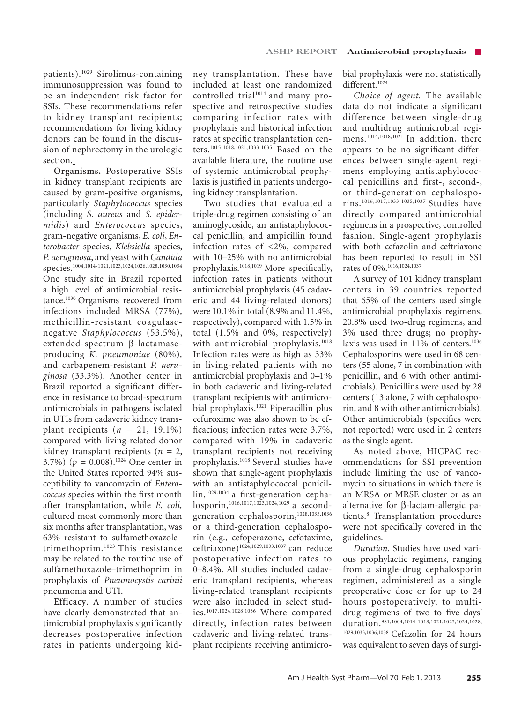patients).1029 Sirolimus-containing immunosuppression was found to be an independent risk factor for SSIs. These recommendations refer to kidney transplant recipients; recommendations for living kidney donors can be found in the discussion of nephrectomy in the urologic section.

**Organisms.** Postoperative SSIs in kidney transplant recipients are caused by gram-positive organisms, particularly *Staphylococcus* species (including *S. aureus* and *S. epidermidis*) and *Enterococcus* species, gram-negative organisms, *E. coli*, *Enterobacter* species, *Klebsiella* species, *P. aeruginosa*, and yeast with *Candida*  species.1004,1014-1021,1023,1024,1026,1028,1030,1034 One study site in Brazil reported a high level of antimicrobial resistance.1030 Organisms recovered from infections included MRSA (77%), methicillin-resistant coagulasenegative *Staphylococcus* (53.5%), extended-spectrum  $\beta$ -lactamaseproducing *K. pneumoniae* (80%)*,*  and carbapenem-resistant *P. aeruginosa* (33.3%)*.* Another center in Brazil reported a significant difference in resistance to broad-spectrum antimicrobials in pathogens isolated in UTIs from cadaveric kidney transplant recipients (*n* = 21, 19.1%) compared with living-related donor kidney transplant recipients (*n* = 2, 3.7%) ( $p = 0.008$ ).<sup>1024</sup> One center in the United States reported 94% susceptibility to vancomycin of *Enterococcus* species within the first month after transplantation, while *E. coli,* cultured most commonly more than six months after transplantation, was 63% resistant to sulfamethoxazole– trimethoprim.1023 This resistance may be related to the routine use of sulfamethoxazole–trimethoprim in prophylaxis of *Pneumocystis carinii* pneumonia and UTI.

**Efficacy**. A number of studies have clearly demonstrated that antimicrobial prophylaxis significantly decreases postoperative infection rates in patients undergoing kidney transplantation. These have included at least one randomized controlled trial<sup>1014</sup> and many prospective and retrospective studies comparing infection rates with prophylaxis and historical infection rates at specific transplantation centers.<sup>1015-1018,1021,1033-1035</sup> Based on the available literature, the routine use of systemic antimicrobial prophylaxis is justified in patients undergoing kidney transplantation.

Two studies that evaluated a triple-drug regimen consisting of an aminoglycoside, an antistaphylococcal penicillin, and ampicillin found infection rates of <2%, compared with 10–25% with no antimicrobial prophylaxis.1018,1019 More specifically, infection rates in patients without antimicrobial prophylaxis (45 cadaveric and 44 living-related donors) were 10.1% in total (8.9% and 11.4%, respectively), compared with 1.5% in total (1.5% and 0%, respectively) with antimicrobial prophylaxis.<sup>1018</sup> Infection rates were as high as 33% in living-related patients with no antimicrobial prophylaxis and 0–1% in both cadaveric and living-related transplant recipients with antimicrobial prophylaxis.1021 Piperacillin plus cefuroxime was also shown to be efficacious; infection rates were 3.7%, compared with 19% in cadaveric transplant recipients not receiving prophylaxis.1018 Several studies have shown that single-agent prophylaxis with an antistaphylococcal penicillin,1029,1034 a first-generation cephalosporin,1016,1017,1023,1024,1029 a secondgeneration cephalosporin,<sup>1028,1035,1036</sup> or a third-generation cephalosporin (e.g., cefoperazone, cefotaxime, ceftriaxone)1024,1029,1033,1037 can reduce postoperative infection rates to 0–8.4%. All studies included cadaveric transplant recipients, whereas living-related transplant recipients were also included in select studies.1017,1024,1028,1036 Where compared directly, infection rates between cadaveric and living-related transplant recipients receiving antimicrobial prophylaxis were not statistically different.<sup>1024</sup>

*Choice of agent.* The available data do not indicate a significant difference between single-drug and multidrug antimicrobial regimens.1014,1018,1021 In addition, there appears to be no significant differences between single-agent regimens employing antistaphylococcal penicillins and first-, second-, or third-generation cephalosporins.1016,1017,1033-1035,1037 Studies have directly compared antimicrobial regimens in a prospective, controlled fashion. Single-agent prophylaxis with both cefazolin and ceftriaxone has been reported to result in SSI rates of 0%.1016,1024,1037

A survey of 101 kidney transplant centers in 39 countries reported that 65% of the centers used single antimicrobial prophylaxis regimens, 20.8% used two-drug regimens, and 3% used three drugs; no prophylaxis was used in 11% of centers.<sup>1036</sup> Cephalosporins were used in 68 centers (55 alone, 7 in combination with penicillin, and 6 with other antimicrobials). Penicillins were used by 28 centers (13 alone, 7 with cephalosporin, and 8 with other antimicrobials). Other antimicrobials (specifics were not reported) were used in 2 centers as the single agent.

As noted above, HICPAC recommendations for SSI prevention include limiting the use of vancomycin to situations in which there is an MRSA or MRSE cluster or as an alternative for  $\beta$ -lactam-allergic patients.8 Transplantation procedures were not specifically covered in the guidelines.

*Duration*. Studies have used various prophylactic regimens, ranging from a single-drug cephalosporin regimen, administered as a single preoperative dose or for up to 24 hours postoperatively, to multidrug regimens of two to five days' duration.981,1004,1014-1018,1021,1023,1024,1028, 1029,1033,1036,1038 Cefazolin for 24 hours was equivalent to seven days of surgi-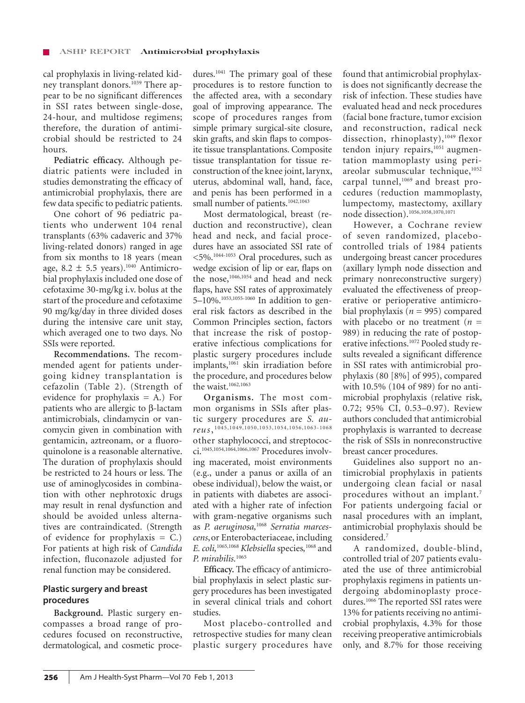cal prophylaxis in living-related kidney transplant donors.<sup>1039</sup> There appear to be no significant differences in SSI rates between single-dose, 24-hour, and multidose regimens; therefore, the duration of antimicrobial should be restricted to 24 hours.

**Pediatric efficacy.** Although pediatric patients were included in studies demonstrating the efficacy of antimicrobial prophylaxis, there are few data specific to pediatric patients.

One cohort of 96 pediatric patients who underwent 104 renal transplants (63% cadaveric and 37% living-related donors) ranged in age from six months to 18 years (mean age, 8.2  $\pm$  5.5 years).<sup>1040</sup> Antimicrobial prophylaxis included one dose of cefotaxime 30-mg/kg i.v. bolus at the start of the procedure and cefotaxime 90 mg/kg/day in three divided doses during the intensive care unit stay, which averaged one to two days. No SSIs were reported.

**Recommendations.** The recommended agent for patients undergoing kidney transplantation is cefazolin (Table 2). (Strength of evidence for prophylaxis  $= A$ .) For patients who are allergic to  $\beta$ -lactam antimicrobials, clindamycin or vancomycin given in combination with gentamicin, aztreonam, or a fluoroquinolone is a reasonable alternative. The duration of prophylaxis should be restricted to 24 hours or less. The use of aminoglycosides in combination with other nephrotoxic drugs may result in renal dysfunction and should be avoided unless alternatives are contraindicated. (Strength of evidence for prophylaxis  $= C$ .) For patients at high risk of *Candida* infection, fluconazole adjusted for renal function may be considered.

# **Plastic surgery and breast procedures**

**Background.** Plastic surgery encompasses a broad range of procedures focused on reconstructive, dermatological, and cosmetic procedures.<sup>1041</sup> The primary goal of these procedures is to restore function to the affected area, with a secondary goal of improving appearance. The scope of procedures ranges from simple primary surgical-site closure, skin grafts, and skin flaps to composite tissue transplantations. Composite tissue transplantation for tissue reconstruction of the knee joint, larynx, uterus, abdominal wall, hand, face, and penis has been performed in a small number of patients.<sup>1042,1043</sup>

Most dermatological, breast (reduction and reconstructive), clean head and neck, and facial procedures have an associated SSI rate of <5%.1044-1053 Oral procedures, such as wedge excision of lip or ear, flaps on the nose,<sup>1046,1054</sup> and head and neck flaps, have SSI rates of approximately 5–10%.1053,1055-1060 In addition to general risk factors as described in the Common Principles section, factors that increase the risk of postoperative infectious complications for plastic surgery procedures include implants,<sup>1061</sup> skin irradiation before the procedure, and procedures below the waist.<sup>1062,1063</sup>

**Organisms.** The most common organisms in SSIs after plastic surgery procedures are *S. aureus*, 1045,1049,1050,1053,1054,1056,1063-1068 other staphylococci, and streptococci.1045,1054,1064,1066,1067 Procedures involving macerated, moist environments (e.g., under a panus or axilla of an obese individual), below the waist, or in patients with diabetes are associated with a higher rate of infection with gram-negative organisms such as *P. aeruginosa,*1068 *Serratia marcescens*,or Enterobacteriaceae, including *E. coli,*1065,1068 *Klebsiella* species*,* 1068 and *P. mirabilis.*<sup>1065</sup>

**Efficacy.** The efficacy of antimicrobial prophylaxis in select plastic surgery procedures has been investigated in several clinical trials and cohort studies.

Most placebo-controlled and retrospective studies for many clean plastic surgery procedures have found that antimicrobial prophylaxis does not significantly decrease the risk of infection. These studies have evaluated head and neck procedures (facial bone fracture, tumor excision and reconstruction, radical neck dissection, rhinoplasty),<sup>1049</sup> flexor tendon injury repairs,<sup>1051</sup> augmentation mammoplasty using periareolar submuscular technique,<sup>1052</sup> carpal tunnel,<sup>1069</sup> and breast procedures (reduction mammoplasty, lumpectomy, mastectomy, axillary node dissection).1056,1058,1070,1071

However, a Cochrane review of seven randomized, placebocontrolled trials of 1984 patients undergoing breast cancer procedures (axillary lymph node dissection and primary nonreconstructive surgery) evaluated the effectiveness of preoperative or perioperative antimicrobial prophylaxis ( $n = 995$ ) compared with placebo or no treatment  $(n =$ 989) in reducing the rate of postoperative infections.1072 Pooled study results revealed a significant difference in SSI rates with antimicrobial prophylaxis (80 [8%] of 995), compared with 10.5% (104 of 989) for no antimicrobial prophylaxis (relative risk, 0.72; 95% CI, 0.53–0.97). Review authors concluded that antimicrobial prophylaxis is warranted to decrease the risk of SSIs in nonreconstructive breast cancer procedures.

Guidelines also support no antimicrobial prophylaxis in patients undergoing clean facial or nasal procedures without an implant.7 For patients undergoing facial or nasal procedures with an implant, antimicrobial prophylaxis should be considered.7

A randomized, double-blind, controlled trial of 207 patients evaluated the use of three antimicrobial prophylaxis regimens in patients undergoing abdominoplasty procedures.1066 The reported SSI rates were 13% for patients receiving no antimicrobial prophylaxis, 4.3% for those receiving preoperative antimicrobials only, and 8.7% for those receiving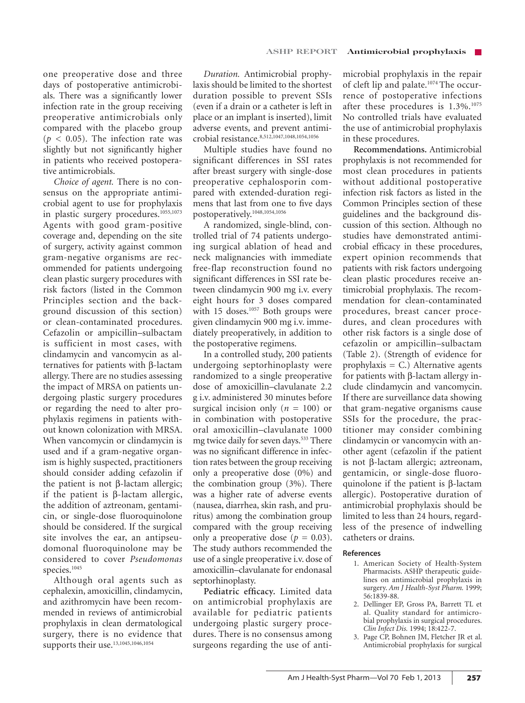one preoperative dose and three days of postoperative antimicrobials. There was a significantly lower infection rate in the group receiving preoperative antimicrobials only compared with the placebo group  $(p < 0.05)$ . The infection rate was slightly but not significantly higher in patients who received postoperative antimicrobials.

*Choice of agent.* There is no consensus on the appropriate antimicrobial agent to use for prophylaxis in plastic surgery procedures.<sup>1055,1073</sup> Agents with good gram-positive coverage and, depending on the site of surgery, activity against common gram-negative organisms are recommended for patients undergoing clean plastic surgery procedures with risk factors (listed in the Common Principles section and the background discussion of this section) or clean-contaminated procedures. Cefazolin or ampicillin–sulbactam is sufficient in most cases, with clindamycin and vancomycin as alternatives for patients with  $\beta$ -lactam allergy. There are no studies assessing the impact of MRSA on patients undergoing plastic surgery procedures or regarding the need to alter prophylaxis regimens in patients without known colonization with MRSA. When vancomycin or clindamycin is used and if a gram-negative organism is highly suspected, practitioners should consider adding cefazolin if the patient is not  $\beta$ -lactam allergic; if the patient is  $\beta$ -lactam allergic, the addition of aztreonam, gentamicin, or single-dose fluoroquinolone should be considered. If the surgical site involves the ear, an antipseudomonal fluoroquinolone may be considered to cover *Pseudomonas* species.<sup>1045</sup>

Although oral agents such as cephalexin, amoxicillin, clindamycin, and azithromycin have been recommended in reviews of antimicrobial prophylaxis in clean dermatological surgery, there is no evidence that supports their use.<sup>13,1045,1046,1054</sup>

*Duration.* Antimicrobial prophylaxis should be limited to the shortest duration possible to prevent SSIs (even if a drain or a catheter is left in place or an implant is inserted), limit adverse events, and prevent antimicrobial resistance.8,512,1047,1048,1054,1056

Multiple studies have found no significant differences in SSI rates after breast surgery with single-dose preoperative cephalosporin compared with extended-duration regimens that last from one to five days postoperatively.1048,1054,1056

A randomized, single-blind, controlled trial of 74 patients undergoing surgical ablation of head and neck malignancies with immediate free-flap reconstruction found no significant differences in SSI rate between clindamycin 900 mg i.v. every eight hours for 3 doses compared with 15 doses.<sup>1057</sup> Both groups were given clindamycin 900 mg i.v. immediately preoperatively, in addition to the postoperative regimens.

In a controlled study, 200 patients undergoing septorhinoplasty were randomized to a single preoperative dose of amoxicillin–clavulanate 2.2 g i.v. administered 30 minutes before surgical incision only ( $n = 100$ ) or in combination with postoperative oral amoxicillin–clavulanate 1000 mg twice daily for seven days.533 There was no significant difference in infection rates between the group receiving only a preoperative dose (0%) and the combination group (3%). There was a higher rate of adverse events (nausea, diarrhea, skin rash, and pruritus) among the combination group compared with the group receiving only a preoperative dose  $(p = 0.03)$ . The study authors recommended the use of a single preoperative i.v. dose of amoxicillin–clavulanate for endonasal septorhinoplasty.

**Pediatric efficacy.** Limited data on antimicrobial prophylaxis are available for pediatric patients undergoing plastic surgery procedures. There is no consensus among surgeons regarding the use of antimicrobial prophylaxis in the repair of cleft lip and palate.<sup>1074</sup> The occurrence of postoperative infections after these procedures is 1.3%.<sup>1075</sup> No controlled trials have evaluated the use of antimicrobial prophylaxis in these procedures.

**Recommendations.** Antimicrobial prophylaxis is not recommended for most clean procedures in patients without additional postoperative infection risk factors as listed in the Common Principles section of these guidelines and the background discussion of this section. Although no studies have demonstrated antimicrobial efficacy in these procedures, expert opinion recommends that patients with risk factors undergoing clean plastic procedures receive antimicrobial prophylaxis. The recommendation for clean-contaminated procedures, breast cancer procedures, and clean procedures with other risk factors is a single dose of cefazolin or ampicillin–sulbactam (Table 2). (Strength of evidence for prophylaxis  $= C.$ ) Alternative agents for patients with  $\beta$ -lactam allergy include clindamycin and vancomycin. If there are surveillance data showing that gram-negative organisms cause SSIs for the procedure, the practitioner may consider combining clindamycin or vancomycin with another agent (cefazolin if the patient is not  $\beta$ -lactam allergic; aztreonam, gentamicin, or single-dose fluoroquinolone if the patient is  $\beta$ -lactam allergic). Postoperative duration of antimicrobial prophylaxis should be limited to less than 24 hours, regardless of the presence of indwelling catheters or drains.

#### **References**

- 1. American Society of Health-System Pharmacists. ASHP therapeutic guidelines on antimicrobial prophylaxis in surgery. *Am J Health-Syst Pharm.* 1999; 56:1839-88.
- 2. Dellinger EP, Gross PA, Barrett TL et al. Quality standard for antimicrobial prophylaxis in surgical procedures. *Clin Infect Dis.* 1994; 18:422-7.
- 3. Page CP, Bohnen JM, Fletcher JR et al. Antimicrobial prophylaxis for surgical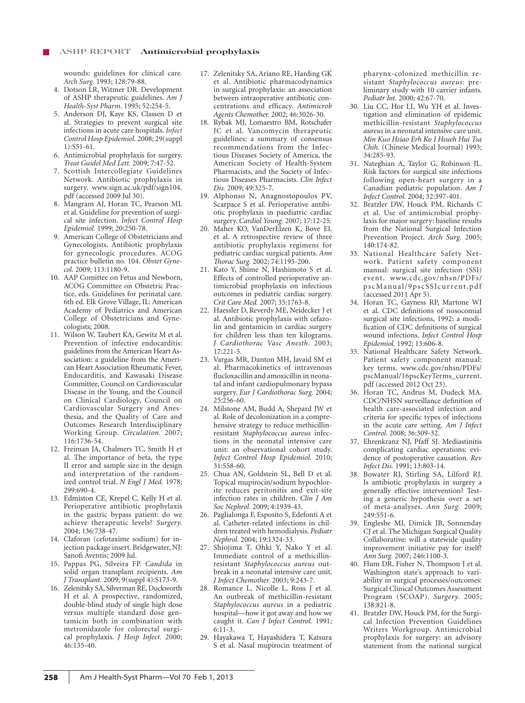wounds: guidelines for clinical care. *Arch Surg.* 1993; 128:79-88.

- 4. Dotson LR, Witmer DR. Development of ASHP therapeutic guidelines. *Am J Health-Syst Pharm.* 1995; 52:254-5.
- 5. Anderson DJ, Kaye KS, Classen D et al. Strategies to prevent surgical site infections in acute care hospitals. *Infect Control Hosp Epidemiol.* 2008; 29(suppl 1):S51-61.
- 6. Antimicrobial prophylaxis for surgery. *Treat Guidel Med Lett.* 2009; 7:47-52.
- 7. Scottish Intercollegiate Guidelines Network. Antibiotic prophylaxis in surgery. www.sign.ac.uk/pdf/sign104. pdf (accessed 2009 Jul 30).
- 8. Mangram AJ, Horan TC, Pearson ML et al. Guideline for prevention of surgical site infection. *Infect Control Hosp Epidemiol.* 1999; 20:250-78.
- 9. American College of Obstetricians and Gynecologists. Antibiotic prophylaxis for gynecologic procedures. ACOG practice bulletin no. 104. *Obstet Gynecol.* 2009; 113:1180-9.
- 10. AAP Comittee on Fetus and Newborn, ACOG Committee on Obstetric Practice, eds. Guidelines for perinatal care. 6th ed. Elk Grove Village, IL: American Academy of Pediatrics and American College of Obstetricians and Gynecologists; 2008.
- 11. Wilson W, Taubert KA, Gewitz M et al. Prevention of infective endocarditis: guidelines from the American Heart Association: a guideline from the American Heart Association Rheumatic Fever, Endocarditis, and Kawasaki Disease Committee, Council on Cardiovascular Disease in the Young, and the Council on Clinical Cardiology, Council on Cardiovascular Surgery and Anesthesia, and the Quality of Care and Outcomes Research Interdisciplinary Working Group. *Circulation.* 2007; 116:1736-54.
- 12. Freiman JA, Chalmers TC, Smith H et al. The importance of beta, the type II error and sample size in the design and interpretation of the randomized control trial. *N Engl J Med.* 1978; 299:690-4.
- 13. Edmiston CE, Krepel C, Kelly H et al. Perioperative antibiotic prophylaxis in the gastric bypass patient: do we achieve therapeutic levels? *Surgery.* 2004; 136:738-47.
- 14. Claforan (cefotaxime sodium) for injection package insert. Bridgewater, NJ: Sanofi Aventis; 2009 Jul.
- 15. Pappas PG, Silveira FP. *Candida* in solid organ transplant recipients. *Am J Transplant.* 2009; 9(suppl 4):S173-9.
- 16. Zelenitsky SA, Silverman RE, Duckworth H et al. A prospective, randomized, double-blind study of single high dose versus multiple standard dose gentamicin both in combination with metronidazole for colorectal surgical prophylaxis. *J Hosp Infect.* 2000; 46:135-40.
- 17. Zelenitsky SA, Ariano RE, Harding GK et al. Antibiotic pharmacodynamics in surgical prophylaxis: an association between intraoperative antibiotic concentrations and efficacy. *Antimicrob Agents Chemother.* 2002; 46:3026-30.
- 18. Rybak MJ, Lomaestro BM, Rotschafer JC et al. Vancomycin therapeutic guidelines: a summary of consensus recommendations from the Infectious Diseases Society of America, the American Society of Health-System Pharmacists, and the Society of Infectious Diseases Pharmacists. *Clin Infect Dis.* 2009; 49:325-7.
- 19. Alphonso N, Anagnostopoulos PV, Scarpace S et al. Perioperative antibiotic prophylaxis in paediatric cardiac surgery. *Cardiol Young.* 2007; 17:12-25.
- 20. Maher KO, VanDerElzen K, Bove EL et al. A retrospective review of three antibiotic prophylaxis regimens for pediatric cardiac surgical patients. *Ann Thorac Surg.* 2002; 74:1195-200.
- 21. Kato Y, Shime N, Hashimoto S et al. Effects of controlled perioperative antimicrobial prophylaxis on infectious outcomes in pediatric cardiac surgery. *Crit Care Med.* 2007; 35:1763-8.
- 22. Haessler D, Reverdy ME, Neidecker J et al. Antibiotic prophylaxis with cefazolin and gentamicin in cardiac surgery for children less than ten kilograms. *J Cardiothorac Vasc Anesth.* 2003; 17:221-5.
- 23. Vargas MR, Danton MH, Javaid SM et al. Pharmacokinetics of intravenous flucloxacillin and amoxicillin in neonatal and infant cardiopulmonary bypass surgery. *Eur J Cardiothorac Surg.* 2004; 25:256-60.
- 24. Milstone AM, Budd A, Shepard JW et al. Role of decolonization in a comprehensive strategy to reduce methicillinresistant *Staphylococcus aureus* infections in the neonatal intensive care unit: an observational cohort study. *Infect Control Hosp Epidemiol.* 2010; 31:558-60.
- 25. Chua AN, Goldstein SL, Bell D et al. Topical mupirocin/sodium hypochlorite reduces peritonitis and exit-site infection rates in children. *Clin J Am Soc Nephrol.* 2009; 4:1939-43.
- 26. Paglialonga F, Esposito S, Edefonti A et al. Catheter-related infections in children treated with hemodialysis. *Pediatr Nephrol.* 2004; 19:1324-33.
- 27. Shiojima T, Ohki Y, Nako Y et al. Immediate control of a methicillinresistant *Staphylococcus aureus* outbreak in a neonatal intensive care unit. *J Infect Chemother.* 2003; 9:243-7.
- 28. Romance L, Nicolle L, Ross J et al. An outbreak of methicillin-resistant *Staphylococcus aureus* in a pediatric hospital—how it got away and how we caught it. *Can J Infect Control.* 1991; 6:11-3.
- 29. Hayakawa T, Hayashidera T, Katsura S et al. Nasal mupirocin treatment of

pharynx-colonized methicillin resistant *Staphylococcus aureus*: preliminary study with 10 carrier infants. *Pediatr Int.* 2000; 42:67-70.

- 30. Liu CC, Hor LI, Wu YH et al. Investigation and elimination of epidemic methicillin-resistant *Staphylococcus aureus* in a neonatal intensive care unit. *Min Kuo Hsiao Erh Ko I Hsueh Hui Tsa Chih.* (Chinese Medical Journal) 1993; 34:285-93.
- 31. Nateghian A, Taylor G, Robinson JL. Risk factors for surgical site infections following open-heart surgery in a Canadian pediatric population. *Am J Infect Control.* 2004; 32:397-401.
- 32. Bratzler DW, Houck PM, Richards C et al. Use of antimicrobial prophylaxis for major surgery: baseline results from the National Surgical Infection Prevention Project. *Arch Surg.* 2005; 140:174-82.
- 33. National Healthcare Safety Network. Patient safety component manual: surgical site infection (SSI) event. www.cdc.gov/nhsn/PDFs/ pscManual/9pscSSIcurrent.pdf (accessed 2011 Apr 5).
- 34. Horan TC, Gayness RP, Martone WJ et al. CDC definitions of nosocomial surgical site infections, 1992: a modification of CDC definitions of surgical wound infections. *Infect Control Hosp Epidemiol.* 1992; 13:606-8.
- 35. National Healthcare Safety Network. Patient safety component manual: key terms. www.cdc.gov/nhsn/PDFs/ pscManual/16pscKeyTerms\_current. pdf (accessed 2012 Oct 23).
- 36. Horan TC, Andrus M, Dudeck MA. CDC/NHSN surveillance definition of health care-associated infection and criteria for specific types of infections in the acute care setting. *Am J Infect Control.* 2008; 36:309-32.
- 37. Ehrenkranz NJ, Pfaff SJ. Mediastinitis complicating cardiac operations: evidence of postoperative causation. *Rev Infect Dis.* 1991; 13:803-14.
- 38. Bowater RJ, Stirling SA, Lilford RJ. Is antibiotic prophylaxis in surgery a generally effective intervention? Testing a generic hypothesis over a set of meta-analyses. *Ann Surg.* 2009; 249:551-6.
- 39. Englesbe MJ, Dimick JB, Sonnenday CJ et al. The Michigan Surgical Quality Collaborative: will a statewide quality improvement initiative pay for itself? *Ann Surg.* 2007; 246:1100-3.
- 40. Flum DR, Fisher N, Thompson J et al. Washington state's approach to variability in surgical processes/outcomes: Surgical Clinical Outcomes Assessment Program (SCOAP). *Surgery.* 2005; 138:821-8.
- 41. Bratzler DW, Houck PM, for the Surgical Infection Prevention Guidelines Writers Workgroup. Antimicrobial prophylaxis for surgery: an advisory statement from the national surgical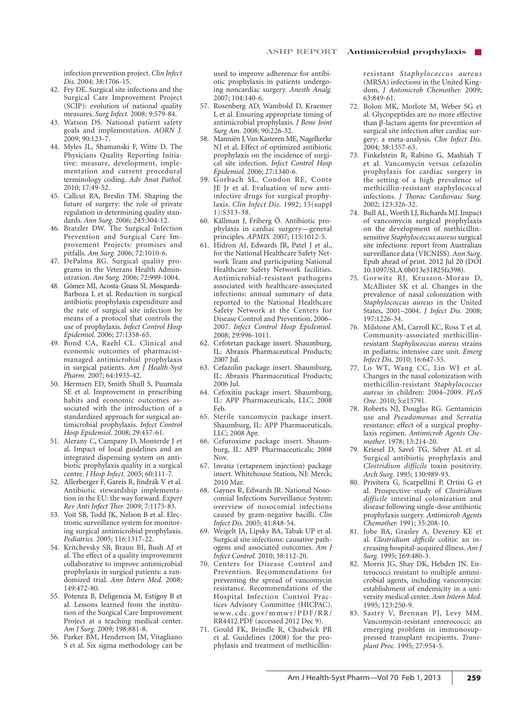infection prevention project. *Clin Infect Dis.* 2004; 38:1706-15.

- 42. Fry DE. Surgical site infections and the Surgical Care Improvement Project (SCIP): evolution of national quality measures. *Surg Infect.* 2008; 9:579-84.
- 43. Watson DS. National patient safety goals and implementation. *AORN J.* 2009; 90:123-7.
- 44. Myles JL, Shamanski F, Witte D. The Physicians Quality Reporting Initiative: measure, development, implementation and current procedural terminology coding. *Adv Anat Pathol.* 2010; 17:49-52.
- 45. Callcut RA, Breslin TM. Shaping the future of surgery: the role of private regulation in determining quality standards. *Ann Surg.* 2006; 243:304-12.
- 46. Bratzler DW. The Surgical Infection Prevention and Surgical Care Improvement Projects: promises and pitfalls. *Am Surg.* 2006; 72:1010-6.
- 47. DePalma RG. Surgical quality programs in the Veterans Health Administration. *Am Surg.* 2006; 72:999-1004.
- 48. Gómez MI, Acosta-Gnass SI, Mosqueda-Barboza L et al. Reduction in surgical antibiotic prophylaxis expenditure and the rate of surgical site infection by means of a protocol that controls the use of prophylaxis. *Infect Control Hosp Epidemiol.* 2006; 27:1358-65.
- 49. Bond CA, Raehl CL. Clinical and economic outcomes of pharmacistmanaged antimicrobial prophylaxis in surgical patients. *Am J Health-Syst Pharm.* 2007; 64:1935-42.
- 50. Hermsen ED, Smith Shull S, Puumala SE et al. Improvement in prescribing habits and economic outcomes associated with the introduction of a standardized approach for surgical antimicrobial prophylaxis. *Infect Control Hosp Epidemiol.* 2008; 29:457-61.
- 51. Alerany C, Campany D, Monterde J et al. Impact of local guidelines and an integrated dispensing system on antibiotic prophylaxis quality in a surgical centre. *J Hosp Infect.* 2005; 60:111-7.
- 52. Allerberger F, Gareis R, Jindrák V et al. Antibiotic stewardship implementation in the EU: the way forward. *Expert Rev Anti Infect Ther.* 2009; 7:1175-83.
- 53. Voit SB, Todd JK, Nelson B et al. Electronic surveillance system for monitoring surgical antimicrobial prophylaxis. *Pediatrics.* 2005; 116:1317-22.
- 54. Kritchevsky SB, Braun BI, Bush AJ et al. The effect of a quality improvement collaborative to improve antimicrobial prophylaxis in surgical patients: a randomized trial. *Ann Intern Med.* 2008; 149:472-80.
- 55. Potenza B, Deligencia M, Estigoy B et al. Lessons learned from the institution of the Surgical Care Improvement Project at a teaching medical center. *Am J Surg.* 2009; 198:881-8.
- 56. Parker BM, Henderson JM, Vitagliano S et al. Six sigma methodology can be

used to improve adherence for antibiotic prophylaxis in patients undergoing noncardiac surgery. *Anesth Analg.* 2007; 104:140-6.

- 57. Rosenberg AD, Wambold D, Kraemer L et al. Ensuring appropriate timing of antimicrobial prophylaxis. *J Bone Joint Surg Am.* 2008; 90:226-32.
- 58. Manniën J, Van Kasteren ME, Nagelkerke NJ et al. Effect of optimized antibiotic prophylaxis on the incidence of surgical site infection. *Infect Control Hosp Epidemiol.* 2006; 27:1340-6.
- 59. Gorbach SL, Condon RE, Conte JE Jr et al. Evaluation of new antiinfective drugs for surgical prophylaxis. *Clin Infect Dis.* 1992; 15(suppl 1):S313-38.
- 60. Källman J, Friberg Ö. Antibiotic prophylaxis in cardiac surgery—general principles. *APMIS.* 2007; 115:1012-5.
- 61. Hidron AI, Edwards JR, Patel J et al., for the National Healthcare Safety Network Team and participating National Healthcare Safety Network facilities. Antimicrobial-resistant pathogens associated with healthcare-associated infections: annual summary of data reported to the National Healthcare Safety Network at the Centers for Disease Control and Prevention, 2006– 2007. *Infect Control Hosp Epidemiol.* 2008; 29:996-1011.
- 62. Cefotetan package insert. Shaumburg, IL: Abraxis Pharmaceutical Products; 2007 Jul.
- 63. Cefazolin package insert. Shaumburg, IL: Abraxis Pharmaceutical Products; 2006 Jul.
- 64. Cefoxitin package insert. Shaumburg, IL: APP Pharmaceuticals, LLC; 2008 Feb.
- 65. Sterile vancomycin package insert. Shaumburg, IL: APP Pharmaceuticals, LLC; 2008 Apr.
- 66. Cefuroxime package insert. Shaumburg, IL: APP Pharmaceuticals; 2008 Nov.
- 67. Invanz (ertapenem injection) package insert. Whitehouse Station, NJ: Merck; 2010 Mar.
- 68. Gaynes R, Edwards JR. National Nosocomial Infections Surveillance System: overview of nosocomial infections caused by gram-negative bacilli. *Clin Infect Dis.* 2005; 41:848-54.
- 69. Weigelt JA, Lipsky BA, Tabak UP et al. Surgical site infections: causative pathogens and associated outcomes. *Am J Infect Control.* 2010; 38:112-20.
- 70. Centers for Disease Control and Prevention. Recommendations for preventing the spread of vancomycin resistance. Recommendations of the Hospital Infection Control Practices Advisory Committee (HICPAC). www.cdc.gov/mmwr/PDF/RR/ RR4412.PDF (accessed 2012 Dec 9).
- 71. Gould FK, Brindle R, Chadwick PR et al. Guidelines (2008) for the prophylaxis and treatment of methicillin-

resistant *Staphylococcus aureus* (MRSA) infections in the United Kingdom. *J Antimicrob Chemother.* 2009; 63:849-61.

- 72. Bolon MK, Morlote M, Weber SG et al. Glycopeptides are no more effective than β-lactam agents for prevention of surgical site infection after cardiac surgery: a meta-analysis. *Clin Infect Dis.* 2004; 38:1357-63.
- 73. Finkelstein R, Rabino G, Mashiah T et al. Vancomycin versus cefazolin prophylaxis for cardiac surgery in the setting of a high prevalence of methicillin-resistant staphylococcal infections. *J Thorac Cardiovasc Surg.* 2002; 123:326-32.
- 74. Bull AL, Worth LJ, Richards MJ. Impact of vancomycin surgical prophylaxis on the development of methicillinsensitive *Staphylococcus aureus* surgical site infections: report from Australian surveillance data (VICNISS). *Ann Surg.*  Epub ahead of print. 2012 Jul 20 (DOI 10.1097/SLA.0b013e31825fa398).
- 75. Gorwitz RJ, Kruszon-Moran D, McAllister SK et al. Changes in the prevalence of nasal colonization with *Staphylococcus aureus* in the United States, 2001–2004. *J Infect Dis.* 2008; 197:1226-34.
- 76. Milstone AM, Carroll KC, Ross T et al. Community-associated methicillinresistant *Staphylococcus aureus* strains in pediatric intensive care unit. *Emerg Infect Dis.* 2010; 16:647-55.
- 77. Lo WT, Wang CC, Lin WJ et al. Changes in the nasal colonization with methicillin-resistant *Staphylococcus aureus* in children: 2004–2009. *PLoS One.* 2010; 5:e15791.
- 78. Roberts NJ, Douglas RG. Gentamicin use and *Pseudomonas* and *Serratia* resistance: effect of a surgical prophylaxis regimen. *Antimicrob Agents Chemother.* 1978; 13:214-20.
- 79. Kriesel D, Savel TG, Silver AL et al. Surgical antibiotic prophylaxis and *Clostridium difficile* toxin positivity. *Arch Surg.* 1995; 130:989-93.
- 80. Privitera G, Scarpellini P, Ortisi G et al. Prospective study of *Clostridium difficile* intestinal colonization and disease following single-dose antibiotic prophylaxis surgery. *Antimicrob Agents Chemother.* 1991; 35:208-10.
- 81. Jobe BA, Grasley A, Deveney KE et al. *Clostridium difficile* colitis: an increasing hospital-acquired illness. *Am J Surg.* 1995; 169:480-3.
- 82. Morris JG, Shay DK, Hebden JN. Enterococci resistant to multiple antimicrobial agents, including vancomycin: establishment of endemicity in a university medical center. *Ann Intern Med.* 1995; 123:250-9.
- 83. Sastry V, Brennan PJ, Levy MM. Vancomycin-resistant enterococci: an emerging problem in immunosuppressed transplant recipients. *Transplant Proc.* 1995; 27:954-5.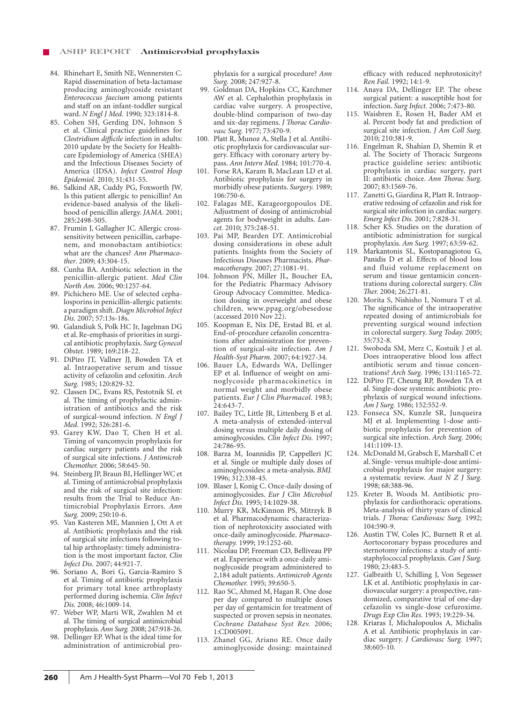- 84. Rhinehart E, Smith NE, Wennersten C. Rapid dissemination of beta-lactamase producing aminoglycoside resistant *Enterococcus faecium* among patients and staff on an infant-toddler surgical ward. *N Engl J Med.* 1990; 323:1814-8.
- 85. Cohen SH, Gerding DN, Johnson S et al. Clinical practice guidelines for *Clostridium difficile* infection in adults: 2010 update by the Society for Healthcare Epidemiology of America (SHEA) and the Infectious Diseases Society of America (IDSA). *Infect Control Hosp Epidemiol.* 2010; 31:431-55.
- 86. Salkind AR, Cuddy PG, Foxworth JW. Is this patient allergic to penicillin? An evidence-based analysis of the likelihood of penicillin allergy. *JAMA.* 2001; 285:2498-505.
- 87. Frumin J, Gallagher JC. Allergic crosssensitivity between penicillin, carbapenem, and monobactam antibiotics: what are the chances? *Ann Pharmacother*. 2009; 43:304-15.
- 88. Cunha BA. Antibiotic selection in the penicillin-allergic patient. *Med Clin North Am.* 2006; 90:1257-64.
- 89. Pichichero ME. Use of selected cephalosporins in penicillin-allergic patients: a paradigm shift. *Diagn Microbiol Infect Dis.* 2007; 57:13s-18s.
- 90. Galandiuk S, Polk HC Jr, Jagelman DG et al. Re-emphasis of priorities in surgical antibiotic prophylaxis. *Surg Gynecol Obstet.* 1989; 169:218-22.
- 91. DiPiro JT, Vallner JJ, Bowden TA et al. Intraoperative serum and tissue activity of cefazolin and cefoxitin. *Arch Surg.* 1985; 120:829-32.
- 92. Classen DC, Evans RS, Pestotnik SL et al. The timing of prophylactic administration of antibiotics and the risk of surgical-wound infection. *N Engl J Med.* 1992; 326:281-6.
- 93. Garey KW, Dao T, Chen H et al. Timing of vancomycin prophylaxis for cardiac surgery patients and the risk of surgical site infections. *J Antimicrob Chemother.* 2006; 58:645-50.
- 94. Steinberg JP, Braun BI, Hellinger WC et al. Timing of antimicrobial prophylaxis and the risk of surgical site infection: results from the Trial to Reduce Antimicrobial Prophylaxis Errors. *Ann Surg.* 2009; 250:10-6.
- 95. Van Kasteren ME, Mannien J, Ott A et al. Antibiotic prophylaxis and the risk of surgical site infections following total hip arthroplasty: timely administration is the most important factor. *Clin Infect Dis.* 2007; 44:921-7.
- 96. Soriano A, Bori G, Garcia-Ramiro S et al. Timing of antibiotic prophylaxis for primary total knee arthroplasty performed during ischemia. *Clin Infect Dis.* 2008; 46:1009-14.
- 97. Weber WP, Marti WR, Zwahlen M et al. The timing of surgical antimicrobial prophylaxis. *Ann Surg.* 2008; 247:918-26.
- 98. Dellinger EP. What is the ideal time for administration of antimicrobial pro-

phylaxis for a surgical procedure? *Ann Surg.* 2008; 247:927-8.

- 99. Goldman DA, Hopkins CC, Karchmer AW et al. Cephalothin prophylaxis in cardiac valve surgery. A prospective, double-blind comparison of two-day and six-day regimens. *J Thorac Cardiovasc Surg.* 1977; 73:470-9.
- 100. Platt R, Munoz A, Stella J et al. Antibiotic prophylaxis for cardiovascular surgery. Efficacy with coronary artery bypass. *Ann Intern Med.* 1984; 101:770-4.
- 101. Forse RA, Karam B, MacLean LD et al. Antibiotic prophylaxis for surgery in morbidly obese patients. *Surgery.* 1989; 106:750-6.
- 102. Falagas ME, Karageorgopoulos DE. Adjustment of dosing of antimicrobial agents for bodyweight in adults. *Lancet.* 2010; 375:248-51.
- 103. Pai MP, Bearden DT. Antimicrobial dosing considerations in obese adult patients. Insights from the Society of Infectious Diseases Pharmacists. *Pharmacotherapy.* 2007; 27:1081-91.
- 104. Johnson PN, Miller JL, Boucher EA, for the Pediatric Pharmacy Advisory Group Advocacy Committee. Medication dosing in overweight and obese children. www.ppag.org/obesedose (accessed 2010 Nov 22).
- 105. Koopman E, Nix DE, Erstad BL et al. End-of-procedure cefazolin concentrations after administration for prevention of surgical-site infection. *Am J Health-Syst Pharm.* 2007; 64:1927-34.
- 106. Bauer LA, Edwards WA, Dellinger EP et al. Influence of weight on aminoglycoside pharmacokinetics in normal weight and morbidly obese patients. *Eur J Clin Pharmacol.* 1983; 24:643-7.
- 107. Bailey TC, Little JR, Littenberg B et al. A meta-analysis of extended-interval dosing versus multiple daily dosing of aminoglycosides. *Clin Infect Dis.* 1997; 24:786-95.
- 108. Barza M, Ioannidis JP, Cappelleri JC et al. Single or multiple daily doses of aminoglycosides: a meta-analysis. *BMJ.* 1996; 312:338-45.
- 109. Blaser J, Konig C. Once-daily dosing of aminoglycosides. *Eur J Clin Microbiol Infect Dis.* 1995; 14:1029-38.
- 110. Murry KR, McKinnon PS, Mitrzyk B et al. Pharmacodynamic characterization of nephrotoxicity associated with once-daily aminoglycoside. *Pharmacotherapy.* 1999; 19:1252-60.
- 111. Nicolau DP, Freeman CD, Belliveau PP et al. Experience with a once-daily aminoglycoside program administered to 2,184 adult patients. *Antimicrob Agents Chemother.* 1995; 39:650-5.
- 112. Rao SC, Ahmed M, Hagan R. One dose per day compared to multiple doses per day of gentamicin for treatment of suspected or proven sepsis in neonates. *Cochrane Database Syst Rev.* 2006; 1:CD005091.
- 113. Zhanel GG, Ariano RE. Once daily aminoglycoside dosing: maintained

efficacy with reduced nephrotoxicity? *Ren Fail.* 1992; 14:1-9.

- 114. Anaya DA, Dellinger EP. The obese surgical patient: a susceptible host for infection. *Surg Infect.* 2006; 7:473-80.
- 115. Waisbren E, Rosen H, Bader AM et al. Percent body fat and prediction of surgical site infection. *J Am Coll Surg.* 2010; 210:381-9.
- 116. Engelman R, Shahian D, Shemin R et al. The Society of Thoracic Surgeons practice guideline series: antibiotic prophylaxis in cardiac surgery, part II: antibiotic choice. *Ann Thorac Surg.* 2007; 83:1569-76.
- 117. Zanetti G, Giardina R, Platt R. Intraoperative redosing of cefazolin and risk for surgical site infection in cardiac surgery. *Emerg Infect Dis.* 2001; 7:828-31.
- 118. Scher KS. Studies on the duration of antibiotic administration for surgical prophylaxis. *Am Surg.* 1997; 63:59-62.
- 119. Markantonis SL, Kostopanagiotou G, Panidis D et al. Effects of blood loss and fluid volume replacement on serum and tissue gentamicin concentrations during colorectal surgery. *Clin Ther.* 2004; 26:271-81.
- 120. Morita S, Nishisho I, Nomura T et al. The significance of the intraoperative repeated dosing of antimicrobials for preventing surgical wound infection in colorectal surgery. *Surg Today.* 2005; 35:732-8.
- 121. Swoboda SM, Merz C, Kostuik J et al. Does intraoperative blood loss affect antibiotic serum and tissue concentrations? *Arch Surg.* 1996; 131:1165-72.
- 122. DiPiro JT, Cheung RP, Bowden TA et al. Single-dose systemic antibiotic prophylaxis of surgical wound infections. *Am J Surg.* 1986; 152:552-9.
- 123. Fonseca SN, Kunzle SR, Junqueira MJ et al. Implementing 1-dose antibiotic prophylaxis for prevention of surgical site infection. *Arch Surg.* 2006; 141:1109-13.
- 124. McDonald M, Grabsch E, Marshall C et al. Single- versus multiple-dose antimicrobial prophylaxis for major surgery: a systematic review. *Aust N Z J Surg.* 1998; 68:388-96.
- 125. Kreter B, Woods M. Antibiotic prophylaxis for cardiothoracic operations. Meta-analysis of thirty years of clinical trials. *J Thorac Cardiovasc Surg.* 1992; 104:590-9.
- 126. Austin TW, Coles JC, Burnett R et al. Aortocoronary bypass procedures and sternotomy infections: a study of antistaphylococcal prophylaxis. *Can J Surg.* 1980; 23:483-5.
- 127. Galbraith U, Schilling J, Von Segesser LK et al. Antibiotic prophylaxis in cardiovascular surgery: a prospective, randomized, comparative trial of one-day cefazolin vs single-dose cefuroxime. *Drugs Exp Clin Res.* 1993; 19:229-34.
- 128. Kriaras I, Michalopoulos A, Michalis A et al. Antibiotic prophylaxis in cardiac surgery. *J Cardiovasc Surg.* 1997; 38:605-10.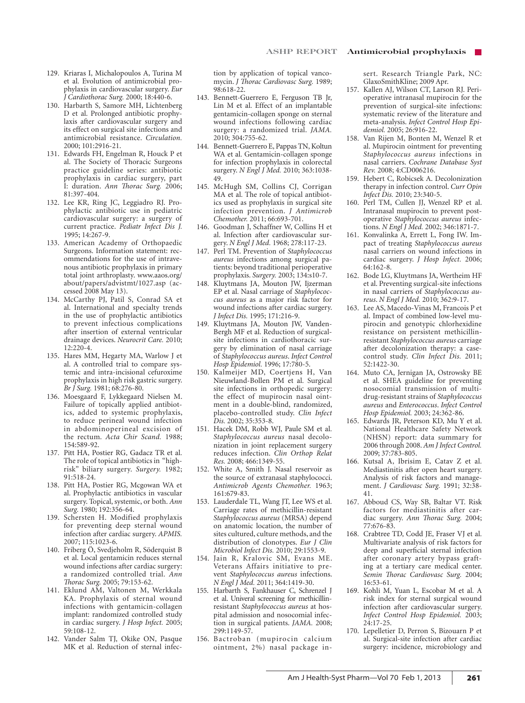- 129. Kriaras I, Michalopoulos A, Turina M et al. Evolution of antimicrobial prophylaxis in cardiovascular surgery. *Eur J Cardiothorac Surg.* 2000; 18:440-6.
- 130. Harbarth S, Samore MH, Lichtenberg D et al. Prolonged antibiotic prophylaxis after cardiovascular surgery and its effect on surgical site infections and antimicrobial resistance. *Circulation.* 2000; 101:2916-21.
- 131. Edwards FH, Engelman R, Houck P et al. The Society of Thoracic Surgeons practice guideline series: antibiotic prophylaxis in cardiac surgery, part I: duration. *Ann Thorac Surg.* 2006; 81:397-404.
- 132. Lee KR, Ring JC, Leggiadro RJ. Prophylactic antibiotic use in pediatric cardiovascular surgery: a surgery of current practice. *Pediatr Infect Dis J.* 1995; 14:267-9.
- 133. American Academy of Orthopaedic Surgeons. Information statement: recommendations for the use of intravenous antibiotic prophylaxis in primary total joint arthroplasty. www.aaos.org/ about/papers/advistmt/1027.asp (accessed 2008 May 13).
- 134. McCarthy PJ, Patil S, Conrad SA et al. International and specialty trends in the use of prophylactic antibiotics to prevent infectious complications after insertion of external ventricular drainage devices. *Neurocrit Care.* 2010; 12:220-4.
- 135. Hares MM, Hegarty MA, Warlow J et al. A controlled trial to compare systemic and intra-incisional cefuroxime prophylaxis in high risk gastric surgery. *Br J Surg.* 1981; 68:276-80.
- 136. Moesgaard F, Lykkegaard Nielsen M. Failure of topically applied antibiotics, added to systemic prophylaxis, to reduce perineal wound infection in abdominoperineal excision of the rectum. *Acta Chir Scand.* 1988; 154:589-92.
- 137. Pitt HA, Postier RG, Gadacz TR et al. The role of topical antibiotics in "highrisk" biliary surgery. *Surgery.* 1982; 91:518-24.
- 138. Pitt HA, Postier RG, Mcgowan WA et al. Prophylactic antibiotics in vascular surgery. Topical, systemic, or both. *Ann Surg.* 1980; 192:356-64.
- 139. Schersten H. Modified prophylaxis for preventing deep sternal wound infection after cardiac surgery. *APMIS.* 2007; 115:1023-6.
- 140. Friberg Ö, Svedjeholm R, Söderquist B et al. Local gentamicin reduces sternal wound infections after cardiac surgery: a randomized controlled trial. *Ann Thorac Surg.* 2005; 79:153-62.
- 141. Eklund AM, Valtonen M, Werkkala KA. Prophylaxis of sternal wound infections with gentamicin-collagen implant: randomized controlled study in cardiac surgery. *J Hosp Infect.* 2005; 59:108-12.
- 142. Vander Salm TJ, Okike ON, Pasque MK et al. Reduction of sternal infec-

tion by application of topical vancomycin. *J Thorac Cardiovasc Surg.* 1989; 98:618-22.

- 143. Bennett-Guerrero E, Ferguson TB Jr, Lin M et al. Effect of an implantable gentamicin-collagen sponge on sternal wound infections following cardiac surgery: a randomized trial. *JAMA.* 2010; 304:755-62.
- 144. Bennett-Guerrero E, Pappas TN, Koltun WA et al. Gentamicin-collagen sponge for infection prophylaxis in colorectal surgery. *N Engl J Med.* 2010; 363:1038- 49.
- 145. McHugh SM, Collins CJ, Corrigan MA et al. The role of topical antibiotics used as prophylaxis in surgical site infection prevention. *J Antimicrob Chemother.* 2011; 66:693-701.
- 146. Goodman J, Schaffner W, Collins H et al. Infection after cardiovascular surgery. *N Engl J Med.* 1968; 278:117-23.
- 147. Perl TM. Prevention of *Staphylococcus aureus* infections among surgical patients: beyond traditional perioperative prophylaxis. *Surgery.* 2003; 134:s10-7.
- 148. Kluytmans JA, Mouton JW, Ijzerman EP et al. Nasal carriage of *Staphylococcus aureus* as a major risk factor for wound infections after cardiac surgery. *J Infect Dis.* 1995; 171:216-9.
- 149. Kluytmans JA, Mouton JW, Vanden-Bergh MF et al. Reduction of surgicalsite infections in cardiothoracic surgery by elimination of nasal carriage of *Staphylococcus aureus*. *Infect Control Hosp Epidemiol.* 1996; 17:780-5.
- 150. Kalmeijer MD, Coertjens H, Van Nieuwland-Bollen PM et al. Surgical site infections in orthopedic surgery: the effect of mupirocin nasal ointment in a double-blind, randomized, placebo-controlled study. *Clin Infect Dis.* 2002; 35:353-8.
- 151. Hacek DM, Robb WJ, Paule SM et al. *Staphylococcus aureus* nasal decolonization in joint replacement surgery reduces infection. *Clin Orthop Relat Res.* 2008; 466:1349-55.
- 152. White A, Smith J. Nasal reservoir as the source of extranasal staphylococci. *Antimicrob Agents Chemother.* 1963; 161:679-83.
- 153. Lauderdale TL, Wang JT, Lee WS et al. Carriage rates of methicillin-resistant *Staphylococcus aureus* (MRSA) depend on anatomic location, the number of sites cultured, culture methods, and the distribution of clonotypes. *Eur J Clin Microbiol Infect Dis.* 2010; 29:1553-9.
- 154. Jain R, Kralovic SM, Evans ME. Veterans Affairs initiative to prevent *Staphylococcus aureus* infections. *N Engl J Med.* 2011; 364:1419-30.
- 155. Harbarth S, Fankhauser C, Schrenzel J et al. Univeral screening for methicillinresistant *Staphylococcus aureus* at hospital admission and nosocomial infection in surgical patients. *JAMA.* 2008; 299:1149-57.
- 156. Bactroban (mupirocin calcium ointment, 2%) nasal package in-

sert. Research Triangle Park, NC: GlaxoSmithKline; 2009 Apr.

- 157. Kallen AJ, Wilson CT, Larson RJ. Perioperative intranasal mupirocin for the prevention of surgical-site infections: systematic review of the literature and meta-analysis. *Infect Control Hosp Epidemiol.* 2005; 26:916-22.
- 158. Van Rijen M, Bonten M, Wenzel R et al. Mupirocin ointment for preventing *Staphylococcus aureus* infections in nasal carriers. *Cochrane Database Syst Rev.* 2008; 4:CD006216.
- 159. Hebert C, Robicsek A. Decolonization therapy in infection control. *Curr Opin Infect Dis.* 2010; 23:340-5.
- 160. Perl TM, Cullen JJ, Wenzel RP et al. Intranasal mupirocin to prevent postoperative *Staphylococcus aureus* infections. *N Engl J Med.* 2002; 346:1871-7.
- 161. Konvalinka A, Errett L, Fong IW. Impact of treating *Staphylococcus aureus* nasal carriers on wound infections in cardiac surgery. *J Hosp Infect.* 2006; 64:162-8.
- 162. Bode LG, Kluytmans JA, Wertheim HF et al. Preventing surgical-site infections in nasal carriers of *Staphylococcus aureus*. *N Engl J Med.* 2010; 362:9-17.
- 163. Lee AS, Macedo-Vinas M, Francois P et al. Impact of combined low-level mupirocin and genotypic chlorhexidine resistance on persistent methicillinresistant *Staphylococcus aureus* carriage after decolonization therapy: a casecontrol study. *Clin Infect Dis.* 2011; 52:1422-30.
- 164. Muto CA, Jernigan JA, Ostrowsky BE et al. SHEA guideline for preventing nosocomial transmission of multidrug-resistant strains of *Staphylococcus aureus* and *Enterococcus*. *Infect Control Hosp Epidemiol.* 2003; 24:362-86.
- 165. Edwards JR, Peterson KD, Mu Y et al. National Healthcare Safety Network (NHSN) report: data summary for 2006 through 2008. *Am J Infect Control.* 2009; 37:783-805.
- 166. Kutsal A, Ibrisim E, Catav Z et al. Mediastinitis after open heart surgery. Analysis of risk factors and management. *J Cardiovasc Surg.* 1991; 32:38- 41.
- 167. Abboud CS, Way SB, Baltar VT. Risk factors for mediastinitis after cardiac surgery. *Ann Thorac Surg.* 2004; 77:676-83.
- 168. Crabtree TD, Codd JE, Fraser VJ et al. Multivariate analysis of risk factors for deep and superficial sternal infection after coronary artery bypass grafting at a tertiary care medical center. *Semin Thorac Cardiovasc Surg.* 2004; 16:53-61.
- 169. Kohli M, Yuan L, Escobar M et al. A risk index for sternal surgical wound infection after cardiovascular surgery. *Infect Control Hosp Epidemiol.* 2003; 24:17-25.
- 170. Lepelletier D, Perron S, Bizouarn P et al. Surgical-site infection after cardiac surgery: incidence, microbiology and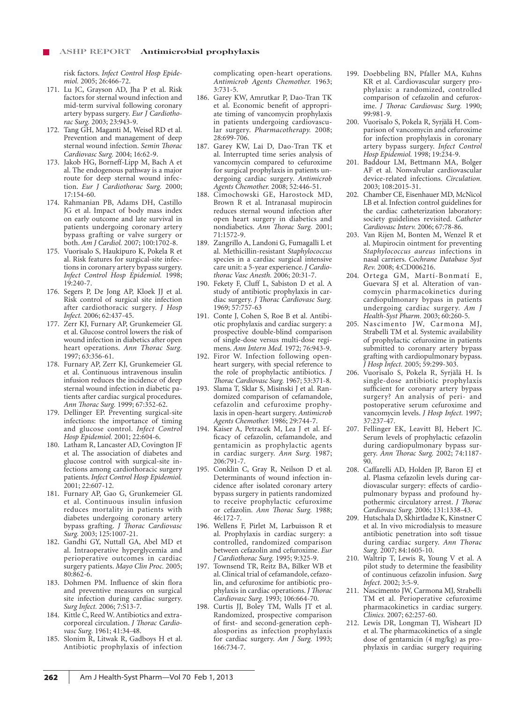risk factors. *Infect Control Hosp Epidemiol.* 2005; 26:466-72.

- 171. Lu JC, Grayson AD, Jha P et al. Risk factors for sternal wound infection and mid-term survival following coronary artery bypass surgery. *Eur J Cardiothorac Surg.* 2003; 23:943-9.
- 172. Tang GH, Maganti M, Weisel RD et al. Prevention and management of deep sternal wound infection. *Semin Thorac Cardiovasc Surg.* 2004; 16:62-9.
- 173. Jakob HG, Borneff-Lipp M, Bach A et al. The endogenous pathway is a major route for deep sternal wound infection. *Eur J Cardiothorac Surg.* 2000; 17:154-60.
- 174. Rahmanian PB, Adams DH, Castillo JG et al. Impact of body mass index on early outcome and late survival in patients undergoing coronary artery bypass grafting or valve surgery or both. *Am J Cardiol.* 2007; 100:1702-8.
- 175. Vuorisalo S, Haukipuro K, Pokela R et al. Risk features for surgical-site infections in coronary artery bypass surgery. *Infect Control Hosp Epidemiol.* 1998; 19:240-7.
- 176. Segers P, De Jong AP, Kloek JJ et al. Risk control of surgical site infection after cardiothoracic surgery. *J Hosp Infect.* 2006; 62:437-45.
- 177. Zerr KJ, Furnary AP, Grunkemeier GL et al. Glucose control lowers the risk of wound infection in diabetics after open heart operations. *Ann Thorac Surg.* 1997; 63:356-61.
- 178. Furnary AP, Zerr KJ, Grunkemeier GL et al. Continuous intravenous insulin infusion reduces the incidence of deep sternal wound infection in diabetic patients after cardiac surgical procedures. *Ann Thorac Surg.* 1999; 67:352-62.
- 179. Dellinger EP. Preventing surgical-site infections: the importance of timing and glucose control. *Infect Control Hosp Epidemiol.* 2001; 22:604-6.
- 180. Latham R, Lancaster AD, Covington JF et al. The association of diabetes and glucose control with surgical-site infections among cardiothoracic surgery patients. *Infect Control Hosp Epidemiol.* 2001; 22:607-12.
- 181. Furnary AP, Gao G, Grunkemeier GL et al. Continuous insulin infusion reduces mortality in patients with diabetes undergoing coronary artery bypass grafting. *J Thorac Cardiovasc Surg.* 2003; 125:1007-21.
- 182. Gandhi GY, Nuttall GA, Abel MD et al. Intraoperative hyperglycemia and perioperative outcomes in cardiac surgery patients. *Mayo Clin Proc.* 2005; 80:862-6.
- 183. Dohmen PM. Influence of skin flora and preventive measures on surgical site infection during cardiac surgery. *Surg Infect.* 2006; 7:S13-7.
- 184. Kittle C, Reed W. Antibiotics and extracorporeal circulation. *J Thorac Cardiovasc Surg.* 1961; 41:34-48.
- 185. Slonim R, Litwak R, Gadboys H et al. Antibiotic prophylaxis of infection

complicating open-heart operations. *Antimicrob Agents Chemother.* 1963; 3:731-5.

- 186. Garey KW, Amrutkar P, Dao-Tran TK et al. Economic benefit of appropriate timing of vancomycin prophylaxis in patients undergoing cardiovascular surgery. *Pharmacotherapy.* 2008; 28:699-706.
- 187. Garey KW, Lai D, Dao-Tran TK et al. Interrupted time series analysis of vancomycin compared to cefuroxime for surgical prophylaxis in patients undergoing cardiac surgery. *Antimicrob Agents Chemother.* 2008; 52:446-51.
- 188. Cimochowski GE, Harostock MD, Brown R et al. Intranasal mupirocin reduces sternal wound infection after open heart surgery in diabetics and nondiabetics. *Ann Thorac Surg.* 2001; 71:1572-9.
- 189. Zangrillo A, Landoni G, Fumagalli L et al. Methicillin-resistant *Staphylococcus*  species in a cardiac surgical intensive care unit: a 5-year experience. *J Cardiothorac Vasc Anesth.* 2006; 20:31-7.
- 190. Fekety F, Cluff L, Sabiston D et al. A study of antibiotic prophylaxis in cardiac surgery. *J Thorac Cardiovasc Surg.* 1969; 57:757-63
- 191. Conte J, Cohen S, Roe B et al. Antibiotic prophylaxis and cardiac surgery: a prospective double-blind comparison of single-dose versus multi-dose regimens. *Ann Intern Med.* 1972; 76:943-9.
- 192. Firor W. Infection following openheart surgery, with special reference to the role of prophylactic antibiotics. *J Thorac Cardiovasc Surg.* 1967; 53:371-8.
- 193. Slama T, Sklar S, Misinski J et al. Randomized comparison of cefamandole, cefazolin and cefuroxime prophylaxis in open-heart surgery. *Antimicrob Agents Chemother.* 1986; 29:744-7.
- 194. Kaiser A, Petracek M, Lea J et al. Efficacy of cefazolin, cefamandole, and gentamicin as prophylactic agents in cardiac surgery. *Ann Surg.* 1987; 206:791-7.
- 195. Conklin C, Gray R, Neilson D et al. Determinants of wound infection incidence after isolated coronary artery bypass surgery in patients randomized to receive prophylactic cefuroxime or cefazolin. *Ann Thorac Surg.* 1988; 46:172-7.
- 196. Wellens F, Pirlet M, Larbuisson R et al. Prophylaxis in cardiac surgery: a controlled, randomized comparison between cefazolin and cefuroxime. *Eur J Cardiothorac Surg.* 1995; 9:325-9.
- 197. Townsend TR, Reitz BA, Bilker WB et al. Clinical trial of cefamandole, cefazolin, and cefuroxime for antibiotic prophylaxis in cardiac operations. *J Thorac Cardiovasc Surg.* 1993; 106:664-70.
- 198. Curtis JJ, Boley TM, Walls JT et al. Randomized, prospective comparison of first- and second-generation cephalosporins as infection prophylaxis for cardiac surgery. *Am J Surg.* 1993; 166:734-7.
- 199. Doebbeling BN, Pfaller MA, Kuhns KR et al. Cardiovascular surgery prophylaxis: a randomized, controlled comparison of cefazolin and cefuroxime. *J Thorac Cardiovasc Surg.* 1990; 99:981-9.
- 200. Vuorisalo S, Pokela R, Syrjälä H. Comparison of vancomycin and cefuroxime for infection prophylaxis in coronary artery bypass surgery. *Infect Control Hosp Epidemiol.* 1998; 19:234-9.
- 201. Baddour LM, Bettmann MA, Bolger AF et al. Nonvalvular cardiovascular device-related infections. *Circulation.* 2003; 108:2015-31.
- 202. Chamber CE, Eisenhauer MD, McNicol LB et al. Infection control guidelines for the cardiac catheterization laboratory: society guidelines revisited. *Catheter Cardiovasc Interv.* 2006; 67:78-86.
- 203. Van Rijen M, Bonten M, Wenzel R et al. Mupirocin ointment for preventing *Staphylococcus aureus* infections in nasal carriers. *Cochrane Database Syst Rev.* 2008; 4:CD006216.
- 204. Ortega GM, Martí-Bonmatí E, Guevara SJ et al. Alteration of vancomycin pharmacokinetics during cardiopulmonary bypass in patients undergoing cardiac surgery. *Am J Health-Syst Pharm.* 2003; 60:260-5.
- 205. Nascimento JW, Carmona MJ, Strabelli TM et al. Systemic availability of prophylactic cefuroxime in patients submitted to coronary artery bypass grafting with cardiopulmonary bypass. *J Hosp Infect.* 2005; 59:299-303.
- 206. Vuorisalo S, Pokela R, Syrjälä H. Is single-dose antibiotic prophylaxis sufficient for coronary artery bypass surgery? An analysis of peri- and postoperative serum cefuroxime and vancomycin levels. *J Hosp Infect.* 1997; 37:237-47.
- 207. Fellinger EK, Leavitt BJ, Hebert JC. Serum levels of prophylactic cefazolin during cardiopulmonary bypass surgery. *Ann Thorac Surg.* 2002; 74:1187- 90.
- 208. Caffarelli AD, Holden JP, Baron EJ et al. Plasma cefazolin levels during cardiovascular surgery: effects of cardiopulmonary bypass and profound hypothermic circulatory arrest. *J Thorac Cardiovasc Surg.* 2006; 131:1338-43.
- 209. Hutschala D, Skhirtladze K, Kinstner C et al. In vivo microdialysis to measure antibiotic penetration into soft tissue during cardiac surgery. *Ann Thorac Surg.* 2007; 84:1605-10.
- 210. Waltrip T, Lewis R, Young V et al. A pilot study to determine the feasibility of continuous cefazolin infusion. *Surg Infect.* 2002; 3:5-9.
- 211. Nascimento JW, Carmona MJ, Strabelli TM et al. Perioperative cefuroxime pharmacokinetics in cardiac surgery. *Clinics.* 2007; 62:257-60.
- 212. Lewis DR, Longman TJ, Wisheart JD et al. The pharmacokinetics of a single dose of gentamicin (4 mg/kg) as prophylaxis in cardiac surgery requiring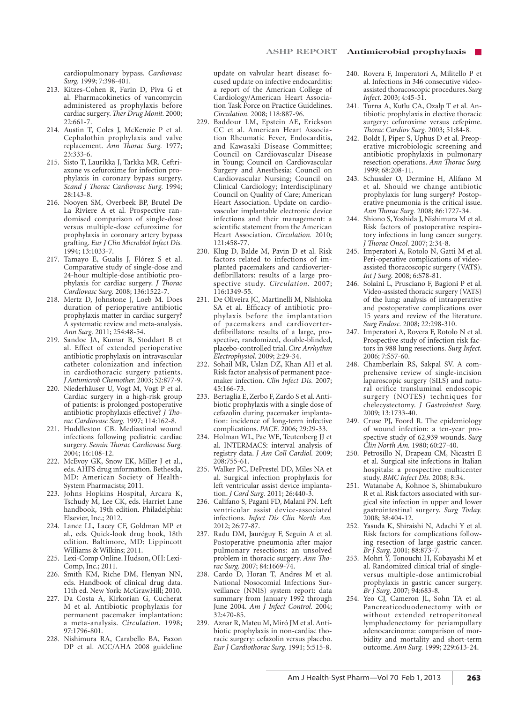**ASHP Report Antimicrobial prophylaxis**

cardiopulmonary bypass. *Cardiovasc Surg.* 1999; 7:398-401.

- 213. Kitzes-Cohen R, Farin D, Piva G et al. Pharmacokinetics of vancomycin administered as prophylaxis before cardiac surgery. *Ther Drug Monit.* 2000; 22:661-7.
- 214. Austin T, Coles J, McKenzie P et al. Cephalothin prophylaxis and valve replacement. *Ann Thorac Surg.* 1977; 23:333-6.
- 215. Sisto T, Laurikka J, Tarkka MR. Ceftriaxone vs cefuroxime for infection prophylaxis in coronary bypass surgery. *Scand J Thorac Cardiovasc Surg.* 1994; 28:143-8.
- 216. Nooyen SM, Overbeek BP, Brutel De La Riviere A et al. Prospective randomised comparison of single-dose versus multiple-dose cefuroxime for prophylaxis in coronary artery bypass grafting. *Eur J Clin Microbiol Infect Dis.* 1994; 13:1033-7.
- 217. Tamayo E, Gualis J, Flórez S et al. Comparative study of single-dose and 24-hour multiple-dose antibiotic prophylaxis for cardiac surgery. *J Thorac Cardiovasc Surg.* 2008; 136:1522-7.
- 218. Mertz D, Johnstone J, Loeb M. Does duration of perioperative antibiotic prophylaxis matter in cardiac surgery? A systematic review and meta-analysis. *Ann Surg.* 2011; 254:48-54.
- 219. Sandoe JA, Kumar B, Stoddart B et al. Effect of extended perioperative antibiotic prophylaxis on intravascular catheter colonization and infection in cardiothoracic surgery patients. *J Antimicrob Chemother.* 2003; 52:877-9.
- 220. Niederhäuser U, Vogt M, Vogt P et al. Cardiac surgery in a high-risk group of patients: is prolonged postoperative antibiotic prophylaxis effective? *J Thorac Cardiovasc Surg.* 1997; 114:162-8.
- 221. Huddleston CB. Mediastinal wound infections following pediatric cardiac surgery. *Semin Thorac Cardiovasc Surg.* 2004; 16:108-12.
- 222. McEvoy GK, Snow EK, Miller J et al., eds. AHFS drug information. Bethesda, MD: American Society of Health-System Pharmacists; 2011.
- 223. Johns Hopkins Hospital, Arcara K, Tschudy M, Lee CK, eds. Harriet Lane handbook, 19th edition. Philadelphia: Elsevier, Inc.; 2012.
- 224. Lance LL, Lacey CF, Goldman MP et al., eds. Quick-look drug book, 18th edition. Baltimore, MD: Lippincott Williams & Wilkins; 2011.
- 225. Lexi-Comp Online. Hudson, OH: Lexi-Comp, Inc.; 2011.
- 226. Smith KM, Riche DM, Henyan NN, eds. Handbook of clinical drug data. 11th ed. New York: McGrawHill; 2010.
- 227. Da Costa A, Kirkorian G, Cucherat M et al. Antibiotic prophylaxis for permanent pacemaker implantation: a meta-analysis. *Circulation.* 1998; 97:1796-801.
- 228. Nishimura RA, Carabello BA, Faxon DP et al. ACC/AHA 2008 guideline

update on valvular heart disease: focused update on infective endocarditis: a report of the American College of Cardiology/American Heart Association Task Force on Practice Guidelines. *Circulation.* 2008; 118:887-96.

- 229. Baddour LM, Epstein AE, Erickson CC et al. American Heart Association Rheumatic Fever, Endocarditis, and Kawasaki Disease Committee; Council on Cardiovascular Disease in Young; Council on Cardiovascular Surgery and Anesthesia; Council on Cardiovascular Nursing; Council on Clinical Cardiology; Interdisciplinary Council on Quality of Care; American Heart Association. Update on cardiovascular implantable electronic device infections and their management: a scientific statement from the American Heart Association. *Circulation.* 2010; 121:458-77.
- 230. Klug D, Balde M, Pavin D et al. Risk factors related to infections of implanted pacemakers and cardioverterdefibrillators: results of a large prospective study. *Circulation.* 2007; 116:1349-55.
- 231. De Oliveira JC, Martinelli M, Nishioka SA et al. Efficacy of antibiotic prophylaxis before the implantation of pacemakers and cardioverterdefibrillators: results of a large, prospective, randomized, double-blinded, placebo-controlled trial. *Circ Arrhythm Electrophysiol.* 2009; 2:29-34.
- 232. Sohail MR, Uslan DZ, Khan AH et al. Risk factor analysis of permanent pacemaker infection. *Clin Infect Dis.* 2007; 45:166-73.
- 233. Bertaglia E, Zerbo F, Zardo S et al. Antibiotic prophylaxis with a single dose of cefazolin during pacemaker implantation: incidence of long-term infective complications. *PACE.* 2006; 29:29-33.
- 234. Holman WL, Pae WE, Teutenberg JJ et al. INTERMACS: interval analysis of registry data. *J Am Coll Cardiol.* 2009; 208:755-61.
- 235. Walker PC, DePrestel DD, Miles NA et al. Surgical infection prophylaxis for left ventricular assist device implantation. *J Card Surg.* 2011; 26:440-3.
- 236. Califano S, Pagani FD, Malani PN. Left ventricular assist device-associated infections. *Infect Dis Clin North Am.* 2012; 26:77-87.
- 237. Radu DM, Jauréguy F, Seguin A et al. Postoperative pneumonia after major pulmonary resections: an unsolved problem in thoracic surgery. *Ann Thorac Surg.* 2007; 84:1669-74.
- 238. Cardo D, Horan T, Andres M et al. National Nosocomial Infections Surveillance (NNIS) system report: data summary from January 1992 through June 2004. *Am J Infect Control.* 2004; 32:470-85.
- 239. Aznar R, Mateu M, Miró JM et al. Antibiotic prophylaxis in non-cardiac thoracic surgery: cefazolin versus placebo. *Eur J Cardiothorac Surg.* 1991; 5:515-8.
- 240. Rovera F, Imperatori A, Militello P et al. Infections in 346 consecutive videoassisted thoracoscopic procedures. *Surg Infect.* 2003; 4:45-51.
- 241. Turna A, Kutlu CA, Ozalp T et al. Antibiotic prophylaxis in elective thoracic surgery: cefuroxime versus cefepime. *Thorac Cardiov Surg.* 2003; 51:84-8.
- 242. Boldt J, Piper S, Uphus D et al. Preoperative microbiologic screening and antibiotic prophylaxis in pulmonary resection operations. *Ann Thorac Surg.* 1999; 68:208-11.
- 243. Schussler O, Dermine H, Alifano M et al. Should we change antibiotic prophylaxis for lung surgery? Postoperative pneumonia is the critical issue. *Ann Thorac Surg.* 2008; 86:1727-34.
- 244. Shiono S, Yoshida J, Nishimura M et al. Risk factors of postoperative respiratory infections in lung cancer surgery. *J Thorac Oncol.* 2007; 2:34-8.
- 245. Imperatori A, Rotolo N, Gatti M et al. Peri-operative complications of videoassisted thoracoscopic surgery (VATS). *Int J Surg.* 2008; 6:S78-81.
- 246. Solaini L, Prusciano F, Bagioni P et al. Video-assisted thoracic surgery (VATS) of the lung: analysis of intraoperative and postoperative complications over 15 years and review of the literature. *Surg Endosc.* 2008; 22:298-310.
- 247. Imperatori A, Rovera F, Rotolo N et al. Prospective study of infection risk factors in 988 lung resections. *Surg Infect.* 2006; 7:S57-60.
- 248. Chamberlain RS, Sakpal SV. A comprehensive review of single-incision laparoscopic surgery (SILS) and natural orifice transluminal endoscopic surgery (NOTES) techniques for chelecystectomy. *J Gastrointest Surg.* 2009; 13:1733-40.
- 249. Cruse PJ, Foord R. The epidemiology of wound infection: a ten-year prospective study of 62,939 wounds. *Surg Clin North Am.* 1980; 60:27-40.
- 250. Petrosillo N, Drapeau CM, Nicastri E et al. Surgical site infections in Italian hospitals: a prospective multicenter study. *BMC Infect Dis.* 2008; 8:34.
- 251. Watanabe A, Kohnoe S, Shimabukuro R et al. Risk factors associated with surgical site infection in upper and lower gastrointestinal surgery. *Surg Today.* 2008; 38:404-12.
- 252. Yasuda K, Shiraishi N, Adachi Y et al. Risk factors for complications following resection of large gastric cancer. *Br J Surg.* 2001; 88:873-7.
- 253. Mohri Y, Tonouchi H, Kobayashi M et al. Randomized clinical trial of singleversus multiple-dose antimicrobial prophylaxis in gastric cancer surgery. *Br J Surg.* 2007; 94:683-8.
- 254. Yeo CJ, Cameron JL, Sohn TA et al. Pancreaticoduodenectomy with or without extended retroperitoneal lymphadenectomy for periampullary adenocarcinoma: comparison of morbidity and mortality and short-term outcome. *Ann Surg.* 1999; 229:613-24.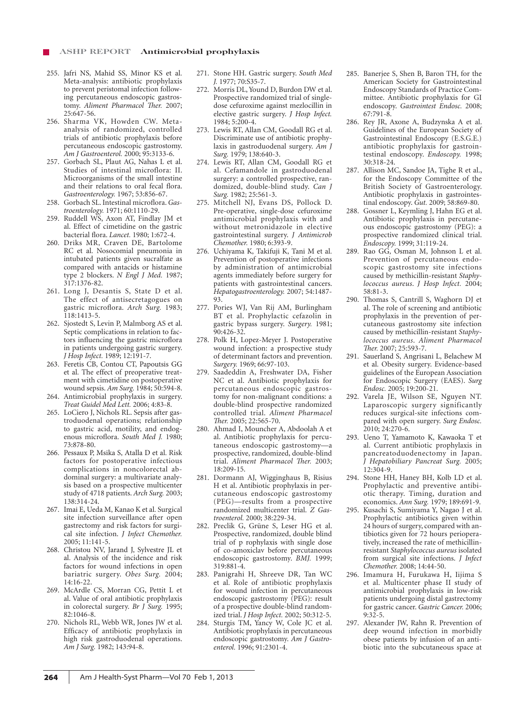**ASHP Report Antimicrobial prophylaxis**

- 255. Jafri NS, Mahid SS, Minor KS et al. Meta-analysis: antibiotic prophylaxis to prevent peristomal infection following percutaneous endoscopic gastrostomy. *Aliment Pharmacol Ther.* 2007; 25:647-56.
- 256. Sharma VK, Howden CW. Metaanalysis of randomized, controlled trials of antibiotic prophylaxis before percutaneous endoscopic gastrostomy. *Am J Gastroenterol.* 2000; 95:3133-6.
- 257. Gorbach SL, Plaut AG, Nahas L et al. Studies of intestinal microflora: II. Microorganisms of the small intestine and their relations to oral fecal flora. *Gastroenterology.* 1967; 53:856-67.
- 258. Gorbach SL. Intestinal microflora. *Gastroenterology.* 1971; 60:1110-29.
- 259. Ruddell WS, Axon AT, Findlay JM et al. Effect of cimetidine on the gastric bacterial flora. *Lancet.* 1980; 1:672-4.
- 260. Driks MR, Craven DE, Bartolome RC et al. Nosocomial pneumonia in intubated patients given sucralfate as compared with antacids or histamine type 2 blockers. *N Engl J Med.* 1987; 317:1376-82.
- 261. Long J, Desantis S, State D et al. The effect of antisecretagogues on gastric microflora. *Arch Surg.* 1983; 118:1413-5.
- 262. Sjostedt S, Levin P, Malmborg AS et al. Septic complications in relation to factors influencing the gastric microflora in patients undergoing gastric surgery. *J Hosp Infect.* 1989; 12:191-7.
- 263. Feretis CB, Contou CT, Papoutsis GG et al. The effect of preoperative treatment with cimetidine on postoperative wound sepsis. *Am Surg.* 1984; 50:594-8.
- 264. Antimicrobial prophylaxis in surgery. *Treat Guidel Med Lett.* 2006; 4:83-8.
- 265. LoCiero J, Nichols RL. Sepsis after gastroduodenal operations; relationship to gastric acid, motility, and endogenous microflora. *South Med J.* 1980; 73:878-80.
- 266. Pessaux P, Msika S, Atalla D et al. Risk factors for postoperative infectious complications in noncolorectal abdominal surgery: a multivariate analysis based on a prospective multicenter study of 4718 patients. *Arch Surg.* 2003; 138:314-24.
- 267. Imai E, Ueda M, Kanao K et al. Surgical site infection surveillance after open gastrectomy and risk factors for surgical site infection. *J Infect Chemother.* 2005; 11:141-5.
- 268. Christou NV, Jarand J, Sylvestre JL et al. Analysis of the incidence and risk factors for wound infections in open bariatric surgery. *Obes Surg.* 2004; 14:16-22.
- 269. McArdle CS, Morran CG, Pettit L et al. Value of oral antibiotic prophylaxis in colorectal surgery. *Br J Surg.* 1995; 82:1046-8.
- 270. Nichols RL, Webb WR, Jones JW et al. Efficacy of antibiotic prophylaxis in high risk gastroduodenal operations. *Am J Surg.* 1982; 143:94-8.
- 271. Stone HH. Gastric surgery. *South Med J.* 1977; 70:S35-7.
- 272. Morris DL, Yound D, Burdon DW et al. Prospective randomized trial of singledose cefuroxime against mezlocillin in elective gastric surgery. *J Hosp Infect.* 1984; 5:200-4.
- 273. Lewis RT, Allan CM, Goodall RG et al. Discriminate use of antibiotic prophylaxis in gastroduodenal surgery. *Am J Surg.* 1979; 138:640-3.
- 274. Lewis RT, Allan CM, Goodall RG et al. Cefamandole in gastroduodenal surgery: a controlled prospective, randomized, double-blind study. *Can J Surg.* 1982; 25:561-3.
- 275. Mitchell NJ, Evans DS, Pollock D. Pre-operative, single-dose cefuroxime antimicrobial prophylaxis with and without metronidazole in elective gastrointestinal surgery. *J Antimicrob Chemother.* 1980; 6:393-9.
- 276. Uchiyama K, Takifuji K, Tani M et al. Prevention of postoperative infections by administration of antimicrobial agents immediately before surgery for patients with gastrointestinal cancers. *Hepatogastroenterology.* 2007; 54:1487- 93.
- 277. Pories WJ, Van Rij AM, Burlingham BT et al. Prophylactic cefazolin in gastric bypass surgery. *Surgery.* 1981; 90:426-32.
- 278. Polk H, Lopez-Meyer J. Postoperative wound infection: a prospective study of determinant factors and prevention. *Surgery.* 1969; 66:97-103.
- 279. Saadeddin A, Freshwater DA, Fisher NC et al. Antibiotic prophylaxis for percutaneous endoscopic gastrostomy for non-malignant conditions: a double-blind prospective randomized controlled trial. *Aliment Pharmacol Ther.* 2005; 22:565-70.
- 280. Ahmad I, Mouncher A, Abdoolah A et al. Antibiotic prophylaxis for percutaneous endoscopic gastrostomy—a prospective, randomized, double-blind trial. *Aliment Pharmacol Ther.* 2003; 18:209-15.
- 281. Dormann AJ, Wigginghaus B, Risius H et al. Antibiotic prophylaxis in percutaneous endoscopic gastrostomy (PEG)—results from a prospective randomized multicenter trial. *Z Gastroenterol.* 2000; 38:229-34.
- 282. Preclik G, Grüne S, Leser HG et al. Prospective, randomized, double blind trial of p rophylaxis with single dose of co-amoxiclav before percutaneous endoscopic gastrostomy. *BMJ.* 1999; 319:881-4.
- 283. Panigrahi H, Shreeve DR, Tan WC et al. Role of antibiotic prophylaxis for wound infection in percutaneous endoscopic gastrostomy (PEG): result of a prospective double-blind randomized trial. *J Hosp Infect.* 2002; 50:312-5.
- 284. Sturgis TM, Yancy W, Cole JC et al. Antibiotic prophylaxis in percutaneous endoscopic gastrostomy. *Am J Gastroenterol.* 1996; 91:2301-4.
- 285. Banerjee S, Shen B, Baron TH, for the American Society for Gastrointestinal Endoscopy Standards of Practice Committee. Antibiotic prophylaxis for GI endoscopy. *Gastrointest Endosc.* 2008; 67:791-8.
- 286. Rey JR, Axone A, Budzynska A et al. Guidelines of the European Society of Gastrointestinal Endoscopy (E.S.G.E.) antibiotic prophylaxis for gastrointestinal endoscopy. *Endoscopy.* 1998; 30:318-24.
- 287. Allison MC, Sandoe JA, Tighe R et al., for the Endoscopy Committee of the British Society of Gastroenterology. Antibiotic prophylaxis in gastrointestinal endoscopy. *Gut.* 2009; 58:869-80.
- 288. Gossner L, Keymling J, Hahn EG et al. Antibiotic prophylaxis in percutaneous endoscopic gastrostomy (PEG): a prospective randomized clinical trial. *Endoscopy.* 1999; 31:119-24.
- 289. Rao GG, Osman M, Johnson L et al. Prevention of percutaneous endoscopic gastrostomy site infections caused by methicillin-resistant *Staphylococcus aureus*. *J Hosp Infect.* 2004; 58:81-3.
- 290. Thomas S, Cantrill S, Waghorn DJ et al. The role of screening and antibiotic prophylaxis in the prevention of percutaneous gastrostomy site infection caused by methicillin-resistant *Staphylococcus aureus*. *Aliment Pharmacol Ther.* 2007; 25:593-7.
- 291. Sauerland S, Angrisani L, Belachew M et al. Obesity surgery. Evidence-based guidelines of the European Association for Endoscopic Surgery (EAES). *Surg Endosc.* 2005; 19:200-21.
- 292. Varela JE, Wilson SE, Nguyen NT. Laparoscopic surgery significantly reduces surgical-site infections compared with open surgery. *Surg Endosc.* 2010; 24:270-6.
- 293. Ueno T, Yamamoto K, Kawaoka T et al. Current antibiotic prophylaxis in pancreatoduodenectomy in Japan. *J Hepatobiliary Pancreat Surg.* 2005; 12:304-9.
- 294. Stone HH, Haney BH, Kolb LD et al. Prophylactic and preventive antibiotic therapy. Timing, duration and economics. *Ann Surg.* 1979; 189:691-9.
- 295. Kusachi S, Sumiyama Y, Nagao J et al. Prophylactic antibiotics given within 24 hours of surgery, compared with antibiotics given for 72 hours perioperatively, increased the rate of methicillinresistant *Staphylococcus aureus* isolated from surgical site infections. *J Infect Chemother.* 2008; 14:44-50.
- 296. Imamura H, Furukawa H, Iijima S et al. Multicenter phase II study of antimicrobial prophylaxis in low-risk patients undergoing distal gastrectomy for gastric cancer. *Gastric Cancer.* 2006; 9:32-5.
- 297. Alexander JW, Rahn R. Prevention of deep wound infection in morbidly obese patients by infusion of an antibiotic into the subcutaneous space at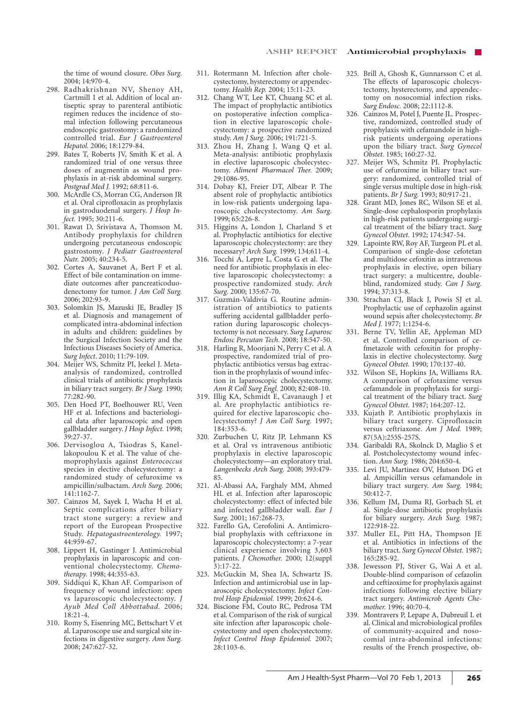the time of wound closure. *Obes Surg.* 2004; 14:970-4.

- 298. Radhakrishnan NV, Shenoy AH, Cartmill I et al. Addition of local antiseptic spray to parenteral antibiotic regimen reduces the incidence of stomal infection following percutaneous endoscopic gastrostomy: a randomized controlled trial. *Eur J Gastroenterol Hepatol.* 2006; 18:1279-84.
- 299. Bates T, Roberts JV, Smith K et al. A randomized trial of one versus three doses of augmentin as wound prophylaxis in at-risk abdominal surgery. *Postgrad Med J.* 1992; 68:811-6.
- 300. McArdle CS, Morran CG, Anderson JR et al. Oral ciprofloxacin as prophylaxis in gastroduodenal surgery. *J Hosp Infect.* 1995; 30:211-6.
- 301. Rawat D, Srivistava A, Thomson M. Antibody prophylaxis for children undergoing percutaneous endoscopic gastrostomy. *J Pediatr Gastroenterol Nutr.* 2005; 40:234-5.
- 302. Cortes A, Sauvanet A, Bert F et al. Effect of bile contamination on immediate outcomes after pancreaticoduodenectomy for tumor. *J Am Coll Surg.* 2006; 202:93-9.
- 303. Solomkin JS, Mazuski JE, Bradley JS et al. Diagnosis and management of complicated intra-abdominal infection in adults and children: guidelines by the Surgical Infection Society and the Infectious Diseases Society of America. *Surg Infect*. 2010; 11:79-109.
- 304. Meijer WS, Schmitz PI, Jeekel J. Metaanalysis of randomized, controlled clinical trials of antibiotic prophylaxis in biliary tract surgery. *Br J Surg.* 1990; 77:282-90.
- 305. Den Hoed PT, Boelhouwer RU, Veen HF et al. Infections and bacteriological data after laparoscopic and open gallbladder surgery. *J Hosp Infect*. 1998; 39:27-37.
- 306. Dervisoglou A, Tsiodras S, Kanellakopoulou K et al. The value of chemoprophylaxis against *Enterococcus* species in elective cholecystectomy: a randomized study of cefuroxime vs ampicillin/sulbactam. *Arch Surg.* 2006; 141:1162-7.
- 307. Cainzos M, Sayek I, Wacha H et al. Septic complications after biliary tract stone surgery: a review and report of the European Prospective Study. *Hepatogastroenterology.* 1997; 44:959-67.
- 308. Lippert H, Gastinger J. Antimicrobial prophylaxis in laparoscopic and conventional cholecystectomy. *Chemotherapy.* 1998; 44:355-63.
- 309. Siddiqui K, Khan AF. Comparison of frequency of wound infection: open vs laparoscopic cholecystectomy. *J Ayub Med Coll Abbottabad.* 2006; 18:21-4.
- 310. Romy S, Eisenring MC, Bettschart V et al. Laparoscope use and surgical site infections in digestive surgery. *Ann Surg.* 2008; 247:627-32.
- 311. Rotermann M. Infection after cholecystectomy, hysterectomy or appendectomy. *Health Rep.* 2004; 15:11-23.
- 312. Chang WT, Lee KT, Chuang SC et al. The impact of prophylactic antibiotics on postoperative infection complication in elective laparoscopic cholecystectomy: a prospective randomized study. *Am J Surg.* 2006; 191:721-5.
- 313. Zhou H, Zhang J, Wang Q et al. Meta-analysis: antibiotic prophylaxis in elective laparoscopic cholecystectomy. *Aliment Pharmacol Ther.* 2009; 29:1086-95.
- 314. Dobay KJ, Freier DT, Albear P. The absent role of prophylactic antibiotics in low-risk patients undergoing laparoscopic cholecystectomy. *Am Surg.* 1999; 65:226-8.
- 315. Higgins A, London J, Charland S et al. Prophylactic antibiotics for elective laparoscopic cholecystectomy: are they necessary? *Arch Surg.* 1999; 134:611-4.
- 316. Tocchi A, Lepre L, Costa G et al. The need for antibiotic prophylaxis in elective laparoscopic cholecystectomy: a prospective randomized study. *Arch Surg.* 2000; 135:67-70.
- 317. Guzmán-Valdivia G. Routine administration of antibiotics to patients suffering accidental gallbladder perforation during laparoscopic cholecystectomy is not necessary. *Surg Laparosc Endosc Percutan Tech.* 2008; 18:547-50.
- 318. Harling R, Moorjani N, Perry C et al. A prospective, randomized trial of prophylactic antibiotics versus bag extraction in the prophylaxis of wound infection in laparoscopic cholecystectomy. *Ann R Coll Surg Engl.* 2000; 82:408-10.
- 319. Illig KA, Schmidt E, Cavanaugh J et al. Are prophylactic antibiotics required for elective laparoscopic cholecystectomy? *J Am Coll Surg.* 1997; 184:353-6.
- 320. Zurbuchen U, Ritz JP, Lehmann KS et al. Oral vs intravenous antibiotic prophylaxis in elective laparoscopic cholecystectomy—an exploratory trial. *Langenbecks Arch Surg.* 2008; 393:479- 85.
- 321. Al-Abassi AA, Farghaly MM, Ahmed HL et al. Infection after laparoscopic cholecystectomy: effect of infected bile and infected gallbladder wall. *Eur J Surg.* 2001; 167:268-73.
- 322. Farello GA, Cerofolini A. Antimicrobial prophylaxis with ceftriaxone in laparoscopic cholecystectomy: a 7-year clinical experience involving 3,603 patients. *J Chemother.* 2000; 12(suppl  $\overline{3}$ ):17-22.
- 323. McGuckin M, Shea JA, Schwartz JS. Infection and antimicrobial use in laparoscopic cholecystectomy. *Infect Control Hosp Epidemiol.* 1999; 20:624-6.
- 324. Biscione FM, Couto RC, Pedrosa TM et al. Comparison of the risk of surgical site infection after laparoscopic cholecystectomy and open cholecystectomy. *Infect Control Hosp Epidemiol.* 2007; 28:1103-6.
- 325. Brill A, Ghosh K, Gunnarsson C et al. The effects of laparoscopic cholecystectomy, hysterectomy, and appendectomy on nosocomial infection risks. *Surg Endosc.* 2008; 22:1112-8.
- 326. Cainzos M, Potel J, Puente JL. Prospective, randomized, controlled study of prophylaxis with cefamandole in highrisk patients undergoing operations upon the biliary tract. *Surg Gynecol Obstet.* 1985; 160:27-32.
- 327. Meijer WS, Schmitz PI. Prophylactic use of cefuroxime in biliary tract surgery: randomized, controlled trial of single versus multiple dose in high-risk patients. *Br J Surg.* 1993; 80:917-21.
- 328. Grant MD, Jones RC, Wilson SE et al. Single-dose cephalosporin prophylaxis in high-risk patients undergoing surgical treatment of the biliary tract. *Surg Gynecol Obstet.* 1992; 174:347-54.
- 329. Lapointe RW, Roy AF, Turgeon PL et al. Comparison of single-dose cefotetan and multidose cefoxitin as intravenous prophylaxis in elective, open biliary tract surgery: a multicentre, doubleblind, randomized study. *Can J Surg.* 1994; 37:313-8.
- 330. Strachan CJ, Black J, Powis SJ et al. Prophylactic use of cephazolin against wound sepsis after cholecystectomy. *Br Med J.* 1977; 1:1254-6.
- 331. Berne TV, Yellin AE, Appleman MD et al. Controlled comparison of cefmetazole with cefoxitin for prophylaxis in elective cholecystectomy. *Surg Gynecol Obstet.* 1990; 170:137-40.
- 332. Wilson SE, Hopkins JA, Williams RA. A comparison of cefotaxime versus cefamandole in prophylaxis for surgical treatment of the biliary tract. *Surg Gynecol Obstet.* 1987; 164:207-12.
- 333. Kujath P. Antibiotic prophylaxis in biliary tract surgery. Ciprofloxacin versus ceftriaxone. *Am J Med.* 1989; 87(5A):255S-257S.
- 334. Garibaldi RA, Skolnck D, Maglio S et al. Postcholecystectomy wound infection. *Ann Surg.* 1986; 204:650-4.
- 335. Levi JU, Martinez OV, Hutson DG et al. Ampicillin versus cefamandole in biliary tract surgery. *Am Surg.* 1984; 50:412-7.
- 336. Kellum JM, Duma RJ, Gorbach SL et al. Single-dose antibiotic prophylaxis for biliary surgery. *Arch Surg.* 1987; 122:918-22.
- 337. Muller EL, Pitt HA, Thompson JE et al. Antibiotics in infections of the biliary tract. *Surg Gynecol Obstet.* 1987; 165:285-92.
- 338. Jewesson PJ, Stiver G, Wai A et al. Double-blind comparison of cefazolin and ceftizoxime for prophylaxis against infections following elective biliary tract surgery. *Antimicrob Agents Chemother.* 1996; 40:70-4.
- 339. Montravers P, Lepape A, Dubreuil L et al. Clinical and microbiological profiles of community-acquired and nosocomial intra-abdominal infections: results of the French prospective, ob-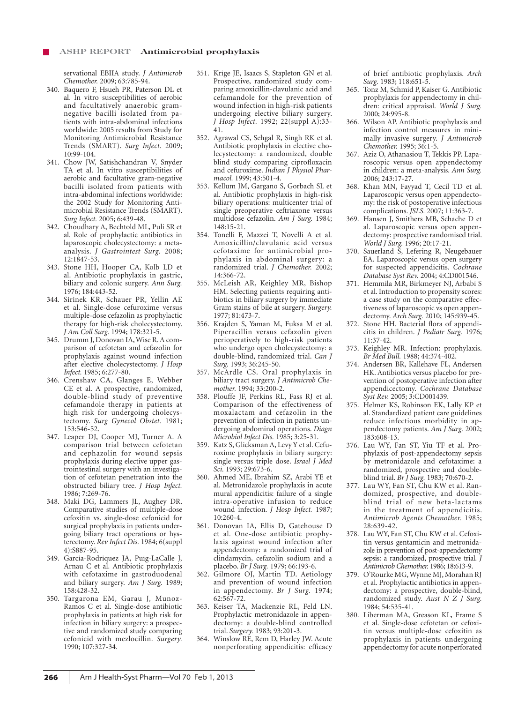servational EBIIA study. *J Antimicrob Chemother.* 2009; 63:785-94.

- 340. Baquero F, Hsueh PR, Paterson DL et al. In vitro susceptibilities of aerobic and facultatively anaerobic gramnegative bacilli isolated from patients with intra-abdominal infections worldwide: 2005 results from Study for Monitoring Antimicrobial Resistance Trends (SMART). *Surg Infect.* 2009; 10:99-104.
- 341. Chow JW, Satishchandran V, Snyder TA et al. In vitro susceptibilities of aerobic and facultative gram-negative bacilli isolated from patients with intra-abdominal infections worldwide: the 2002 Study for Monitoring Antimicrobial Resistance Trends (SMART). *Surg Infect.* 2005; 6:439-48.
- 342. Choudhary A, Bechtold ML, Puli SR et al. Role of prophylactic antibiotics in laparoscopic cholecystectomy: a metaanalysis. *J Gastrointest Surg.* 2008; 12:1847-53.
- 343. Stone HH, Hooper CA, Kolb LD et al. Antibiotic prophylaxis in gastric, biliary and colonic surgery. *Ann Surg.* 1976; 184:443-52.
- 344. Sirinek KR, Schauer PR, Yellin AE et al. Single-dose cefuroxime versus multiple-dose cefazolin as prophylactic therapy for high-risk cholecystectomy. *J Am Coll Surg.* 1994; 178:321-5.
- 345. Drumm J, Donovan IA, Wise R. A comparison of cefotetan and cefazolin for prophylaxis against wound infection after elective cholecystectomy. *J Hosp Infect.* 1985; 6:277-80.
- 346. Crenshaw CA, Glanges E, Webber CE et al. A prospective, randomized, double-blind study of preventive cefamandole therapy in patients at high risk for undergoing cholecystectomy. *Surg Gynecol Obstet.* 1981; 153:546-52.
- 347. Leaper DJ, Cooper MJ, Turner A. A comparison trial between cefotetan and cephazolin for wound sepsis prophylaxis during elective upper gastrointestinal surgery with an investigation of cefotetan penetration into the obstructed biliary tree. *J Hosp Infect.* 1986; 7:269-76.
- 348. Maki DG, Lammers JL, Aughey DR. Comparative studies of multiple-dose cefoxitin vs. single-dose cefonicid for surgical prophylaxis in patients undergoing biliary tract operations or hysterectomy. *Rev Infect Dis.* 1984; 6(suppl 4):S887-95.
- 349. Garcia-Rodriquez JA, Puig-LaCalle J, Arnau C et al. Antibiotic prophylaxis with cefotaxime in gastroduodenal and biliary surgery. *Am J Surg.* 1989; 158:428-32.
- 350. Targarona EM, Garau J, Munoz-Ramos C et al. Single-dose antibiotic prophylaxis in patients at high risk for infection in biliary surgery: a prospective and randomized study comparing cefonicid with mezlocillin. *Surgery.* 1990; 107:327-34.
- 351. Krige JE, Isaacs S, Stapleton GN et al. Prospective, randomized study comparing amoxicillin-clavulanic acid and cefamandole for the prevention of wound infection in high-risk patients undergoing elective biliary surgery. *J Hosp Infect.* 1992; 22(suppl A):33- 41.
- 352. Agrawal CS, Sehgal R, Singh RK et al. Antibiotic prophylaxis in elective cholecystectomy: a randomized, double blind study comparing ciprofloxacin and cefuroxime. *Indian J Physiol Pharmacol.* 1999; 43:501-4.
- 353. Kellum JM, Gargano S, Gorbach SL et al. Antibiotic prophylaxis in high-risk biliary operations: multicenter trial of single preoperative ceftriaxone versus multidose cefazolin. *Am J Surg.* 1984; 148:15-21.
- 354. Tonelli F, Mazzei T, Novelli A et al. Amoxicillin/clavulanic acid versus cefotaxime for antimicrobial prophylaxis in abdominal surgery: a randomized trial. *J Chemother.* 2002; 14:366-72.
- 355. McLeish AR, Keighley MR, Bishop HM. Selecting patients requiring antibiotics in biliary surgery by immediate Gram stains of bile at surgery. *Surgery.* 1977; 81:473-7.
- 356. Krajden S, Yaman M, Fuksa M et al. Piperacillin versus cefazolin given perioperatively to high-risk patients who undergo open cholecystectomy: a double-blind, randomized trial. *Can J Surg.* 1993; 36:245-50.
- 357. McArdle CS. Oral prophylaxis in biliary tract surgery. *J Antimicrob Chemother.* 1994; 33:200-2.
- 358. Plouffe JF, Perkins RL, Fass RJ et al. Comparison of the effectiveness of moxalactam and cefazolin in the prevention of infection in patients undergoing abdominal operations. *Diagn Microbiol Infect Dis.* 1985; 3:25-31.
- 359. Katz S, Glicksman A, Levy Y et al. Cefuroxime prophylaxis in biliary surgery: single versus triple dose. *Israel J Med Sci.* 1993; 29:673-6.
- 360. Ahmed ME, Ibrahim SZ, Arabi YE et al. Metronidazole prophylaxis in acute mural appendicitis: failure of a single intra-operative infusion to reduce wound infection. *J Hosp Infect.* 1987; 10:260-4.
- 361. Donovan IA, Ellis D, Gatehouse D et al. One-dose antibiotic prophylaxis against wound infection after appendectomy: a randomized trial of clindamycin, cefazolin sodium and a placebo. *Br J Surg.* 1979; 66:193-6.
- 362. Gilmore OJ, Martin TD. Aetiology and prevention of wound infection in appendectomy. *Br J Surg.* 1974; 62:567-72.
- 363. Keiser TA, Mackenzie RL, Feld LN. Prophylactic metronidazole in appendectomy: a double-blind controlled trial. *Surgery.* 1983; 93:201-3.
- 364. Winslow RE, Rem D, Harley JW. Acute nonperforating appendicitis: efficacy

of brief antibiotic prophylaxis. *Arch Surg.* 1983; 118:651-5.

- 365. Tonz M, Schmid P, Kaiser G. Antibiotic prophylaxis for appendectomy in children: critical appraisal. *World J Surg.* 2000; 24:995-8.
- 366. Wilson AP. Antibiotic prophylaxis and infection control measures in minimally invasive surgery. *J Antimicrob Chemother.* 1995; 36:1-5.
- 367. Aziz O, Athanasiou T, Tekkis PP. Laparoscopic versus open appendectomy in children: a meta-analysis. *Ann Surg.* 2006; 243:17-27.
- 368. Khan MN, Fayyad T, Cecil TD et al. Laparoscopic versus open appendectomy: the risk of postoperative infectious complications. *JSLS.* 2007; 11:363-7.
- 369. Hansen J, Smithers MB, Schache D et al. Laparoscopic versus open appendectomy: prospective randomised trial. *World J Surg.* 1996; 20:17-21.
- 370. Sauerland S, Lefering R, Neugebauer EA. Laparoscopic versus open surgery for suspected appendicitis. *Cochrane Database Syst Rev.* 2004; 4:CD001546.
- 371. Hemmila MR, Birkmeyer NJ, Arbabi S et al. Introduction to propensity scores: a case study on the comparative effectiveness of laparoscopic vs open appendectomy. *Arch Surg.* 2010; 145:939-45.
- 372. Stone HH. Bacterial flora of appendicitis in children. *J Pediatr Surg.* 1976; 11:37-42.
- 373. Keighley MR. Infection: prophylaxis. *Br Med Bull.* 1988; 44:374-402.
- 374. Andersen BR, Kallehave FL, Andersen HK. Antibiotics versus placebo for prevention of postoperative infection after appendicectomy. *Cochrane Database Syst Rev.* 2005; 3:CD001439.
- 375. Helmer KS, Robinson EK, Lally KP et al. Standardized patient care guidelines reduce infectious morbidity in appendectomy patients. *Am J Surg.* 2002; 183:608-13.
- 376. Lau WY, Fan ST, Yiu TF et al. Prophylaxis of post-appendectomy sepsis by metronidazole and cefotaxime: a randomized, prospective and doubleblind trial. *Br J Surg.* 1983; 70:670-2.
- 377. Lau WY, Fan ST, Chu KW et al. Randomized, prospective, and doubleblind trial of new beta-lactams in the treatment of appendicitis. *Antimicrob Agents Chemother.* 1985; 28:639-42.
- 378. Lau WY, Fan ST, Chu KW et al. Cefoxitin versus gentamicin and metronidazole in prevention of post-appendectomy sepsis: a randomized, prospective trial. *J Antimicrob Chemother.* 1986; 18:613-9.
- 379. O'Rourke MG, Wynne MJ, Morahan RJ et al. Prophylactic antibiotics in appendectomy: a prospective, double-blind, randomized study. *Aust N Z J Surg.* 1984; 54:535-41.
- 380. Liberman MA, Greason KL, Frame S et al. Single-dose cefotetan or cefoxitin versus multiple-dose cefoxitin as prophylaxis in patients undergoing appendectomy for acute nonperforated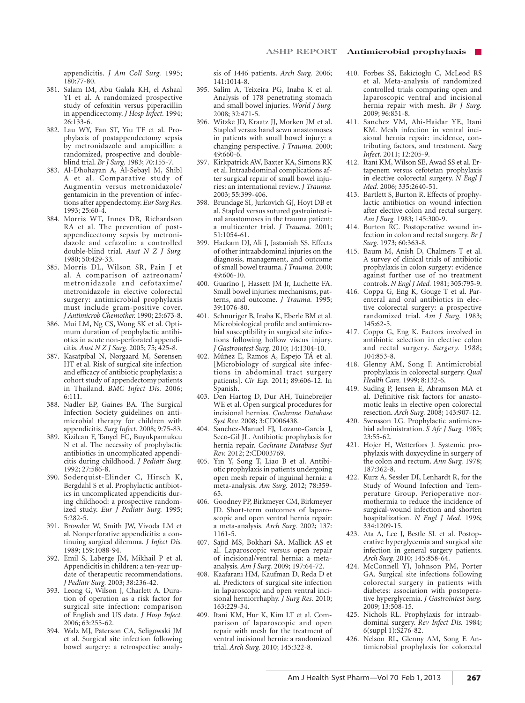appendicitis. *J Am Coll Surg.* 1995; 180:77-80.

- 381. Salam IM, Abu Galala KH, el Ashaal YI et al. A randomized prospective study of cefoxitin versus piperacillin in appendicectomy. *J Hosp Infect.* 1994; 26:133-6.
- 382. Lau WY, Fan ST, Yiu TF et al. Prophylaxis of postappendectomy sepsis by metronidazole and ampicillin: a randomized, prospective and doubleblind trial. *Br J Surg.* 1983; 70:155-7.
- 383. Al-Dhohayan A, Al-Sebayl M, Shibl A et al. Comparative study of Augmentin versus metronidazole/ gentamicin in the prevention of infections after appendectomy. *Eur Surg Res.* 1993; 25:60-4.
- 384. Morris WT, Innes DB, Richardson RA et al. The prevention of postappendicectomy sepsis by metronidazole and cefazolin: a controlled double-blind trial. *Aust N Z J Surg.* 1980; 50:429-33.
- 385. Morris DL, Wilson SR, Pain J et al. A comparison of aztreonam/ metronidazole and cefotaxime/ metronidazole in elective colorectal surgery: antimicrobial prophylaxis must include gram-positive cover. *J Antimicrob Chemother.* 1990; 25:673-8.
- 386. Mui LM, Ng CS, Wong SK et al. Optimum duration of prophylactic antibiotics in acute non-perforated appendicitis. *Aust N Z J Surg.* 2005; 75; 425-8.
- 387. Kasatpibal N, Nørgaard M, Sørensen HT et al. Risk of surgical site infection and efficacy of antibiotic prophylaxis: a cohort study of appendectomy patients in Thailand. *BMC Infect Dis.* 2006; 6:111.
- 388. Nadler EP, Gaines BA. The Surgical Infection Society guidelines on antimicrobial therapy for children with appendicitis. *Surg Infect.* 2008; 9:75-83.
- 389. Kizilcan F, Tanyel FC, Buyukpamukcu N et al. The necessity of prophylactic antibiotics in uncomplicated appendicitis during childhood. *J Pediatr Surg.* 1992; 27:586-8.
- 390. Soderquist-Elinder C, Hirsch K, Bergdahl S et al. Prophylactic antibiotics in uncomplicated appendicitis during childhood: a prospective randomized study. *Eur J Pediatr Surg.* 1995; 5:282-5.
- 391. Browder W, Smith JW, Vivoda LM et al. Nonperforative appendicitis: a continuing surgical dilemma. *J Infect Dis.* 1989; 159:1088-94.
- 392. Emil S, Laberge JM, Mikhail P et al. Appendicitis in children: a ten-year update of therapeutic recommendations. *J Pediatr Surg.* 2003; 38:236-42.
- 393. Leong G, Wilson J, Charlett A. Duration of operation as a risk factor for surgical site infection: comparison of English and US data. *J Hosp Infect.* 2006; 63:255-62.
- 394. Walz MJ, Paterson CA, Seligowski JM et al. Surgical site infection following bowel surgery: a retrospective analy-

sis of 1446 patients. *Arch Surg.* 2006; 141:1014-8.

- 395. Salim A, Teixeira PG, Inaba K et al. Analysis of 178 penetrating stomach and small bowel injuries. *World J Surg.* 2008; 32:471-5.
- 396. Witzke JD, Kraatz JJ, Morken JM et al. Stapled versus hand sewn anastomoses in patients with small bowel injury: a changing perspective. *J Trauma.* 2000; 49:660-6.
- 397. Kirkpatrick AW, Baxter KA, Simons RK et al. Intraabdominal complications after surgical repair of small bowel injuries: an international review. *J Trauma.* 2003; 55:399-406.
- 398. Brundage SI, Jurkovich GJ, Hoyt DB et al. Stapled versus sutured gastrointestinal anastomoses in the trauma patient: a multicenter trial. *J Trauma.* 2001; 51:1054-61.
- 399. Hackam DJ, Ali J, Jastaniah SS. Effects of other intraabdominal injuries on the diagnosis, management, and outcome of small bowel trauma. *J Trauma.* 2000; 49:606-10.
- 400. Guarino J, Hassett JM Jr, Luchette FA. Small bowel injuries: mechanisms, patterns, and outcome. *J Trauma.* 1995; 39:1076-80.
- 401. Schnuriger B, Inaba K, Eberle BM et al. Microbiological profile and antimicrobial susceptibility in surgical site infections following hollow viscus injury. *J Gastrointest Surg.* 2010; 14:1304-10.
- 402. Múñez E, Ramos A, Espejo TÁ et al. [Microbiology of surgical site infections in abdominal tract surgery patients]. *Cir Esp.* 2011; 89:606-12. In Spanish.
- 403. Den Hartog D, Dur AH, Tuinebreijer WE et al. Open surgical procedures for incisional hernias. *Cochrane Database Syst Rev.* 2008; 3:CD006438.
- 404. Sanchez-Manuel FJ, Lozano-García J, Seco-Gil JL. Antibiotic prophylaxis for hernia repair. *Cochrane Database Syst Rev.* 2012; 2:CD003769.
- 405. Yin Y, Song T, Liao B et al. Antibiotic prophylaxis in patients undergoing open mesh repair of inguinal hernia: a meta-analysis. *Am Surg.* 2012; 78:359- 65.
- 406. Goodney PP, Birkmeyer CM, Birkmeyer JD. Short-term outcomes of laparoscopic and open ventral hernia repair: a meta-analysis. *Arch Surg.* 2002; 137: 1161-5.
- 407. Sajid MS, Bokhari SA, Mallick AS et al. Laparoscopic versus open repair of incisional/ventral hernia: a metaanalysis. *Am J Surg.* 2009; 197:64-72.
- 408. Kaafarani HM, Kaufman D, Reda D et al. Predictors of surgical site infection in laparoscopic and open ventral incisional herniorrhaphy. *J Surg Res.* 2010; 163:229-34.
- 409. Itani KM, Hur K, Kim LT et al. Comparison of laparoscopic and open repair with mesh for the treatment of ventral incisional hernia: a randomized trial. *Arch Surg.* 2010; 145:322-8.
- 410. Forbes SS, Eskicioglu C, McLeod RS et al. Meta-analysis of randomized controlled trials comparing open and laparoscopic ventral and incisional hernia repair with mesh. *Br J Surg.* 2009; 96:851-8.
- 411. Sanchez VM, Abi-Haidar YE, Itani KM. Mesh infection in ventral incisional hernia repair: incidence, contributing factors, and treatment. *Surg Infect.* 2011; 12:205-9.
- 412. Itani KM, Wilson SE, Awad SS et al. Ertapenem versus cefotetan prophylaxis in elective colorectal surgery. *N Engl J Med.* 2006; 335:2640-51.
- 413. Bartlett S, Burton R. Effects of prophylactic antibiotics on wound infection after elective colon and rectal surgery. *Am J Surg.* 1983; 145:300-9.
- 414. Burton RC. Postoperative wound infection in colon and rectal surgery. *Br J Surg.* 1973; 60:363-8.
- 415. Baum M, Anish D, Chalmers T et al. A survey of clinical trials of antibiotic prophylaxis in colon surgery: evidence against further use of no treatment controls. *N Engl J Med.* 1981; 305:795-9.
- 416. Coppa G, Eng K, Gouge T et al. Parenteral and oral antibiotics in elective colorectal surgery: a prospective randomized trial. *Am J Surg.* 1983; 145:62-5.
- 417. Coppa G, Eng K. Factors involved in antibiotic selection in elective colon and rectal surgery. *Surgery.* 1988; 104:853-8.
- 418. Glenny AM, Song F. Antimicrobial prophylaxis in colorectal surgery. *Qual Health Care.* 1999; 8:132-6.
- 419. Suding P, Jensen E, Abramson MA et al. Definitive risk factors for anastomotic leaks in elective open colorectal resection. *Arch Surg.* 2008; 143:907-12.
- 420. Svensson LG. Prophylactic antimicrobial administration. *S Afr J Surg.* 1985; 23:55-62.
- 421. Hojer H, Wetterfors J. Systemic prophylaxis with doxycycline in surgery of the colon and rectum. *Ann Surg.* 1978; 187:362-8.
- 422. Kurz A, Sessler DI, Lenhardt R, for the Study of Wound Infection and Temperature Group. Perioperative normothermia to reduce the incidence of surgical-wound infection and shorten hospitalization. *N Engl J Med.* 1996; 334:1209-15.
- 423. Ata A, Lee J, Bestle SL et al. Postoperative hyperglycemia and surgical site infection in general surgery patients. *Arch Surg.* 2010; 145:858-64.
- 424. McConnell YJ, Johnson PM, Porter GA. Surgical site infections following colorectal surgery in patients with diabetes: association with postoperative hyperglycemia. *J Gastrointest Surg.* 2009; 13:508-15.
- 425. Nichols RL. Prophylaxis for intraabdominal surgery. *Rev Infect Dis.* 1984; 6(suppl 1):S276-82.
- 426. Nelson RL, Glenny AM, Song F. Antimicrobial prophylaxis for colorectal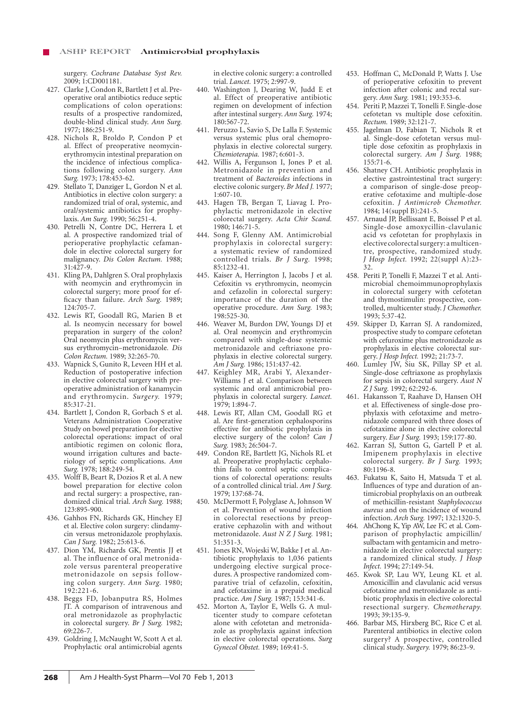surgery. *Cochrane Database Syst Rev.* 2009; 1:CD001181.

- 427. Clarke J, Condon R, Bartlett J et al. Preoperative oral antibiotics reduce septic complications of colon operations: results of a prospective randomized, double-blind clinical study. *Ann Surg.* 1977; 186:251-9.
- 428. Nichols R, Broldo P, Condon P et al. Effect of preoperative neomycinerythromycin intestinal preparation on the incidence of infectious complications following colon surgery. *Ann Surg.* 1973; 178:453-62.
- 429. Stellato T, Danziger L, Gordon N et al. Antibiotics in elective colon surgery: a randomized trial of oral, systemic, and oral/systemic antibiotics for prophylaxis. *Am Surg.* 1990; 56:251-4.
- 430. Petrelli N, Contre DC, Herrera L et al. A prospective randomized trial of perioperative prophylactic cefamandole in elective colorectal surgery for malignancy. *Dis Colon Rectum.* 1988; 31:427-9.
- 431. Kling PA, Dahlgren S. Oral prophylaxis with neomycin and erythromycin in colorectal surgery; more proof for efficacy than failure. *Arch Surg.* 1989; 124:705-7.
- 432. Lewis RT, Goodall RG, Marien B et al. Is neomycin necessary for bowel preparation in surgery of the colon? Oral neomycin plus erythromycin versus erythromycin–metronidazole. *Dis Colon Rectum.* 1989; 32:265-70.
- 433. Wapnick S, Gunito R, Leveen HH et al. Reduction of postoperative infection in elective colorectal surgery with preoperative administration of kanamycin and erythromycin. *Surgery.* 1979; 85:317-21.
- 434. Bartlett J, Condon R, Gorbach S et al. Veterans Administration Cooperative Study on bowel preparation for elective colorectal operations: impact of oral antibiotic regimen on colonic flora, wound irrigation cultures and bacteriology of septic complications. *Ann Surg.* 1978; 188:249-54.
- 435. Wolff B, Beart R, Dozios R et al. A new bowel preparation for elective colon and rectal surgery: a prospective, randomized clinical trial. *Arch Surg.* 1988; 123:895-900.
- 436. Gahhos FN, Richards GK, Hinchey EJ et al. Elective colon surgery: clindamycin versus metronidazole prophylaxis. *Can J Surg.* 1982; 25:613-6.
- 437. Dion YM, Richards GK, Prentis JJ et al. The influence of oral metronidazole versus parenteral preoperative metronidazole on sepsis following colon surgery. *Ann Surg.* 1980; 192:221-6.
- 438. Beggs FD, Jobanputra RS, Holmes JT. A comparison of intravenous and oral metronidazole as prophylactic in colorectal surgery. *Br J Surg.* 1982; 69:226-7.
- 439. Goldring J, McNaught W, Scott A et al. Prophylactic oral antimicrobial agents

in elective colonic surgery: a controlled trial. *Lancet.* 1975; 2:997-9.

- 440. Washington J, Dearing W, Judd E et al. Effect of preoperative antibiotic regimen on development of infection after intestinal surgery. *Ann Surg.* 1974; 180:567-72.
- 441. Peruzzo L, Savio S, De Lalla F. Systemic versus systemic plus oral chemoprophylaxis in elective colorectal surgery. *Chemioterapia.* 1987; 6:601-3.
- 442. Willis A, Fergunson I, Jones P et al. Metronidazole in prevention and treatment of *Bacteroides* infections in elective colonic surgery. *Br Med J.* 1977; 1:607-10.
- 443. Hagen TB, Bergan T, Liavag I. Prophylactic metronidazole in elective colorectal surgery. *Acta Chir Scand.* 1980; 146:71-5.
- 444. Song F, Glenny AM. Antimicrobial prophylaxis in colorectal surgery: a systematic review of randomized controlled trials. *Br J Surg.* 1998; 85:1232-41.
- 445. Kaiser A, Herrington J, Jacobs J et al. Cefoxitin vs erythromycin, neomycin and cefazolin in colorectal surgery: importance of the duration of the operative procedure. *Ann Surg.* 1983; 198:525-30.
- 446. Weaver M, Burdon DW, Youngs DJ et al. Oral neomycin and erythromycin compared with single-dose systemic metronidazole and ceftriaxone prophylaxis in elective colorectal surgery. *Am J Surg.* 1986; 151:437-42.
- 447. Keighley MR, Arabi Y, Alexander-Williams J et al. Comparison between systemic and oral antimicrobial prophylaxis in colorectal surgery. *Lancet.* 1979; 1:894-7.
- 448. Lewis RT, Allan CM, Goodall RG et al. Are first-generation cephalosporins effective for antibiotic prophylaxis in elective surgery of the colon? *Can J Surg.* 1983; 26:504-7.
- 449. Condon RE, Bartlett JG, Nichols RL et al. Preoperative prophylactic cephalothin fails to control septic complications of colorectal operations: results of a controlled clinical trial. *Am J Surg.*  1979; 137:68-74.
- 450. McDermott F, Polyglase A, Johnson W et al. Prevention of wound infection in colorectal resections by preoperative cephazolin with and without metronidazole. *Aust N Z J Surg.* 1981; 51:351-3.
- 451. Jones RN, Wojeski W, Bakke J et al. Antibiotic prophylaxis to 1,036 patients undergoing elective surgical procedures. A prospective randomized comparative trial of cefazolin, cefoxitin, and cefotaxime in a prepaid medical practice. *Am J Surg.* 1987; 153:341-6.
- 452. Morton A, Taylor E, Wells G. A multicenter study to compare cefotetan alone with cefotetan and metronidazole as prophylaxis against infection in elective colorectal operations. *Surg Gynecol Obstet.* 1989; 169:41-5.
- 453. Hoffman C, McDonald P, Watts J. Use of perioperative cefoxitin to prevent infection after colonic and rectal surgery. *Ann Surg.* 1981; 193:353-6.
- 454. Periti P, Mazzei T, Tonelli F. Single-dose cefotetan vs multiple dose cefoxitin. *Rectum.* 1989; 32:121-7.
- 455. Jagelman D, Fabian T, Nichols R et al. Single-dose cefotetan versus multiple dose cefoxitin as prophylaxis in colorectal surgery. *Am J Surg.* 1988; 155:71-6.
- 456. Shatney CH. Antibiotic prophylaxis in elective gastrointestinal tract surgery: a comparison of single-dose preoperative cefotaxime and multiple-dose cefoxitin. *J Antimicrob Chemother.* 1984; 14(suppl B):241-5.
- 457. Arnaud JP, Bellissant E, Boissel P et al. Single-dose amoxycillin-clavulanic acid vs cefotetan for prophylaxis in elective colorectal surgery: a multicentre, prospective, randomized study. *J Hosp Infect.* 1992; 22(suppl A):23- 32.
- 458. Periti P, Tonelli F, Mazzei T et al. Antimicrobial chemoimmunoprophylaxis in colorectal surgery with cefotetan and thymostimulin: prospective, controlled, multicenter study. *J Chemother.* 1993; 5:37-42.
- 459. Skipper D, Karran SJ. A randomized, prospective study to compare cefotetan with cefuroxime plus metronidazole as prophylaxis in elective colorectal surgery. *J Hosp Infect.* 1992; 21:73-7.
- 460. Lumley JW, Siu SK, Pillay SP et al. Single-dose ceftriaxone as prophylaxis for sepsis in colorectal surgery. *Aust N Z J Surg.* 1992; 62:292-6.
- 461. Hakansson T, Raahave D, Hansen OH et al. Effectiveness of single-dose prophylaxis with cefotaxime and metronidazole compared with three doses of cefotaxime alone in elective colorectal surgery. *Eur J Surg.* 1993; 159:177-80.
- 462. Karran SJ, Sutton G, Gartell P et al. Imipenem prophylaxis in elective colorectal surgery. *Br J Surg.* 1993; 80:1196-8.
- 463. Fukatsu K, Saito H, Matsuda T et al. Influences of type and duration of antimicrobial prophylaxis on an outbreak of methicillin-resistant *Staphylococcus aureus* and on the incidence of wound infection. *Arch Surg.* 1997; 132:1320-5.
- 464. AhChong K, Yip AW, Lee FC et al. Comparison of prophylactic ampicillin/ sulbactam with gentamicin and metronidazole in elective colorectal surgery: a randomized clinical study. *J Hosp Infect.* 1994; 27:149-54.
- 465. Kwok SP, Lau WY, Leung KL et al. Amoxicillin and clavulanic acid versus cefotaxime and metronidazole as antibiotic prophylaxis in elective colorectal resectional surgery. *Chemotherapy.* 1993; 39:135-9.
- 466. Barbar MS, Hirxberg BC, Rice C et al. Parenteral antibiotics in elective colon surgery? A prospective, controlled clinical study. *Surgery.* 1979; 86:23-9.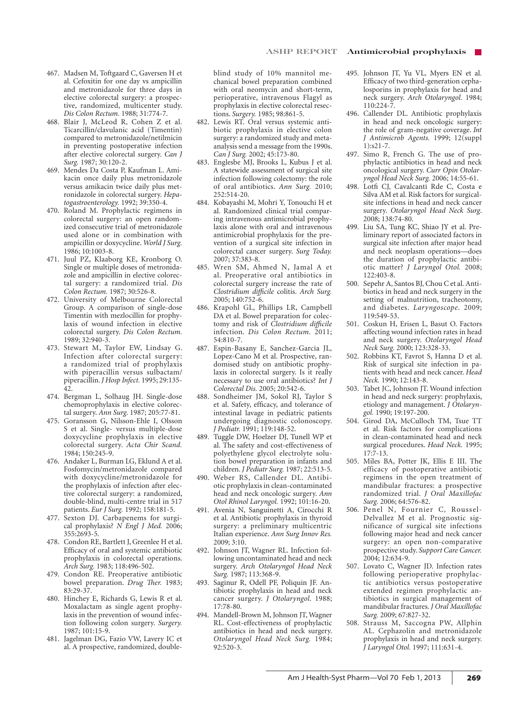- 467. Madsen M, Toftgaard C, Gaversen H et al. Cefoxitin for one day vs ampicillin and metronidazole for three days in elective colorectal surgery: a prospective, randomized, multicenter study. *Dis Colon Rectum.* 1988; 31:774-7.
- 468. Blair J, McLeod R, Cohen Z et al. Ticarcillin/clavulanic acid (Timentin) compared to metronidazole/netilmicin in preventing postoperative infection after elective colorectal surgery. *Can J Surg.* 1987; 30:120-2.
- 469. Mendes Da Costa P, Kaufman L. Amikacin once daily plus metronidazole versus amikacin twice daily plus metronidazole in colorectal surgery. *Hepatogastroenterology.* 1992; 39:350-4.
- 470. Roland M. Prophylactic regimens in colorectal surgery: an open randomized consecutive trial of metronidazole used alone or in combination with ampicillin or doxycycline. *World J Surg.* 1986; 10:1003-8.
- 471. Juul PZ, Klaaborg KE, Kronborg O. Single or multiple doses of metronidazole and ampicillin in elective colorectal surgery: a randomized trial. *Dis Colon Rectum.* 1987; 30:526-8.
- 472. University of Melbourne Colorectal Group. A comparison of single-dose Timentin with mezlocillin for prophylaxis of wound infection in elective colorectal surgery. *Dis Colon Rectum.* 1989; 32:940-3.
- 473. Stewart M, Taylor EW, Lindsay G. Infection after colorectal surgery: a randomized trial of prophylaxis with piperacillin versus sulbactam/ piperacillin. *J Hosp Infect.* 1995; 29:135- 42.
- 474. Bergman L, Solhaug JH. Single-dose chemoprophylaxis in elective colorectal surgery. *Ann Surg*. 1987; 205:77-81.
- 475. Goransson G, Nilsson-Ehle I, Olsson S et al. Single- versus multiple-dose doxycycline prophylaxis in elective colorectal surgery. *Acta Chir Scand.* 1984; 150:245-9.
- 476. Andaker L, Burman LG, Eklund A et al. Fosfomycin/metronidazole compared with doxycycline/metronidazole for the prophylaxis of infection after elective colorectal surgery: a randomized, double-blind, multi-centre trial in 517 patients. *Eur J Surg.* 1992; 158:181-5.
- 477. Sexton DJ. Carbapenems for surgical prophylaxis? *N Engl J Med.* 2006; 355:2693-5.
- 478. Condon RE, Bartlett J, Greenlee H et al. Efficacy of oral and systemic antibiotic prophylaxis in colorectal operations. *Arch Surg.* 1983; 118:496-502.
- 479. Condon RE. Preoperative antibiotic bowel preparation. *Drug Ther.* 1983; 83:29-37.
- 480. Hinchey E, Richards G, Lewis R et al. Moxalactam as single agent prophylaxis in the prevention of wound infection following colon surgery. *Surgery.* 1987; 101:15-9.
- 481. Jagelman DG, Fazio VW, Lavery IC et al. A prospective, randomized, double-

blind study of 10% mannitol mechanical bowel preparation combined with oral neomycin and short-term, perioperative, intravenous Flagyl as prophylaxis in elective colorectal resections. *Surgery.* 1985; 98:861-5.

- 482. Lewis RT. Oral versus systemic antibiotic prophylaxis in elective colon surgery: a randomized study and metaanalysis send a message from the 1990s. *Can J Surg.* 2002; 45:173-80.
- 483. Englesbe MJ, Brooks L, Kubus J et al. A statewide assessment of surgical site infection following colectomy: the role of oral antibiotics. *Ann Surg.* 2010; 252:514-20.
- 484. Kobayashi M, Mohri Y, Tonouchi H et al. Randomized clinical trial comparing intravenous antimicrobial prophylaxis alone with oral and intravenous antimicrobial prophylaxis for the prevention of a surgical site infection in colorectal cancer surgery. *Surg Today.* 2007; 37:383-8.
- 485. Wren SM, Ahmed N, Jamal A et al. Preoperative oral antibiotics in colorectal surgery increase the rate of *Clostridium difficile* colitis. *Arch Surg.* 2005; 140:752-6.
- 486. Krapohl GL, Phillips LR, Campbell DA et al. Bowel preparation for colectomy and risk of *Clostridium difficile* infection. *Dis Colon Rectum.* 2011; 54:810-7.
- 487. Espin-Basany E, Sanchez-Garcia JL, Lopez-Cano M et al. Prospective, randomised study on antibiotic prophylaxis in colorectal surgery. Is it really necessary to use oral antibiotics? *Int J Colorectal Dis.* 2005; 20:542-6.
- 488. Sondheimer JM, Sokol RJ, Taylor S et al. Safety, efficacy, and tolerance of intestinal lavage in pediatric patients undergoing diagnostic colonoscopy. *J Pediatr.* 1991; 119:148-52.
- 489. Tuggle DW, Hoelzer DJ, Tunell WP et al. The safety and cost-effectiveness of polyethylene glycol electrolyte solution bowel preparation in infants and children. *J Pediatr Surg.* 1987; 22:513-5.
- 490. Weber RS, Callender DL. Antibiotic prophylaxis in clean-contaminated head and neck oncologic surgery. *Ann Otol Rhinol Laryngol.* 1992; 101:16-20.
- 491. Avenia N, Sanguinetti A, Cirocchi R et al. Antibiotic prophylaxis in thyroid surgery: a preliminary multicentric Italian experience. *Ann Surg Innov Res.* 2009; 3:10.
- 492. Johnson JT, Wagner RL. Infection following uncontaminated head and neck surgery. *Arch Otolaryngol Head Neck Surg.* 1987; 113:368-9.
- 493. Saginur R, Odell PF, Poliquin JF. Antibiotic prophylaxis in head and neck cancer surgery. *J Otolaryngol*. 1988; 17:78-80.
- 494. Mandell-Brown M, Johnson JT, Wagner RL. Cost-effectiveness of prophylactic antibiotics in head and neck surgery. *Otolaryngol Head Neck Surg.* 1984; 92:520-3.
- 495. Johnson JT, Yu VL, Myers EN et al. Efficacy of two third-generation cephalosporins in prophylaxis for head and neck surgery. *Arch Otolaryngol.* 1984; 110:224-7.
- 496. Callender DL. Antibiotic prophylaxis in head and neck oncologic surgery: the role of gram-negative coverage. *Int J Antimicrob Agents.* 1999; 12(suppl 1):s21-7.
- 497. Simo R, French G. The use of prophylactic antibiotics in head and neck oncological surgery. *Curr Opin Otolaryngol Head Neck Surg.* 2006; 14:55-61.
- 498. Lotfi CJ, Cavalcanti Rde C, Costa e Silva AM et al. Risk factors for surgicalsite infections in head and neck cancer surgery. *Otolaryngol Head Neck Surg*. 2008; 138:74-80.
- 499. Liu SA, Tung KC, Shiao JY et al. Preliminary report of associated factors in surgical site infection after major head and neck neoplasm operations—does the duration of prophylactic antibiotic matter? *J Laryngol Otol.* 2008; 122:403-8.
- 500. Sepehr A, Santos BJ, Chou C et al. Antibiotics in head and neck surgery in the setting of malnutrition, tracheotomy, and diabetes. *Laryngoscope*. 2009; 119:549-53.
- 501. Coskun H, Erisen L, Basut O. Factors affecting wound infection rates in head and neck surgery. *Otolaryngol Head Neck Surg.* 2000; 123:328-33.
- 502. Robbins KT, Favrot S, Hanna D et al. Risk of surgical site infection in patients with head and neck cancer. *Head Neck.* 1990; 12:143-8.
- 503. Tabet JC, Johnson JT. Wound infection in head and neck surgery: prophylaxis, etiology and management. *J Otolaryngol.* 1990; 19:197-200.
- 504. Girod DA, McCulloch TM, Tsue TT et al. Risk factors for complications in clean-contaminated head and neck surgical procedures. *Head Neck.* 1995; 17:7-13.
- 505. Miles BA, Potter JK, Ellis E III. The efficacy of postoperative antibiotic regimens in the open treatment of mandibular fractures: a prospective randomized trial. *J Oral Maxillofac Surg.* 2006; 64:576-82.
- 506. Penel N, Fournier C, Roussel-Delvallez M et al. Prognostic significance of surgical site infections following major head and neck cancer surgery: an open non-comparative prospective study. *Support Care Cancer.*  2004; 12:634-9.
- 507. Lovato C, Wagner JD. Infection rates following perioperative prophylactic antibiotics versus postoperative extended regimen prophylactic antibiotics in surgical management of mandibular fractures. *J Oral Maxillofac Surg.* 2009; 67:827-32.
- 508. Strauss M, Saccogna PW, Allphin AL. Cephazolin and metronidazole prophylaxis in head and neck surgery. *J Laryngol Otol.* 1997; 111:631-4.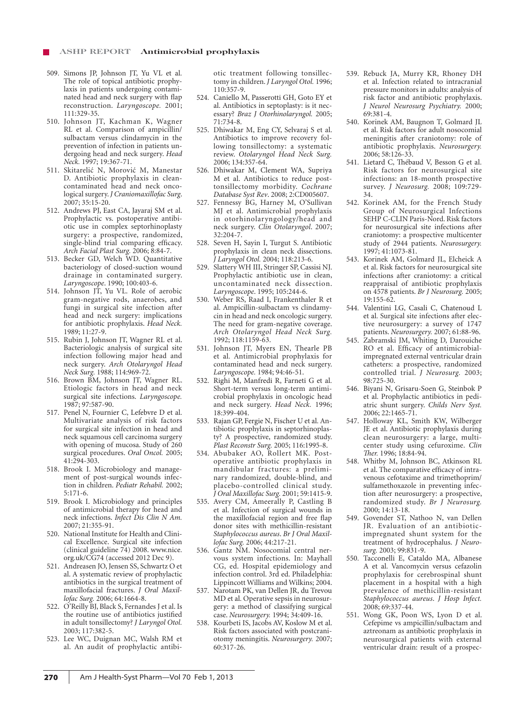- 509. Simons JP, Johnson JT, Yu VL et al. The role of topical antibiotic prophylaxis in patients undergoing contaminated head and neck surgery with flap reconstruction. *Laryngoscope.* 2001; 111:329-35.
- 510. Johnson JT, Kachman K, Wagner RL et al. Comparison of ampicillin/ sulbactam versus clindamycin in the prevention of infection in patients undergoing head and neck surgery. *Head Neck.* 1997; 19:367-71.
- 511. Skitarelić N, Morović M, Manestar D. Antibiotic prophylaxis in cleancontaminated head and neck oncological surgery. *J Craniomaxillofac Surg*. 2007; 35:15-20.
- 512. Andrews PJ, East CA, Jayaraj SM et al. Prophylactic vs. postoperative antibiotic use in complex septorhinoplasty surgery: a prospective, randomized, single-blind trial comparing efficacy. *Arch Facial Plast Surg.* 2006; 8:84-7.
- 513. Becker GD, Welch WD. Quantitative bacteriology of closed-suction wound drainage in contaminated surgery. *Laryngoscope*. 1990; 100:403-6.
- 514. Johnson JT, Yu VL. Role of aerobic gram-negative rods, anaerobes, and fungi in surgical site infection after head and neck surgery: implications for antibiotic prophylaxis. *Head Neck.* 1989; 11:27-9.
- 515. Rubin J, Johnson JT, Wagner RL et al. Bacteriologic analysis of surgical site infection following major head and neck surgery. *Arch Otolaryngol Head Neck Surg.* 1988; 114:969-72.
- 516. Brown BM, Johnson JT, Wagner RL. Etiologic factors in head and neck surgical site infections. *Laryngoscope.* 1987; 97:587-90.
- 517. Penel N, Fournier C, Lefebvre D et al. Multivariate analysis of risk factors for surgical site infection in head and neck squamous cell carcinoma surgery with opening of mucosa. Study of 260 surgical procedures. *Oral Oncol.* 2005; 41:294-303.
- 518. Brook I. Microbiology and management of post-surgical wounds infection in children. *Pediatr Rehabil.* 2002; 5:171-6.
- 519. Brook I. Microbiology and principles of antimicrobial therapy for head and neck infections. *Infect Dis Clin N Am.*  2007; 21:355-91.
- 520. National Institute for Health and Clinical Excellence. Surgical site infection (clinical guideline 74) 2008. www.nice. org.uk/CG74 (accessed 2012 Dec 9).
- 521. Andreasen JO, Jensen SS, Schwartz O et al. A systematic review of prophylactic antibiotics in the surgical treatment of maxillofacial fractures. *J Oral Maxillofac Surg.* 2006; 64:1664-8.
- 522. O'Reilly BJ, Black S, Fernandes J et al. Is the routine use of antibiotics justified in adult tonsillectomy? *J Laryngol Otol.*  2003; 117:382-5.
- 523. Lee WC, Duignan MC, Walsh RM et al. An audit of prophylactic antibi-

otic treatment following tonsillectomy in children. *J Laryngol Otol.* 1996; 110:357-9.

- 524. Caniello M, Passerotti GH, Goto EY et al. Antibiotics in septoplasty: is it necessary? *Braz J Otorhinolaryngol.* 2005; 71:734-8.
- 525. Dhiwakar M, Eng CY, Selvaraj S et al. Antibiotics to improve recovery following tonsillectomy: a systematic review. *Otolaryngol Head Neck Surg.*  2006; 134:357-64.
- 526. Dhiwakar M, Clement WA, Supriya M et al. Antibiotics to reduce posttonsillectomy morbidity. *Cochrane Database Syst Rev*. 2008; 2:CD005607.
- 527. Fennessy BG, Harney M, O'Sullivan MJ et al. Antimicrobial prophylaxis in otorhinolaryngology/head and neck surgery. *Clin Otolaryngol*. 2007; 32:204-7.
- 528. Seven H, Sayin I, Turgut S. Antibiotic prophylaxis in clean neck dissections. *J Laryngol Otol.* 2004; 118:213-6.
- 529. Slattery WH III, Stringer SP, Cassisi NJ. Prophylactic antibiotic use in clean, uncontaminated neck dissection. *Laryngoscope*. 1995; 105:244-6.
- 530. Weber RS, Raad I, Frankenthaler R et al. Ampicillin-sulbactam vs clindamycin in head and neck oncologic surgery. The need for gram-negative coverage. *Arch Otolaryngol Head Neck Surg.*  1992; 118:1159-63.
- 531. Johnson JT, Myers EN, Thearle PB et al. Antimicrobial prophylaxis for contaminated head and neck surgery. *Laryngoscope.* 1984; 94:46-51.
- 532. Righi M, Manfredi R, Farneti G et al. Short-term versus long-term antimicrobial prophylaxis in oncologic head and neck surgery. *Head Neck.* 1996; 18:399-404.
- 533. Rajan GP, Fergie N, Fischer U et al. Antibiotic prophylaxis in septorhinoplasty? A prospective, randomized study. *Plast Reconstr Surg.* 2005; 116:1995-8.
- 534. Abubaker AO, Rollert MK. Postoperative antibiotic prophylaxis in mandibular fractures: a preliminary randomized, double-blind, and placebo-controlled clinical study. *J Oral Maxillofac Surg.* 2001; 59:1415-9.
- 535. Avery CM, Ameerally P, Castling B et al. Infection of surgical wounds in the maxillofacial region and free flap donor sites with methicillin-resistant *Staphylococcus aureus*. *Br J Oral Maxillofac Surg.* 2006; 44:217-21.
- 536. Gantz NM. Nosocomial central nervous system infections. In: Mayhall CG, ed. Hospital epidemiology and infection control. 3rd ed. Philadelphia: Lippincott Williams and Wilkins; 2004.
- 537. Narotam PK, van Dellen JR, du Trevou MD et al. Operative sepsis in neurosurgery: a method of classifying surgical case. *Neurosurgery.* 1994; 34:409-16.
- 538. Kourbeti IS, Jacobs AV, Koslow M et al. Risk factors associated with postcraniotomy meningitis. *Neurosurgery.* 2007; 60:317-26.
- 539. Rebuck JA, Murry KR, Rhoney DH et al. Infection related to intracranial pressure monitors in adults: analysis of risk factor and antibiotic prophylaxis. *J Neurol Neurosurg Psychiatry.* 2000; 69:381-4.
- 540. Korinek AM, Baugnon T, Golmard JL et al. Risk factors for adult nosocomial meningitis after craniotomy: role of antibiotic prophylaxis. *Neurosurgery.* 2006; 58:126-33.
- 541. Lietard C, Thébaud V, Besson G et al. Risk factors for neurosurgical site infections: an 18-month prospective survey. *J Neurosurg.* 2008; 109:729- 34.
- 542. Korinek AM, for the French Study Group of Neurosurgical Infections SEHP C-CLIN Paris-Nord. Risk factors for neurosurgical site infections after craniotomy: a prospective multicenter study of 2944 patients. *Neurosurgery.* 1997; 41:1073-81.
- 543. Korinek AM, Golmard JL, Elcheick A et al. Risk factors for neurosurgical site infections after craniotomy: a critical reappraisal of antibiotic prophylaxis on 4578 patients. *Br J Neurosurg.* 2005; 19:155-62.
- 544. Valentini LG, Casali C, Chatenoud L et al. Surgical site infections after elective neurosurgery: a survey of 1747 patients. *Neurosurgery.* 2007; 61:88-96.
- 545. Zabramski JM, Whiting D, Darouiche RO et al. Efficacy of antimicrobialimpregnated external ventricular drain catheters: a prospective, randomized controlled trial. *J Neurosurg.* 2003; 98:725-30.
- 546. Biyani N, Grisaru-Soen G, Steinbok P et al. Prophylactic antibiotics in pediatric shunt surgery. *Childs Nerv Syst.* 2006; 22:1465-71.
- 547. Holloway KL, Smith KW, Wilberger JE et al. Antibiotic prophylaxis during clean neurosurgery: a large, multicenter study using cefuroxime. *Clin Ther.* 1996; 18:84-94.
- 548. Whitby M, Johnson BC, Atkinson RL et al. The comparative efficacy of intravenous cefotaxime and trimethoprim/ sulfamethoxazole in preventing infection after neurosurgery: a prospective, randomized study. *Br J Neurosurg.* 2000; 14:13-18.
- 549. Govender ST, Nathoo N, van Dellen JR. Evaluation of an antibioticimpregnated shunt system for the treatment of hydrocephalus. *J Neurosurg.* 2003; 99:831-9.
- 550. Tacconelli E, Cataldo MA, Albanese A et al. Vancomycin versus cefazolin prophylaxis for cerebrospinal shunt placement in a hospital with a high prevalence of methicillin-resistant *Staphylococcus aureus*. *J Hosp Infect.* 2008; 69:337-44.
- 551. Wong GK, Poon WS, Lyon D et al. Cefepime vs ampicillin/sulbactam and aztreonam as antibiotic prophylaxis in neurosurgical patients with external ventricular drain: result of a prospec-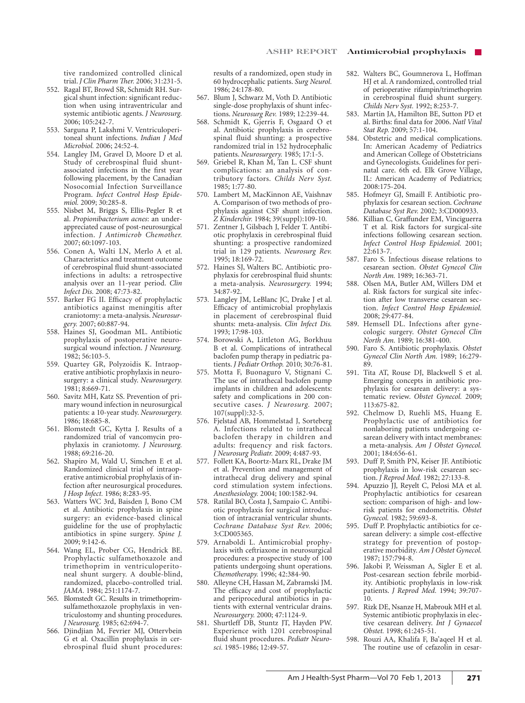tive randomized controlled clinical trial. *J Clin Pharm Ther.* 2006; 31:231-5.

- 552. Ragal BT, Browd SR, Schmidt RH. Surgical shunt infection: significant reduction when using intraventricular and systemic antibiotic agents. *J Neurosurg.* 2006; 105:242-7.
- 553. Sarguna P, Lakshmi V. Ventriculoperitoneal shunt infections. *Indian J Med Microbiol.* 2006; 24:52-4.
- 554. Langley JM, Gravel D, Moore D et al. Study of cerebrospinal fluid shuntassociated infections in the first year following placement, by the Canadian Nosocomial Infection Surveillance Program. *Infect Control Hosp Epidemiol.* 2009; 30:285-8.
- 555. Nisbet M, Briggs S, Ellis-Pegler R et al. *Propionibacterium acnes*: an underappreciated cause of post-neurosurgical infection. *J Antimicrob Chemother.* 2007; 60:1097-103.
- 556. Conen A, Walti LN, Merlo A et al. Characteristics and treatment outcome of cerebrospinal fluid shunt-associated infections in adults: a retrospective analysis over an 11-year period. *Clin Infect Dis.* 2008; 47:73-82.
- 557. Barker FG II. Efficacy of prophylactic antibiotics against meningitis after craniotomy: a meta-analysis. *Neurosurgery.* 2007; 60:887-94.
- 558. Haines SJ, Goodman ML. Antibiotic prophylaxis of postoperative neurosurgical wound infection. *J Neurosurg.* 1982; 56:103-5.
- 559. Quartey GR, Polyzoidis K. Intraoperative antibiotic prophylaxis in neurosurgery: a clinical study. *Neurosurgery.* 1981; 8:669-71.
- 560. Savitz MH, Katz SS. Prevention of primary wound infection in neurosurgical patients: a 10-year study. *Neurosurgery.* 1986; 18:685-8.
- 561. Blomstedt GC, Kytta J. Results of a randomized trial of vancomycin prophylaxis in craniotomy. *J Neurosurg.* 1988; 69:216-20.
- 562. Shapiro M, Wald U, Simchen E et al. Randomized clinical trial of intraoperative antimicrobial prophylaxis of infection after neurosurgical procedures. *J Hosp Infect.* 1986; 8:283-95.
- 563. Watters WC 3rd, Baisden J, Bono CM et al. Antibiotic prophylaxis in spine surgery: an evidence-based clinical guideline for the use of prophylactic antibiotics in spine surgery. *Spine J.* 2009; 9:142-6.
- 564. Wang EL, Prober CG, Hendrick BE. Prophylactic sulfamethoxazole and trimethoprim in ventriculoperitoneal shunt surgery. A double-blind, randomized, placebo-controlled trial. *JAMA.* 1984; 251:1174-7.
- 565. Blomstedt GC. Results in trimethoprimsulfamethoxazole prophylaxis in ventriculostomy and shunting procedures. *J Neurosurg.* 1985; 62:694-7.
- 566. Djindjian M, Fevrier MJ, Ottervbein G et al. Oxacillin prophylaxis in cerebrospinal fluid shunt procedures:

results of a randomized, open study in 60 hydrocephalic patients. *Surg Neurol.* 1986; 24:178-80.

- 567. Blum J, Schwarz M, Voth D. Antibiotic single-dose prophylaxis of shunt infections. *Neurosurg Rev.* 1989; 12:239-44.
- 568. Schmidt K, Gjerris F, Osgaard O et al. Antibiotic prophylaxis in cerebrospinal fluid shunting: a prospective randomized trial in 152 hydrocephalic patients. *Neurosurgery.* 1985; 17:1-5.
- 569. Griebel R, Khan M, Tan L. CSF shunt complications: an analysis of contributory factors. *Childs Nerv Syst.* 1985; 1:77-80.
- 570. Lambert M, MacKinnon AE, Vaishnav A. Comparison of two methods of prophylaxis against CSF shunt infection. *Z Kinderchir.* 1984; 39(suppl):109-10.
- 571. Zentner J, Gilsbach J, Felder T. Antibiotic prophylaxis in cerebrospinal fluid shunting: a prospective randomized trial in 129 patients. *Neurosurg Rev.* 1995; 18:169-72.
- 572. Haines SJ, Walters BC. Antibiotic prophylaxis for cerebrospinal fluid shunts: a meta-analysis. *Neurosurgery.* 1994; 34:87-92.
- 573. Langley JM, LeBlanc JC, Drake J et al. Efficacy of antimicrobial prophylaxis in placement of cerebrospinal fluid shunts: meta-analysis. *Clin Infect Dis.* 1993; 17:98-103.
- 574. Borowski A, Littleton AG, Borkhuu B et al. Complications of intrathecal baclofen pump therapy in pediatric patients. *J Pediatr Orthop.* 2010; 30:76-81.
- 575. Motta F, Buonaguro V, Stignani C. The use of intrathecal baclofen pump implants in children and adolescents: safety and complications in 200 consecutive cases. *J Neurosurg.* 2007; 107(suppl):32-5.
- 576. Fjelstad AB, Hommelstad J, Sorteberg A. Infections related to intrathecal baclofen therapy in children and adults: frequency and risk factors. *J Neurosurg Pediatr.* 2009; 4:487-93.
- 577. Follett KA, Boortz-Marx RL, Drake JM et al. Prevention and management of intrathecal drug delivery and spinal cord stimulation system infections. *Anesthesiology.* 2004; 100:1582-94.
- 578. Ratilal BO, Costa J, Sampaio C. Antibiotic prophylaxis for surgical introduction of intracranial ventricular shunts. *Cochrane Database Syst Rev.* 2006; 3:CD005365.
- 579. Arnaboldi L. Antimicrobial prophylaxis with ceftriaxone in neurosurgical procedures: a prospective study of 100 patients undergoing shunt operations. *Chemotherapy.* 1996; 42:384-90.
- 580. Alleyne CH, Hassan M, Zabramski JM. The efficacy and cost of prophylactic and periprocedural antibiotics in patients with external ventricular drains. *Neurosurgery.* 2000; 47:1124-9.
- 581. Shurtleff DB, Stuntz JT, Hayden PW. Experience with 1201 cerebrospinal fluid shunt procedures. *Pediatr Neurosci.* 1985-1986; 12:49-57.
- 582. Walters BC, Goumnerova L, Hoffman HJ et al. A randomized, controlled trial of perioperative rifampin/trimethoprim in cerebrospinal fluid shunt surgery. *Childs Nerv Syst.* 1992; 8:253-7.
- 583. Martin JA, Hamilton BE, Sutton PD et al. Births: final data for 2006. *Natl Vital Stat Rep.* 2009; 57:1-104.
- 584. Obstetric and medical complications. In: American Academy of Pediatrics and American College of Obstetricians and Gynecologists. Guidelines for perinatal care. 6th ed. Elk Grove Village, IL: American Academy of Pediatrics; 2008:175-204.
- 585. Hofmeyr GJ, Smaill F. Antibiotic prophylaxis for cesarean section. *Cochrane Database Syst Rev.* 2002; 3:CD000933.
- 586. Killian C, Graffunder EM, Vinciguerra T et al. Risk factors for surgical-site infections following cesarean section. *Infect Control Hosp Epidemiol.* 2001; 22:613-7.
- 587. Faro S. Infectious disease relations to cesarean section. *Obstet Gynecol Clin North Am.* 1989; 16:363-71.
- 588. Olsen MA, Butler AM, Willers DM et al. Risk factors for surgical site infection after low transverse cesarean section. *Infect Control Hosp Epidemiol.* 2008; 29:477-84.
- 589. Hemsell DL. Infections after gynecologic surgery. *Obstet Gynecol Clin North Am.* 1989; 16:381-400.
- 590. Faro S. Antibiotic prophylaxis. *Obstet Gynecol Clin North Am.* 1989; 16:279- 89.
- 591. Tita AT, Rouse DJ, Blackwell S et al. Emerging concepts in antibiotic prophylaxis for cesarean delivery: a systematic review. *Obstet Gynecol.* 2009; 113:675-82.
- 592. Chelmow D, Ruehli MS, Huang E. Prophylactic use of antibiotics for nonlaboring patients undergoing cesarean delivery with intact membranes: a meta-analysis. *Am J Obstet Gynecol.* 2001; 184:656-61.
- 593. Duff P, Smith PN, Keiser JF. Antibiotic prophylaxis in low-risk cesarean section. *J Reprod Med.* 1982; 27:133-8.
- 594. Apuzzio JJ, Reyelt C, Pelosi MA et al. Prophylactic antibiotics for cesarean section: comparison of high- and lowrisk patients for endometritis. *Obstet Gynecol.* 1982; 59:693-8.
- 595. Duff P. Prophylactic antibiotics for cesarean delivery: a simple cost-effective strategy for prevention of postoperative morbidity. *Am J Obstet Gynecol.* 1987; 157:794-8.
- 596. Jakobi P, Weissman A, Sigler E et al. Post-cesarean section febrile morbidity. Antibiotic prophylaxis in low-risk patients. *J Reprod Med.* 1994; 39:707- 10.
- 597. Rizk DE, Nsanze H, Mabrouk MH et al. Systemic antibiotic prophylaxis in elective cesarean delivery. *Int J Gynaecol Obstet.* 1998; 61:245-51.
- 598. Rouzi AA, Khalifa F, Ba'aqeel H et al. The routine use of cefazolin in cesar-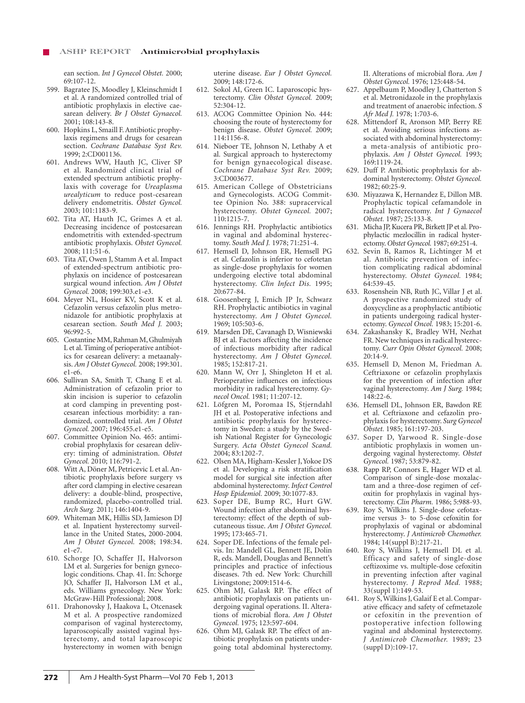ean section. *Int J Gynecol Obstet.* 2000; 69:107-12.

- 599. Bagratee JS, Moodley J, Kleinschmidt I et al. A randomized controlled trial of antibiotic prophylaxis in elective caesarean delivery. *Br J Obstet Gynaecol.* 2001; 108:143-8.
- 600. Hopkins L, Smaill F. Antibiotic prophylaxis regimens and drugs for cesarean section. *Cochrane Database Syst Rev.* 1999; 2:CD001136.
- 601. Andrews WW, Hauth JC, Cliver SP et al. Randomized clinical trial of extended spectrum antibiotic prophylaxis with coverage for *Ureaplasma urealyticum* to reduce post-cesarean delivery endometritis. *Obstet Gyncol.* 2003; 101:1183-9.
- 602. Tita AT, Hauth JC, Grimes A et al. Decreasing incidence of postcesarean endometritis with extended-spectrum antibiotic prophylaxis. *Obstet Gynecol.* 2008; 111:51-6.
- 603. Tita AT, Owen J, Stamm A et al. Impact of extended-spectrum antibiotic prophylaxis on incidence of postcesarean surgical wound infection. *Am J Obstet Gynecol.* 2008; 199:303.e1-e3.
- 604. Meyer NL, Hosier KV, Scott K et al. Cefazolin versus cefazolin plus metronidazole for antibiotic prophylaxis at cesarean section. *South Med J.* 2003; 96:992-5.
- 605. Costantine MM, Rahman M, Ghulmiyah L et al. Timing of perioperative antibiotics for cesarean delivery: a metaanalysis. *Am J Obstet Gynecol.* 2008; 199:301. e1-e6.
- 606. Sullivan SA, Smith T, Chang E et al. Administration of cefazolin prior to skin incision is superior to cefazolin at cord clamping in preventing postcesarean infectious morbidity: a randomized, controlled trial. *Am J Obstet Gynecol.* 2007; 196:455.e1-e5.
- 607. Committee Opinion No. 465: antimicrobial prophylaxis for cesarean delivery: timing of administration. *Obstet Gynecol.* 2010; 116:791-2.
- 608. Witt A, Döner M, Petricevic L et al. Antibiotic prophylaxis before surgery vs after cord clamping in elective cesarean delivery: a double-blind, prospective, randomized, placebo-controlled trial. *Arch Surg.* 2011; 146:1404-9.
- 609. Whiteman MK, Hillis SD, Jamieson DJ et al. Inpatient hysterectomy surveillance in the United States, 2000-2004. *Am J Obstet Gynecol.* 2008; 198:34. e1-e7.
- 610. Schorge JO, Schaffer JI, Halvorson LM et al. Surgeries for benign gynecologic conditions. Chap. 41. In: Schorge JO, Schaffer JI, Halvorson LM et al., eds. Williams gynecology. New York: McGraw-Hill Professional; 2008.
- 611. Drahonovsky J, Haakova L, Otcenasek M et al. A prospective randomized comparison of vaginal hysterectomy, laparoscopically assisted vaginal hysterectomy, and total laparoscopic hysterectomy in women with benign

uterine disease. *Eur J Obstet Gynecol.* 2009; 148:172-6.

- 612. Sokol AI, Green IC. Laparoscopic hysterectomy. *Clin Obstet Gynecol.* 2009; 52:304-12.
- 613. ACOG Committee Opinion No. 444: choosing the route of hysterectomy for benign disease. *Obstet Gynecol.* 2009; 114:1156-8.
- 614. Nieboer TE, Johnson N, Lethaby A et al. Surgical approach to hysterectomy for benign gynaecological disease. *Cochrane Database Syst Rev.* 2009; 3:CD003677.
- 615. American College of Obstetricians and Gynecologists. ACOG Committee Opinion No. 388: supracervical hysterectomy. *Obstet Gynecol.* 2007; 110:1215-7.
- 616. Jennings RH. Prophylactic antibiotics in vaginal and abdominal hysterectomy. *South Med J.* 1978; 71:251-4.
- 617. Hemsell D, Johnson ER, Hemsell PG et al. Cefazolin is inferior to cefotetan as single-dose prophylaxis for women undergoing elective total abdominal hysterectomy. *Clin Infect Dis.* 1995; 20:677-84.
- 618. Goosenberg J, Emich JP Jr, Schwarz RH. Prophylactic antibiotics in vaginal hysterectomy. *Am J Obstet Gynecol.* 1969; 105:503-6.
- 619. Marsden DE, Cavanagh D, Wisniewski BJ et al. Factors affecting the incidence of infectious morbidity after radical hysterectomy. *Am J Obstet Gynecol.* 1985; 152:817-21.
- 620. Mann W, Orr J, Shingleton H et al. Perioperative influences on infectious morbidity in radical hysterectomy. *Gynecol Oncol.* 1981; 11:207-12.
- 621. Löfgren M, Poromaa IS, Stjerndahl JH et al. Postoperative infections and antibiotic prophylaxis for hysterectomy in Sweden: a study by the Swedish National Register for Gynecologic Surgery. *Acta Obstet Gynecol Scand.* 2004; 83:1202-7.
- 622. Olsen MA, Higham-Kessler J, Yokoe DS et al. Developing a risk stratification model for surgical site infection after abdominal hysterectomy. *Infect Control Hosp Epidemiol.* 2009; 30:1077-83.
- 623. Soper DE, Bump RC, Hurt GW. Wound infection after abdominal hysterectomy: effect of the depth of subcutaneous tissue. *Am J Obstet Gynecol.* 1995; 173:465-71.
- 624. Soper DE. Infections of the female pelvis. In: Mandell GL, Bennett JE, Dolin R, eds. Mandell, Douglas and Bennett's principles and practice of infectious diseases. 7th ed. New York: Churchill Livingstone; 2009:1514-6.
- 625. Ohm MJ, Galask RP. The effect of antibiotic prophylaxis on patients undergoing vaginal operations. II. Alterations of microbial flora. *Am J Obstet Gynecol.* 1975; 123:597-604.
- 626. Ohm MJ, Galask RP. The effect of antibiotic prophylaxis on patients undergoing total abdominal hysterectomy.

II. Alterations of microbial flora. *Am J Obstet Gynecol.* 1976; 125:448-54.

- 627. Appelbaum P, Moodley J, Chatterton S et al. Metronidazole in the prophylaxis and treatment of anaerobic infection. *S Afr Med J.* 1978; 1:703-6.
- 628. Mittendorf R, Aronson MP, Berry RE et al. Avoiding serious infections associated with abdominal hysterectomy: a meta-analysis of antibiotic prophylaxis. *Am J Obstet Gynecol.* 1993; 169:1119-24.
- 629. Duff P. Antibiotic prophylaxis for abdominal hysterectomy. *Obstet Gynecol.* 1982; 60:25-9.
- 630. Miyazawa K, Hernandez E, Dillon MB. Prophylactic topical cefamandole in radical hysterectomy. *Int J Gynaecol Obstet.* 1987; 25:133-8.
- 631. Micha JP, Kucera PR, Birkett JP et al. Prophylactic mezlocillin in radical hysterectomy. *Obstet Gynecol.* 1987; 69:251-4.
- 632. Sevin B, Ramos R, Lichtinger M et al. Antibiotic prevention of infection complicating radical abdominal hysterectomy. *Obstet Gynecol.* 1984; 64:539-45.
- 633. Rosenshein NB, Ruth JC, Villar J et al. A prospective randomized study of doxycycline as a prophylactic antibiotic in patients undergoing radical hysterectomy. *Gynecol Oncol.* 1983; 15:201-6.
- Zakashansky K, Bradley WH, Nezhat FR. New techniques in radical hysterectomy. *Curr Opin Obstet Gynecol.* 2008; 20:14-9.
- 635. Hemsell D, Menon M, Friedman A. Ceftriaxone or cefazolin prophylaxis for the prevention of infection after vaginal hysterectomy. *Am J Surg.* 1984; 148:22-6.
- 636. Hemsell DL, Johnson ER, Bawdon RE et al. Ceftriaxone and cefazolin prophylaxis for hysterectomy. *Surg Gynecol Obstet.* 1985; 161:197-203.
- 637. Soper D, Yarwood R. Single-dose antibiotic prophylaxis in women undergoing vaginal hysterectomy. *Obstet Gynecol.* 1987; 53:879-82.
- 638. Rapp RP, Connors E, Hager WD et al. Comparison of single-dose moxalactam and a three-dose regimen of cefoxitin for prophylaxis in vaginal hysterectomy. *Clin Pharm.* 1986; 5:988-93.
- 639. Roy S, Wilkins J. Single-dose cefotaxime versus 3- to 5-dose cefoxitin for prophylaxis of vaginal or abdominal hysterectomy. *J Antimicrob Chemother.* 1984; 14(suppl B):217-21.
- 640. Roy S, Wilkins J, Hemsell DL et al. Efficacy and safety of single-dose ceftizoxime vs. multiple-dose cefoxitin in preventing infection after vaginal hysterectomy. *J Reprod Med.* 1988; 33(suppl 1):149-53.
- 641. Roy S, Wilkins J, Galaif E et al. Comparative efficacy and safety of cefmetazole or cefoxitin in the prevention of postoperative infection following vaginal and abdominal hysterectomy. *J Antimicrob Chemother.* 1989; 23 (suppl D):109-17.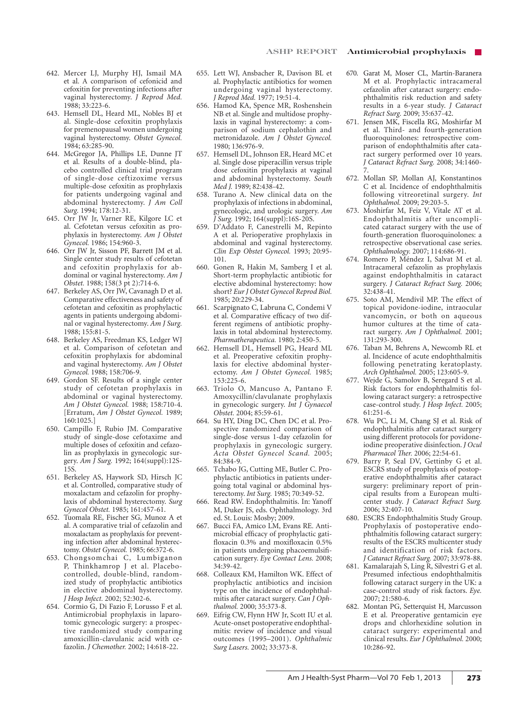**ASHP Report Antimicrobial prophylaxis**

- 642. Mercer LJ, Murphy HJ, Ismail MA et al. A comparison of cefonicid and cefoxitin for preventing infections after vaginal hysterectomy. *J Reprod Med.* 1988; 33:223-6.
- 643. Hemsell DL, Heard ML, Nobles BJ et al. Single-dose cefoxitin prophylaxis for premenopausal women undergoing vaginal hysterectomy. *Obstet Gynecol.* 1984; 63:285-90.
- 644. McGregor JA, Phillips LE, Dunne JT et al. Results of a double-blind, placebo controlled clinical trial program of single-dose ceftizoxime versus multiple-dose cefoxitin as prophylaxis for patients undergoing vaginal and abdominal hysterectomy. *J Am Coll Surg.* 1994; 178:12-31.
- 645. Orr JW Jr, Varner RE, Kilgore LC et al. Cefotetan versus cefoxitin as prophylaxis in hysterectomy. *Am J Obstet Gynecol.* 1986; 154:960-3.
- 646. Orr JW Jr, Sisson PF, Barrett JM et al. Single center study results of cefotetan and cefoxitin prophylaxis for abdominal or vaginal hysterectomy. *Am J Obstet.* 1988; 158(3 pt 2):714-6.
- 647. Berkeley AS, Orr JW, Cavanagh D et al. Comparative effectiveness and safety of cefotetan and cefoxitin as prophylactic agents in patients undergoing abdominal or vaginal hysterectomy. *Am J Surg.* 1988; 155:81-5.
- 648. Berkeley AS, Freedman KS, Ledger WJ et al. Comparison of cefotetan and cefoxitin prophylaxis for abdominal and vaginal hysterectomy. *Am J Obstet Gynecol.* 1988; 158:706-9.
- 649. Gordon SF. Results of a single center study of cefotetan prophylaxis in abdominal or vaginal hysterectomy. *Am J Obstet Gynecol.* 1988; 158:710-4. [Erratum, *Am J Obstet Gynecol.* 1989; 160:1025.]
- 650. Campillo F, Rubio JM. Comparative study of single-dose cefotaxime and multiple doses of cefoxitin and cefazolin as prophylaxis in gynecologic surgery. *Am J Surg.* 1992; 164(suppl):12S-15S.
- 651. Berkeley AS, Haywork SD, Hirsch JC et al. Controlled, comparative study of moxalactam and cefazolin for prophylaxis of abdominal hysterectomy. *Surg Gynecol Obstet.* 1985; 161:457-61.
- 652. Tuomala RE, Fischer SG, Munoz A et al. A comparative trial of cefazolin and moxalactam as prophylaxis for preventing infection after abdominal hysterectomy. *Obstet Gynecol.* 1985; 66:372-6.
- 653. Chongsomchai C, Lumbiganon P, Thinkhamrop J et al. Placebocontrolled, double-blind, randomized study of prophylactic antibiotics in elective abdominal hysterectomy. *J Hosp Infect.* 2002; 52:302-6.
- 654. Cormio G, Di Fazio F, Lorusso F et al. Antimicrobial prophylaxis in laparotomic gynecologic surgery: a prospective randomized study comparing amoxicillin-clavulanic acid with cefazolin. *J Chemother.* 2002; 14:618-22.
- 655. Lett WJ, Ansbacher R, Davison BL et al. Prophylactic antibiotics for women undergoing vaginal hysterectomy. *J Reprod Med.* 1977; 19:51-4.
- 656. Hamod KA, Spence MR, Roshenshein NB et al. Single and multidose prophylaxis in vaginal hysterectomy: a comparison of sodium cephalothin and metronidazole. *Am J Obstet Gynecol.* 1980; 136:976-9.
- 657. Hemsell DL, Johnson ER, Heard MC et al. Single dose piperacillin versus triple dose cefoxitin prophylaxis at vaginal and abdominal hysterectomy. *South Med J.* 1989; 82:438-42.
- 658. Turano A. New clinical data on the prophylaxis of infections in abdominal, gynecologic, and urologic surgery. *Am J Surg.* 1992; 164(suppl):16S-20S.
- 659. D'Addato F, Canestrelli M, Repinto A et al. Perioperative prophylaxis in abdominal and vaginal hysterectomy. *Clin Exp Obstet Gynecol.* 1993; 20:95- 101.
- 660. Gonen R, Hakin M, Samberg I et al. Short-term prophylactic antibiotic for elective abdominal hysterectomy: how short? *Eur J Obstet Gynecol Reprod Biol.* 1985; 20:229-34.
- 661. Scarpignato C, Labruna C, Condemi V et al. Comparative efficacy of two different regimens of antibiotic prophylaxis in total abdominal hysterectomy. *Pharmatherapeutica.* 1980; 2:450-5.
- 662. Hemsell DL, Hemsell PG, Heard ML et al. Preoperative cefoxitin prophylaxis for elective abdominal hysterectomy. *Am J Obstet Gynecol.* 1985; 153:225-6.
- 663. Triolo O, Mancuso A, Pantano F. Amoxycillin/clavulanate prophylaxis in gynecologic surgery. *Int J Gynaecol Obstet.* 2004; 85:59-61.
- 664. Su HY, Ding DC, Chen DC et al. Prospective randomized comparison of single-dose versus 1-day cefazolin for prophylaxis in gynecologic surgery. *Acta Obstet Gynecol Scand.* 2005; 84:384-9.
- 665. Tchabo JG, Cutting ME, Butler C. Prophylactic antibiotics in patients undergoing total vaginal or abdominal hysterectomy. *Int Surg.* 1985; 70:349-52.
- 666. Read RW. Endophthalmitis. In: Yanoff M, Duker JS, eds. Ophthalmology. 3rd ed. St. Louis: Mosby; 2009.
- 667. Bucci FA, Amico LM, Evans RE. Antimicrobial efficacy of prophylactic gatifloxacin 0.3% and moxifloxacin 0.5% in patients undergoing phacoemulsification surgery. *Eye Contact Lens.* 2008; 34:39-42.
- 668. Colleaux KM, Hamilton WK. Effect of prophylactic antibiotics and incision type on the incidence of endophthalmitis after cataract surgery. *Can J Ophthalmol.* 2000; 35:373-8.
- 669. Eifrig CW, Flynn HW Jr, Scott IU et al. Acute-onset postoperative endophthalmitis: review of incidence and visual outcomes (1995–2001). *Ophthalmic Surg Lasers.* 2002; 33:373-8.
- 670. Garat M, Moser CL, Martín-Baranera M et al. Prophylactic intracameral cefazolin after cataract surgery: endophthalmitis risk reduction and safety results in a 6-year study. *J Cataract Refract Surg.* 2009; 35:637-42.
- 671. Jensen MK, Fiscella RG, Moshirfar M et al. Third- and fourth-generation fluoroquinolones: retrospective comparison of endophthalmitis after cataract surgery performed over 10 years. *J Cataract Refract Surg.* 2008; 34:1460- 7.
- 672. Mollan SP, Mollan AJ, Konstantinos C et al. Incidence of endophthalmitis following vitreoretinal surgery. *Int Ophthalmol.* 2009; 29:203-5.
- 673. Moshirfar M, Feiz V, Vitale AT et al. Endophthalmitis after uncomplicated cataract surgery with the use of fourth-generation fluoroquinolones: a retrospective observational case series. *Ophthalmology.* 2007; 114:686-91.
- 674. Romero P, Méndez I, Salvat M et al. Intracameral cefazolin as prophylaxis against endophthalmitis in cataract surgery. *J Cataract Refract Surg.* 2006; 32:438-41.
- 675. Soto AM, Mendívil MP. The effect of topical povidone-iodine, intraocular vancomycin, or both on aqueous humor cultures at the time of cataract surgery. *Am J Ophthalmol.* 2001; 131:293-300.
- 676. Taban M, Behrens A, Newcomb RL et al. Incidence of acute endophthalmitis following penetrating keratoplasty. *Arch Ophthalmol.* 2005; 123:605-9.
- 677. Wejde G, Samolov B, Seregard S et al. Risk factors for endophthalmitis following cataract surgery: a retrospective case-control study. *J Hosp Infect.* 2005; 61:251-6.
- 678. Wu PC, Li M, Chang SJ et al. Risk of endophthalmitis after cataract surgery using different protocols for povidoneiodine preoperative disinfection. *J Ocul Pharmacol Ther.* 2006; 22:54-61.
- 679. Barry P, Seal DV, Gettinby G et al. ESCRS study of prophylaxis of postoperative endophthalmitis after cataract surgery: preliminary report of principal results from a European multicenter study. *J Cataract Refract Surg.* 2006; 32:407-10.
- 680. ESCRS Endophthalmitis Study Group. Prophylaxis of postoperative endophthalmitis following cataract surgery: results of the ESCRS multicenter study and identification of risk factors. *J Cataract Refract Surg.* 2007; 33:978-88.
- 681. Kamalarajah S, Ling R, Silvestri G et al. Presumed infectious endophthalmitis following cataract surgery in the UK: a case-control study of risk factors. *Eye.* 2007; 21:580-6.
- 682. Montan PG, Setterquist H, Marcusson E et al. Preoperative gentamicin eye drops and chlorhexidine solution in cataract surgery: experimental and clinical results. *Eur J Ophthalmol.* 2000; 10:286-92.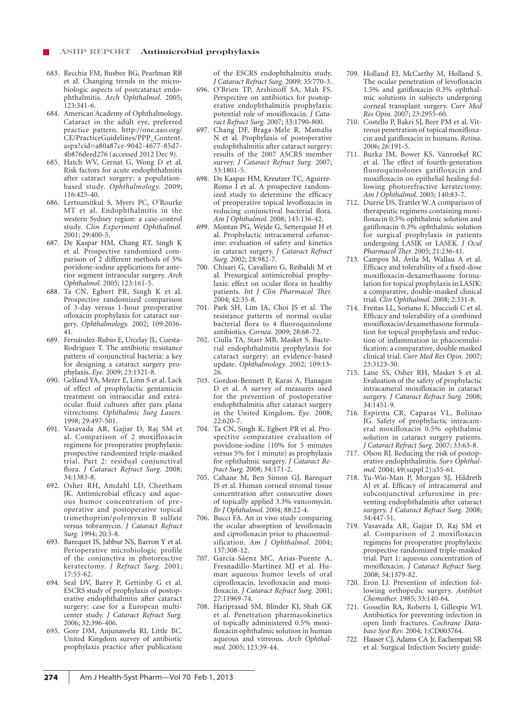- 683. Recchia FM, Busbee BG, Pearlman RB et al. Changing trends in the microbiologic aspects of postcataract endophthalmitis. *Arch Ophthalmol.* 2005; 123:341-6.
- 684. American Academy of Ophthalmology. Cataract in the adult eye, preferred practice pattern. http://one.aao.org/ CE/PracticeGuidelines/PPP\_Content. aspx?cid=a80a87ce-9042-4677-85d7- 4b876deed276 (accessed 2012 Dec 9).
- 685. Hatch WV, Cernat G, Wong D et al. Risk factors for acute endophthalmitis after cataract surgery: a populationbased study. *Ophthalmology.* 2009; 116:425-40.
- 686. Lertsumitkul S, Myers PC, O'Rourke MT et al. Endophthalmitis in the western Sydney region: a case-control study. *Clin Experiment Ophthalmol.*  2001; 29:400-5.
- 687. De Kaspar HM, Chang RT, Singh K et al. Prospective randomized comparison of 2 different methods of 5% povidone-iodine applications for anterior segment intraocular surgery. *Arch Ophthalmol.* 2005; 123:161-5.
- 688. Ta CN, Egbert PR, Singh K et al. Prospective randomized comparison of 3-day versus 1-hour preoperative ofloxacin prophylaxis for cataract surgery. *Ophthalmology.* 2002; 109:2036- 41.
- 689. Fernández-Rubio E, Urcelay JL, Cuesta-Rodriguez T. The antibiotic resistance pattern of conjunctival bacteria: a key for designing a cataract surgery prophylaxis. *Eye.* 2009; 23:1321-8.
- 690. Gelfand YA, Mezer E, Linn S et al. Lack of effect of prophylactic gentamicin treatment on intraocular and extraocular fluid cultures after pars plana vitrectomy. *Ophthalmic Surg Lasers.* 1998; 29:497-501.
- 691. Vasavada AR, Gajjar D, Raj SM et al. Comparison of 2 moxifloxacin regimens for preoperative prophylaxis: prospective randomized triple-masked trial. Part 2: residual conjunctival flora. *J Cataract Refract Surg.* 2008; 34:1383-8.
- 692. Osher RH, Amdahl LD, Cheetham JK. Antimicrobial efficacy and aqueous humor concentration of preoperative and postoperative topical trimethoprim/polymyxin B sulfate versus tobramycin. *J Cataract Refract Surg.* 1994; 20:3-8.
- 693. Barequet IS, Jabbur NS, Barron Y et al. Perioperative microbiologic profile of the conjunctiva in photoreactive keratectomy. *J Refract Surg.* 2001; 17:55-62.
- 694. Seal DV, Barry P, Gettinby G et al. ESCRS study of prophylaxis of postoperative endophthalmitis after cataract surgery: case for a European multicenter study. *J Cataract Refract Surg.* 2006; 32:396-406.
- 695. Gore DM, Anjunawela RI, Little BC. United Kingdom survey of antibiotic prophylaxis practice after publication

of the ESCRS endophthalmitis study. *J Cataract Refract Surg.* 2009; 35:770-3.

- 696. O'Brien TP, Arshinoff SA, Mah FS. Perspective on antibiotics for postoperative endophthalmitis prophylaxis: potential role of moxifloxacin. *J Cataract Refract Surg.* 2007; 33:1790-800.
- 697. Chang DF, Braga-Mele R, Mamalis N et al. Prophylaxis of postoperative endophthalmitis after cataract surgery: results of the 2007 ASCRS member survey. *J Cataract Refract Surg.* 2007; 33:1801-5.
- 698. De Kaspar HM, Kreutzer TC, Aguirre-Romo I et al. A prospective randomized study to determine the efficacy of preoperative topical levofloxacin in reducing conjunctival bacterial flora. *Am J Ophthalmol.* 2008; 145:136-42.
- 699. Montan PG, Wejde G, Setterquist H et al. Prophylactic intracameral cefuroxime: evaluation of safety and kinetics in cataract surgery. *J Cataract Refract Surg.* 2002; 28:982-7.
- 700. Chisari G, Cavallaro G, Reibaldi M et al. Presurgical antimicrobial prophylaxis: effect on ocular flora in healthy patients. *Int J Clin Pharmacol Ther.* 2004; 42:35-8.
- 701. Park SH, Lim JA, Choi JS et al. The resistance patterns of normal ocular bacterial flora to 4 fluoroquinolone antibiotics. *Cornea.* 2009; 28:68-72.
- 702. Ciulla TA, Starr MB, Masket S. Bacterial endophthalmitis prophylaxis for cataract surgery: an evidence-based update. *Ophthalmology.* 2002; 109:13- 26.
- 703. Gordon-Bennett P, Karas A, Flanagan D et al. A survey of measures used for the prevention of postoperative endophthalmitis after cataract surgery in the United Kingdom. *Eye.* 2008; 22:620-7.
- 704. Ta CN, Singh K, Egbert PR et al. Prospective comparative evaluation of povidone-iodine (10% for 5 minutes versus 5% for 1 minute) as prophylaxis for ophthalmic surgery. *J Cataract Refract Surg.* 2008; 34:171-2.
- 705. Cahane M, Ben Simon GJ, Barequet IS et al. Human corneal stromal tissue concentration after consecutive doses of topically applied 3.3% vancomycin. *Br J Ophthalmol.* 2004; 88:22-4.
- 706. Bucci FA. An in vivo study comparing the ocular absorption of levofloxacin and ciprofloxacin prior to phacoemulsification. *Am J Ophthalmol.* 2004; 137:308-12.
- 707. García-Sáenz MC, Arias-Puente A, Fresnadillo-Martinez MJ et al. Human aqueous humor levels of oral ciprofloxacin, levofloxacin and moxifloxacin. *J Cataract Refract Surg.* 2001; 27:11969-74.
- 708. Hariprasad SM, Blinder KJ, Shah GK et al. Penetration pharmacokinetics of topically administered 0.5% moxifloxacin ophthalmic solution in human aqueous and vitreous. *Arch Ophthalmol.* 2005; 123:39-44.
- 709. Holland EJ, McCarthy M, Holland S. The ocular penetration of levofloxacin 1.5% and gatifloxacin 0.3% ophthalmic solutions in subjects undergoing corneal transplant surgery. *Curr Med Res Opin.* 2007; 23:2955-60.
- 710. Costello P, Bakri SJ, Beer PM et al. Vitreous penetration of topical moxifloxacin and gatifloxacin in humans. *Retina.* 2006; 26:191-5.
- 711. Burka JM, Bower KS, Vanroekel RC et al. The effect of fourth-generation fluoroquinolones gatifloxacin and moxifloxacin on epithelial healing following photorefractive keratectomy. *Am J Ophthalmol.* 2005; 140:83-7.
- 712. Durrie DS, Trattler W. A comparison of therapeutic regimens containing moxifloxacin 0.5% ophthalmic solution and gatifloxacin 0.3% ophthalmic solution for surgical prophylaxis in patients undergoing LASIK or LASEK. *J Ocul Pharmacol Ther.* 2005; 21:236-41.
- 713. Campos M, Ávila M, Wallau A et al. Efficacy and tolerability of a fixed-dose moxifloxacin-dexamethasone formulation for topical prophylaxis in LASIK: a comparative, double-masked clinical trial. *Clin Ophthalmol.* 2008; 2:331-8.
- 714. Freitas LL, Soriano E, Muccioli C et al. Efficacy and tolerability of a combined moxifloxacin/dexamethasone formulation for topical prophylaxis and reduction of inflammation in phacoemulsification: a comparative, double masked clinical trial. *Curr Med Res Opin.* 2007; 23:3123-30.
- 715. Lane SS, Osher RH, Masket S et al. Evaluation of the safety of prophylactic intracameral moxifloxacin in cataract surgery. *J Cataract Refract Surg.* 2008; 34:1451-9.
- 716. Espiritu CR, Caparas VL, Bolinao JG. Safety of prophylactic intracameral moxifloxacin 0.5% ophthalmic solution in cataract surgery patients. *J Cataract Refract Surg.* 2007; 33:63-8.
- 717. Olson RJ. Reducing the risk of postoperative endophthalmitis. *Surv Ophthalmol.* 2004; 49(suppl 2):s55-61.
- 718. Yu-Wai-Man P, Morgan SJ, Hildreth AJ et al. Efficacy of intracameral and subconjunctival cefuroxime in preventing endophthalmitis after cataract surgery. *J Cataract Refract Surg.* 2008; 34:447-51.
- 719. Vasavada AR, Gajjar D, Raj SM et al. Comparison of 2 moxifloxacin regimens for preoperative prophylaxis: prospective randomized triple-masked trial. Part 1: aqueous concentration of moxifloxacin. *J Cataract Refract Surg.* 2008; 34:1379-82.
- 720. Eron LJ. Prevention of infection following orthopedic surgery. *Antibiot Chemother.* 1985; 33:140-64.
- 721. Gosselin RA, Roberts I, Gillespie WJ. Antibiotics for preventing infection in open limb fractures. *Cochrane Database Syst Rev.* 2004; 1:CD003764.
- 722. Hauser CJ, Adams CA Jr, Eachempati SR et al. Surgical Infection Society guide-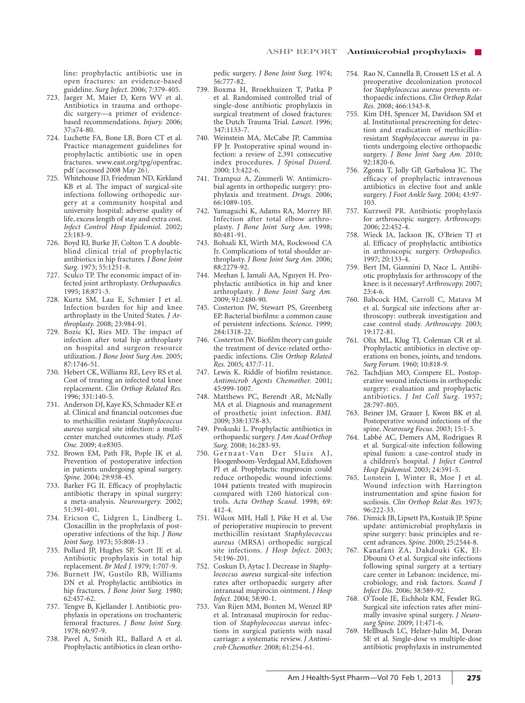line: prophylactic antibiotic use in open fractures: an evidence-based guideline. *Surg Infect.* 2006; 7:379-405.

- 723. Jaeger M, Maier D, Kern WV et al. Antibiotics in trauma and orthopedic surgery—a primer of evidencebased recommendations. *Injury.* 2006; 37:s74-80.
- 724. Luchette FA, Bone LB, Born CT et al. Practice management guidelines for prophylactic antibiotic use in open fractures. www.east.org/tpg/openfrac. pdf (accessed 2008 May 26).
- 725. Whitehouse JD, Friedman ND, Kirkland KB et al. The impact of surgical-site infections following orthopedic surgery at a community hospital and university hospital: adverse quality of life, excess length of stay and extra cost. *Infect Control Hosp Epidemiol.* 2002; 23:183-9.
- 726. Boyd RJ, Burke JF, Colton T. A doubleblind clinical trial of prophylactic antibiotics in hip fractures. *J Bone Joint Surg.* 1973; 55:1251-8.
- 727. Sculco TP. The economic impact of infected joint arthroplasty. *Orthopaedics.* 1995; 18:871-3.
- 728. Kurtz SM, Lau E, Schmier J et al. Infection burden for hip and knee arthroplasty in the United States. *J Arthroplasty.* 2008; 23:984-91.
- 729. Bozic KJ, Ries MD. The impact of infection after total hip arthroplasty on hospital and surgeon resource utilization. *J Bone Joint Surg Am.* 2005; 87:1746-51.
- 730. Hebert CK, Williams RE, Levy RS et al. Cost of treating an infected total knee replacement. *Clin Orthop Related Res.* 1996; 331:140-5.
- 731. Anderson DJ, Kaye KS, Schmader KE et al. Clinical and financial outcomes due to methicillin resistant *Staphylococcus aureus* surgical site infection: a multicenter matched outcomes study. *PLoS One.* 2009; 4:e8305.
- 732. Brown EM, Path FR, Pople IK et al. Prevention of postoperative infection in patients undergoing spinal surgery. *Spine.* 2004; 29:938-45.
- 733. Barker FG II. Efficacy of prophylactic antibiotic therapy in spinal surgery: a meta-analysis. *Neurosurgery.* 2002; 51:391-401.
- 734. Ericson C, Lidgren L, Lindberg L. Cloxacillin in the prophylaxis of postoperative infections of the hip. *J Bone Joint Surg.* 1973; 55:808-13 .
- 735. Pollard JP, Hughes SP, Scott JE et al. Antibiotic prophylaxis in total hip replacement. *Br Med J.* 1979; 1:707-9.
- 736. Burnett JW, Gustilo RB, Williams DN et al. Prophylactic antibiotics in hip fractures. *J Bone Joint Surg.* 1980; 62:457-62.
- 737. Tengve B, Kjellander J. Antibiotic prophylaxis in operations on trochanteric femoral fractures. *J Bone Joint Surg.* 1978; 60:97-9.
- 738. Pavel A, Smith RL, Ballard A et al. Prophylactic antibiotics in clean ortho-

pedic surgery. *J Bone Joint Surg.* 1974; 56:777-82.

- 739. Boxma H, Broekhuizen T, Patka P et al. Randomised controlled trial of single-dose antibiotic prophylaxis in surgical treatment of closed fractures: the Dutch Trauma Trial. *Lancet.* 1996; 347:1133-7.
- 740. Weinstein MA, McCabe JP, Cammisa FP Jr. Postoperative spinal wound infection: a review of 2,391 consecutive index procedures. *J Spinal Disord.* 2000; 13:422-6.
- 741. Trampuz A, Zimmerli W. Antimicrobial agents in orthopedic surgery: prophylaxis and treatment. *Drugs.* 2006; 66:1089-105.
- 742. Yamaguchi K, Adams RA, Morrey BF. Infection after total elbow arthroplasty. *J Bone Joint Surg Am.* 1998; 80:481-91.
- 743. Bohsali KI, Wirth MA, Rockwood CA Jr. Complications of total shoulder arthroplasty. *J Bone Joint Surg Am.* 2006; 88:2279-92.
- 744. Meehan J, Jamali AA, Nguyen H. Prophylactic antibiotics in hip and knee arthroplasty. *J Bone Joint Surg Am.* 2009; 91:2480-90.
- 745. Costerton JW, Stewart PS, Greenberg EP. Bacterial biofilms: a common cause of persistent infections. *Science.* 1999; 284:1318-22.
- 746. Costerton JW. Biofilm theory can guide the treatment of device-related orthopaedic infections. *Clin Orthop Related Res.* 2005; 437:7-11.
- 747. Lewis K. Riddle of biofilm resistance. *Antimicrob Agents Chemother.* 2001; 45:999-1007.
- 748. Matthews PC, Berendt AR, McNally MA et al. Diagnosis and management of prosthetic joint infection. *BMJ.* 2009; 338:1378-83.
- 749. Prokuski L. Prophylactic antibiotics in orthopaedic surgery. *J Am Acad Orthop Surg.* 2008; 16:283-93.
- 750. Gernaat-Van Der Sluis AJ, Hoogenboom-Verdegaal AM, Edixhoven PJ et al. Prophylactic mupirocin could reduce orthopedic wound infections: 1044 patients treated with mupirocin compared with 1260 historical controls. *Acta Orthop Scand.* 1998; 69: 412-4.
- 751. Wilcox MH, Hall J, Pike H et al. Use of perioperative mupirocin to prevent methicillin resistant *Staphylococcus aureus* (MRSA) orthopedic surgical site infections. *J Hosp Infect.* 2003; 54:196-201.
- 752. Coskun D, Aytac J. Decrease in *Staphylococcus aureus* surgical-site infection rates after orthopaedic surgery after intranasal mupirocin ointment. *J Hosp Infect.* 2004; 58:90-1.
- 753. Van Rijen MM, Bonten M, Wenzel RP et al. Intranasal mupirocin for reduction of *Staphylococcus aureus* infections in surgical patients with nasal carriage: a systematic review. *J Antimicrob Chemother.* 2008; 61:254-61.
- 754. Rao N, Cannella B, Crossett LS et al. A preoperative decolonization protocol for *Staphylococcus aureus* prevents orthopaedic infections. *Clin Orthop Relat Res.* 2008; 466:1343-8.
- 755. Kim DH, Spencer M, Davidson SM et al. Institutional prescreening for detection and eradication of methicillinresistant *Staphylococcus aureus* in patients undergoing elective orthopaedic surgery. *J Bone Joint Surg Am.* 2010; 92:1820-6.
- 756. Zgonis T, Jolly GP, Garbalosa JC. The efficacy of prophylactic intravenous antibiotics in elective foot and ankle surgery. *J Foot Ankle Surg.* 2004; 43:97- 103.
- 757. Kurzweil PR. Antibiotic prophylaxis for arthroscopic surgery. *Arthroscopy.* 2006; 22:452-4.
- 758. Wieck JA, Jackson JK, O'Brien TJ et al. Efficacy of prophylactic antibiotics in arthroscopic surgery. *Orthopedics.* 1997; 20:133-4.
- 759. Bert JM, Giannini D, Nace L. Antibiotic prophylaxis for arthroscopy of the knee: is it necessary? *Arthroscopy.* 2007; 23:4-6.
- 760. Babcock HM, Carroll C, Matava M et al. Surgical site infections after arthroscopy: outbreak investigation and case control study. *Arthroscopy.* 2003; 19:172-81.
- 761. Olix ML, Klug TJ, Coleman CR et al. Prophylactic antibiotics in elective operations on bones, joints, and tendons. *Surg Forum.* 1960; 10:818-9.
- 762. Tachdjian MO, Compere EL. Postoperative wound infections in orthopedic surgery: evaluation and prophylactic antibiotics. *J Int Coll Surg.* 1957; 28:797-805.
- 763. Beiner JM, Grauer J, Kwon BK et al. Postoperative wound infections of the spine. *Neurosurg Focus.* 2003; 15:1-5.
- 764. Labbé AC, Demers AM, Rodrigues R et al. Surgical-site infection following spinal fusion: a case-control study in a children's hospital. *J Infect Control Hosp Epidemiol.* 2003; 24:591-5.
- 765. Lonstein J, Winter R, Moe J et al. Wound infection with Harrington instrumentation and spine fusion for scoliosis. *Clin Orthop Relat Res.* 1973; 96:222-33.
- 766. Dimick JB, Lipsett PA, Kostuik JP. Spine update: antimicrobial prophylaxis in spine surgery: basic principles and recent advances. *Spine.* 2000; 25:2544-8.
- 767. Kanafani ZA, Dakdouki GK, El-Dbouni O et al. Surgical site infections following spinal surgery at a tertiary care center in Lebanon: incidence, microbiology, and risk factors. *Scand J Infect Dis.* 2006; 38:589-92.
- 768. O'Toole JE, Eichholz KM, Fessler RG. Surgical site infection rates after minimally invasive spinal surgery. *J Neurosurg Spine.* 2009; 11:471-6.
- 769. Hellbusch LC, Helzer-Julin M, Doran SE et al. Single-dose vs multiple-dose antibiotic prophylaxis in instrumented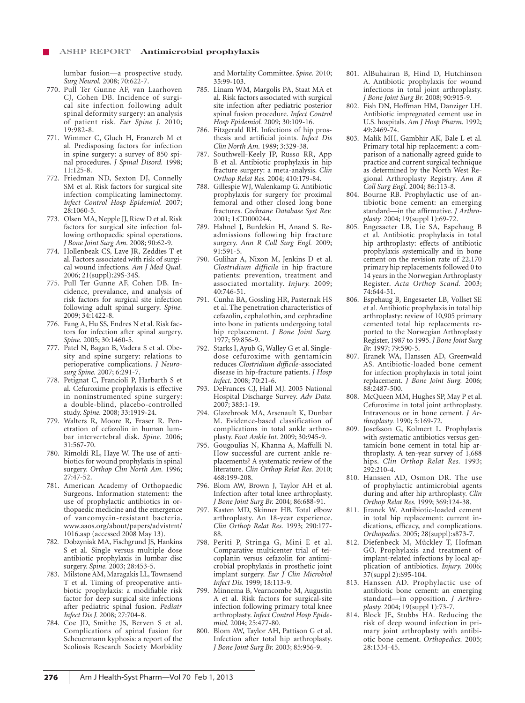lumbar fusion—a prospective study. *Surg Neurol.* 2008; 70:622-7.

- 770. Pull Ter Gunne AF, van Laarhoven CJ, Cohen DB. Incidence of surgical site infection following adult spinal deformity surgery: an analysis of patient risk. *Eur Spine J.* 2010; 19:982-8.
- 771. Wimmer C, Gluch H, Franzreb M et al. Predisposing factors for infection in spine surgery: a survey of 850 spinal procedures. *J Spinal Disord.* 1998; 11:125-8.
- 772. Friedman ND, Sexton DJ, Connelly SM et al. Risk factors for surgical site infection complicating laminectomy. *Infect Control Hosp Epidemiol.* 2007; 28:1060-5.
- 773. Olsen MA, Nepple JJ, Riew D et al. Risk factors for surgical site infection following orthopaedic spinal operations. *J Bone Joint Surg Am.* 2008; 90:62-9.
- 774. Hollenbeak CS, Lave JR, Zeddies T et al. Factors associated with risk of surgical wound infections. *Am J Med Qual.* 2006; 21(suppl):29S-34S.
- 775. Pull Ter Gunne AF, Cohen DB. Incidence, prevalance, and analysis of risk factors for surgical site infection following adult spinal surgery. *Spine.*  2009; 34:1422-8.
- 776. Fang A, Hu SS, Endres N et al. Risk factors for infection after spinal surgery. *Spine.* 2005; 30:1460-5.
- 777. Patel N, Bagan B, Vadera S et al. Obesity and spine surgery: relations to perioperative complications. *J Neurosurg Spine.* 2007; 6:291-7.
- 778. Petignat C, Francioli P, Harbarth S et al. Cefuroxime prophylaxis is effective in noninstrumented spine surgery: a double-blind, placebo-controlled study. *Spine.* 2008; 33:1919-24.
- 779. Walters R, Moore R, Fraser R. Penetration of cefazolin in human lumbar intervertebral disk. *Spine.* 2006; 31:567-70.
- 780. Rimoldi RL, Haye W. The use of antibiotics for wound prophylaxis in spinal surgery. *Orthop Clin North Am.* 1996; 27:47-52.
- 781. American Academy of Orthopaedic Surgeons. Information statement: the use of prophylactic antibiotics in orthopaedic medicine and the emergence of vancomycin-resistant bacteria. www.aaos.org/about/papers/advistmt/ 1016.asp (accessed 2008 May 13).
- 782. Dobzyniak MA, Fischgrund JS, Hankins S et al. Single versus multiple dose antibiotic prophylaxis in lumbar disc surgery. *Spine.* 2003; 28:453-5.
- 783. Milstone AM, Maragakis LL, Townsend T et al. Timing of preoperative antibiotic prophylaxis: a modifiable risk factor for deep surgical site infections after pediatric spinal fusion. *Pediatr Infect Dis J.* 2008; 27:704-8.
- 784. Coe JD, Smithe JS, Berven S et al. Complications of spinal fusion for Scheuermann kyphosis: a report of the Scoliosis Research Society Morbidity

and Mortality Committee. *Spine.* 2010; 35:99-103.

- 785. Linam WM, Margolis PA, Staat MA et al. Risk factors associated with surgical site infection after pediatric posterior spinal fusion procedure. *Infect Control Hosp Epidemiol.* 2009; 30:109-16.
- 786. Fitzgerald RH. Infections of hip prosthesis and artificial joints. *Infect Dis Clin North Am.* 1989; 3:329-38.
- 787. Southwell-Keely JP, Russo RR, App B et al. Antibiotic prophylaxis in hip fracture surgery: a meta-analysis. *Clin Orthop Relat Res.* 2004; 410:179-84.
- 788. Gillespie WJ, Walenkamp G. Antibiotic prophylaxis for surgery for proximal femoral and other closed long bone fractures. *Cochrane Database Syst Rev.* 2001; 1:CD000244.
- 789. Hahnel J, Burdekin H, Anand S. Readmissions following hip fracture surgery. *Ann R Coll Surg Engl.* 2009; 91:591-5.
- 790. Gulihar A, Nixon M, Jenkins D et al. *Clostridium difficile* in hip fracture patients: prevention, treatment and associated mortality. *Injury.* 2009; 40:746-51.
- 791. Cunha BA, Gossling HR, Pasternak HS et al. The penetration characteristics of cefazolin, cephalothin, and cephradine into bone in patients undergoing total hip replacement. *J Bone Joint Surg.* 1977; 59:856-9.
- 792. Starks I, Ayub G, Walley G et al. Singledose cefuroxime with gentamicin reduces *Clostridium difficile*-associated disease in hip-fracture patients. *J Hosp Infect.* 2008; 70:21-6.
- 793. DeFrances CJ, Hall MJ. 2005 National Hospital Discharge Survey. *Adv Data.* 2007; 385:1-19.
- 794. Glazebrook MA, Arsenault K, Dunbar M. Evidence-based classification of complications in total ankle arthroplasty. *Foot Ankle Int.* 2009; 30:945-9.
- 795. Gougoulias N, Khanna A, Maffulli N. How successful are current ankle replacements? A systematic review of the literature. *Clin Orthop Relat Res.* 2010; 468:199-208.
- 796. Blom AW, Brown J, Taylor AH et al. Infection after total knee arthroplasty. *J Bone Joint Surg Br.* 2004; 86:688-91.
- 797. Kasten MD, Skinner HB. Total elbow arthroplasty. An 18-year experience. *Clin Orthop Relat Res.* 1993; 290:177- 88.
- 798. Periti P, Stringa G, Mini E et al. Comparative multicenter trial of teicoplanin versus cefazolin for antimicrobial prophylaxis in prosthetic joint implant surgery. *Eur J Clin Microbiol Infect Dis.* 1999; 18:113-9.
- 799. Minnema B, Vearncombe M, Augustin A et al. Risk factors for surgical-site infection following primary total knee arthroplasty. *Infect Control Hosp Epidemiol.* 2004; 25:477-80.
- 800. Blom AW, Taylor AH, Pattison G et al. Infection after total hip arthroplasty. *J Bone Joint Surg Br.* 2003; 85:956-9.
- 801. AlBuhairan B, Hind D, Hutchinson A. Antibiotic prophylaxis for wound infections in total joint arthroplasty. *J Bone Joint Surg Br.* 2008; 90:915-9.
- 802. Fish DN, Hoffman HM, Danziger LH. Antibiotic impregnated cement use in U.S. hospitals. *Am J Hosp Pharm.* 1992; 49:2469-74.
- 803. Malik MH, Gambhir AK, Bale L et al. Primary total hip replacement: a comparison of a nationally agreed guide to practice and current surgical technique as determined by the North West Regional Arthroplasty Registry. *Ann R Coll Surg Engl.* 2004; 86:113-8.
- 804. Bourne RB. Prophylactic use of antibiotic bone cement: an emerging standard—in the affirmative. *J Arthroplasty.* 2004; 19(suppl 1):69-72.
- 805. Engesaeter LB, Lie SA, Espehaug B et al. Antibiotic prophylaxis in total hip arthroplasty: effects of antibiotic prophylaxis systemically and in bone cement on the revision rate of 22,170 primary hip replacements followed 0 to 14 years in the Norwegian Arthroplasty Register. *Acta Orthop Scand.* 2003; 74:644-51.
- 806. Espehaug B, Engesaeter LB, Vollset SE et al. Antibiotic prophylaxis in total hip arthroplasty: review of 10,905 primary cemented total hip replacements reported to the Norwegian Arthroplasty Register, 1987 to 1995. *J Bone Joint Surg Br.* 1997; 79:590-5.
- 807. Jiranek WA, Hanssen AD, Greenwald AS. Antibiotic-loaded bone cement for infection prophylaxis in total joint replacement. *J Bone Joint Surg.* 2006; 88:2487-500.
- 808. McQueen MM, Hughes SP, May P et al. Cefuroxime in total joint arthroplasty. Intravenous or in bone cement. *J Arthroplasty.* 1990; 5:169-72.
- 809. Josefsson G, Kolmert L. Prophylaxis with systematic antibiotics versus gentamicin bone cement in total hip arthroplasty. A ten-year survey of 1,688 hips. *Clin Orthop Relat Res.* 1993; 292:210-4.
- 810. Hanssen AD, Osmon DR. The use of prophylactic antimicrobial agents during and after hip arthroplasty. *Clin Orthop Relat Res.* 1999; 369:124-38.
- 811. Jiranek W. Antibiotic-loaded cement in total hip replacement: current indications, efficacy, and complications. *Orthopedics.* 2005; 28(suppl):s873-7.
- 812. Diefenbeck M, Mückley T, Hofman GO. Prophylaxis and treatment of implant-related infections by local application of antibiotics. *Injury.* 2006; 37(suppl 2):S95-104.
- 813. Hanssen AD. Prophylactic use of antibiotic bone cement: an emerging standard—in opposition. *J Arthroplasty.* 2004; 19(suppl 1):73-7.
- 814. Block JE, Stubbs HA. Reducing the risk of deep wound infection in primary joint arthroplasty with antibiotic bone cement. *Orthopedics.* 2005; 28:1334-45.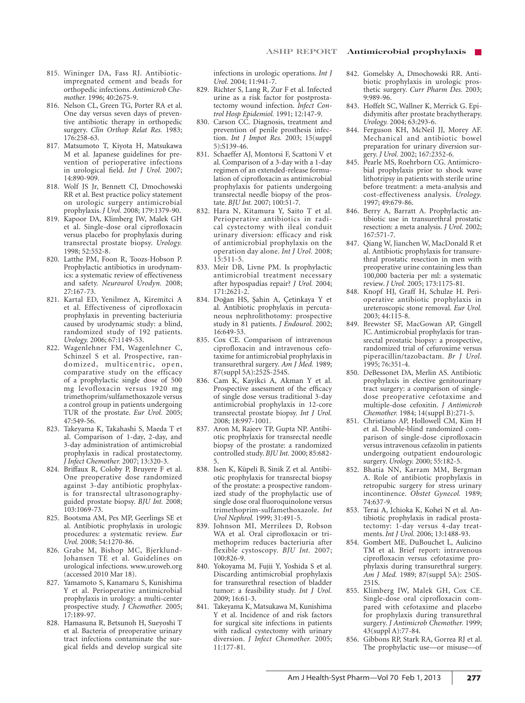**ASHP Report Antimicrobial prophylaxis**

- 815. Wininger DA, Fass RJ. Antibioticimpregnated cement and beads for orthopedic infections. *Antimicrob Chemother.* 1996; 40:2675-9.
- 816. Nelson CL, Green TG, Porter RA et al. One day versus seven days of preventive antibiotic therapy in orthopedic surgery. *Clin Orthop Relat Res.* 1983; 176:258-63.
- 817. Matsumoto T, Kiyota H, Matsukawa M et al. Japanese guidelines for prevention of perioperative infections in urological field. *Int J Urol.* 2007; 14:890-909.
- 818. Wolf JS Jr, Bennett CJ, Dmochowski RR et al. Best practice policy statement on urologic surgery antimicrobial prophylaxis. *J Urol.* 2008; 179:1379-90.
- 819. Kapoor DA, Klimberg IW, Malek GH et al. Single-dose oral ciprofloxacin versus placebo for prophylaxis during transrectal prostate biopsy. *Urology.* 1998; 52:552-8.
- 820. Latthe PM, Foon R, Toozs-Hobson P. Prophylactic antibiotics in urodynamics: a systematic review of effectiveness and safety. *Neurourol Urodyn.* 2008; 27:167-73.
- 821. Kartal ED, Yenilmez A, Kiremitci A et al. Effectiveness of ciprofloxacin prophylaxis in preventing bacteriuria caused by urodynamic study: a blind, randomized study of 192 patients. *Urology.* 2006; 67:1149-53.
- 822. Wagenlehner FM, Wagenlehner C, Schinzel S et al. Prospective, randomized, multicentric, open, comparative study on the efficacy of a prophylactic single dose of 500 mg levofloxacin versus 1920 mg trimethoprim/sulfamethoxazole versus a control group in patients undergoing TUR of the prostate. *Eur Urol.* 2005; 47:549-56.
- 823. Takeyama K, Takahashi S, Maeda T et al. Comparison of 1-day, 2-day, and 3-day administration of antimicrobial prophylaxis in radical prostatectomy. *J Infect Chemother.* 2007; 13:320-3.
- 824. Briffaux R, Coloby P, Bruyere F et al. One preoperative dose randomized against 3-day antibiotic prophylaxis for transrectal ultrasonographyguided prostate biopsy. *BJU Int.* 2008; 103:1069-73.
- 825. Bootsma AM, Pes MP, Geerlings SE et al. Antibiotic prophylaxis in urologic procedures: a systematic review. *Eur Urol.* 2008; 54:1270-86.
- 826. Grabe M, Bishop MC, Bjerklund-Johansen TE et al. Guidelines on urological infections. www.uroweb.org (accessed 2010 Mar 18).
- 827. Yamamoto S, Kanamaru S, Kunishima Y et al. Perioperative antimicrobial prophylaxis in urology: a multi-center prospective study. *J Chemother.* 2005; 17:189-97.
- 828. Hamasuna R, Betsunoh H, Sueyoshi T et al. Bacteria of preoperative urinary tract infections contaminate the surgical fields and develop surgical site

infections in urologic operations. *Int J Urol.* 2004; 11:941-7.

- 829. Richter S, Lang R, Zur F et al. Infected urine as a risk factor for postprostatectomy wound infection. *Infect Control Hosp Epidemiol.* 1991; 12:147-9.
- 830. Carson CC. Diagnosis, treatment and prevention of penile prosthesis infection. *Int J Impot Res.* 2003; 15(suppl 5):S139-46.
- 831. Schaeffer AJ, Montorsi F, Scattoni V et al. Comparison of a 3-day with a 1-day regimen of an extended-release formulation of ciprofloxacin as antimicrobial prophylaxis for patients undergoing transrectal needle biopsy of the prostate. *BJU Int.* 2007; 100:51-7.
- 832. Hara N, Kitamura Y, Saito T et al. Perioperative antibiotics in radical cystectomy with ileal conduit urinary diversion: efficacy and risk of antimicrobial prophylaxis on the operation day alone. *Int J Urol.* 2008; 15:511-5.
- 833. Meir DB, Livne PM. Is prophylactic antimicrobial treatment necessary after hypospadias repair? *J Urol.* 2004; 171:2621-2.
- 834. Doğan HS, Şahin A, Çetinkaya Y et al. Antibiotic prophylaxis in percutaneous nephrolithotomy: prospective study in 81 patients. *J Endourol.* 2002; 16:649-53.
- 835. Cox CE. Comparison of intravenous ciprofloxacin and intravenous cefotaxime for antimicrobial prophylaxis in transurethral surgery. *Am J Med.* 1989; 87(suppl 5A):252S-254S.
- 836. Cam K, Kayikci A, Akman Y et al. Prospective assessment of the efficacy of single dose versus traditional 3-day antimicrobial prophylaxis in 12-core transrectal prostate biopsy. *Int J Urol.* 2008; 18:997-1001.
- 837. Aron M, Rajeev TP, Gupta NP. Antibiotic prophylaxis for transrectal needle biopsy of the prostate: a randomized controlled study. *BJU Int.* 2000; 85:682- 5.
- 838. Isen K, Küpeli B, Sinik Z et al. Antibiotic prophylaxis for transrectal biopsy of the prostate: a prospective randomized study of the prophylactic use of single dose oral fluoroquinolone versus trimethoprim-sulfamethoxazole. *Int Urol Nephrol.* 1999; 31:491-5.
- 839. Johnson MI, Merrilees D, Robson WA et al. Oral ciprofloxacin or trimethoprim reduces bacteriuria after flexible cystoscopy. *BJU Int.* 2007; 100:826-9.
- 840. Yokoyama M, Fujii Y, Yoshida S et al. Discarding antimicrobial prophylaxis for transurethral resection of bladder tumor: a feasibility study. *Int J Urol.* 2009; 16:61-3.
- 841. Takeyama K, Matsukawa M, Kunishima Y et al. Incidence of and risk factors for surgical site infections in patients with radical cystectomy with urinary diversion. *J Infect Chemother.* 2005; 11:177-81.
- 842. Gomelsky A, Dmochowski RR. Antibiotic prophylaxis in urologic prosthetic surgery. *Curr Pharm Des.* 2003; 9:989-96.
- 843. Hoffelt SC, Wallner K, Merrick G. Epididymitis after prostate brachytherapy. *Urology.* 2004; 63:293-6.
- 844. Ferguson KH, McNeil JJ, Morey AF. Mechanical and antibiotic bowel preparation for urinary diversion surgery. *J Urol.* 2002; 167:2352-6.
- 845. Pearle MS, Roehrborn CG. Antimicrobial prophylaxis prior to shock wave lithotripsy in patients with sterile urine before treatment: a meta-analysis and cost-effectiveness analysis. *Urology.* 1997; 49:679-86.
- 846. Berry A, Barratt A. Prophylactic antibiotic use in transurethral prostatic resection: a meta analysis. *J Urol.* 2002; 167:571-7.
- 847. Qiang W, Jianchen W, MacDonald R et al. Antibiotic prophylaxis for transurethral prostatic resection in men with preoperative urine containing less than 100,000 bacteria per ml: a systematic review. *J Urol.* 2005; 173:1175-81.
- 848. Knopf HJ, Graff H, Schulze H. Perioperative antibiotic prophylaxis in ureteroscopic stone removal. *Eur Urol.* 2003; 44:115-8.
- 849. Brewster SF, MacGowan AP, Gingell JC. Antimicrobial prophylaxis for transrectal prostatic biopsy: a prospective, randomized trial of cefuroxime versus piperacillin/tazobactam. *Br J Urol.* 1995; 76:351-4.
- 850. DeBessonet DA, Merlin AS. Antibiotic prophylaxis in elective genitourinary tract surgery: a comparison of singledose preoperative cefotaxime and multiple-dose cefoxitin. *J Antimicrob Chemother.* 1984; 14(suppl B):271-5.
- 851. Christiano AP, Hollowell CM, Kim H et al. Double-blind randomized comparison of single-dose ciprofloxacin versus intravenous cefazolin in patients undergoing outpatient endourologic surgery. *Urology.* 2000; 55:182-5.
- 852. Bhatia NN, Karram MM, Bergman A. Role of antibiotic prophylaxis in retropubic surgery for stress urinary incontinence. *Obstet Gynecol.* 1989; 74:637-9.
- 853. Terai A, Ichioka K, Kohei N et al. Antibiotic prophylaxis in radical prostatectomy: 1-day versus 4-day treatments. *Int J Urol.* 2006; 13:1488-93.
- 854. Gombert ME, DuBouchet L, Aulicino TM et al. Brief report: intravenous ciprofloxacin versus cefotaxime prophylaxis during transurethral surgery. *Am J Med.* 1989; 87(suppl 5A): 250S-251S.
- 855. Klimberg IW, Malek GH, Cox CE. Single-dose oral ciprofloxacin compared with cefotaxime and placebo for prophylaxis during transurethral surgery. *J Antimicrob Chemother.* 1999; 43(suppl A):77-84.
- 856. Gibbons RP, Stark RA, Gorrea RJ et al. The prophylactic use—or misuse—of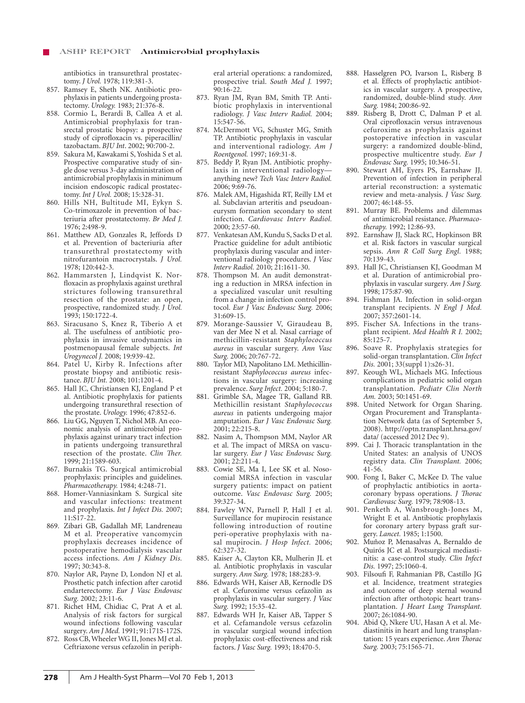antibiotics in transurethral prostatectomy. *J Urol.* 1978; 119:381-3.

- 857. Ramsey E, Sheth NK. Antibiotic prophylaxis in patients undergoing prostatectomy. *Urology.* 1983; 21:376-8.
- 858. Cormio L, Berardi B, Callea A et al. Antimicrobial prophylaxis for transrectal prostatic biopsy: a prospective study of ciprofloxacin vs. piperacillin/ tazobactam. *BJU Int*. 2002; 90:700-2.
- 859. Sakura M, Kawakami S, Yoshida S et al. Prospective comparative study of single dose versus 3-day administration of antimicrobial prophylaxis in minimum incision endoscopic radical prostatectomy. *Int J Urol.* 2008; 15:328-31.
- 860. Hills NH, Bultitude MI, Eykyn S. Co-trimoxazole in prevention of bacteriuria after prostatectomy. *Br Med J.* 1976; 2:498-9.
- 861. Matthew AD, Gonzales R, Jeffords D et al. Prevention of bacteriuria after transurethral prostatectomy with nitrofurantoin macrocrystals. *J Urol.* 1978; 120:442-3.
- 862. Hammarsten J, Lindqvist K. Norfloxacin as prophylaxis against urethral strictures following transurethral resection of the prostate: an open, prospective, randomized study. *J Urol.* 1993; 150:1722-4.
- 863. Siracusano S, Knez R, Tiberio A et al. The usefulness of antibiotic prophylaxis in invasive urodynamics in postmenopausal female subjects. *Int Urogynecol J.* 2008; 19:939-42.
- 864. Patel U, Kirby R. Infections after prostate biopsy and antibiotic resistance. *BJU Int.* 2008; 101:1201-4.
- 865. Hall JC, Christiansen KJ, England P et al. Antibiotic prophylaxis for patients undergoing transurethral resection of the prostate. *Urology.* 1996; 47:852-6.
- 866. Liu GG, Nguyen T, Nichol MB. An economic analysis of antimicrobial prophylaxis against urinary tract infection in patients undergoing transurethral resection of the prostate. *Clin Ther.* 1999; 21:1589-603.
- 867. Burnakis TG. Surgical antimicrobial prophylaxis: principles and guidelines. *Pharmacotherapy.* 1984; 4:248-71.
- 868. Homer-Vanniasinkam S. Surgical site and vascular infections: treatment and prophylaxis. *Int J Infect Dis.* 2007; 11:S17-22.
- 869. Zibari GB, Gadallah MF, Landreneau M et al. Preoperative vancomycin prophylaxis decreases incidence of postoperative hemodialysis vascular access infections. *Am J Kidney Dis.* 1997; 30:343-8.
- 870. Naylor AR, Payne D, London NJ et al. Prosthetic patch infection after carotid endarterectomy. *Eur J Vasc Endovasc Surg.* 2002; 23:11-6.
- 871. Richet HM, Chidiac C, Prat A et al. Analysis of risk factors for surgical wound infections following vascular surgery. *Am J Med.* 1991; 91:171S-172S.
- 872. Ross CB, Wheeler WG II, Jones MJ et al. Ceftriaxone versus cefazolin in periph-

eral arterial operations: a randomized, prospective trial. *South Med J.* 1997; 90:16-22.

- 873. Ryan JM, Ryan BM, Smith TP. Antibiotic prophylaxis in interventional radiology. *J Vasc Interv Radiol.* 2004; 15:547-56.
- 874. McDermott VG, Schuster MG, Smith TP. Antibiotic prophylaxis in vascular and interventional radiology. *Am J Roentgenol.* 1997; 169:31-8.
- 875. Beddy P, Ryan JM. Antibiotic prophylaxis in interventional radiology anything new? *Tech Vasc Interv Radiol.* 2006; 9:69-76.
- 876. Malek AM, Higashida RT, Reilly LM et al. Subclavian arteritis and pseudoaneurysm formation secondary to stent infection. *Cardiovasc Interv Radiol.* 2000; 23:57-60.
- 877. Venkatesan AM, Kundu S, Sacks D et al. Practice guideline for adult antibiotic prophylaxis during vascular and interventional radiology procedures. *J Vasc Interv Radiol.* 2010; 21:1611-30.
- 878. Thompson M. An audit demonstrating a reduction in MRSA infection in a specialized vascular unit resulting from a change in infection control protocol. *Eur J Vasc Endovasc Surg.* 2006; 31:609-15.
- 879. Morange-Saussier V, Giraudeau B, van der Mee N et al. Nasal carriage of methicillin-resistant *Staphylococcus aureus* in vascular surgery. *Ann Vasc Surg.* 2006; 20:767-72.
- 880. Taylor MD, Napolitano LM. Methicillinresistant *Staphylococcus aureus* infections in vascular surgery: increasing prevalence. *Surg Infect.* 2004; 5:180-7.
- 881. Grimble SA, Magee TR, Galland RB. Methicillin resistant *Staphylococcus aureus* in patients undergoing major amputation. *Eur J Vasc Endovasc Surg.* 2001; 22:215-8.
- 882. Nasim A, Thompson MM, Naylor AR et al. The impact of MRSA on vascular surgery. *Eur J Vasc Endovasc Surg.* 2001; 22:211-4.
- 883. Cowie SE, Ma I, Lee SK et al. Nosocomial MRSA infection in vascular surgery patients: impact on patient outcome. *Vasc Endovasc Surg.* 2005; 39:327-34.
- 884. Fawley WN, Parnell P, Hall J et al. Surveillance for mupirocin resistance following introduction of routine peri-operative prophylaxis with nasal mupirocin. *J Hosp Infect.* 2006; 62:327-32.
- 885. Kaiser A, Clayton KR, Mulherin JL et al. Antibiotic prophylaxis in vascular surgery. *Ann Surg.* 1978; 188:283-9.
- 886. Edwards WH, Kaiser AB, Kernodle DS et al. Cefuroxime versus cefazolin as prophylaxis in vascular surgery. *J Vasc Surg.* 1992; 15:35-42.
- 887. Edwards WH Jr, Kaiser AB, Tapper S et al. Cefamandole versus cefazolin in vascular surgical wound infection prophylaxis: cost-effectiveness and risk factors. *J Vasc Surg.* 1993; 18:470-5.
- 888. Hasselgren PO, Ivarson L, Risberg B et al. Effects of prophylactic antibiotics in vascular surgery. A prospective, randomized, double-blind study. *Ann Surg.* 1984; 200:86-92.
- 889. Risberg B, Drott C, Dalman P et al. Oral ciprofloxacin versus intravenous cefuroxime as prophylaxis against postoperative infection in vascular surgery: a randomized double-blind, prospective multicentre study. *Eur J Endovasc Surg.* 1995; 10:346-51.
- 890. Stewart AH, Eyers PS, Earnshaw JJ. Prevention of infection in peripheral arterial reconstruction: a systematic review and meta-analysis. *J Vasc Surg.* 2007; 46:148-55.
- 891. Murray BE. Problems and dilemmas of antimicrobial resistance. *Pharmacotherapy.* 1992; 12:86-93.
- 892. Earnshaw JJ, Slack RC, Hopkinson BR et al. Risk factors in vascular surgical sepsis. *Ann R Coll Surg Engl.* 1988; 70:139-43.
- 893. Hall JC, Christiansen KJ, Goodman M et al. Duration of antimicrobial prophylaxis in vascular surgery. *Am J Surg.* 1998; 175:87-90.
- 894. Fishman JA. Infection in solid-organ transplant recipients. *N Engl J Med.* 2007; 357:2601-14.
- 895. Fischer SA. Infections in the transplant recipient. *Med Health R I.* 2002; 85:125-7.
- 896. Soave R. Prophylaxis strategies for solid-organ transplantation. *Clin Infect Dis.* 2001; 33(suppl 1):s26-31.
- 897. Keough WL, Michaels MG. Infectious complications in pediatric solid organ transplantation. *Pediatr Clin North Am.* 2003; 50:1451-69.
- 898. United Network for Organ Sharing. Organ Procurement and Transplantation Network data (as of September 5, 2008). http://optn.transplant.hrsa.gov/ data/ (accessed 2012 Dec 9).
- 899. Cai J. Thoracic transplantation in the United States: an analysis of UNOS registry data. *Clin Transplant.* 2006; 41-56.
- 900. Fong I, Baker C, McKee D. The value of prophylactic antibiotics in aortacoronary bypass operations. *J Thorac Cardiovasc Surg.* 1979; 78:908-13.
- 901. Penketh A, Wansbrough-Jones M, Wright E et al. Antibiotic prophylaxis for coronary artery bypass graft surgery. *Lancet.* 1985; 1:1500.
- 902. Muñoz P, Menasalvas A, Bernaldo de Quirós JC et al. Postsurgical mediastinitis: a case-control study. *Clin Infect Dis.* 1997; 25:1060-4.
- 903. Filsoufi F, Rahmanian PB, Castillo JG et al. Incidence, treatment strategies and outcome of deep sternal wound infection after orthotopic heart transplantation. *J Heart Lung Transplant.* 2007; 26:1084-90.
- 904. Abid Q, Nkere UU, Hasan A et al. Mediastinitis in heart and lung transplantation: 15 years experience. *Ann Thorac Surg.* 2003; 75:1565-71.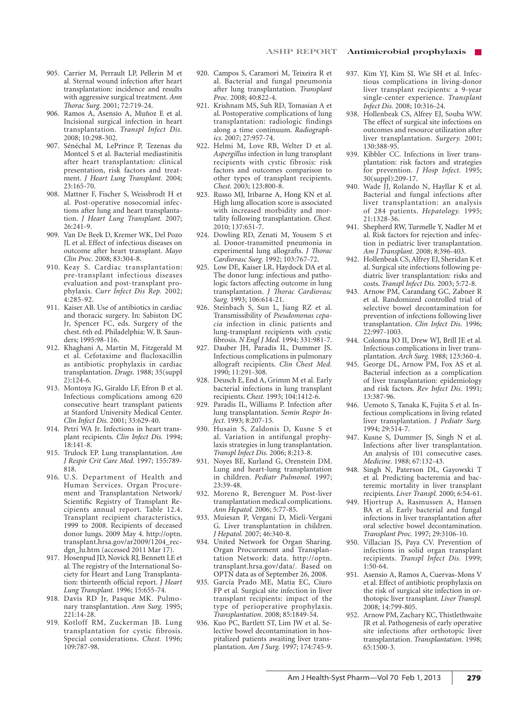**ASHP Report Antimicrobial prophylaxis**

- 905. Carrier M, Perrault LP, Pellerin M et al. Sternal wound infection after heart transplantation: incidence and results with aggressive surgical treatment. *Ann Thorac Surg.* 2001; 72:719-24.
- 906. Ramos A, Asensio A, Muñoz E et al. Incisional surgical infection in heart transplantation. *Transpl Infect Dis.* 2008; 10:298-302.
- 907. Sénéchal M, LePrince P, Tezenas du Montcel S et al. Bacterial mediastinitis after heart transplantation: clinical presentation, risk factors and treatment. *J Heart Lung Transplant.* 2004; 23:165-70.
- 908. Mattner F, Fischer S, Weissbrodt H et al. Post-operative nosocomial infections after lung and heart transplantation. *J Heart Lung Transplant.* 2007; 26:241-9.
- 909. Van De Beek D, Kremer WK, Del Pozo JL et al. Effect of infectious diseases on outcome after heart transplant. *Mayo Clin Proc.* 2008; 83:304-8.
- 910. Keay S. Cardiac transplantation: pre-transplant infectious diseases evaluation and post-transplant prophylaxis. *Curr Infect Dis Rep.* 2002; 4:285-92.
- 911. Kaiser AB. Use of antibiotics in cardiac and thoracic surgery. In: Sabiston DC Jr, Spencer FC, eds. Surgery of the chest. 6th ed. Philadelphia: W. B. Saunders; 1995:98-116.
- 912. Khaghani A, Martin M, Fitzgerald M et al. Cefotaxime and flucloxacillin as antibiotic prophylaxis in cardiac transplantation. *Drugs.* 1988; 35(suppl  $2):124-6.$
- 913. Montoya JG, Giraldo LF, Efron B et al. Infectious complications among 620 consecutive heart transplant patients at Stanford University Medical Center. *Clin Infect Dis.* 2001; 33:629-40.
- 914. Petri WA Jr. Infections in heart transplant recipients. *Clin Infect Dis.* 1994; 18:141-8.
- 915. Trulock EP. Lung transplantation. *Am J Respir Crit Care Med.* 1997; 155:789- 818.
- 916. U.S. Department of Health and Human Services. Organ Procurement and Transplantation Network/ Scientific Registry of Transplant Recipients annual report. Table 12.4. Transplant recipient characteristics, 1999 to 2008. Recipients of deceased donor lungs. 2009 May 4. http://optn. transplant.hrsa.gov/ar2009/1204\_recdgn\_lu.htm (accessed 2011 Mar 17).
- 917. Hosenpud JD, Novick RJ, Bennett LE et al. The registry of the International Society for Heart and Lung Transplantation: thirteenth official report. *J Heart Lung Transplant.* 1996; 15:655-74.
- 918. Davis RD Jr, Pasque MK. Pulmonary transplantation. *Ann Surg.* 1995; 221:14-28.
- 919. Kotloff RM, Zuckerman JB. Lung transplantation for cystic fibrosis. Special considerations. *Chest.* 1996; 109:787-98.
- 920. Campos S, Caramori M, Teixeira R et al. Bacterial and fungal pneumonia after lung transplantation. *Transplant Proc.* 2008; 40:822-4.
- 921. Krishnam MS, Suh RD, Tomasian A et al. Postoperative complications of lung transplantation: radiologic findings along a time continuum. *Radiographics.* 2007; 27:957-74.
- 922. Helmi M, Love RB, Welter D et al. *Aspergillus* infection in lung transplant recipients with cystic fibrosis: risk factors and outcomes comparison to other types of transplant recipients. *Chest.* 2003; 123:800-8.
- 923. Russo MJ, Iribarne A, Hong KN et al. High lung allocation score is associated with increased morbidity and mortality following transplantation. *Chest.* 2010; 137:651-7.
- 924. Dowling RD, Zenati M, Yousem S et al. Donor-transmitted pneumonia in experimental lung allografts. *J Thorac Cardiovasc Surg.* 1992; 103:767-72.
- 925. Low DE, Kaiser LR, Haydock DA et al. The donor lung: infectious and pathologic factors affecting outcome in lung transplantation. *J Thorac Cardiovasc Surg.* 1993; 106:614-21.
- 926. Steinbach S, Sun L, Jiang RZ et al. Transmissibility of *Pseudomonas cepacia* infection in clinic patients and lung-transplant recipients with cystic fibrosis. *N Engl J Med.* 1994; 331:981-7.
- 927. Dauber JH, Paradis IL, Dummer JS. Infectious complications in pulmonary allograft recipients. *Clin Chest Med.* 1990; 11:291-308.
- 928. Deusch E, End A, Grimm M et al. Early bacterial infections in lung transplant recipients. *Chest.* 1993; 104:1412-6.
- 929. Paradis IL, Williams P. Infection after lung transplantation. *Semin Respir Infect.* 1993; 8:207-15.
- 930. Husain S, Zaldonis D, Kusne S et al. Variation in antifungal prophylaxis strategies in lung transplantation. *Transpl Infect Dis.* 2006; 8:213-8.
- 931. Noyes BE, Kurland G, Orenstein DM. Lung and heart-lung transplantation in children. *Pediatr Pulmonol.* 1997; 23:39-48.
- 932. Moreno R, Berenguer M. Post-liver transplantation medical complications. *Ann Hepatol.* 2006; 5:77-85.
- 933. Muiesan P, Vergani D, Mieli-Vergani G. Liver transplantation in children. *J Hepatol.* 2007; 46:340-8.
- 934. United Network for Organ Sharing. Organ Procurement and Transplantation Network: data. http://optn. transplant.hrsa.gov/data/. Based on OPTN data as of September 26, 2008.
- 935. García Prado ME, Matia EC, Ciuro FP et al. Surgical site infection in liver transplant recipients: impact of the type of perioperative prophylaxis. *Transplantation.* 2008; 85:1849-54.
- 936. Kuo PC, Bartlett ST, Lim JW et al. Selective bowel decontamination in hospitalized patients awaiting liver transplantation. *Am J Surg.* 1997; 174:745-9.
- 937. Kim YJ, Kim SI, Wie SH et al. Infectious complications in living-donor liver transplant recipients: a 9-year single-center experience. *Transplant Infect Dis.* 2008; 10:316-24.
- 938. Hollenbeak CS, Alfrey EJ, Souba WW. The effect of surgical site infections on outcomes and resource utilization after liver transplantation. *Surgery.* 2001; 130:388-95.
- 939. Kibbler CC. Infections in liver transplantation: risk factors and strategies for prevention. *J Hosp Infect.* 1995; 30(suppl):209-17.
- 940. Wade JJ, Rolando N, Hayllar K et al. Bacterial and fungal infections after liver transplantation: an analysis of 284 patients. *Hepatology.* 1995; 21:1328-36.
- 941. Shepherd RW, Turmelle Y, Nadler M et al. Risk factors for rejection and infection in pediatric liver transplantation. *Am J Transplant.* 2008; 8:396-403.
- 942. Hollenbeak CS, Alfrey EJ, Sheridan K et al. Surgical site infections following pediatric liver transplantation: risks and costs. *Transpl Infect Dis.* 2003; 5:72-8.
- 943. Arnow PM, Carandang GC, Zabner R et al. Randomized controlled trial of selective bowel decontamination for prevention of infections following liver transplantation. *Clin Infect Dis.* 1996; 22:997-1003.
- 944. Colonna JO II, Drew WJ, Brill JE et al. Infectious complications in liver transplantation. *Arch Surg.* 1988; 123:360-4.
- 945. George DL, Arnow PM, Fox AS et al. Bacterial infection as a complication of liver transplantation: epidemiology and risk factors. *Rev Infect Dis.* 1991; 13:387-96.
- 946. Uemoto S, Tanaka K, Fujita S et al. Infectious complications in living related liver transplantation. *J Pediatr Surg.* 1994; 29:514-7.
- 947. Kusne S, Dummer JS, Singh N et al. Infections after liver transplantation. An analysis of 101 consecutive cases. *Medicine.* 1988; 67:132-43.
- 948. Singh N, Paterson DL, Gayowski T et al. Predicting bacteremia and bacteremic mortality in liver transplant recipients. *Liver Transpl.* 2000; 6:54-61.
- 949. Hjortrup A, Rasmussen A, Hansen BA et al. Early bacterial and fungal infections in liver transplantation after oral selective bowel decontamination. *Transplant Proc.* 1997; 29:3106-10.
- 950. Villacian JS, Paya CV. Prevention of infections in solid organ transplant recipients. *Transpl Infect Dis.* 1999; 1:50-64.
- 951. Asensio A, Ramos A, Cuervas-Mons V et al. Effect of antibiotic prophylaxis on the risk of surgical site infection in orthotopic liver transplant. *Liver Transpl.* 2008; 14:799-805.
- 952. Arnow PM, Zachary KC, Thistlethwaite JR et al. Pathogenesis of early operative site infections after orthotopic liver transplantation. *Transplantation.* 1998; 65:1500-3.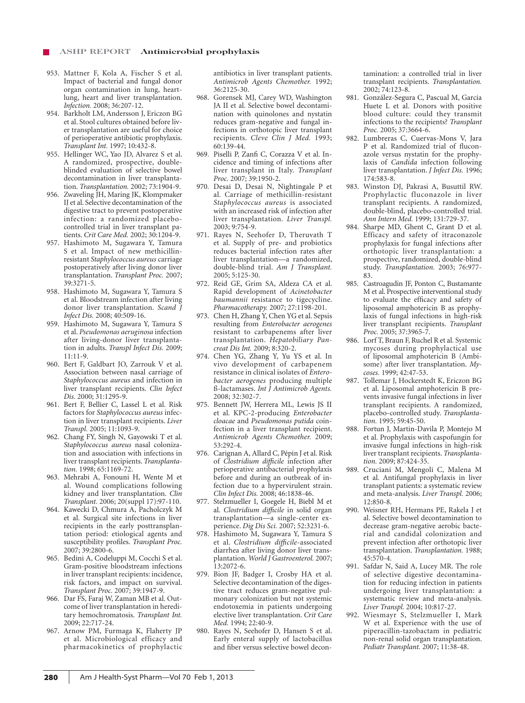- 953. Mattner F, Kola A, Fischer S et al. Impact of bacterial and fungal donor organ contamination in lung, heartlung, heart and liver transplantation. *Infection.* 2008; 36:207-12.
- 954. Barkholt LM, Andersson J, Ericzon BG et al. Stool cultures obtained before liver transplantation are useful for choice of perioperative antibiotic prophylaxis. *Transplant Int.* 1997; 10:432-8.
- 955. Hellinger WC, Yao JD, Alvarez S et al. A randomized, prospective, doubleblinded evaluation of selective bowel decontamination in liver transplantation. *Transplantation.* 2002; 73:1904-9.
- 956. Zwaveling JH, Maring JK, Klompmaker IJ et al. Selective decontamination of the digestive tract to prevent postoperative infection: a randomized placebocontrolled trial in liver transplant patients. *Crit Care Med.* 2002; 30:1204-9.
- 957. Hashimoto M, Sugawara Y, Tamura S et al. Impact of new methicillinresistant *Staphylococcus aureus* carriage postoperatively after living donor liver transplantation. *Transplant Proc.* 2007; 39:3271-5.
- 958. Hashimoto M, Sugawara Y, Tamura S et al. Bloodstream infection after living donor liver transplantation. *Scand J Infect Dis.* 2008; 40:509-16.
- 959. Hashimoto M, Sugawara Y, Tamura S et al. *Pseudomonas aeruginosa* infection after living-donor liver transplantation in adults. *Transpl Infect Dis.* 2009; 11:11-9.
- 960. Bert F, Galdbart JO, Zarrouk V et al. Association between nasal carriage of *Staphylococcus aureus* and infection in liver transplant recipients. *Clin Infect Dis.* 2000; 31:1295-9.
- 961. Bert F, Bellier C, Lassel L et al. Risk factors for *Staphylococcus aureus* infection in liver transplant recipients. *Liver Transpl.* 2005; 11:1093-9.
- 962. Chang FY, Singh N, Gayowski T et al. *Staphylococcus aureus* nasal colonization and association with infections in liver transplant recipients. *Transplantation.* 1998; 65:1169-72.
- 963. Mehrabi A, Fonouni H, Wente M et al. Wound complications following kidney and liver transplantation. *Clin Transplant.* 2006; 20(suppl 17):97-110.
- 964. Kawecki D, Chmura A, Pacholczyk M et al. Surgical site infections in liver recipients in the early posttransplantation period: etiological agents and susceptibility profiles. *Transplant Proc.* 2007; 39:2800-6.
- 965. Bedini A, Codeluppi M, Cocchi S et al. Gram-positive bloodstream infections in liver transplant recipients: incidence, risk factors, and impact on survival. *Transplant Proc.* 2007; 39:1947-9.
- 966. Dar FS, Faraj W, Zaman MB et al. Outcome of liver transplantation in hereditary hemochromatosis. *Transplant Int.* 2009; 22:717-24.
- 967. Arnow PM, Furmaga K, Flaherty JP et al. Microbiological efficacy and pharmacokinetics of prophylactic

antibiotics in liver transplant patients. *Antimicrob Agents Chemother.* 1992; 36:2125-30.

- 968. Gorensek MJ, Carey WD, Washington JA II et al. Selective bowel decontamination with quinolones and nystatin reduces gram-negative and fungal infections in orthotopic liver transplant recipients. *Cleve Clin J Med.* 1993; 60:139-44.
- 969. Piselli P, Zanfi C, Corazza V et al. Incidence and timing of infections after liver transplant in Italy. *Transplant Proc.* 2007; 39:1950-2.
- 970. Desai D, Desai N, Nightingale P et al. Carriage of methicillin-resistant *Staphylococcus aureus* is associated with an increased risk of infection after liver transplantation. *Liver Transpl.* 2003; 9:754-9.
- 971. Rayes N, Seehofer D, Theruvath T et al. Supply of pre- and probiotics reduces bacterial infection rates after liver transplantation—a randomized, double-blind trial. *Am J Transplant.* 2005; 5:125-30.
- 972. Reid GE, Grim SA, Aldeza CA et al. Rapid development of *Acinetobacter baumannii* resistance to tigecycline. *Pharmacotherapy.* 2007; 27:1198-201.
- 973. Chen H, Zhang Y, Chen YG et al. Sepsis resulting from *Enterobacter aerogenes* resistant to carbapenems after liver transplantation. *Hepatobiliary Pancreat Dis Int.* 2009; 8:320-2.
- 974. Chen YG, Zhang Y, Yu YS et al. In vivo development of carbapenem resistance in clinical isolates of *Enterobacter aerogenes* producing multiple ß-lactamases. *Int J Antimicrob Agents.* 2008; 32:302-7.
- 975. Bennett JW, Herrera ML, Lewis JS II et al. KPC-2-producing *Enterobacter cloacae* and *Pseudomonas putida* coinfection in a liver transplant recipient. *Antimicrob Agents Chemother.* 2009; 53:292-4.
- 976. Carignan A, Allard C, Pépin J et al. Risk of *Clostridium difficile* infection after perioperative antibacterial prophylaxis before and during an outbreak of infection due to a hypervirulent strain. *Clin Infect Dis.* 2008; 46:1838-46.
- 977. Stelzmueller I, Goegele H, Biebl M et al. *Clostridium difficile* in solid organ transplantation—a single-center experience. *Dig Dis Sci.* 2007; 52:3231-6.
- 978. Hashimoto M, Sugawara Y, Tamura S et al. *Clostridium difficile*-associated diarrhea after living donor liver transplantation. *World J Gastroenterol.* 2007; 13:2072-6.
- 979. Bion JF, Badger I, Crosby HA et al. Selective decontamination of the digestive tract reduces gram-negative pulmonary colonization but not systemic endotoxemia in patients undergoing elective liver transplantation. *Crit Care Med.* 1994; 22:40-9.
- 980. Rayes N, Seehofer D, Hansen S et al. Early enteral supply of lactobacillus and fiber versus selective bowel decon-

tamination: a controlled trial in liver transplant recipients. *Transplantation.* 2002; 74:123-8.

- 981. González-Segura C, Pascual M, Garcia Huete L et al. Donors with positive blood culture: could they transmit infections to the recipients? *Transplant Proc.* 2005; 37:3664-6.
- 982. Lumbreras C, Cuervas-Mons V, Jara P et al. Randomized trial of fluconazole versus nystatin for the prophylaxis of *Candida* infection following liver transplantation. *J Infect Dis.* 1996; 174:583-8.
- 983. Winston DJ, Pakrasi A, Busuttil RW. Prophylactic fluconazole in liver transplant recipients. A randomized, double-blind, placebo-controlled trial. *Ann Intern Med.* 1999; 131:729-37.
- 984. Sharpe MD, Ghent C, Grant D et al. Efficacy and safety of itraconazole prophylaxis for fungal infections after orthotopic liver transplantation: a prospective, randomized, double-blind study. *Transplantation.* 2003; 76:977- 83.
- 985. Castroagudin JF, Ponton C, Bustamante M et al. Prospective interventional study to evaluate the efficacy and safety of liposomal amphotericin B as prophylaxis of fungal infections in high-risk liver transplant recipients. *Transplant Proc.* 2005; 37:3965-7.
- 986. Lorf T, Braun F, Ruchel R et al. Systemic mycoses during prophylactical use of liposomal amphotericin B (Ambisome) after liver transplantation. *Mycoses.* 1999; 42:47-53.
- 987. Tollemar J, Hockerstedt K, Ericzon BG et al. Liposomal amphotericin B prevents invasive fungal infections in liver transplant recipients. A randomized, placebo-controlled study. *Transplantation.* 1995; 59:45-50.
- 988. Fortun J, Martin-Davila P, Montejo M et al. Prophylaxis with caspofungin for invasive fungal infections in high-risk liver transplant recipients. *Transplantation.* 2009; 87:424-35.
- 989. Cruciani M, Mengoli C, Malena M et al. Antifungal prophylaxis in liver transplant patients: a systematic review and meta-analysis. *Liver Transpl.* 2006; 12:850-8.
- 990. Weisner RH, Hermans PE, Rakela J et al. Selective bowel decontamination to decrease gram-negative aerobic bacterial and candidal colonization and prevent infection after orthotopic liver transplantation. *Transplantation.* 1988; 45:570-4.
- 991. Safdar N, Said A, Lucey MR. The role of selective digestive decontamination for reducing infection in patients undergoing liver transplantation: a systematic review and meta-analysis. *Liver Transpl.* 2004; 10:817-27.
- 992. Wiesmayr S, Stelzmueller I, Mark W et al. Experience with the use of piperacillin-tazobactam in pediatric non-renal solid organ transplantation. *Pediatr Transplant.* 2007; 11:38-48.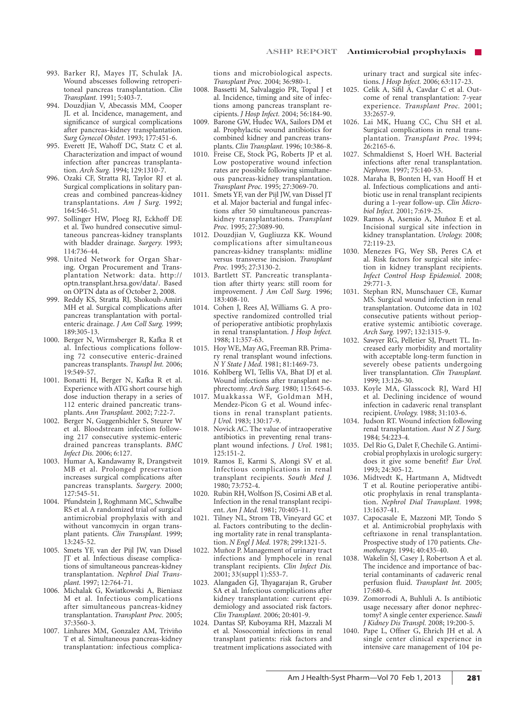- 993. Barker RJ, Mayes JT, Schulak JA. Wound abscesses following retroperitoneal pancreas transplantation. *Clin Transplant.* 1991; 5:403-7.
- 994. Douzdjian V, Abecassis MM, Cooper JL et al. Incidence, management, and significance of surgical complications after pancreas-kidney transplantation. *Surg Gynecol Obstet.* 1993; 177:451-6.
- 995. Everett JE, Wahoff DC, Statz C et al. Characterization and impact of wound infection after pancreas transplantation. *Arch Surg.* 1994; 129:1310-7.
- 996. Ozaki CF, Stratta RJ, Taylor RJ et al. Surgical complications in solitary pancreas and combined pancreas-kidney transplantations. *Am J Surg.* 1992; 164:546-51.
- 997. Sollinger HW, Ploeg RJ, Eckhoff DE et al. Two hundred consecutive simultaneous pancreas-kidney transplants with bladder drainage. *Surgery.* 1993; 114:736-44.
- 998. United Network for Organ Sharing. Organ Procurement and Transplantation Network: data. http:// optn.transplant.hrsa.gov/data/. Based on OPTN data as of October 2, 2008.
- 999. Reddy KS, Stratta RJ, Shokouh-Amiri MH et al. Surgical complications after pancreas transplantation with portalenteric drainage. *J Am Coll Surg.* 1999; 189:305-13.
- 1000. Berger N, Wirmsberger R, Kafka R et al. Infectious complications following 72 consecutive enteric-drained pancreas transplants. *Transpl Int.* 2006; 19:549-57.
- 1001. Bonatti H, Berger N, Kafka R et al. Experience with ATG short course high dose induction therapy in a series of 112 enteric drained pancreatic transplants. *Ann Transplant.* 2002; 7:22-7.
- 1002. Berger N, Guggenbichler S, Steurer W et al. Bloodstream infection following 217 consecutive systemic-enteric drained pancreas transplants. *BMC Infect Dis.* 2006; 6:127.
- 1003. Humar A, Kandawamy R, Drangstveit MB et al. Prolonged preservation increases surgical complications after pancreas transplants. *Surgery.* 2000; 127:545-51.
- 1004. Pfundstein J, Roghmann MC, Schwalbe RS et al. A randomized trial of surgical antimicrobial prophylaxis with and without vancomycin in organ transplant patients. *Clin Transplant.* 1999; 13:245-52.
- 1005. Smets YF, van der Pijl JW, van Dissel JT et al. Infectious disease complications of simultaneous pancreas-kidney transplantation. *Nephrol Dial Transplant.* 1997; 12:764-71.
- 1006. Michalak G, Kwiatkowski A, Bieniasz M et al. Infectious complications after simultaneous pancreas-kidney transplantation. *Transplant Proc.* 2005; 37:3560-3.
- 1007. Linhares MM, Gonzalez AM, Triviño T et al. Simultaneous pancreas-kidney transplantation: infectious complica-

tions and microbiological aspects. *Transplant Proc.* 2004; 36:980-1.

- 1008. Bassetti M, Salvalaggio PR, Topal J et al. Incidence, timing and site of infections among pancreas transplant recipients. *J Hosp Infect.* 2004; 56:184-90.
- 1009. Barone GW, Hudec WA, Sailors DM et al. Prophylactic wound antibiotics for combined kidney and pancreas transplants. *Clin Transplant.* 1996; 10:386-8.
- 1010. Freise CE, Stock PG, Roberts JP et al. Low postoperative wound infection rates are possible following simultaneous pancreas-kidney transplantation. *Transplant Proc.* 1995; 27:3069-70.
- 1011. Smets YF, van der Pijl JW, van Dissel JT et al. Major bacterial and fungal infections after 50 simultaneous pancreaskidney transplantations. *Transplant Proc.* 1995; 27:3089-90.
- 1012. Douzdjian V, Gugliuzza KK. Wound complications after simultaneous pancreas-kidney transplants: midline versus transverse incision. *Transplant Proc.* 1995; 27:3130-2.
- 1013. Bartlett ST. Pancreatic transplantation after thirty years: still room for improvement. *J Am Coll Surg.* 1996; 183:408-10.
- 1014. Cohen J, Rees AJ, Williams G. A prospective randomized controlled trial of perioperative antibiotic prophylaxis in renal transplantation. *J Hosp Infect.* 1988; 11:357-63.
- 1015. Hoy WE, May AG, Freeman RB. Primary renal transplant wound infections. *N Y State J Med.* 1981; 81:1469-73.
- 1016. Kohlberg WI, Tellis VA, Bhat DJ et al. Wound infections after transplant nephrectomy. *Arch Surg.* 1980; 115:645-6.
- 1017. Muakkassa WF, Goldman MH, Mendez-Picon G et al. Wound infections in renal transplant patients. *J Urol.* 1983; 130:17-9.
- 1018. Novick AC. The value of intraoperative antibiotics in preventing renal transplant wound infections. *J Urol.* 1981; 125:151-2.
- 1019. Ramos E, Karmi S, Alongi SV et al. Infectious complications in renal transplant recipients. *South Med J.* 1980; 73:752-4.
- 1020. Rubin RH, Wolfson JS, Cosimi AB et al. Infection in the renal transplant recipient. *Am J Med.* 1981; 70:405-11.
- 1021. Tilney NL, Strom TB, Vineyard GC et al. Factors contributing to the declining mortality rate in renal transplantation. *N Engl J Med.* 1978; 299:1321-5.
- 1022. Muñoz P. Management of urinary tract infections and lymphocele in renal transplant recipients. *Clin Infect Dis.* 2001; 33(suppl 1):S53-7.
- 1023. Alangaden GJ, Thyagarajan R, Gruber SA et al. Infectious complications after kidney transplantation: current epidemiology and associated risk factors. *Clin Transplant.* 2006; 20:401-9.
- 1024. Dantas SP, Kuboyama RH, Mazzali M et al. Nosocomial infections in renal transplant patients: risk factors and treatment implications associated with

urinary tract and surgical site infections. *J Hosp Infect.* 2006; 63:117-23.

- 1025. Celik A, Sifil A, Cavdar C et al. Outcome of renal transplantation: 7-year experience. *Transplant Proc.* 2001; 33:2657-9.
- 1026. Lai MK, Huang CC, Chu SH et al. Surgical complications in renal transplantation. *Transplant Proc.* 1994; 26:2165-6.
- 1027. Schmaldienst S, Hoerl WH. Bacterial infections after renal transplantation. *Nephron.* 1997; 75:140-53.
- 1028. Maraha B, Bonten H, van Hooff H et al. Infectious complications and antibiotic use in renal transplant recipients during a 1-year follow-up. *Clin Microbiol Infect.* 2001; 7:619-25.
- 1029. Ramos A, Asensio A, Muñoz E et al. Incisional surgical site infection in kidney transplantation. *Urology.* 2008; 72:119-23.
- 1030. Menezes FG, Wey SB, Peres CA et al. Risk factors for surgical site infection in kidney transplant recipients. *Infect Control Hosp Epidemiol.* 2008; 29:771-3.
- 1031. Stephan RN, Munschauer CE, Kumar MS. Surgical wound infection in renal transplantation. Outcome data in 102 consecutive patients without perioperative systemic antibiotic coverage. *Arch Surg.* 1997; 132:1315-9.
- 1032. Sawyer RG, Pelletier SJ, Pruett TL. Increased early morbidity and mortality with acceptable long-term function in severely obese patients undergoing liver transplantation. *Clin Transplant.* 1999; 13:126-30.
- 1033. Koyle MA, Glasscock RJ, Ward HJ et al. Declining incidence of wound infection in cadaveric renal transplant recipient. *Urology.* 1988; 31:103-6.
- 1034. Judson RT. Wound infection following renal transplantation. *Aust N Z J Surg.* 1984; 54:223-4.
- 1035. Del Rio G, Dalet F, Chechile G. Antimicrobial prophylaxis in urologic surgery: does it give some benefit? *Eur Urol.* 1993; 24:305-12.
- 1036. Midtvedt K, Hartmann A, Midtvedt T et al. Routine perioperative antibiotic prophylaxis in renal transplantation. *Nephrol Dial Transplant.* 1998; 13:1637-41.
- 1037. Capocasale E, Mazzoni MP, Tondo S et al. Antimicrobial prophylaxis with ceftriaxone in renal transplantation. Prospective study of 170 patients. *Chemotherapy.* 1994; 40:435-40.
- 1038. Wakelin SJ, Casey J, Robertson A et al. The incidence and importance of bacterial contaminants of cadaveric renal perfusion fluid. *Transplant Int.* 2005; 17:680-6.
- 1039. Zomorrodi A, Buhluli A. Is antibiotic usage necessary after donor nephrectomy? A single center experience. *Saudi J Kidney Dis Transpl.* 2008; 19:200-5.
- 1040. Pape L, Offner G, Ehrich JH et al. A single center clinical experience in intensive care management of 104 pe-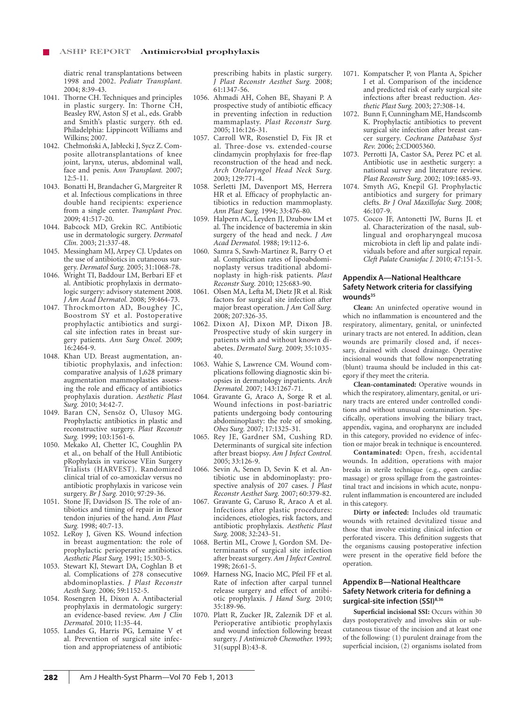diatric renal transplantations between 1998 and 2002. *Pediatr Transplant.* 2004; 8:39-43.

- 1041. Thorne CH. Techniques and principles in plastic surgery. In: Thorne CH, Beasley RW, Aston SJ et al., eds. Grabb and Smith's plastic surgery. 6th ed. Philadelphia: Lippincott Williams and Wilkins; 2007.
- 1042. Chełmoński A, Jabłecki J, Sycz Z. Composite allotransplantations of knee joint, larynx, uterus, abdominal wall, face and penis. A*nn Transplant.* 2007; 12:5-11.
- 1043. Bonatti H, Brandacher G, Margreiter R et al. Infectious complications in three double hand recipients: experience from a single center. *Transplant Proc.* 2009; 41:517-20.
- 1044. Babcock MD, Grekin RC. Antibiotic use in dermatologic surgery. *Dermatol Clin.* 2003; 21:337-48.
- 1045. Messingham MJ, Arpey CJ. Updates on the use of antibiotics in cutaneous surgery. *Dermatol Surg.* 2005; 31:1068-78.
- 1046. Wright TI, Baddour LM, Berbari EF et al. Antibiotic prophylaxis in dermatologic surgery: advisory statement 2008. *J Am Acad Dermatol.* 2008; 59:464-73.
- 1047. Throckmorton AD, Boughey JC, Boostrom SY et al. Postoperative prophylactic antibiotics and surgical site infection rates in breast surgery patients. *Ann Surg Oncol.* 2009; 16:2464-9.
- 1048. Khan UD. Breast augmentation, antibiotic prophylaxis, and infection: comparative analysis of 1,628 primary augmentation mammoplasties assessing the role and efficacy of antibiotics prophylaxis duration. *Aesthetic Plast Surg.* 2010; 34:42-7.
- 1049. Baran CN, Sensöz Ö, Ulusoy MG. Prophylactic antibiotics in plastic and reconstructive surgery. *Plast Reconstr Surg.* 1999; 103:1561-6.
- 1050. Mekako AI, Chetter IC, Coughlin PA et al., on behalf of the Hull Antibiotic pRophylaxis in varicose VEin Surgery Trialists (HARVEST). Randomized clinical trial of co-amoxiclav versus no antibiotic prophylaxis in varicose vein surgery. *Br J Surg.* 2010; 97:29-36.
- 1051. Stone JF, Davidson JS. The role of antibiotics and timing of repair in flexor tendon injuries of the hand. *Ann Plast Surg.* 1998; 40:7-13.
- 1052. LeRoy J, Given KS. Wound infection in breast augmentation: the role of prophylactic perioperative antibiotics. *Aesthetic Plast Surg.* 1991; 15:303-5.
- 1053. Stewart KJ, Stewart DA, Coghlan B et al. Complications of 278 consecutive abdominoplasties. *J Plast Reconstr Aesth Surg.* 2006; 59:1152-5.
- 1054. Rosengren H, Dixon A. Antibacterial prophylaxis in dermatologic surgery: an evidence-based review. *Am J Clin Dermatol.* 2010; 11:35-44.
- 1055. Landes G, Harris PG, Lemaine V et al. Prevention of surgical site infection and appropriateness of antibiotic

prescribing habits in plastic surgery. *J Plast Reconstr Aesthet Surg.* 2008; 61:1347-56.

- 1056. Ahmadi AH, Cohen BE, Shayani P. A prospective study of antibiotic efficacy in preventing infection in reduction mammaplasty. *Plast Reconstr Surg.* 2005; 116:126-31.
- 1057. Carroll WR, Rosenstiel D, Fix JR et al. Three-dose vs. extended-course clindamycin prophylaxis for free-flap reconstruction of the head and neck. *Arch Otolaryngol Head Neck Surg.* 2003; 129:771-4.
- 1058. Serletti JM, Davenport MS, Herrera HR et al. Efficacy of prophylactic antibiotics in reduction mammoplasty. *Ann Plast Surg.* 1994; 33:476-80.
- 1059. Halpern AC, Leyden JJ, Dzubow LM et al. The incidence of bacteremia in skin surgery of the head and neck. *J Am Acad Dermatol.* 1988; 19:112-6.
- 1060. Samra S, Sawh-Martinez R, Barry O et al. Complication rates of lipoabdominoplasty versus traditional abdominoplasty in high-risk patients. *Plast Reconstr Surg.* 2010; 125:683-90.
- 1061. Olsen MA, Lefta M, Dietz JR et al. Risk factors for surgical site infection after major breast operation. *J Am Coll Surg.* 2008; 207:326-35.
- 1062. Dixon AJ, Dixon MP, Dixon JB. Prospective study of skin surgery in patients with and without known diabetes. *Dermatol Surg.* 2009; 35:1035- 40.
- 1063. Wahie S, Lawrence CM. Wound complications following diagnostic skin biopsies in dermatology inpatients. *Arch Dermatol.* 2007; 143:1267-71.
- 1064. Gravante G, Araco A, Sorge R et al. Wound infections in post-bariatric patients undergoing body contouring abdominoplasty: the role of smoking. *Obes Surg.* 2007; 17:1325-31.
- 1065. Rey JE, Gardner SM, Cushing RD. Determinants of surgical site infection after breast biopsy. *Am J Infect Control.* 2005; 33:126-9.
- 1066. Sevin A, Senen D, Sevin K et al. Antibiotic use in abdominoplasty: prospective analysis of 207 cases. *J Plast Reconstr Aesthet Surg.* 2007; 60:379-82.
- 1067. Gravante G, Caruso R, Araco A et al. Infections after plastic procedures: incidences, etiologies, risk factors, and antibiotic prophylaxis. *Aesthetic Plast Surg.* 2008; 32:243-51.
- 1068. Bertin ML, Crowe J, Gordon SM. Determinants of surgical site infection after breast surgery. *Am J Infect Control.* 1998; 26:61-5.
- 1069. Harness NG, Inacio MC, Pfeil FF et al. Rate of infection after carpal tunnel release surgery and effect of antibiotic prophylaxis. *J Hand Surg.* 2010; 35:189-96.
- 1070. Platt R, Zucker JR, Zaleznik DF et al. Perioperative antibiotic prophylaxis and wound infection following breast surgery. *J Antimicrob Chemother.* 1993; 31(suppl B):43-8.
- 1071. Kompatscher P, von Planta A, Spicher I et al. Comparison of the incidence and predicted risk of early surgical site infections after breast reduction. *Aesthetic Plast Surg.* 2003; 27:308-14.
- 1072. Bunn F, Cunningham ME, Handscomb K. Prophylactic antibiotics to prevent surgical site infection after breast cancer surgery. *Cochrane Database Syst Rev.* 2006; 2:CD005360.
- 1073. Perrotti JA, Castor SA, Perez PC et al. Antibiotic use in aesthetic surgery: a national survey and literature review. *Plast Reconstr Surg.* 2002; 109:1685-93.
- 1074. Smyth AG, Knepil GJ. Prophylactic antibiotics and surgery for primary clefts. *Br J Oral Maxillofac Surg.* 2008; 46:107-9.
- 1075. Cocco JF, Antonetti JW, Burns JL et al. Characterization of the nasal, sublingual and oropharyngeal mucosa microbiota in cleft lip and palate individuals before and after surgical repair. *Cleft Palate Craniofac J.* 2010; 47:151-5.

## **Appendix A—National Healthcare Safety Network criteria for classifying**  wounds<sup>35</sup>

**Clean:** An uninfected operative wound in which no inflammation is encountered and the respiratory, alimentary, genital, or uninfected urinary tracts are not entered. In addition, clean wounds are primarily closed and, if necessary, drained with closed drainage. Operative incisional wounds that follow nonpenetrating (blunt) trauma should be included in this category if they meet the criteria.

**Clean-contaminated:** Operative wounds in which the respiratory, alimentary, genital, or urinary tracts are entered under controlled conditions and without unusual contamination. Specifically, operations involving the biliary tract, appendix, vagina, and oropharynx are included in this category, provided no evidence of infection or major break in technique is encountered.

**Contaminated:** Open, fresh, accidental wounds. In addition, operations with major breaks in sterile technique (e.g., open cardiac massage) or gross spillage from the gastrointestinal tract and incisions in which acute, nonpurulent inflammation is encountered are included in this category.

**Dirty or infected:** Includes old traumatic wounds with retained devitalized tissue and those that involve existing clinical infection or perforated viscera. This definition suggests that the organisms causing postoperative infection were present in the operative field before the operation.

## **Appendix B—National Healthcare Safety Network criteria for defining a surgical-site infection (SSI)8,36**

**Superficial incisional SSI:** Occurs within 30 days postoperatively and involves skin or subcutaneous tissue of the incision and at least one of the following: (1) purulent drainage from the superficial incision, (2) organisms isolated from